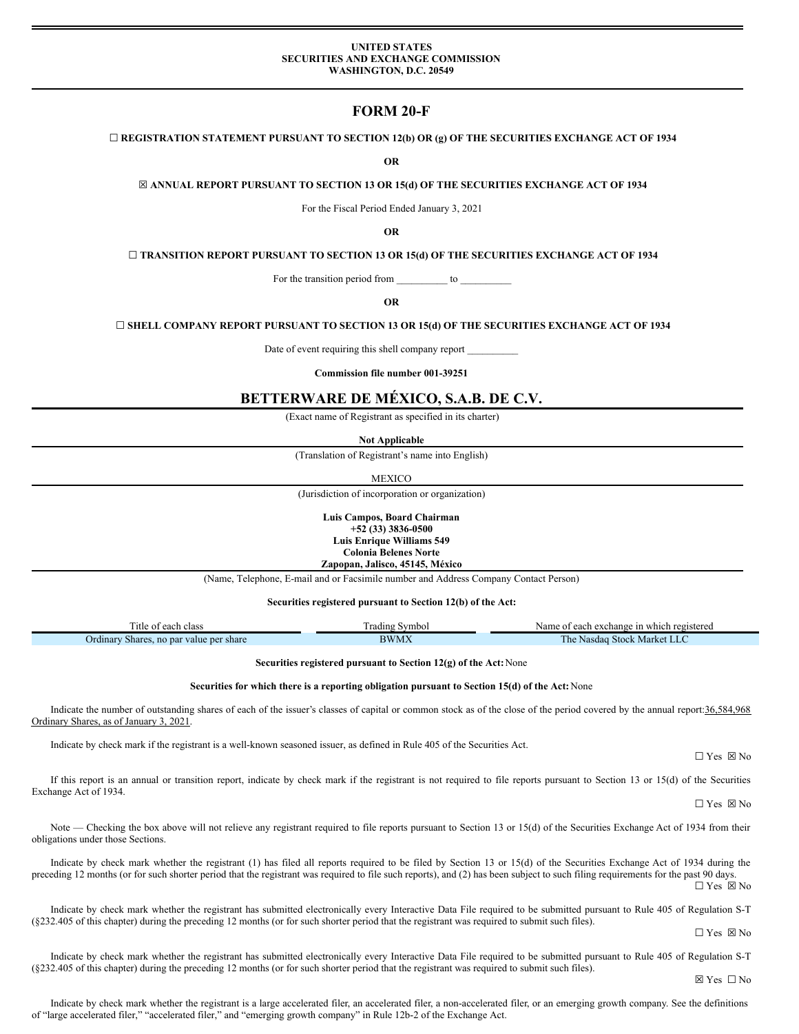### **UNITED STATES SECURITIES AND EXCHANGE COMMISSION WASHINGTON, D.C. 20549**

# **FORM 20-F**

**☐ REGISTRATION STATEMENT PURSUANT TO SECTION 12(b) OR (g) OF THE SECURITIES EXCHANGE ACT OF 1934**

**OR**

**☒ ANNUAL REPORT PURSUANT TO SECTION 13 OR 15(d) OF THE SECURITIES EXCHANGE ACT OF 1934**

For the Fiscal Period Ended January 3, 2021

**OR**

**☐ TRANSITION REPORT PURSUANT TO SECTION 13 OR 15(d) OF THE SECURITIES EXCHANGE ACT OF 1934**

For the transition period from to  $\sim$ 

**OR**

**☐ SHELL COMPANY REPORT PURSUANT TO SECTION 13 OR 15(d) OF THE SECURITIES EXCHANGE ACT OF 1934**

Date of event requiring this shell company report

**Commission file number 001-39251**

# **BETTERWARE DE MÉXICO, S.A.B. DE C.V.**

(Exact name of Registrant as specified in its charter)

**Not Applicable**

(Translation of Registrant's name into English)

MEXICO

(Jurisdiction of incorporation or organization)

**Luis Campos, Board Chairman +52 (33) 3836-0500 Luis Enrique Williams 549 Colonia Belenes Norte**

**Zapopan, Jalisco, 45145, México**

(Name, Telephone, E-mail and or Facsimile number and Address Company Contact Person)

**Securities registered pursuant to Section 12(b) of the Act:**

| . itle<br>class<br>angh-<br>$\sim$<br>0<br>- Caci. | radıng<br>Symbol | exchange in<br>Name<br>u which registered<br>each |
|----------------------------------------------------|------------------|---------------------------------------------------|
| Shares, no par value per share<br>Ordinar          | <b>BWMX</b>      | r ne<br><b>Stock Market LLC</b><br>Nasdag         |

**Securities registered pursuant to Section 12(g) of the Act:**None

#### **Securities for which there is a reporting obligation pursuant to Section 15(d) of the Act:**None

Indicate the number of outstanding shares of each of the issuer's classes of capital or common stock as of the close of the period covered by the annual report: 36,584,968 Ordinary Shares, as of January 3, 2021.

Indicate by check mark if the registrant is a well-known seasoned issuer, as defined in Rule 405 of the Securities Act.

obligations under those Sections.

☐ Yes ☒ No

If this report is an annual or transition report, indicate by check mark if the registrant is not required to file reports pursuant to Section 13 or 15(d) of the Securities Exchange Act of 1934. ☐ Yes ☒ No

Note — Checking the box above will not relieve any registrant required to file reports pursuant to Section 13 or 15(d) of the Securities Exchange Act of 1934 from their

Indicate by check mark whether the registrant (1) has filed all reports required to be filed by Section 13 or 15(d) of the Securities Exchange Act of 1934 during the preceding 12 months (or for such shorter period that the registrant was required to file such reports), and (2) has been subject to such filing requirements for the past 90 days. ☐ Yes ☒ No

Indicate by check mark whether the registrant has submitted electronically every Interactive Data File required to be submitted pursuant to Rule 405 of Regulation S-T (§232.405 of this chapter) during the preceding 12 months (or for such shorter period that the registrant was required to submit such files).

☐ Yes ☒ No

Indicate by check mark whether the registrant has submitted electronically every Interactive Data File required to be submitted pursuant to Rule 405 of Regulation S-T (§232.405 of this chapter) during the preceding 12 months (or for such shorter period that the registrant was required to submit such files).

☒ Yes ☐ No

Indicate by check mark whether the registrant is a large accelerated filer, an accelerated filer, a non-accelerated filer, or an emerging growth company. See the definitions of "large accelerated filer," "accelerated filer," and "emerging growth company" in Rule 12b-2 of the Exchange Act.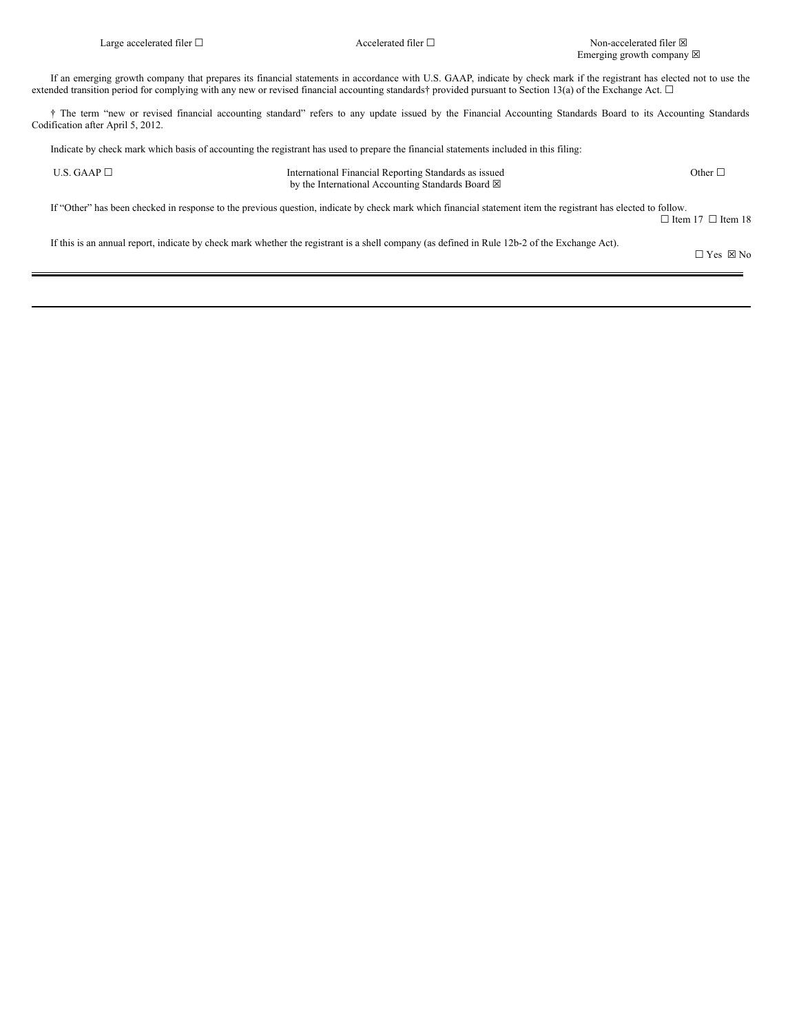If an emerging growth company that prepares its financial statements in accordance with U.S. GAAP, indicate by check mark if the registrant has elected not to use the extended transition period for complying with any new or revised financial accounting standards† provided pursuant to Section 13(a) of the Exchange Act. □

† The term "new or revised financial accounting standard" refers to any update issued by the Financial Accounting Standards Board to its Accounting Standards Codification after April 5, 2012.

Indicate by check mark which basis of accounting the registrant has used to prepare the financial statements included in this filing:

U.S. GAAP □ International Financial Reporting Standards as issued by the International Accounting Standards Board  $\boxtimes$ 

If "Other" has been checked in response to the previous question, indicate by check mark which financial statement item the registrant has elected to follow.

☐ Item 17 ☐ Item 18

☐ Yes ☒ No

Other □

If this is an annual report, indicate by check mark whether the registrant is a shell company (as defined in Rule 12b-2 of the Exchange Act).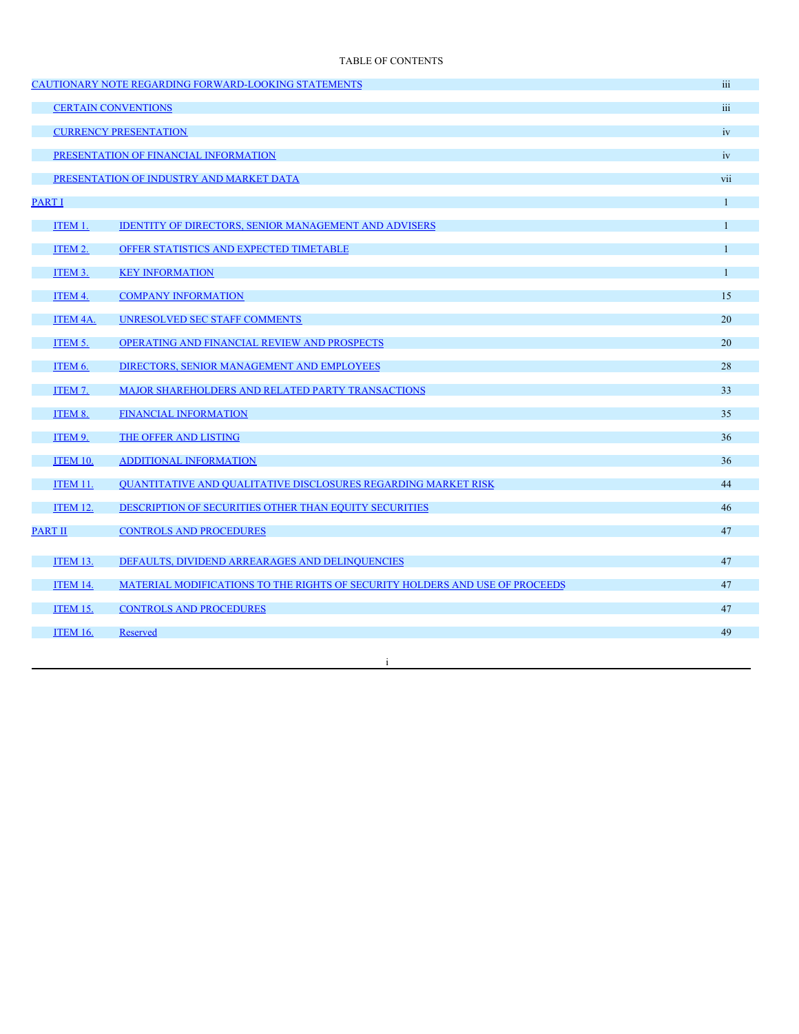# TABLE OF CONTENTS

|                |                 | CAUTIONARY NOTE REGARDING FORWARD-LOOKING STATEMENTS                         | iii          |
|----------------|-----------------|------------------------------------------------------------------------------|--------------|
|                |                 | <b>CERTAIN CONVENTIONS</b>                                                   | iii          |
|                |                 | <b>CURRENCY PRESENTATION</b>                                                 | iv           |
|                |                 | PRESENTATION OF FINANCIAL INFORMATION                                        | iv           |
|                |                 | PRESENTATION OF INDUSTRY AND MARKET DATA                                     | vii          |
| <b>PART I</b>  |                 |                                                                              | $\mathbf{1}$ |
|                | ITEM 1.         | <b>IDENTITY OF DIRECTORS, SENIOR MANAGEMENT AND ADVISERS</b>                 | $\mathbf{1}$ |
|                | ITEM 2.         | OFFER STATISTICS AND EXPECTED TIMETABLE                                      | $\mathbf{1}$ |
|                | ITEM 3.         | <b>KEY INFORMATION</b>                                                       | $\mathbf{1}$ |
|                | ITEM 4.         | <b>COMPANY INFORMATION</b>                                                   | 15           |
|                | ITEM 4A.        | <b>UNRESOLVED SEC STAFF COMMENTS</b>                                         | 20           |
|                | ITEM 5.         | OPERATING AND FINANCIAL REVIEW AND PROSPECTS                                 | 20           |
|                | ITEM 6.         | DIRECTORS, SENIOR MANAGEMENT AND EMPLOYEES                                   | 28           |
|                | ITEM 7.         | MAJOR SHAREHOLDERS AND RELATED PARTY TRANSACTIONS                            | 33           |
|                | ITEM 8.         | <b>FINANCIAL INFORMATION</b>                                                 | 35           |
|                |                 |                                                                              |              |
|                | ITEM 9.         | THE OFFER AND LISTING                                                        | 36           |
|                | <b>ITEM 10.</b> | <b>ADDITIONAL INFORMATION</b>                                                | 36           |
|                | <b>ITEM 11.</b> | <b>QUANTITATIVE AND QUALITATIVE DISCLOSURES REGARDING MARKET RISK</b>        | 44           |
|                | <b>ITEM 12.</b> | DESCRIPTION OF SECURITIES OTHER THAN EQUITY SECURITIES                       | 46           |
| <b>PART II</b> |                 | <b>CONTROLS AND PROCEDURES</b>                                               | 47           |
|                | <b>ITEM 13.</b> | DEFAULTS, DIVIDEND ARREARAGES AND DELINQUENCIES                              | 47           |
|                | <b>ITEM 14.</b> | MATERIAL MODIFICATIONS TO THE RIGHTS OF SECURITY HOLDERS AND USE OF PROCEEDS | 47           |
|                | <b>ITEM 15.</b> | <b>CONTROLS AND PROCEDURES</b>                                               | 47           |
|                | <b>ITEM 16.</b> | Reserved                                                                     | 49           |
|                |                 |                                                                              |              |

## i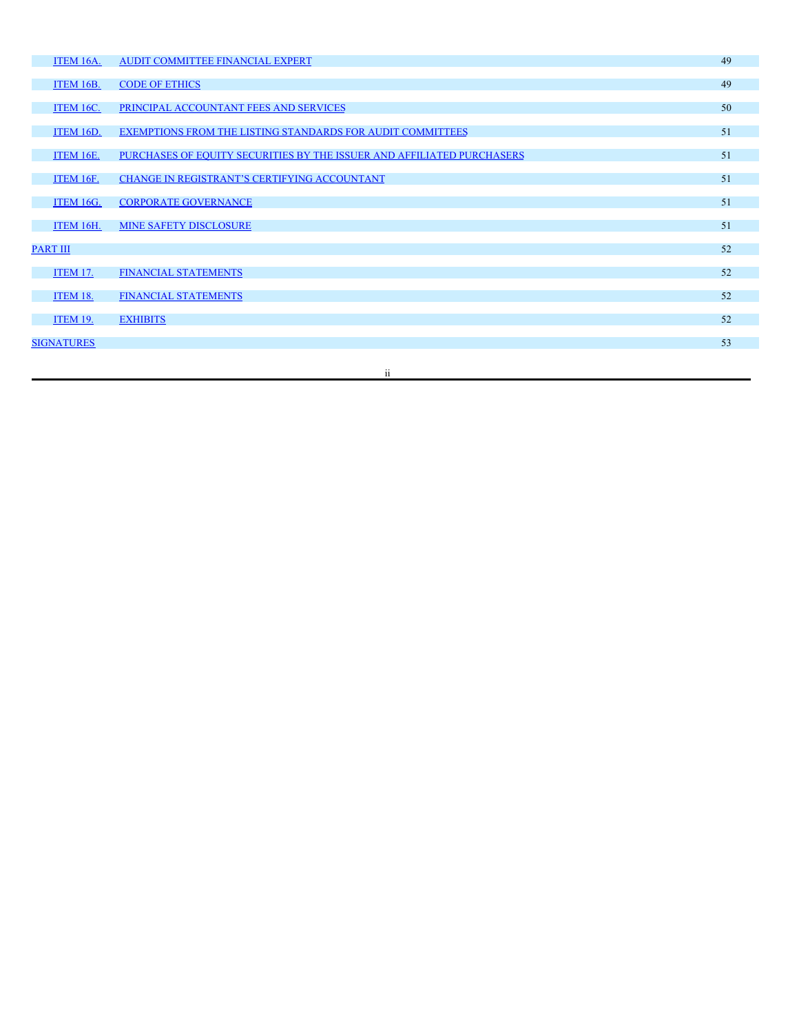| ITEM 16A.         | AUDIT COMMITTEE FINANCIAL EXPERT                                       | 49 |
|-------------------|------------------------------------------------------------------------|----|
| ITEM 16B.         | <b>CODE OF ETHICS</b>                                                  | 49 |
| <b>ITEM 16C.</b>  | PRINCIPAL ACCOUNTANT FEES AND SERVICES                                 | 50 |
| ITEM 16D.         | <b>EXEMPTIONS FROM THE LISTING STANDARDS FOR AUDIT COMMITTEES</b>      | 51 |
| <b>ITEM 16E.</b>  | PURCHASES OF EQUITY SECURITIES BY THE ISSUER AND AFFILIATED PURCHASERS | 51 |
| ITEM 16F.         | CHANGE IN REGISTRANT'S CERTIFYING ACCOUNTANT                           | 51 |
| <b>ITEM 16G.</b>  | <b>CORPORATE GOVERNANCE</b>                                            | 51 |
| ITEM 16H.         | <b>MINE SAFETY DISCLOSURE</b>                                          | 51 |
| <b>PART III</b>   |                                                                        | 52 |
| <b>ITEM 17.</b>   | <b>FINANCIAL STATEMENTS</b>                                            | 52 |
| <b>ITEM 18.</b>   | <b>FINANCIAL STATEMENTS</b>                                            | 52 |
| <b>ITEM 19.</b>   | <b>EXHIBITS</b>                                                        | 52 |
| <b>SIGNATURES</b> |                                                                        | 53 |
|                   | ii.                                                                    |    |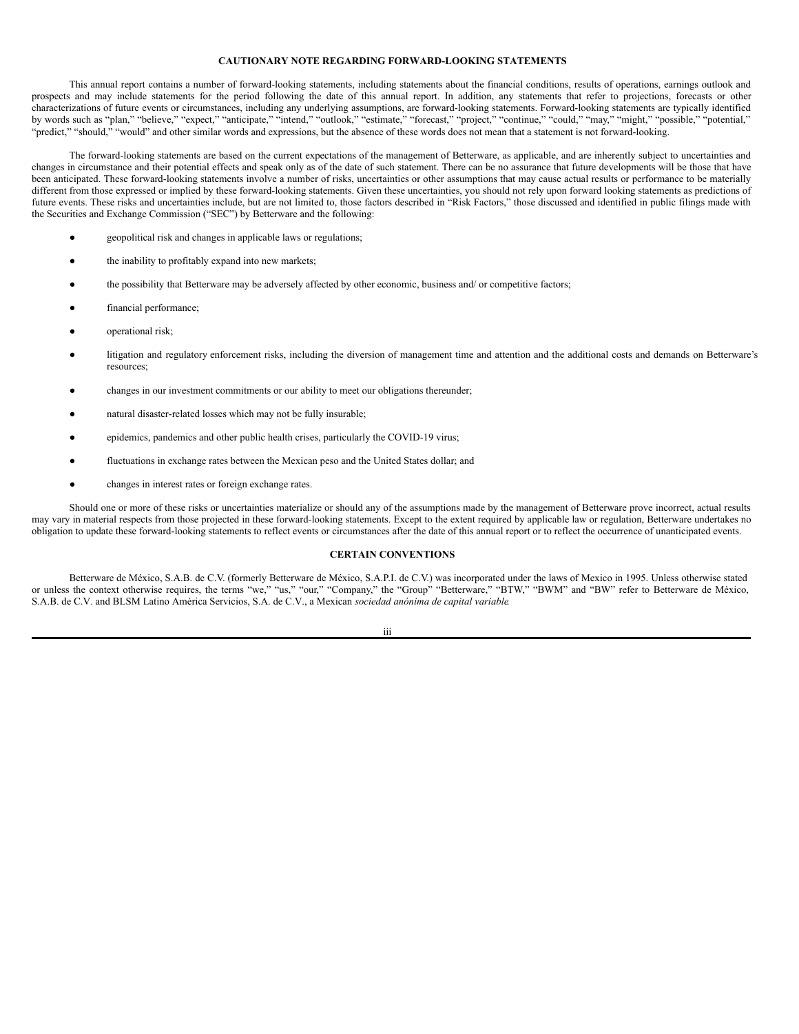### <span id="page-4-0"></span>**CAUTIONARY NOTE REGARDING FORWARD-LOOKING STATEMENTS**

This annual report contains a number of forward-looking statements, including statements about the financial conditions, results of operations, earnings outlook and prospects and may include statements for the period following the date of this annual report. In addition, any statements that refer to projections, forecasts or other characterizations of future events or circumstances, including any underlying assumptions, are forward-looking statements. Forward-looking statements are typically identified by words such as "plan," "believe," "expect," "anticipate," "intend," "outlook," "estimate," "forecast," "project," "continue," "could," "may," "might," "possible," "potential," "predict," "should," "would" and other similar words and expressions, but the absence of these words does not mean that a statement is not forward-looking.

The forward-looking statements are based on the current expectations of the management of Betterware, as applicable, and are inherently subject to uncertainties and changes in circumstance and their potential effects and speak only as of the date of such statement. There can be no assurance that future developments will be those that have been anticipated. These forward-looking statements involve a number of risks, uncertainties or other assumptions that may cause actual results or performance to be materially different from those expressed or implied by these forward-looking statements. Given these uncertainties, you should not rely upon forward looking statements as predictions of future events. These risks and uncertainties include, but are not limited to, those factors described in "Risk Factors," those discussed and identified in public filings made with the Securities and Exchange Commission ("SEC") by Betterware and the following:

- geopolitical risk and changes in applicable laws or regulations;
- the inability to profitably expand into new markets;
- the possibility that Betterware may be adversely affected by other economic, business and/ or competitive factors;
- financial performance;
- operational risk;
- litigation and regulatory enforcement risks, including the diversion of management time and attention and the additional costs and demands on Betterware's resources;
- changes in our investment commitments or our ability to meet our obligations thereunder;
- natural disaster-related losses which may not be fully insurable;
- epidemics, pandemics and other public health crises, particularly the COVID-19 virus;
- fluctuations in exchange rates between the Mexican peso and the United States dollar; and
- changes in interest rates or foreign exchange rates.

Should one or more of these risks or uncertainties materialize or should any of the assumptions made by the management of Betterware prove incorrect, actual results may vary in material respects from those projected in these forward-looking statements. Except to the extent required by applicable law or regulation, Betterware undertakes no obligation to update these forward-looking statements to reflect events or circumstances after the date of this annual report or to reflect the occurrence of unanticipated events.

## <span id="page-4-1"></span>**CERTAIN CONVENTIONS**

Betterware de México, S.A.B. de C.V. (formerly Betterware de México, S.A.P.I. de C.V.) was incorporated under the laws of Mexico in 1995. Unless otherwise stated or unless the context otherwise requires, the terms "we," "us," "our," "Company," the "Group" "Betterware," "BTW," "BWM" and "BW" refer to Betterware de México, S.A.B. de C.V. and BLSM Latino América Servicios, S.A. de C.V., a Mexican *sociedad anónima de capital variable*.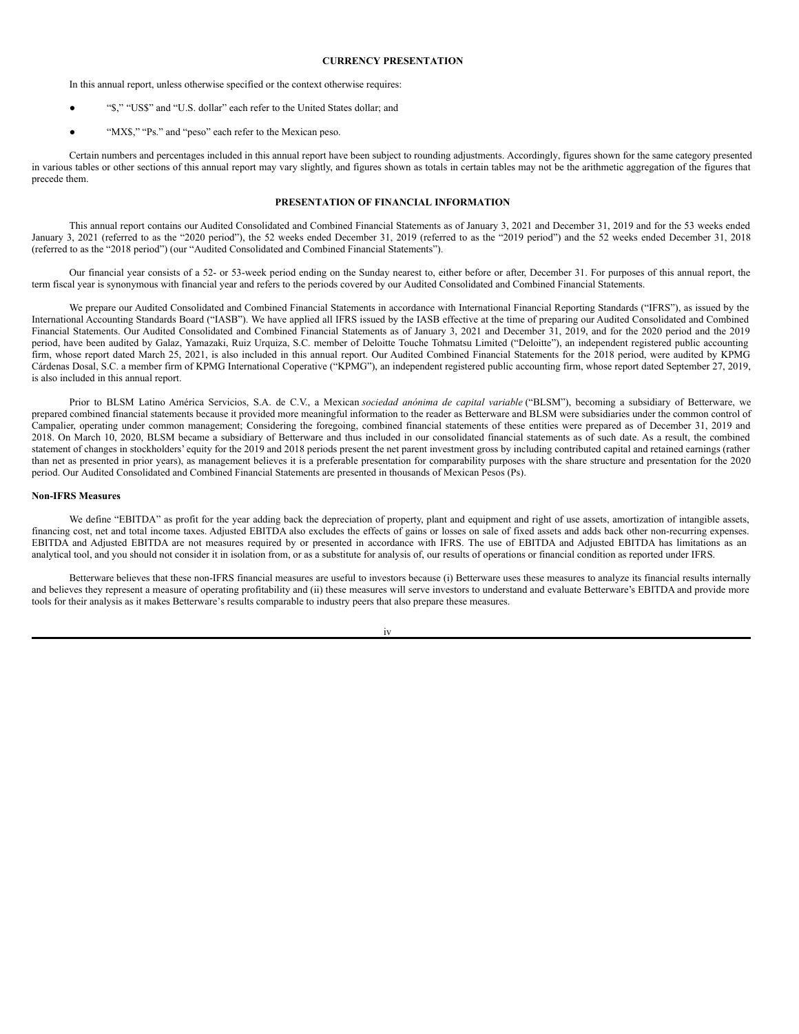#### <span id="page-5-0"></span>**CURRENCY PRESENTATION**

In this annual report, unless otherwise specified or the context otherwise requires:

- "\$," "US\$" and "U.S. dollar" each refer to the United States dollar; and
- "MX\$," "Ps." and "peso" each refer to the Mexican peso.

Certain numbers and percentages included in this annual report have been subject to rounding adjustments. Accordingly, figures shown for the same category presented in various tables or other sections of this annual report may vary slightly, and figures shown as totals in certain tables may not be the arithmetic aggregation of the figures that precede them.

### <span id="page-5-1"></span>**PRESENTATION OF FINANCIAL INFORMATION**

This annual report contains our Audited Consolidated and Combined Financial Statements as of January 3, 2021 and December 31, 2019 and for the 53 weeks ended January 3, 2021 (referred to as the "2020 period"), the 52 weeks ended December 31, 2019 (referred to as the "2019 period") and the 52 weeks ended December 31, 2018 (referred to as the "2018 period") (our "Audited Consolidated and Combined Financial Statements").

Our financial year consists of a 52- or 53-week period ending on the Sunday nearest to, either before or after, December 31. For purposes of this annual report, the term fiscal year is synonymous with financial year and refers to the periods covered by our Audited Consolidated and Combined Financial Statements.

We prepare our Audited Consolidated and Combined Financial Statements in accordance with International Financial Reporting Standards ("IFRS"), as issued by the International Accounting Standards Board ("IASB"). We have applied all IFRS issued by the IASB effective at the time of preparing our Audited Consolidated and Combined Financial Statements. Our Audited Consolidated and Combined Financial Statements as of January 3, 2021 and December 31, 2019, and for the 2020 period and the 2019 period, have been audited by Galaz, Yamazaki, Ruiz Urquiza, S.C. member of Deloitte Touche Tohmatsu Limited ("Deloitte"), an independent registered public accounting firm, whose report dated March 25, 2021, is also included in this annual report. Our Audited Combined Financial Statements for the 2018 period, were audited by KPMG Cárdenas Dosal, S.C. a member firm of KPMG International Coperative ("KPMG"), an independent registered public accounting firm, whose report dated September 27, 2019, is also included in this annual report.

Prior to BLSM Latino América Servicios, S.A. de C.V., a Mexican *sociedad anónima de capital variable* ("BLSM"), becoming a subsidiary of Betterware, we prepared combined financial statements because it provided more meaningful information to the reader as Betterware and BLSM were subsidiaries under the common control of Campalier, operating under common management; Considering the foregoing, combined financial statements of these entities were prepared as of December 31, 2019 and 2018. On March 10, 2020, BLSM became a subsidiary of Betterware and thus included in our consolidated financial statements as of such date. As a result, the combined statement of changes in stockholders' equity for the 2019 and 2018 periods present the net parent investment gross by including contributed capital and retained earnings (rather than net as presented in prior years), as management believes it is a preferable presentation for comparability purposes with the share structure and presentation for the 2020 period. Our Audited Consolidated and Combined Financial Statements are presented in thousands of Mexican Pesos (Ps).

### **Non-IFRS Measures**

We define "EBITDA" as profit for the year adding back the depreciation of property, plant and equipment and right of use assets, amortization of intangible assets, financing cost, net and total income taxes. Adjusted EBITDA also excludes the effects of gains or losses on sale of fixed assets and adds back other non-recurring expenses. EBITDA and Adjusted EBITDA are not measures required by or presented in accordance with IFRS. The use of EBITDA and Adjusted EBITDA has limitations as an analytical tool, and you should not consider it in isolation from, or as a substitute for analysis of, our results of operations or financial condition as reported under IFRS.

Betterware believes that these non-IFRS financial measures are useful to investors because (i) Betterware uses these measures to analyze its financial results internally and believes they represent a measure of operating profitability and (ii) these measures will serve investors to understand and evaluate Betterware's EBITDA and provide more tools for their analysis as it makes Betterware's results comparable to industry peers that also prepare these measures.

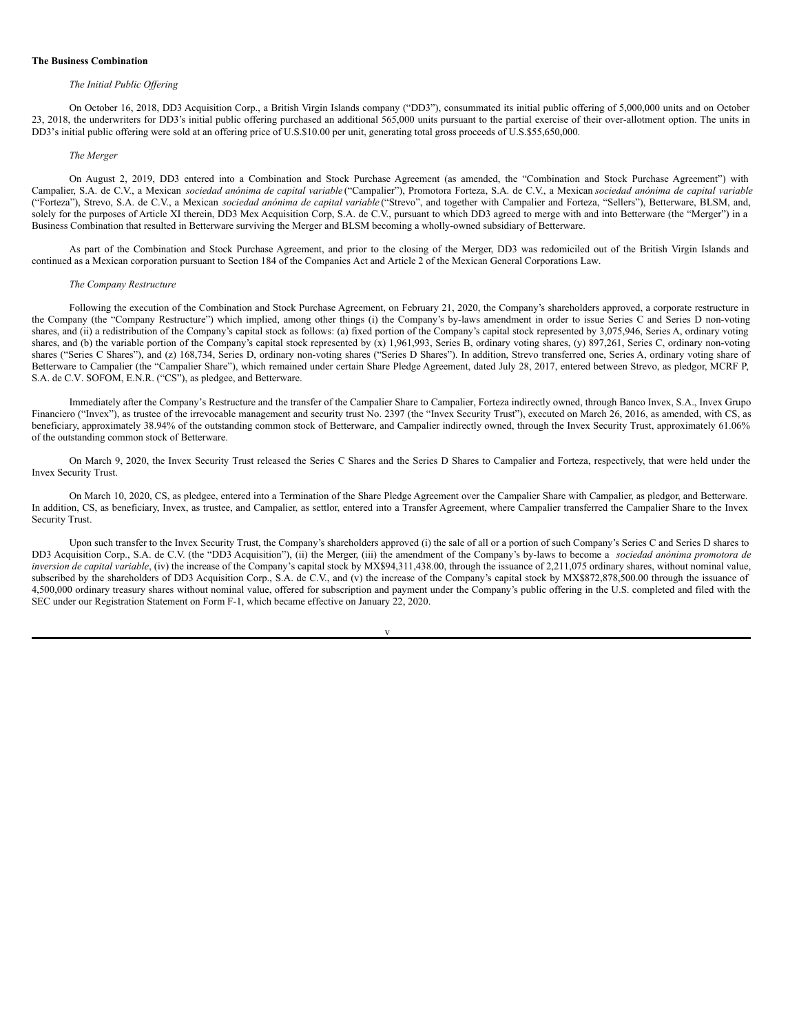#### **The Business Combination**

### *The Initial Public Of ering*

On October 16, 2018, DD3 Acquisition Corp., a British Virgin Islands company ("DD3"), consummated its initial public offering of 5,000,000 units and on October 23, 2018, the underwriters for DD3's initial public offering purchased an additional 565,000 units pursuant to the partial exercise of their over-allotment option. The units in DD3's initial public offering were sold at an offering price of U.S.\$10.00 per unit, generating total gross proceeds of U.S.\$55,650,000.

#### *The Merger*

On August 2, 2019, DD3 entered into a Combination and Stock Purchase Agreement (as amended, the "Combination and Stock Purchase Agreement") with Campalier, S.A. de C.V., a Mexican sociedad anónima de capital variable ("Campalier"), Promotora Forteza, S.A. de C.V., a Mexican sociedad anónima de capital variable ("Forteza"), Strevo, S.A. de C.V., a Mexican *sociedad anónima de capital variable* ("Strevo", and together with Campalier and Forteza, "Sellers"), Betterware, BLSM, and, solely for the purposes of Article XI therein, DD3 Mex Acquisition Corp, S.A. de C.V., pursuant to which DD3 agreed to merge with and into Betterware (the "Merger") in a Business Combination that resulted in Betterware surviving the Merger and BLSM becoming a wholly-owned subsidiary of Betterware.

As part of the Combination and Stock Purchase Agreement, and prior to the closing of the Merger, DD3 was redomiciled out of the British Virgin Islands and continued as a Mexican corporation pursuant to Section 184 of the Companies Act and Article 2 of the Mexican General Corporations Law.

#### *The Company Restructure*

Following the execution of the Combination and Stock Purchase Agreement, on February 21, 2020, the Company's shareholders approved, a corporate restructure in the Company (the "Company Restructure") which implied, among other things (i) the Company's by-laws amendment in order to issue Series C and Series D non-voting shares, and (ii) a redistribution of the Company's capital stock as follows: (a) fixed portion of the Company's capital stock represented by 3,075,946, Series A, ordinary voting shares, and (b) the variable portion of the Company's capital stock represented by (x) 1,961,993, Series B, ordinary voting shares, (y) 897,261, Series C, ordinary non-voting shares ("Series C Shares"), and (z) 168,734, Series D, ordinary non-voting shares ("Series D Shares"). In addition, Strevo transferred one, Series A, ordinary voting share of Betterware to Campalier (the "Campalier Share"), which remained under certain Share Pledge Agreement, dated July 28, 2017, entered between Strevo, as pledgor, MCRF P, S.A. de C.V. SOFOM, E.N.R. ("CS"), as pledgee, and Betterware.

Immediately after the Company's Restructure and the transfer of the Campalier Share to Campalier, Forteza indirectly owned, through Banco Invex, S.A., Invex Grupo Financiero ("Invex"), as trustee of the irrevocable management and security trust No. 2397 (the "Invex Security Trust"), executed on March 26, 2016, as amended, with CS, as beneficiary, approximately 38.94% of the outstanding common stock of Betterware, and Campalier indirectly owned, through the Invex Security Trust, approximately 61.06% of the outstanding common stock of Betterware.

On March 9, 2020, the Invex Security Trust released the Series C Shares and the Series D Shares to Campalier and Forteza, respectively, that were held under the Invex Security Trust.

On March 10, 2020, CS, as pledgee, entered into a Termination of the Share Pledge Agreement over the Campalier Share with Campalier, as pledgor, and Betterware. In addition, CS, as beneficiary, Invex, as trustee, and Campalier, as settlor, entered into a Transfer Agreement, where Campalier transferred the Campalier Share to the Invex Security Trust.

Upon such transfer to the Invex Security Trust, the Company's shareholders approved (i) the sale of all or a portion of such Company's Series C and Series D shares to DD3 Acquisition Corp., S.A. de C.V. (the "DD3 Acquisition"), (ii) the Merger, (iii) the amendment of the Company's by-laws to become a *sociedad anónima promotora de inversion de capital variable*, (iv) the increase of the Company's capital stock by MX\$94,311,438.00, through the issuance of 2,211,075 ordinary shares, without nominal value, subscribed by the shareholders of DD3 Acquisition Corp., S.A. de C.V., and (v) the increase of the Company's capital stock by MX\$872,878,500.00 through the issuance of 4,500,000 ordinary treasury shares without nominal value, offered for subscription and payment under the Company's public offering in the U.S. completed and filed with the SEC under our Registration Statement on Form F-1, which became effective on January 22, 2020.

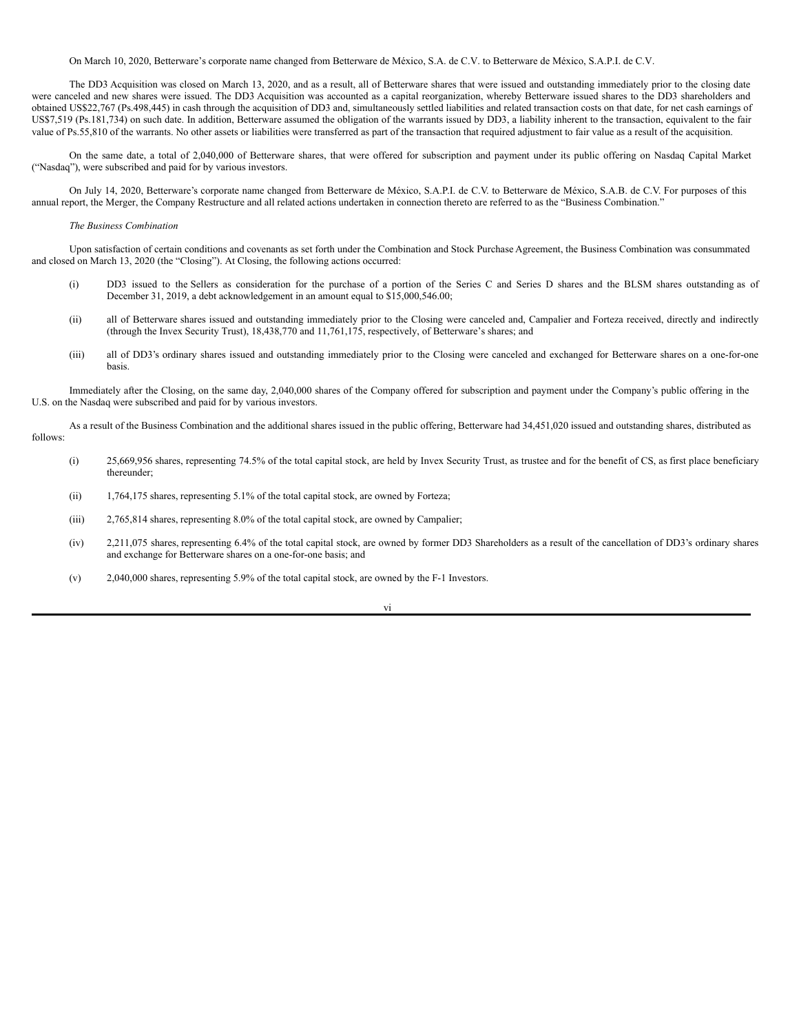On March 10, 2020, Betterware's corporate name changed from Betterware de México, S.A. de C.V. to Betterware de México, S.A.P.I. de C.V.

The DD3 Acquisition was closed on March 13, 2020, and as a result, all of Betterware shares that were issued and outstanding immediately prior to the closing date were canceled and new shares were issued. The DD3 Acquisition was accounted as a capital reorganization, whereby Betterware issued shares to the DD3 shareholders and obtained US\$22,767 (Ps.498,445) in cash through the acquisition of DD3 and, simultaneously settled liabilities and related transaction costs on that date, for net cash earnings of US\$7,519 (Ps.181,734) on such date. In addition, Betterware assumed the obligation of the warrants issued by DD3, a liability inherent to the transaction, equivalent to the fair value of Ps.55,810 of the warrants. No other assets or liabilities were transferred as part of the transaction that required adjustment to fair value as a result of the acquisition.

On the same date, a total of 2,040,000 of Betterware shares, that were offered for subscription and payment under its public offering on Nasdaq Capital Market ("Nasdaq"), were subscribed and paid for by various investors.

On July 14, 2020, Betterware's corporate name changed from Betterware de México, S.A.P.I. de C.V. to Betterware de México, S.A.B. de C.V. For purposes of this annual report, the Merger, the Company Restructure and all related actions undertaken in connection thereto are referred to as the "Business Combination."

#### *The Business Combination*

Upon satisfaction of certain conditions and covenants as set forth under the Combination and Stock Purchase Agreement, the Business Combination was consummated and closed on March 13, 2020 (the "Closing"). At Closing, the following actions occurred:

- (i) DD3 issued to the Sellers as consideration for the purchase of a portion of the Series C and Series D shares and the BLSM shares outstanding as of December 31, 2019, a debt acknowledgement in an amount equal to \$15,000,546.00;
- (ii) all of Betterware shares issued and outstanding immediately prior to the Closing were canceled and, Campalier and Forteza received, directly and indirectly (through the Invex Security Trust), 18,438,770 and 11,761,175, respectively, of Betterware's shares; and
- (iii) all of DD3's ordinary shares issued and outstanding immediately prior to the Closing were canceled and exchanged for Betterware shares on a one-for-one basis.

Immediately after the Closing, on the same day, 2,040,000 shares of the Company offered for subscription and payment under the Company's public offering in the U.S. on the Nasdaq were subscribed and paid for by various investors.

As a result of the Business Combination and the additional shares issued in the public offering, Betterware had 34,451,020 issued and outstanding shares, distributed as follows:

- (i) 25,669,956 shares, representing 74.5% of the total capital stock, are held by Invex Security Trust, as trustee and for the benefit of CS, as first place beneficiary thereunder;
- (ii) 1,764,175 shares, representing 5.1% of the total capital stock, are owned by Forteza;
- (iii) 2,765,814 shares, representing 8.0% of the total capital stock, are owned by Campalier;
- (iv) 2,211,075 shares, representing 6.4% of the total capital stock, are owned by former DD3 Shareholders as a result of the cancellation of DD3's ordinary shares and exchange for Betterware shares on a one-for-one basis; and
- (v) 2,040,000 shares, representing 5.9% of the total capital stock, are owned by the F-1 Investors.

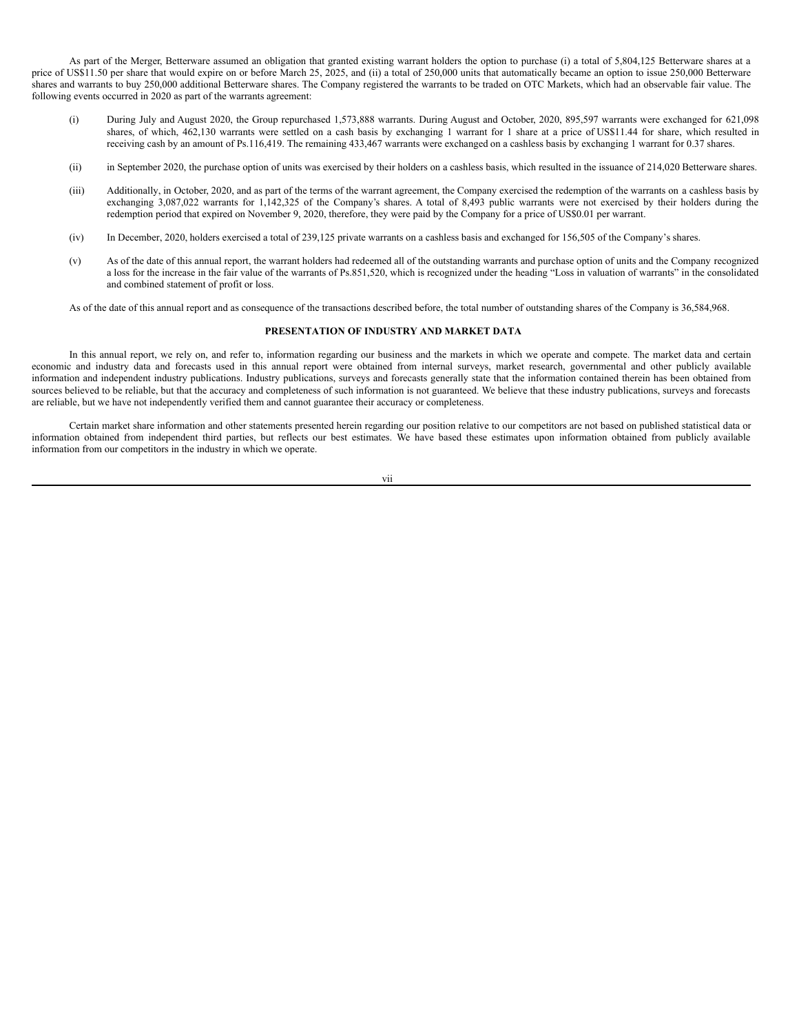As part of the Merger, Betterware assumed an obligation that granted existing warrant holders the option to purchase (i) a total of 5,804,125 Betterware shares at a price of US\$11.50 per share that would expire on or before March 25, 2025, and (ii) a total of 250,000 units that automatically became an option to issue 250,000 Betterware shares and warrants to buy 250,000 additional Betterware shares. The Company registered the warrants to be traded on OTC Markets, which had an observable fair value. The following events occurred in 2020 as part of the warrants agreement:

- (i) During July and August 2020, the Group repurchased 1,573,888 warrants. During August and October, 2020, 895,597 warrants were exchanged for 621,098 shares, of which, 462,130 warrants were settled on a cash basis by exchanging 1 warrant for 1 share at a price of US\$11.44 for share, which resulted in receiving cash by an amount of Ps.116,419. The remaining 433,467 warrants were exchanged on a cashless basis by exchanging 1 warrant for 0.37 shares.
- (ii) in September 2020, the purchase option of units was exercised by their holders on a cashless basis, which resulted in the issuance of 214,020 Betterware shares.
- (iii) Additionally, in October, 2020, and as part of the terms of the warrant agreement, the Company exercised the redemption of the warrants on a cashless basis by exchanging 3,087,022 warrants for 1,142,325 of the Company's shares. A total of 8,493 public warrants were not exercised by their holders during the redemption period that expired on November 9, 2020, therefore, they were paid by the Company for a price of US\$0.01 per warrant.
- (iv) In December, 2020, holders exercised a total of 239,125 private warrants on a cashless basis and exchanged for 156,505 of the Company's shares.
- (v) As of the date of this annual report, the warrant holders had redeemed all of the outstanding warrants and purchase option of units and the Company recognized a loss for the increase in the fair value of the warrants of Ps.851,520, which is recognized under the heading "Loss in valuation of warrants" in the consolidated and combined statement of profit or loss.

As of the date of this annual report and as consequence of the transactions described before, the total number of outstanding shares of the Company is 36,584,968.

## <span id="page-8-0"></span>**PRESENTATION OF INDUSTRY AND MARKET DATA**

In this annual report, we rely on, and refer to, information regarding our business and the markets in which we operate and compete. The market data and certain economic and industry data and forecasts used in this annual report were obtained from internal surveys, market research, governmental and other publicly available information and independent industry publications. Industry publications, surveys and forecasts generally state that the information contained therein has been obtained from sources believed to be reliable, but that the accuracy and completeness of such information is not guaranteed. We believe that these industry publications, surveys and forecasts are reliable, but we have not independently verified them and cannot guarantee their accuracy or completeness.

Certain market share information and other statements presented herein regarding our position relative to our competitors are not based on published statistical data or information obtained from independent third parties, but reflects our best estimates. We have based these estimates upon information obtained from publicly available information from our competitors in the industry in which we operate.

vii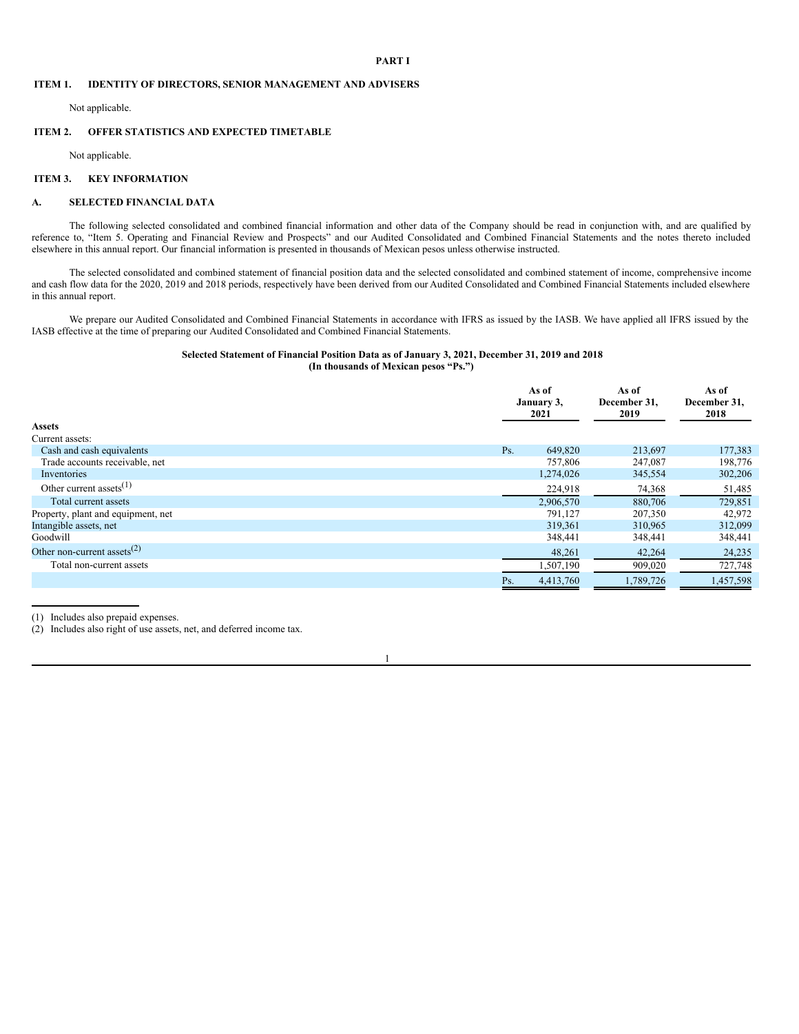#### <span id="page-9-0"></span>**PART I**

## <span id="page-9-1"></span>**ITEM 1. IDENTITY OF DIRECTORS, SENIOR MANAGEMENT AND ADVISERS**

Not applicable.

## <span id="page-9-2"></span>**ITEM 2. OFFER STATISTICS AND EXPECTED TIMETABLE**

Not applicable.

### <span id="page-9-3"></span>**ITEM 3. KEY INFORMATION**

## **A. SELECTED FINANCIAL DATA**

The following selected consolidated and combined financial information and other data of the Company should be read in conjunction with, and are qualified by reference to, "Item 5. Operating and Financial Review and Prospects" and our Audited Consolidated and Combined Financial Statements and the notes thereto included elsewhere in this annual report. Our financial information is presented in thousands of Mexican pesos unless otherwise instructed.

The selected consolidated and combined statement of financial position data and the selected consolidated and combined statement of income, comprehensive income and cash flow data for the 2020, 2019 and 2018 periods, respectively have been derived from our Audited Consolidated and Combined Financial Statements included elsewhere in this annual report.

We prepare our Audited Consolidated and Combined Financial Statements in accordance with IFRS as issued by the IASB. We have applied all IFRS issued by the IASB effective at the time of preparing our Audited Consolidated and Combined Financial Statements.

### **Selected Statement of Financial Position Data as of January 3, 2021, December 31, 2019 and 2018 (In thousands of Mexican pesos "Ps.")**

|                                         | As of<br>January 3,<br>2021 | As of<br>December 31,<br>2019 | As of<br>December 31,<br>2018 |
|-----------------------------------------|-----------------------------|-------------------------------|-------------------------------|
| Assets                                  |                             |                               |                               |
| Current assets:                         |                             |                               |                               |
| Cash and cash equivalents               | Ps.<br>649,820              | 213,697                       | 177,383                       |
| Trade accounts receivable, net          | 757,806                     | 247,087                       | 198,776                       |
| Inventories                             | 1,274,026                   | 345,554                       | 302,206                       |
| Other current assets $^{(1)}$           | 224,918                     | 74,368                        | 51,485                        |
| Total current assets                    | 2,906,570                   | 880,706                       | 729,851                       |
| Property, plant and equipment, net      | 791,127                     | 207,350                       | 42,972                        |
| Intangible assets, net                  | 319,361                     | 310,965                       | 312,099                       |
| Goodwill                                | 348,441                     | 348,441                       | 348,441                       |
| Other non-current assets <sup>(2)</sup> | 48,261                      | 42,264                        | 24,235                        |
| Total non-current assets                | 1,507,190                   | 909,020                       | 727,748                       |
|                                         | 4,413,760<br>Ps.            | 1,789,726                     | 1,457,598                     |

<sup>(1)</sup> Includes also prepaid expenses.

<sup>(2)</sup> Includes also right of use assets, net, and deferred income tax.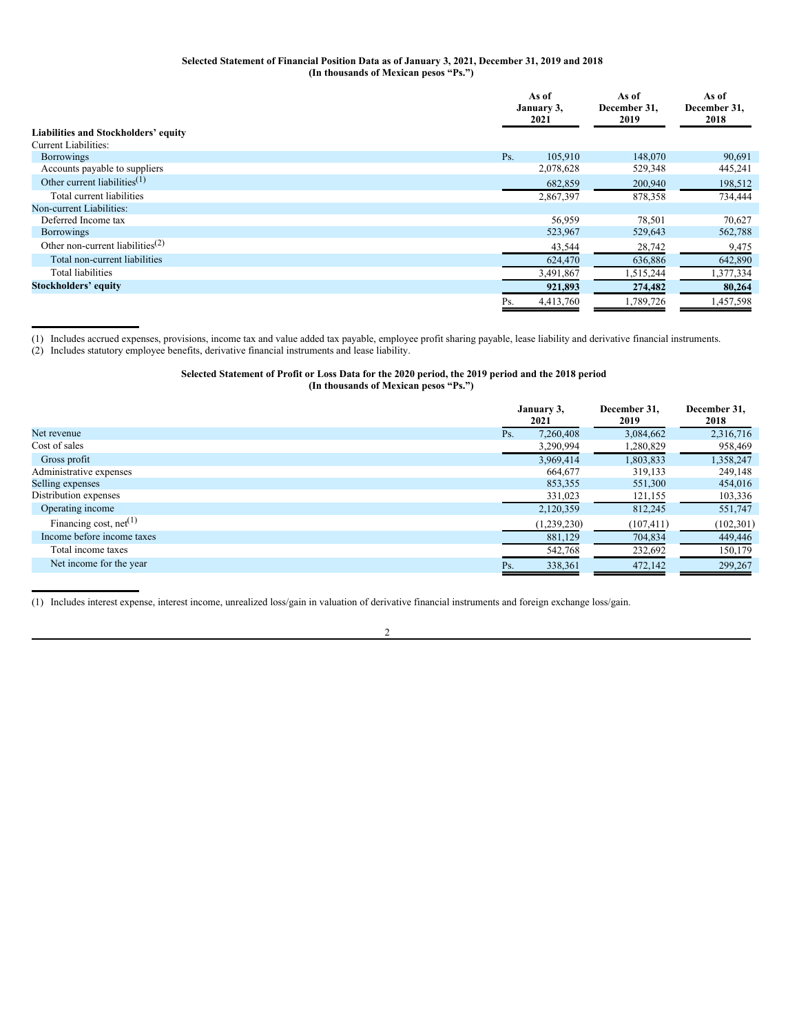### **Selected Statement of Financial Position Data as of January 3, 2021, December 31, 2019 and 2018 (In thousands of Mexican pesos "Ps.")**

|                                                           | As of<br>January 3,<br>2021 | As of<br>December 31.<br>2019 | As of<br>December 31,<br>2018 |  |
|-----------------------------------------------------------|-----------------------------|-------------------------------|-------------------------------|--|
| Liabilities and Stockholders' equity                      |                             |                               |                               |  |
| <b>Current Liabilities:</b>                               |                             |                               |                               |  |
| <b>Borrowings</b>                                         | Ps.<br>105,910              | 148,070                       | 90,691                        |  |
| Accounts payable to suppliers                             | 2,078,628                   | 529,348                       | 445,241                       |  |
| Other current liabilities <sup><math>(1)</math></sup>     | 682,859                     | 200,940                       | 198,512                       |  |
| Total current liabilities                                 | 2,867,397                   | 878,358                       | 734,444                       |  |
| Non-current Liabilities:                                  |                             |                               |                               |  |
| Deferred Income tax                                       | 56,959                      | 78,501                        | 70,627                        |  |
| <b>Borrowings</b>                                         | 523,967                     | 529,643                       | 562,788                       |  |
| Other non-current liabilities <sup><math>(2)</math></sup> | 43,544                      | 28,742                        | 9,475                         |  |
| Total non-current liabilities                             | 624,470                     | 636,886                       | 642,890                       |  |
| Total liabilities                                         | 3,491,867                   | 1,515,244                     | 1,377,334                     |  |
| <b>Stockholders' equity</b>                               | 921,893                     | 274,482                       | 80,264                        |  |
|                                                           | 4,413,760<br>Ps.            | 1,789,726                     | 1,457,598                     |  |

(1) Includes accrued expenses, provisions, income tax and value added tax payable, employee profit sharing payable, lease liability and derivative financial instruments.

(2) Includes statutory employee benefits, derivative financial instruments and lease liability.

**Selected Statement of Profit or Loss Data for the 2020 period, the 2019 period and the 2018 period (In thousands of Mexican pesos "Ps.")**

|                            | January 3,<br>2021 | December 31,<br>2019 | December 31,<br>2018 |
|----------------------------|--------------------|----------------------|----------------------|
| Net revenue                | 7,260,408<br>Ps.   | 3,084,662            | 2,316,716            |
| Cost of sales              | 3,290,994          | 1,280,829            | 958,469              |
| Gross profit               | 3,969,414          | 1,803,833            | 1,358,247            |
| Administrative expenses    | 664,677            | 319,133              | 249,148              |
| Selling expenses           | 853,355            | 551,300              | 454,016              |
| Distribution expenses      | 331,023            | 121,155              | 103,336              |
| Operating income           | 2,120,359          | 812,245              | 551,747              |
| Financing cost, $net(1)$   | (1,239,230)        | (107, 411)           | (102, 301)           |
| Income before income taxes | 881,129            | 704,834              | 449,446              |
| Total income taxes         | 542,768            | 232,692              | 150,179              |
| Net income for the year    | 338,361<br>Ps.     | 472.142              | 299.267              |

 $\overline{2}$ 

(1) Includes interest expense, interest income, unrealized loss/gain in valuation of derivative financial instruments and foreign exchange loss/gain.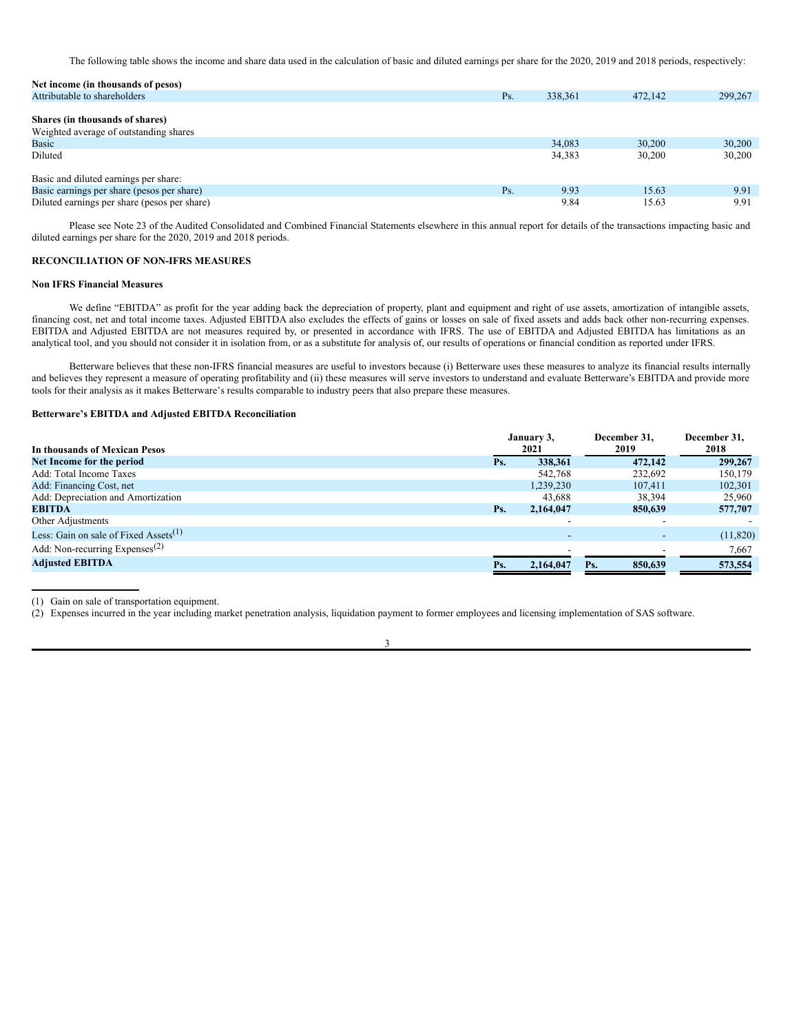The following table shows the income and share data used in the calculation of basic and diluted earnings per share for the 2020, 2019 and 2018 periods, respectively:

| Net income (in thousands of pesos)           |     |         |         |         |
|----------------------------------------------|-----|---------|---------|---------|
| Attributable to shareholders                 | Ps. | 338.361 | 472,142 | 299,267 |
|                                              |     |         |         |         |
| Shares (in thousands of shares)              |     |         |         |         |
| Weighted average of outstanding shares       |     |         |         |         |
| <b>Basic</b>                                 |     | 34.083  | 30,200  | 30,200  |
| Diluted                                      |     | 34,383  | 30,200  | 30,200  |
|                                              |     |         |         |         |
| Basic and diluted earnings per share:        |     |         |         |         |
| Basic earnings per share (pesos per share)   | Ps. | 9.93    | 15.63   | 9.91    |
| Diluted earnings per share (pesos per share) |     | 9.84    | 15.63   | 9.91    |

Please see Note 23 of the Audited Consolidated and Combined Financial Statements elsewhere in this annual report for details of the transactions impacting basic and diluted earnings per share for the 2020, 2019 and 2018 periods.

#### **RECONCILIATION OF NON-IFRS MEASURES**

## **Non IFRS Financial Measures**

We define "EBITDA" as profit for the year adding back the depreciation of property, plant and equipment and right of use assets, amortization of intangible assets, financing cost, net and total income taxes. Adjusted EBITDA also excludes the effects of gains or losses on sale of fixed assets and adds back other non-recurring expenses. EBITDA and Adjusted EBITDA are not measures required by, or presented in accordance with IFRS. The use of EBITDA and Adjusted EBITDA has limitations as an analytical tool, and you should not consider it in isolation from, or as a substitute for analysis of, our results of operations or financial condition as reported under IFRS.

Betterware believes that these non-IFRS financial measures are useful to investors because (i) Betterware uses these measures to analyze its financial results internally and believes they represent a measure of operating profitability and (ii) these measures will serve investors to understand and evaluate Betterware's EBITDA and provide more tools for their analysis as it makes Betterware's results comparable to industry peers that also prepare these measures.

## **Betterware's EBITDA and Adjusted EBITDA Reconciliation**

|                                                         |     | January 3, | December 31, |                          | December 31, |  |
|---------------------------------------------------------|-----|------------|--------------|--------------------------|--------------|--|
| In thousands of Mexican Pesos                           |     | 2021       |              | 2019                     | 2018         |  |
| Net Income for the period                               | Ps. | 338,361    |              | 472,142                  | 299,267      |  |
| Add: Total Income Taxes                                 |     | 542,768    |              | 232,692                  | 150,179      |  |
| Add: Financing Cost, net                                |     | 1,239,230  |              | 107.411                  | 102,301      |  |
| Add: Depreciation and Amortization                      |     | 43,688     |              | 38.394                   | 25,960       |  |
| <b>EBITDA</b>                                           | Ps. | 2,164,047  |              | 850,639                  | 577,707      |  |
| Other Adjustments                                       |     |            |              |                          |              |  |
| Less: Gain on sale of Fixed Assets <sup>(1)</sup>       |     | -          |              | $\overline{\phantom{0}}$ | (11,820)     |  |
| Add: Non-recurring Expenses <sup><math>(2)</math></sup> |     |            |              |                          | 7,667        |  |
| <b>Adjusted EBITDA</b>                                  | Ps. | 2,164,047  | Ps.          | 850,639                  | 573,554      |  |
|                                                         |     |            |              |                          |              |  |

(1) Gain on sale of transportation equipment.

(2) Expenses incurred in the year including market penetration analysis, liquidation payment to former employees and licensing implementation of SAS software.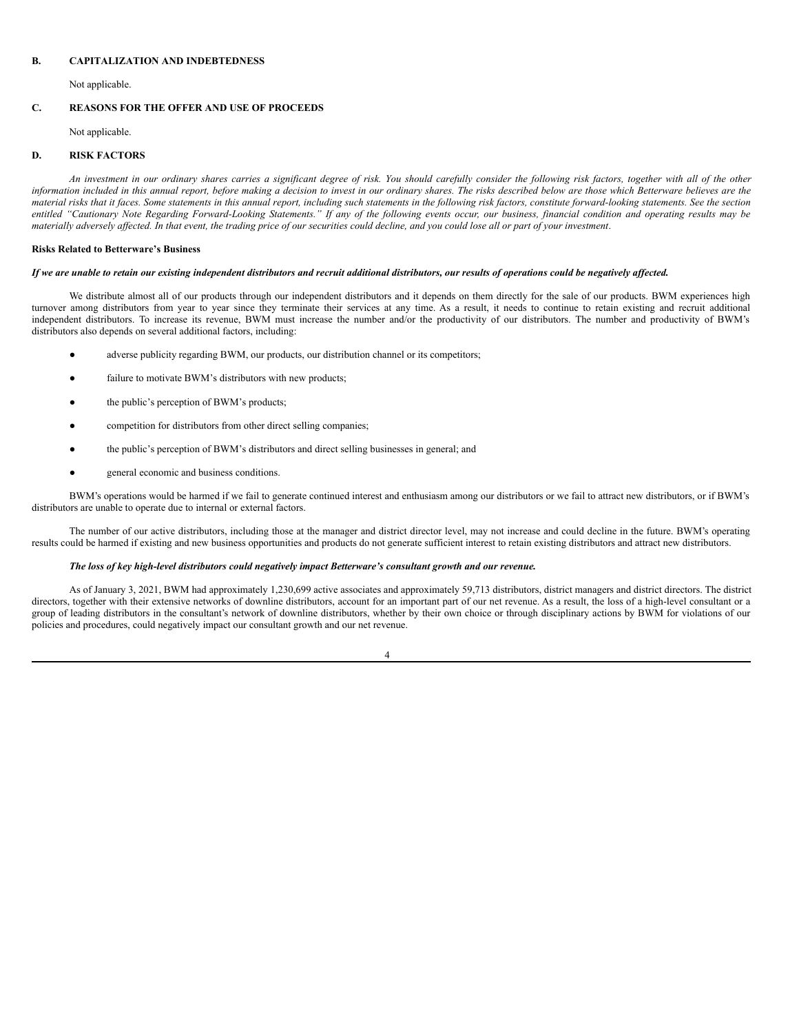### **B. CAPITALIZATION AND INDEBTEDNESS**

Not applicable.

## **C. REASONS FOR THE OFFER AND USE OF PROCEEDS**

Not applicable.

## **D. RISK FACTORS**

An investment in our ordinary shares carries a significant degree of risk. You should carefully consider the following risk factors, together with all of the other information included in this annual report, before making a decision to invest in our ordinary shares. The risks described below are those which Betterware believes are the material risks that it faces. Some statements in this annual report, including such statements in the following risk factors, constitute forward-looking statements. See the section entitled "Cautionary Note Regarding Forward-Looking Statements." If any of the following events occur, our business, financial condition and operating results may be materially adversely affected. In that event, the trading price of our securities could decline, and you could lose all or part of your investment.

### **Risks Related to Betterware's Business**

## If we are unable to retain our existing independent distributors and recruit additional distributors, our results of operations could be negatively affected.

We distribute almost all of our products through our independent distributors and it depends on them directly for the sale of our products. BWM experiences high turnover among distributors from year to year since they terminate their services at any time. As a result, it needs to continue to retain existing and recruit additional independent distributors. To increase its revenue, BWM must increase the number and/or the productivity of our distributors. The number and productivity of BWM's distributors also depends on several additional factors, including:

- adverse publicity regarding BWM, our products, our distribution channel or its competitors;
- failure to motivate BWM's distributors with new products;
- the public's perception of BWM's products;
- competition for distributors from other direct selling companies;
- the public's perception of BWM's distributors and direct selling businesses in general; and
- general economic and business conditions.

BWM's operations would be harmed if we fail to generate continued interest and enthusiasm among our distributors or we fail to attract new distributors, or if BWM's distributors are unable to operate due to internal or external factors.

The number of our active distributors, including those at the manager and district director level, may not increase and could decline in the future. BWM's operating results could be harmed if existing and new business opportunities and products do not generate sufficient interest to retain existing distributors and attract new distributors.

## *The loss of key high-level distributors could negatively impact Betterware's consultant growth and our revenue.*

As of January 3, 2021, BWM had approximately 1,230,699 active associates and approximately 59,713 distributors, district managers and district directors. The district directors, together with their extensive networks of downline distributors, account for an important part of our net revenue. As a result, the loss of a high-level consultant or a group of leading distributors in the consultant's network of downline distributors, whether by their own choice or through disciplinary actions by BWM for violations of our policies and procedures, could negatively impact our consultant growth and our net revenue.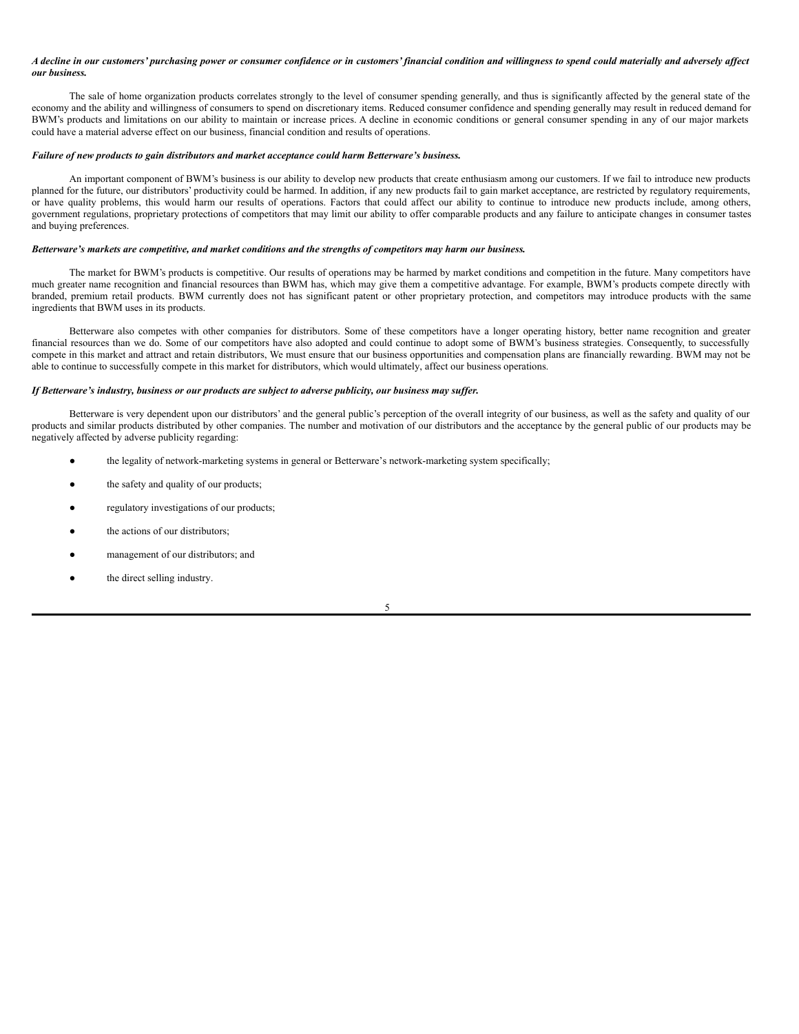## A decline in our customers' purchasing power or consumer confidence or in customers' financial condition and willingness to spend could materially and adversely affect *our business.*

The sale of home organization products correlates strongly to the level of consumer spending generally, and thus is significantly affected by the general state of the economy and the ability and willingness of consumers to spend on discretionary items. Reduced consumer confidence and spending generally may result in reduced demand for BWM's products and limitations on our ability to maintain or increase prices. A decline in economic conditions or general consumer spending in any of our major markets could have a material adverse effect on our business, financial condition and results of operations.

## *Failure of new products to gain distributors and market acceptance could harm Betterware's business.*

An important component of BWM's business is our ability to develop new products that create enthusiasm among our customers. If we fail to introduce new products planned for the future, our distributors' productivity could be harmed. In addition, if any new products fail to gain market acceptance, are restricted by regulatory requirements, or have quality problems, this would harm our results of operations. Factors that could affect our ability to continue to introduce new products include, among others, government regulations, proprietary protections of competitors that may limit our ability to offer comparable products and any failure to anticipate changes in consumer tastes and buying preferences.

### Betterware's markets are competitive, and market conditions and the strengths of competitors may harm our business.

The market for BWM's products is competitive. Our results of operations may be harmed by market conditions and competition in the future. Many competitors have much greater name recognition and financial resources than BWM has, which may give them a competitive advantage. For example, BWM's products compete directly with branded, premium retail products. BWM currently does not has significant patent or other proprietary protection, and competitors may introduce products with the same ingredients that BWM uses in its products.

Betterware also competes with other companies for distributors. Some of these competitors have a longer operating history, better name recognition and greater financial resources than we do. Some of our competitors have also adopted and could continue to adopt some of BWM's business strategies. Consequently, to successfully compete in this market and attract and retain distributors, We must ensure that our business opportunities and compensation plans are financially rewarding. BWM may not be able to continue to successfully compete in this market for distributors, which would ultimately, affect our business operations.

## If Betterware's industry, business or our products are subject to adverse publicity, our business may suffer.

Betterware is very dependent upon our distributors' and the general public's perception of the overall integrity of our business, as well as the safety and quality of our products and similar products distributed by other companies. The number and motivation of our distributors and the acceptance by the general public of our products may be negatively affected by adverse publicity regarding:

- the legality of network-marketing systems in general or Betterware's network-marketing system specifically;
- the safety and quality of our products;
- regulatory investigations of our products;
- the actions of our distributors;
- management of our distributors; and
- the direct selling industry.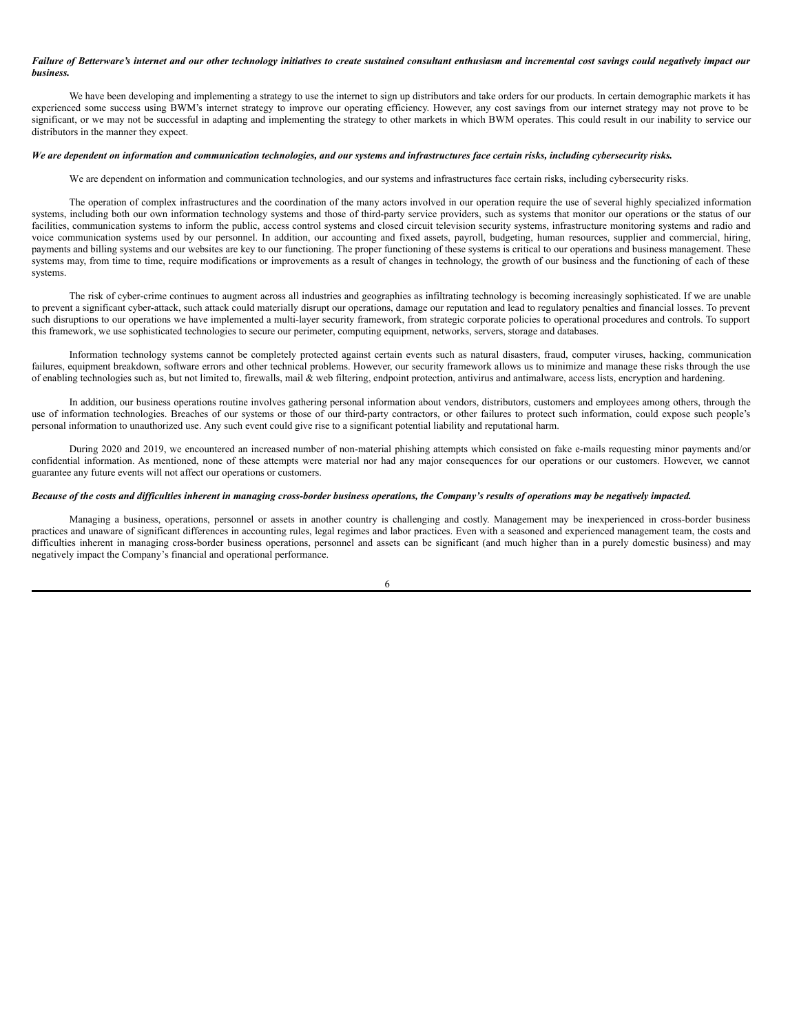## Failure of Betterware's internet and our other technology initiatives to create sustained consultant enthusiasm and incremental cost savings could negatively impact our *business.*

We have been developing and implementing a strategy to use the internet to sign up distributors and take orders for our products. In certain demographic markets it has experienced some success using BWM's internet strategy to improve our operating efficiency. However, any cost savings from our internet strategy may not prove to be significant, or we may not be successful in adapting and implementing the strategy to other markets in which BWM operates. This could result in our inability to service our distributors in the manner they expect.

### We are dependent on information and communication technologies, and our systems and infrastructures face certain risks, including cybersecurity risks.

We are dependent on information and communication technologies, and our systems and infrastructures face certain risks, including cybersecurity risks.

The operation of complex infrastructures and the coordination of the many actors involved in our operation require the use of several highly specialized information systems, including both our own information technology systems and those of third-party service providers, such as systems that monitor our operations or the status of our facilities, communication systems to inform the public, access control systems and closed circuit television security systems, infrastructure monitoring systems and radio and voice communication systems used by our personnel. In addition, our accounting and fixed assets, payroll, budgeting, human resources, supplier and commercial, hiring, payments and billing systems and our websites are key to our functioning. The proper functioning of these systems is critical to our operations and business management. These systems may, from time to time, require modifications or improvements as a result of changes in technology, the growth of our business and the functioning of each of these systems.

The risk of cyber-crime continues to augment across all industries and geographies as infiltrating technology is becoming increasingly sophisticated. If we are unable to prevent a significant cyber-attack, such attack could materially disrupt our operations, damage our reputation and lead to regulatory penalties and financial losses. To prevent such disruptions to our operations we have implemented a multi-layer security framework, from strategic corporate policies to operational procedures and controls. To support this framework, we use sophisticated technologies to secure our perimeter, computing equipment, networks, servers, storage and databases.

Information technology systems cannot be completely protected against certain events such as natural disasters, fraud, computer viruses, hacking, communication failures, equipment breakdown, software errors and other technical problems. However, our security framework allows us to minimize and manage these risks through the use of enabling technologies such as, but not limited to, firewalls, mail  $\&$  web filtering, endpoint protection, antivirus and antimalware, access lists, encryption and hardening.

In addition, our business operations routine involves gathering personal information about vendors, distributors, customers and employees among others, through the use of information technologies. Breaches of our systems or those of our third-party contractors, or other failures to protect such information, could expose such people's personal information to unauthorized use. Any such event could give rise to a significant potential liability and reputational harm.

During 2020 and 2019, we encountered an increased number of non-material phishing attempts which consisted on fake e-mails requesting minor payments and/or confidential information. As mentioned, none of these attempts were material nor had any major consequences for our operations or our customers. However, we cannot guarantee any future events will not affect our operations or customers.

### Because of the costs and difficulties inherent in managing cross-border business operations, the Company's results of operations may be negatively impacted.

Managing a business, operations, personnel or assets in another country is challenging and costly. Management may be inexperienced in cross-border business practices and unaware of significant differences in accounting rules, legal regimes and labor practices. Even with a seasoned and experienced management team, the costs and difficulties inherent in managing cross-border business operations, personnel and assets can be significant (and much higher than in a purely domestic business) and may negatively impact the Company's financial and operational performance.

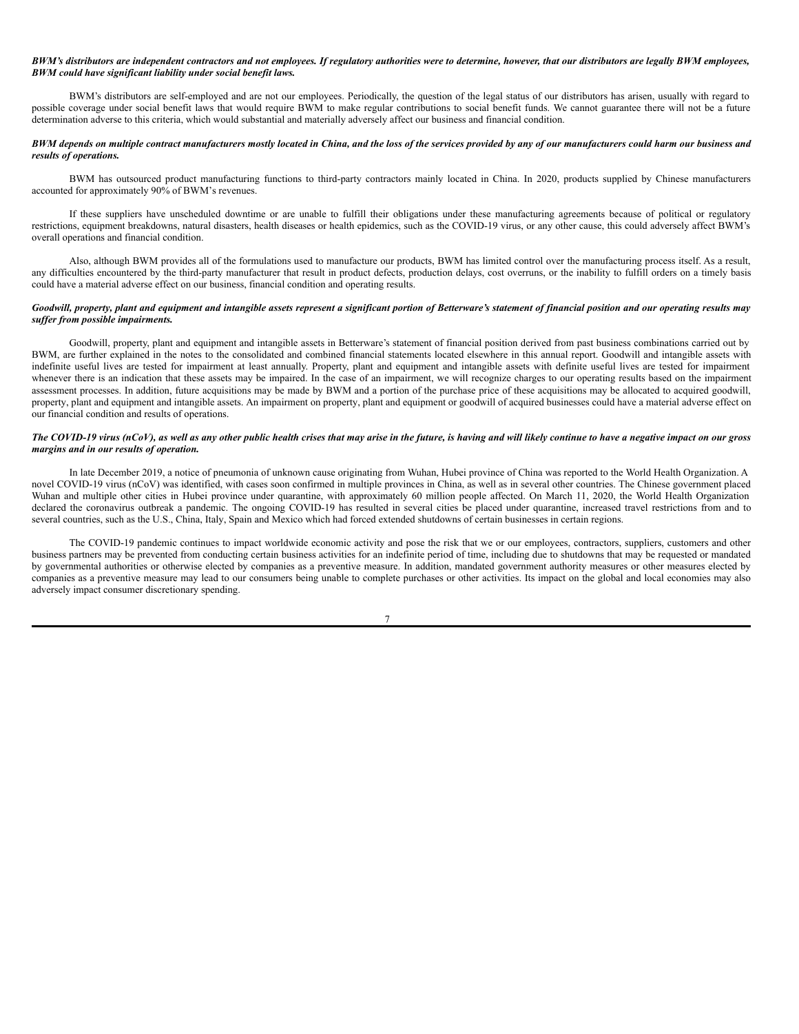### BWM's distributors are independent contractors and not employees. If regulatory authorities were to determine, however, that our distributors are legally BWM employees, *BWM could have significant liability under social benefit laws.*

BWM's distributors are self-employed and are not our employees. Periodically, the question of the legal status of our distributors has arisen, usually with regard to possible coverage under social benefit laws that would require BWM to make regular contributions to social benefit funds. We cannot guarantee there will not be a future determination adverse to this criteria, which would substantial and materially adversely affect our business and financial condition.

### BWM depends on multiple contract manufacturers mostly located in China, and the loss of the services provided by any of our manufacturers could harm our business and *results of operations.*

BWM has outsourced product manufacturing functions to third-party contractors mainly located in China. In 2020, products supplied by Chinese manufacturers accounted for approximately 90% of BWM's revenues.

If these suppliers have unscheduled downtime or are unable to fulfill their obligations under these manufacturing agreements because of political or regulatory restrictions, equipment breakdowns, natural disasters, health diseases or health epidemics, such as the COVID-19 virus, or any other cause, this could adversely affect BWM's overall operations and financial condition.

Also, although BWM provides all of the formulations used to manufacture our products, BWM has limited control over the manufacturing process itself. As a result, any difficulties encountered by the third-party manufacturer that result in product defects, production delays, cost overruns, or the inability to fulfill orders on a timely basis could have a material adverse effect on our business, financial condition and operating results.

## Goodwill, property, plant and equipment and intangible assets represent a significant portion of Betterware's statement of financial position and our operating results may *suf er from possible impairments.*

Goodwill, property, plant and equipment and intangible assets in Betterware's statement of financial position derived from past business combinations carried out by BWM, are further explained in the notes to the consolidated and combined financial statements located elsewhere in this annual report. Goodwill and intangible assets with indefinite useful lives are tested for impairment at least annually. Property, plant and equipment and intangible assets with definite useful lives are tested for impairment whenever there is an indication that these assets may be impaired. In the case of an impairment, we will recognize charges to our operating results based on the impairment assessment processes. In addition, future acquisitions may be made by BWM and a portion of the purchase price of these acquisitions may be allocated to acquired goodwill, property, plant and equipment and intangible assets. An impairment on property, plant and equipment or goodwill of acquired businesses could have a material adverse effect on our financial condition and results of operations.

## The COVID-19 virus (nCoV), as well as any other public health crises that may arise in the future, is having and will likely continue to have a negative impact on our gross *margins and in our results of operation.*

In late December 2019, a notice of pneumonia of unknown cause originating from Wuhan, Hubei province of China was reported to the World Health Organization. A novel COVID-19 virus (nCoV) was identified, with cases soon confirmed in multiple provinces in China, as well as in several other countries. The Chinese government placed Wuhan and multiple other cities in Hubei province under quarantine, with approximately 60 million people affected. On March 11, 2020, the World Health Organization declared the coronavirus outbreak a pandemic. The ongoing COVID-19 has resulted in several cities be placed under quarantine, increased travel restrictions from and to several countries, such as the U.S., China, Italy, Spain and Mexico which had forced extended shutdowns of certain businesses in certain regions.

The COVID-19 pandemic continues to impact worldwide economic activity and pose the risk that we or our employees, contractors, suppliers, customers and other business partners may be prevented from conducting certain business activities for an indefinite period of time, including due to shutdowns that may be requested or mandated by governmental authorities or otherwise elected by companies as a preventive measure. In addition, mandated government authority measures or other measures elected by companies as a preventive measure may lead to our consumers being unable to complete purchases or other activities. Its impact on the global and local economies may also adversely impact consumer discretionary spending.

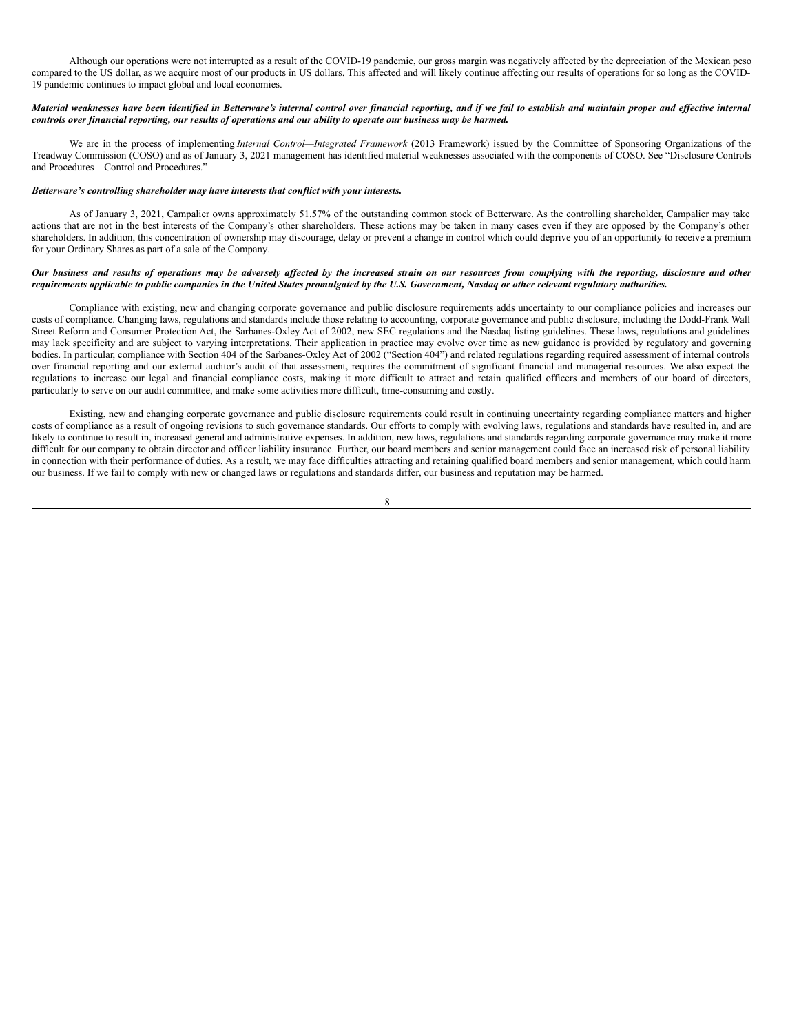Although our operations were not interrupted as a result of the COVID-19 pandemic, our gross margin was negatively affected by the depreciation of the Mexican peso compared to the US dollar, as we acquire most of our products in US dollars. This affected and will likely continue affecting our results of operations for so long as the COVID-19 pandemic continues to impact global and local economies.

### Material weaknesses have been identified in Betterware's internal control over financial reporting, and if we fail to establish and maintain proper and effective internal controls over financial reporting, our results of operations and our ability to operate our business may be harmed.

We are in the process of implementing *Internal Control—Integrated Framework* (2013 Framework) issued by the Committee of Sponsoring Organizations of the Treadway Commission (COSO) and as of January 3, 2021 management has identified material weaknesses associated with the components of COSO. See "Disclosure Controls and Procedures—Control and Procedures."

### *Betterware's controlling shareholder may have interests that conflict with your interests.*

As of January 3, 2021, Campalier owns approximately 51.57% of the outstanding common stock of Betterware. As the controlling shareholder, Campalier may take actions that are not in the best interests of the Company's other shareholders. These actions may be taken in many cases even if they are opposed by the Company's other shareholders. In addition, this concentration of ownership may discourage, delay or prevent a change in control which could deprive you of an opportunity to receive a premium for your Ordinary Shares as part of a sale of the Company.

### Our business and results of operations may be adversely affected by the increased strain on our resources from complying with the reporting, disclosure and other requirements applicable to public companies in the United States promulgated by the U.S. Government, Nasdaq or other relevant regulatory authorities.

Compliance with existing, new and changing corporate governance and public disclosure requirements adds uncertainty to our compliance policies and increases our costs of compliance. Changing laws, regulations and standards include those relating to accounting, corporate governance and public disclosure, including the Dodd-Frank Wall Street Reform and Consumer Protection Act, the Sarbanes-Oxley Act of 2002, new SEC regulations and the Nasdaq listing guidelines. These laws, regulations and guidelines may lack specificity and are subject to varying interpretations. Their application in practice may evolve over time as new guidance is provided by regulatory and governing bodies. In particular, compliance with Section 404 of the Sarbanes-Oxley Act of 2002 ("Section 404") and related regulations regarding required assessment of internal controls over financial reporting and our external auditor's audit of that assessment, requires the commitment of significant financial and managerial resources. We also expect the regulations to increase our legal and financial compliance costs, making it more difficult to attract and retain qualified officers and members of our board of directors, particularly to serve on our audit committee, and make some activities more difficult, time-consuming and costly.

Existing, new and changing corporate governance and public disclosure requirements could result in continuing uncertainty regarding compliance matters and higher costs of compliance as a result of ongoing revisions to such governance standards. Our efforts to comply with evolving laws, regulations and standards have resulted in, and are likely to continue to result in, increased general and administrative expenses. In addition, new laws, regulations and standards regarding corporate governance may make it more difficult for our company to obtain director and officer liability insurance. Further, our board members and senior management could face an increased risk of personal liability in connection with their performance of duties. As a result, we may face difficulties attracting and retaining qualified board members and senior management, which could harm our business. If we fail to comply with new or changed laws or regulations and standards differ, our business and reputation may be harmed.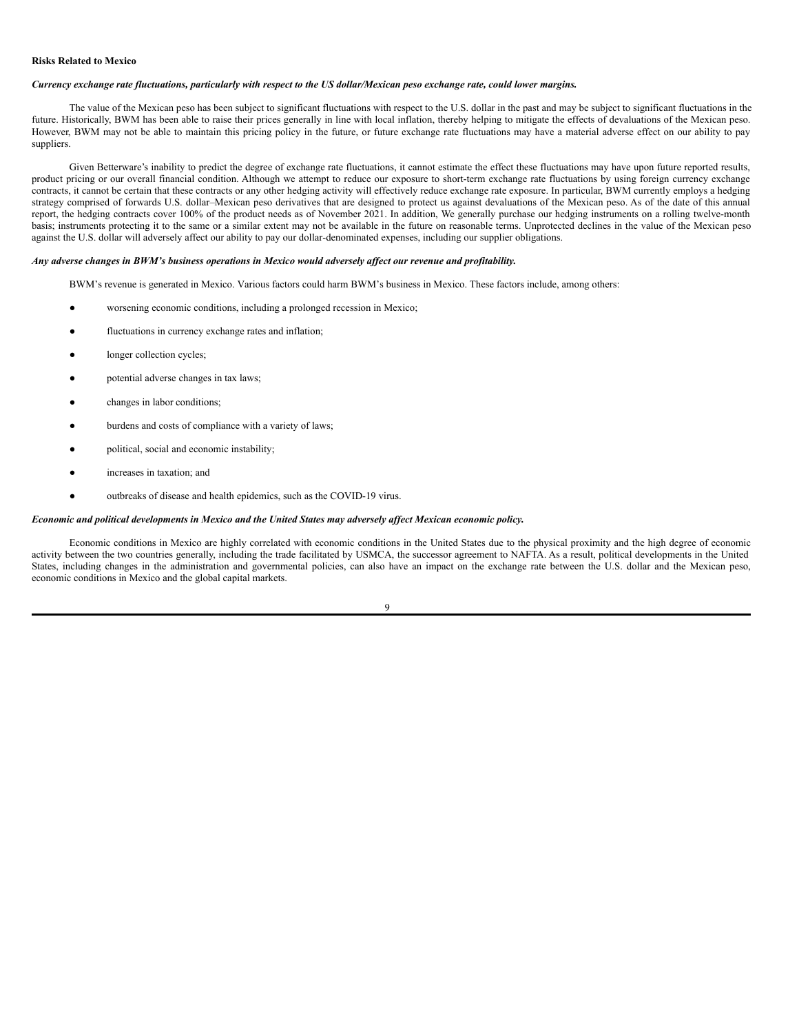#### **Risks Related to Mexico**

### Currency exchange rate fluctuations, particularly with respect to the US dollar/Mexican peso exchange rate, could lower margins.

The value of the Mexican peso has been subject to significant fluctuations with respect to the U.S. dollar in the past and may be subject to significant fluctuations in the future. Historically, BWM has been able to raise their prices generally in line with local inflation, thereby helping to mitigate the effects of devaluations of the Mexican peso. However, BWM may not be able to maintain this pricing policy in the future, or future exchange rate fluctuations may have a material adverse effect on our ability to pay suppliers.

Given Betterware's inability to predict the degree of exchange rate fluctuations, it cannot estimate the effect these fluctuations may have upon future reported results, product pricing or our overall financial condition. Although we attempt to reduce our exposure to short-term exchange rate fluctuations by using foreign currency exchange contracts, it cannot be certain that these contracts or any other hedging activity will effectively reduce exchange rate exposure. In particular, BWM currently employs a hedging strategy comprised of forwards U.S. dollar–Mexican peso derivatives that are designed to protect us against devaluations of the Mexican peso. As of the date of this annual report, the hedging contracts cover 100% of the product needs as of November 2021. In addition, We generally purchase our hedging instruments on a rolling twelve-month basis; instruments protecting it to the same or a similar extent may not be available in the future on reasonable terms. Unprotected declines in the value of the Mexican peso against the U.S. dollar will adversely affect our ability to pay our dollar-denominated expenses, including our supplier obligations.

#### Any adverse changes in BWM's business operations in Mexico would adversely affect our revenue and profitability.

BWM's revenue is generated in Mexico. Various factors could harm BWM's business in Mexico. These factors include, among others:

- worsening economic conditions, including a prolonged recession in Mexico;
- fluctuations in currency exchange rates and inflation;
- longer collection cycles;
- potential adverse changes in tax laws;
- changes in labor conditions;
- burdens and costs of compliance with a variety of laws;
- political, social and economic instability;
- increases in taxation; and
- outbreaks of disease and health epidemics, such as the COVID-19 virus.

#### Economic and political developments in Mexico and the United States may adversely affect Mexican economic policy.

Economic conditions in Mexico are highly correlated with economic conditions in the United States due to the physical proximity and the high degree of economic activity between the two countries generally, including the trade facilitated by USMCA, the successor agreement to NAFTA. As a result, political developments in the United States, including changes in the administration and governmental policies, can also have an impact on the exchange rate between the U.S. dollar and the Mexican peso, economic conditions in Mexico and the global capital markets.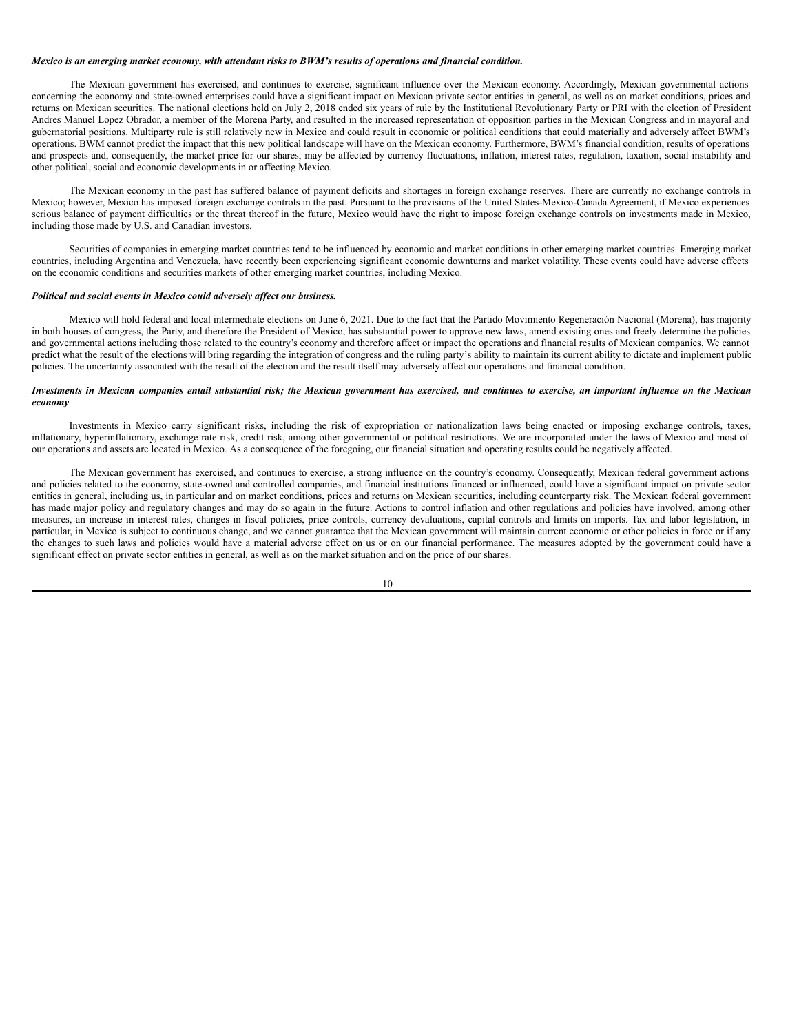#### Mexico is an emerging market economy, with attendant risks to BWM's results of operations and financial condition.

The Mexican government has exercised, and continues to exercise, significant influence over the Mexican economy. Accordingly, Mexican governmental actions concerning the economy and state-owned enterprises could have a significant impact on Mexican private sector entities in general, as well as on market conditions, prices and returns on Mexican securities. The national elections held on July 2, 2018 ended six years of rule by the Institutional Revolutionary Party or PRI with the election of President Andres Manuel Lopez Obrador, a member of the Morena Party, and resulted in the increased representation of opposition parties in the Mexican Congress and in mayoral and gubernatorial positions. Multiparty rule is still relatively new in Mexico and could result in economic or political conditions that could materially and adversely affect BWM's operations. BWM cannot predict the impact that this new political landscape will have on the Mexican economy. Furthermore, BWM's financial condition, results of operations and prospects and, consequently, the market price for our shares, may be affected by currency fluctuations, inflation, interest rates, regulation, taxation, social instability and other political, social and economic developments in or affecting Mexico.

The Mexican economy in the past has suffered balance of payment deficits and shortages in foreign exchange reserves. There are currently no exchange controls in Mexico; however, Mexico has imposed foreign exchange controls in the past. Pursuant to the provisions of the United States-Mexico-Canada Agreement, if Mexico experiences serious balance of payment difficulties or the threat thereof in the future, Mexico would have the right to impose foreign exchange controls on investments made in Mexico, including those made by U.S. and Canadian investors.

Securities of companies in emerging market countries tend to be influenced by economic and market conditions in other emerging market countries. Emerging market countries, including Argentina and Venezuela, have recently been experiencing significant economic downturns and market volatility. These events could have adverse effects on the economic conditions and securities markets of other emerging market countries, including Mexico.

#### *Political and social events in Mexico could adversely af ect our business.*

Mexico will hold federal and local intermediate elections on June 6, 2021. Due to the fact that the Partido Movimiento Regeneración Nacional (Morena), has majority in both houses of congress, the Party, and therefore the President of Mexico, has substantial power to approve new laws, amend existing ones and freely determine the policies and governmental actions including those related to the country's economy and therefore affect or impact the operations and financial results of Mexican companies. We cannot predict what the result of the elections will bring regarding the integration of congress and the ruling party's ability to maintain its current ability to dictate and implement public policies. The uncertainty associated with the result of the election and the result itself may adversely affect our operations and financial condition.

## Investments in Mexican companies entail substantial risk; the Mexican government has exercised, and continues to exercise, an important influence on the Mexican *economy*

Investments in Mexico carry significant risks, including the risk of expropriation or nationalization laws being enacted or imposing exchange controls, taxes, inflationary, hyperinflationary, exchange rate risk, credit risk, among other governmental or political restrictions. We are incorporated under the laws of Mexico and most of our operations and assets are located in Mexico. As a consequence of the foregoing, our financial situation and operating results could be negatively affected.

The Mexican government has exercised, and continues to exercise, a strong influence on the country's economy. Consequently, Mexican federal government actions and policies related to the economy, state-owned and controlled companies, and financial institutions financed or influenced, could have a significant impact on private sector entities in general, including us, in particular and on market conditions, prices and returns on Mexican securities, including counterparty risk. The Mexican federal government has made major policy and regulatory changes and may do so again in the future. Actions to control inflation and other regulations and policies have involved, among other measures, an increase in interest rates, changes in fiscal policies, price controls, currency devaluations, capital controls and limits on imports. Tax and labor legislation, in particular, in Mexico is subject to continuous change, and we cannot guarantee that the Mexican government will maintain current economic or other policies in force or if any the changes to such laws and policies would have a material adverse effect on us or on our financial performance. The measures adopted by the government could have a significant effect on private sector entities in general, as well as on the market situation and on the price of our shares.

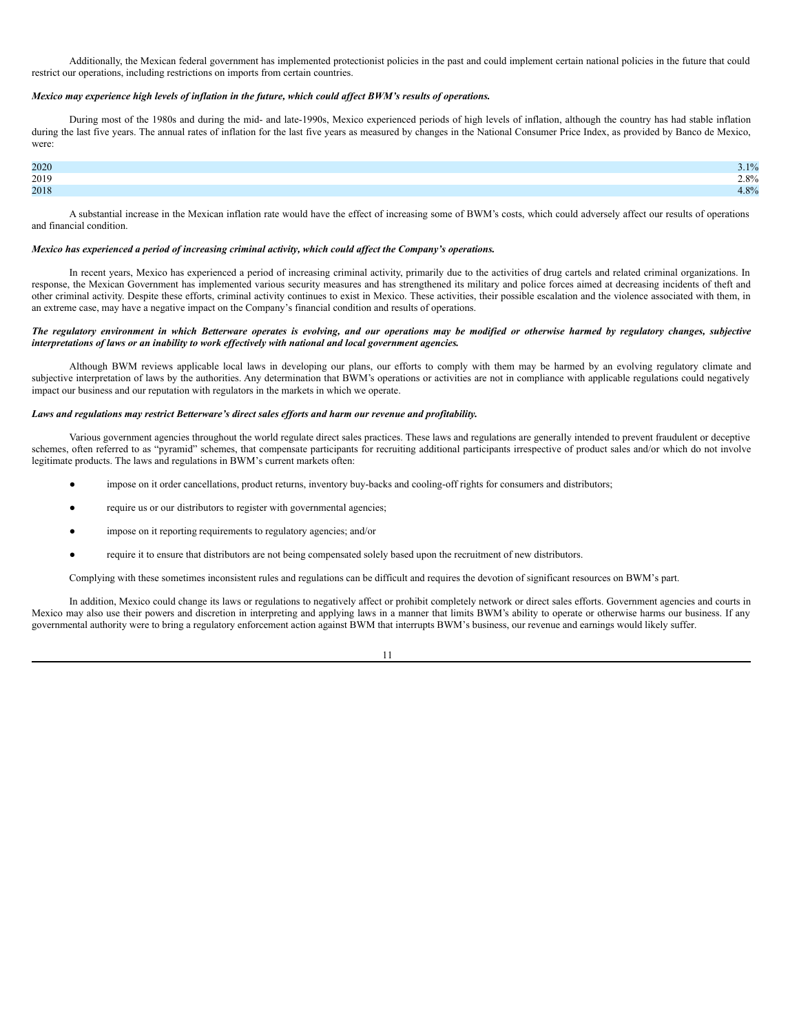Additionally, the Mexican federal government has implemented protectionist policies in the past and could implement certain national policies in the future that could restrict our operations, including restrictions on imports from certain countries.

### Mexico may experience high levels of inflation in the future, which could affect BWM's results of operations.

During most of the 1980s and during the mid- and late-1990s, Mexico experienced periods of high levels of inflation, although the country has had stable inflation during the last five years. The annual rates of inflation for the last five years as measured by changes in the National Consumer Price Index, as provided by Banco de Mexico, were:

| 2020 | 3.1% |
|------|------|
| 2019 | 2.8% |
| 2018 | 4.8% |

A substantial increase in the Mexican inflation rate would have the effect of increasing some of BWM's costs, which could adversely affect our results of operations and financial condition.

## *Mexico has experienced a period of increasing criminal activity, which could af ect the Company's operations.*

In recent years, Mexico has experienced a period of increasing criminal activity, primarily due to the activities of drug cartels and related criminal organizations. In response, the Mexican Government has implemented various security measures and has strengthened its military and police forces aimed at decreasing incidents of theft and other criminal activity. Despite these efforts, criminal activity continues to exist in Mexico. These activities, their possible escalation and the violence associated with them, in an extreme case, may have a negative impact on the Company's financial condition and results of operations.

### The regulatory environment in which Betterware operates is evolving, and our operations may be modified or otherwise harmed by regulatory changes, subjective *interpretations of laws or an inability to work ef ectively with national and local government agencies.*

Although BWM reviews applicable local laws in developing our plans, our efforts to comply with them may be harmed by an evolving regulatory climate and subjective interpretation of laws by the authorities. Any determination that BWM's operations or activities are not in compliance with applicable regulations could negatively impact our business and our reputation with regulators in the markets in which we operate.

#### *Laws and regulations may restrict Betterware's direct sales ef orts and harm our revenue and profitability.*

Various government agencies throughout the world regulate direct sales practices. These laws and regulations are generally intended to prevent fraudulent or deceptive schemes, often referred to as "pyramid" schemes, that compensate participants for recruiting additional participants irrespective of product sales and/or which do not involve legitimate products. The laws and regulations in BWM's current markets often:

- impose on it order cancellations, product returns, inventory buy-backs and cooling-off rights for consumers and distributors;
- require us or our distributors to register with governmental agencies;
- impose on it reporting requirements to regulatory agencies; and/or
- require it to ensure that distributors are not being compensated solely based upon the recruitment of new distributors.

Complying with these sometimes inconsistent rules and regulations can be difficult and requires the devotion of significant resources on BWM's part.

In addition, Mexico could change its laws or regulations to negatively affect or prohibit completely network or direct sales efforts. Government agencies and courts in Mexico may also use their powers and discretion in interpreting and applying laws in a manner that limits BWM's ability to operate or otherwise harms our business. If any governmental authority were to bring a regulatory enforcement action against BWM that interrupts BWM's business, our revenue and earnings would likely suffer.

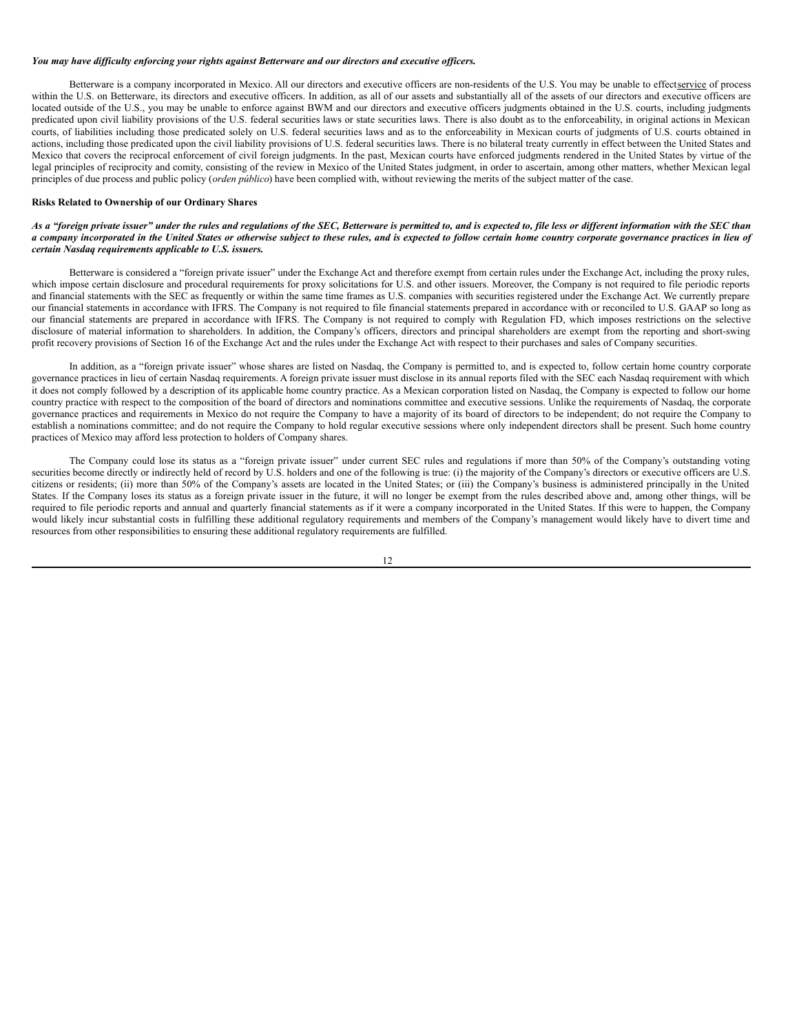#### You may have difficulty enforcing your rights against Betterware and our directors and executive officers.

Betterware is a company incorporated in Mexico. All our directors and executive officers are non-residents of the U.S. You may be unable to effectservice of process within the U.S. on Betterware, its directors and executive officers. In addition, as all of our assets and substantially all of the assets of our directors and executive officers are located outside of the U.S., you may be unable to enforce against BWM and our directors and executive officers judgments obtained in the U.S. courts, including judgments predicated upon civil liability provisions of the U.S. federal securities laws or state securities laws. There is also doubt as to the enforceability, in original actions in Mexican courts, of liabilities including those predicated solely on U.S. federal securities laws and as to the enforceability in Mexican courts of judgments of U.S. courts obtained in actions, including those predicated upon the civil liability provisions of U.S. federal securities laws. There is no bilateral treaty currently in effect between the United States and Mexico that covers the reciprocal enforcement of civil foreign judgments. In the past, Mexican courts have enforced judgments rendered in the United States by virtue of the legal principles of reciprocity and comity, consisting of the review in Mexico of the United States judgment, in order to ascertain, among other matters, whether Mexican legal principles of due process and public policy (*orden público*) have been complied with, without reviewing the merits of the subject matter of the case.

### **Risks Related to Ownership of our Ordinary Shares**

## As a "foreign private issuer" under the rules and regulations of the SEC, Betterware is permitted to, and is expected to, file less or different information with the SEC than a company incorporated in the United States or otherwise subject to these rules, and is expected to follow certain home country corporate governance practices in lieu of *certain Nasdaq requirements applicable to U.S. issuers.*

Betterware is considered a "foreign private issuer" under the Exchange Act and therefore exempt from certain rules under the Exchange Act, including the proxy rules, which impose certain disclosure and procedural requirements for proxy solicitations for U.S. and other issuers. Moreover, the Company is not required to file periodic reports and financial statements with the SEC as frequently or within the same time frames as U.S. companies with securities registered under the Exchange Act. We currently prepare our financial statements in accordance with IFRS. The Company is not required to file financial statements prepared in accordance with or reconciled to U.S. GAAP so long as our financial statements are prepared in accordance with IFRS. The Company is not required to comply with Regulation FD, which imposes restrictions on the selective disclosure of material information to shareholders. In addition, the Company's officers, directors and principal shareholders are exempt from the reporting and short-swing profit recovery provisions of Section 16 of the Exchange Act and the rules under the Exchange Act with respect to their purchases and sales of Company securities.

In addition, as a "foreign private issuer" whose shares are listed on Nasdaq, the Company is permitted to, and is expected to, follow certain home country corporate governance practices in lieu of certain Nasdaq requirements. A foreign private issuer must disclose in its annual reports filed with the SEC each Nasdaq requirement with which it does not comply followed by a description of its applicable home country practice. As a Mexican corporation listed on Nasdaq, the Company is expected to follow our home country practice with respect to the composition of the board of directors and nominations committee and executive sessions. Unlike the requirements of Nasdaq, the corporate governance practices and requirements in Mexico do not require the Company to have a majority of its board of directors to be independent; do not require the Company to establish a nominations committee; and do not require the Company to hold regular executive sessions where only independent directors shall be present. Such home country practices of Mexico may afford less protection to holders of Company shares.

The Company could lose its status as a "foreign private issuer" under current SEC rules and regulations if more than 50% of the Company's outstanding voting securities become directly or indirectly held of record by U.S. holders and one of the following is true: (i) the majority of the Company's directors or executive officers are U.S. citizens or residents; (ii) more than 50% of the Company's assets are located in the United States; or (iii) the Company's business is administered principally in the United States. If the Company loses its status as a foreign private issuer in the future, it will no longer be exempt from the rules described above and, among other things, will be required to file periodic reports and annual and quarterly financial statements as if it were a company incorporated in the United States. If this were to happen, the Company would likely incur substantial costs in fulfilling these additional regulatory requirements and members of the Company's management would likely have to divert time and resources from other responsibilities to ensuring these additional regulatory requirements are fulfilled.

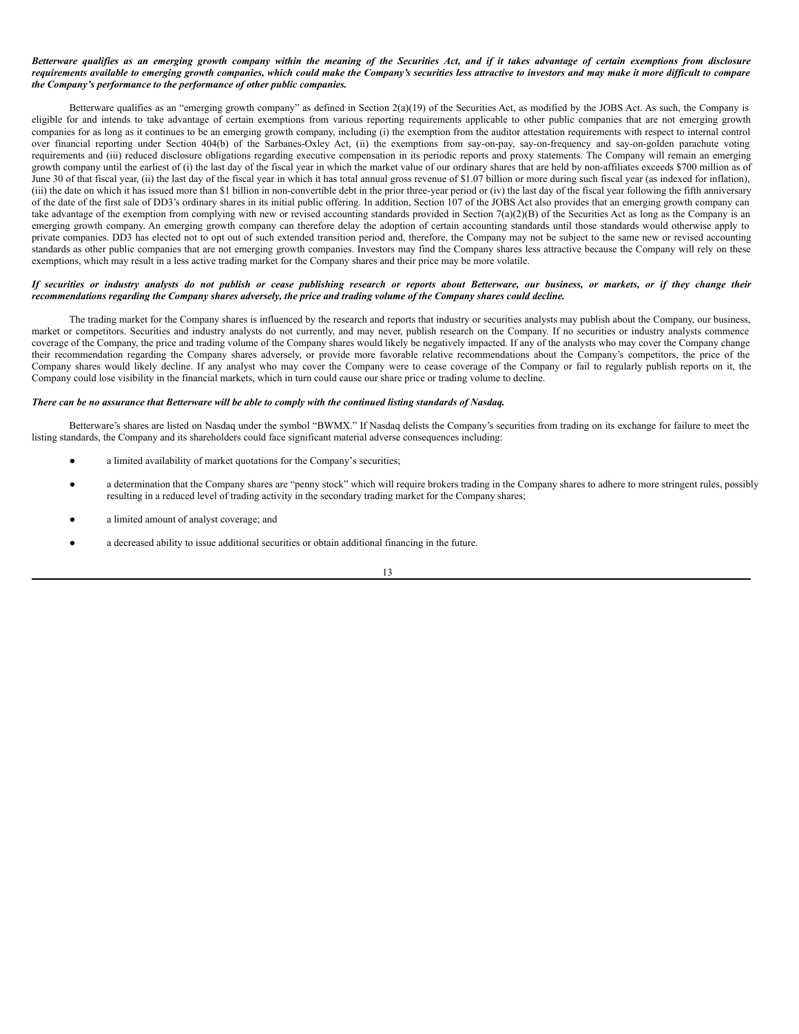### Betterware qualifies as an emerging growth company within the meaning of the Securities Act, and if it takes advantage of certain exemptions from disclosure requirements available to emerging growth companies, which could make the Company's securities less attractive to investors and may make it more difficult to compare *the Company's performance to the performance of other public companies.*

Betterware qualifies as an "emerging growth company" as defined in Section 2(a)(19) of the Securities Act, as modified by the JOBS Act. As such, the Company is eligible for and intends to take advantage of certain exemptions from various reporting requirements applicable to other public companies that are not emerging growth companies for as long as it continues to be an emerging growth company, including (i) the exemption from the auditor attestation requirements with respect to internal control over financial reporting under Section 404(b) of the Sarbanes-Oxley Act, (ii) the exemptions from say-on-pay, say-on-frequency and say-on-golden parachute voting requirements and (iii) reduced disclosure obligations regarding executive compensation in its periodic reports and proxy statements. The Company will remain an emerging growth company until the earliest of (i) the last day of the fiscal year in which the market value of our ordinary shares that are held by non-affiliates exceeds \$700 million as of June 30 of that fiscal year, (ii) the last day of the fiscal year in which it has total annual gross revenue of \$1.07 billion or more during such fiscal year (as indexed for inflation), (iii) the date on which it has issued more than \$1 billion in non-convertible debt in the prior three-year period or (iv) the last day of the fiscal year following the fifth anniversary of the date of the first sale of DD3's ordinary shares in its initial public offering. In addition, Section 107 of the JOBS Act also provides that an emerging growth company can take advantage of the exemption from complying with new or revised accounting standards provided in Section  $7(a)(2)(B)$  of the Securities Act as long as the Company is an emerging growth company. An emerging growth company can therefore delay the adoption of certain accounting standards until those standards would otherwise apply to private companies. DD3 has elected not to opt out of such extended transition period and, therefore, the Company may not be subject to the same new or revised accounting standards as other public companies that are not emerging growth companies. Investors may find the Company shares less attractive because the Company will rely on these exemptions, which may result in a less active trading market for the Company shares and their price may be more volatile.

#### If securities or industry analysts do not publish or cease publishing research or reports about Betterware, our business, or markets, or if they change their recommendations regarding the Company shares adversely, the price and trading volume of the Company shares could decline.

The trading market for the Company shares is influenced by the research and reports that industry or securities analysts may publish about the Company, our business, market or competitors. Securities and industry analysts do not currently, and may never, publish research on the Company. If no securities or industry analysts commence coverage of the Company, the price and trading volume of the Company shares would likely be negatively impacted. If any of the analysts who may cover the Company change their recommendation regarding the Company shares adversely, or provide more favorable relative recommendations about the Company's competitors, the price of the Company shares would likely decline. If any analyst who may cover the Company were to cease coverage of the Company or fail to regularly publish reports on it, the Company could lose visibility in the financial markets, which in turn could cause our share price or trading volume to decline.

### There can be no assurance that Betterware will be able to comply with the continued listing standards of Nasdaq.

Betterware's shares are listed on Nasdaq under the symbol "BWMX." If Nasdaq delists the Company's securities from trading on its exchange for failure to meet the listing standards, the Company and its shareholders could face significant material adverse consequences including:

- a limited availability of market quotations for the Company's securities;
- a determination that the Company shares are "penny stock" which will require brokers trading in the Company shares to adhere to more stringent rules, possibly resulting in a reduced level of trading activity in the secondary trading market for the Company shares;
- a limited amount of analyst coverage; and
- a decreased ability to issue additional securities or obtain additional financing in the future.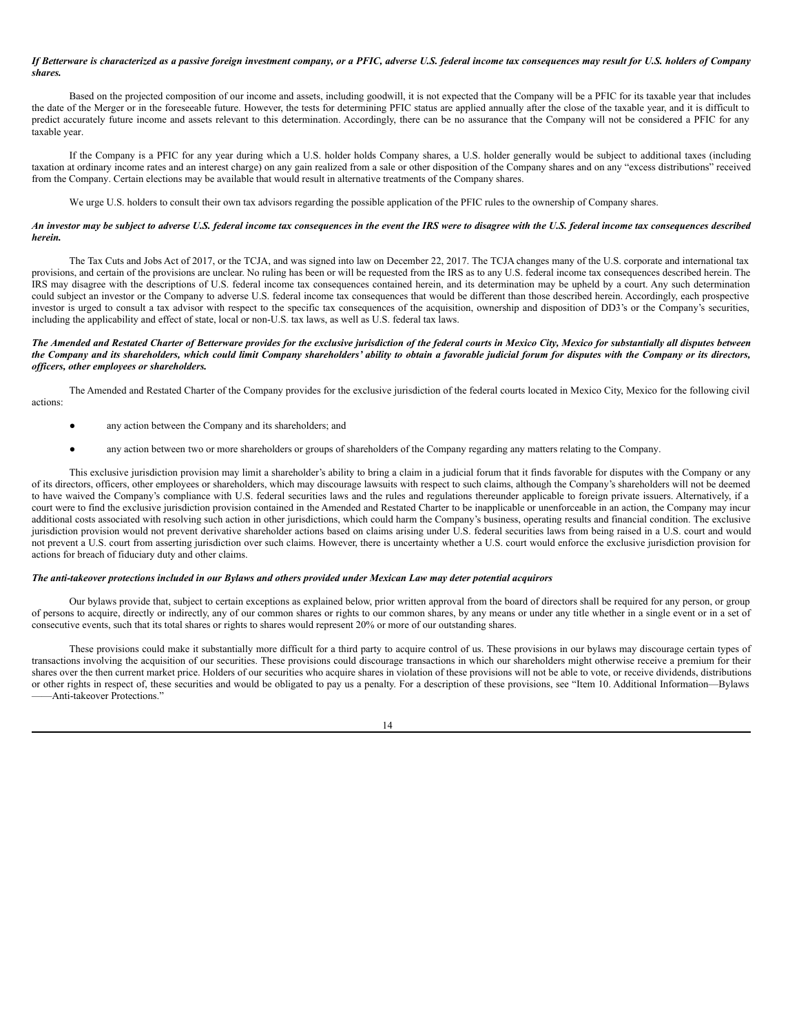### If Betterware is characterized as a passive foreign investment company, or a PFIC, adverse U.S. federal income tax consequences may result for U.S. holders of Company *shares.*

Based on the projected composition of our income and assets, including goodwill, it is not expected that the Company will be a PFIC for its taxable year that includes the date of the Merger or in the foreseeable future. However, the tests for determining PFIC status are applied annually after the close of the taxable year, and it is difficult to predict accurately future income and assets relevant to this determination. Accordingly, there can be no assurance that the Company will not be considered a PFIC for any taxable year.

If the Company is a PFIC for any year during which a U.S. holder holds Company shares, a U.S. holder generally would be subject to additional taxes (including taxation at ordinary income rates and an interest charge) on any gain realized from a sale or other disposition of the Company shares and on any "excess distributions" received from the Company. Certain elections may be available that would result in alternative treatments of the Company shares.

We urge U.S. holders to consult their own tax advisors regarding the possible application of the PFIC rules to the ownership of Company shares.

#### An investor may be subject to adverse U.S. federal income tax consequences in the event the IRS were to disagree with the U.S. federal income tax consequences described *herein.*

The Tax Cuts and Jobs Act of 2017, or the TCJA, and was signed into law on December 22, 2017. The TCJA changes many of the U.S. corporate and international tax provisions, and certain of the provisions are unclear. No ruling has been or will be requested from the IRS as to any U.S. federal income tax consequences described herein. The IRS may disagree with the descriptions of U.S. federal income tax consequences contained herein, and its determination may be upheld by a court. Any such determination could subject an investor or the Company to adverse U.S. federal income tax consequences that would be different than those described herein. Accordingly, each prospective investor is urged to consult a tax advisor with respect to the specific tax consequences of the acquisition, ownership and disposition of DD3's or the Company's securities, including the applicability and effect of state, local or non-U.S. tax laws, as well as U.S. federal tax laws.

### The Amended and Restated Charter of Betterware provides for the exclusive jurisdiction of the federal courts in Mexico City, Mexico for substantially all disputes between the Company and its shareholders, which could limit Company shareholders' ability to obtain a favorable judicial forum for disputes with the Company or its directors, *of icers, other employees or shareholders.*

The Amended and Restated Charter of the Company provides for the exclusive jurisdiction of the federal courts located in Mexico City, Mexico for the following civil actions:

- any action between the Company and its shareholders; and
- any action between two or more shareholders or groups of shareholders of the Company regarding any matters relating to the Company.

This exclusive jurisdiction provision may limit a shareholder's ability to bring a claim in a judicial forum that it finds favorable for disputes with the Company or any of its directors, officers, other employees or shareholders, which may discourage lawsuits with respect to such claims, although the Company's shareholders will not be deemed to have waived the Company's compliance with U.S. federal securities laws and the rules and regulations thereunder applicable to foreign private issuers. Alternatively, if a court were to find the exclusive jurisdiction provision contained in the Amended and Restated Charter to be inapplicable or unenforceable in an action, the Company may incur additional costs associated with resolving such action in other jurisdictions, which could harm the Company's business, operating results and financial condition. The exclusive jurisdiction provision would not prevent derivative shareholder actions based on claims arising under U.S. federal securities laws from being raised in a U.S. court and would not prevent a U.S. court from asserting jurisdiction over such claims. However, there is uncertainty whether a U.S. court would enforce the exclusive jurisdiction provision for actions for breach of fiduciary duty and other claims.

#### The anti-takeover protections included in our Bylaws and others provided under Mexican Law may deter potential acquirors

Our bylaws provide that, subject to certain exceptions as explained below, prior written approval from the board of directors shall be required for any person, or group of persons to acquire, directly or indirectly, any of our common shares or rights to our common shares, by any means or under any title whether in a single event or in a set of consecutive events, such that its total shares or rights to shares would represent 20% or more of our outstanding shares.

These provisions could make it substantially more difficult for a third party to acquire control of us. These provisions in our bylaws may discourage certain types of transactions involving the acquisition of our securities. These provisions could discourage transactions in which our shareholders might otherwise receive a premium for their shares over the then current market price. Holders of our securities who acquire shares in violation of these provisions will not be able to vote, or receive dividends, distributions or other rights in respect of, these securities and would be obligated to pay us a penalty. For a description of these provisions, see "Item 10. Additional Information—Bylaws Anti-takeover Protections."

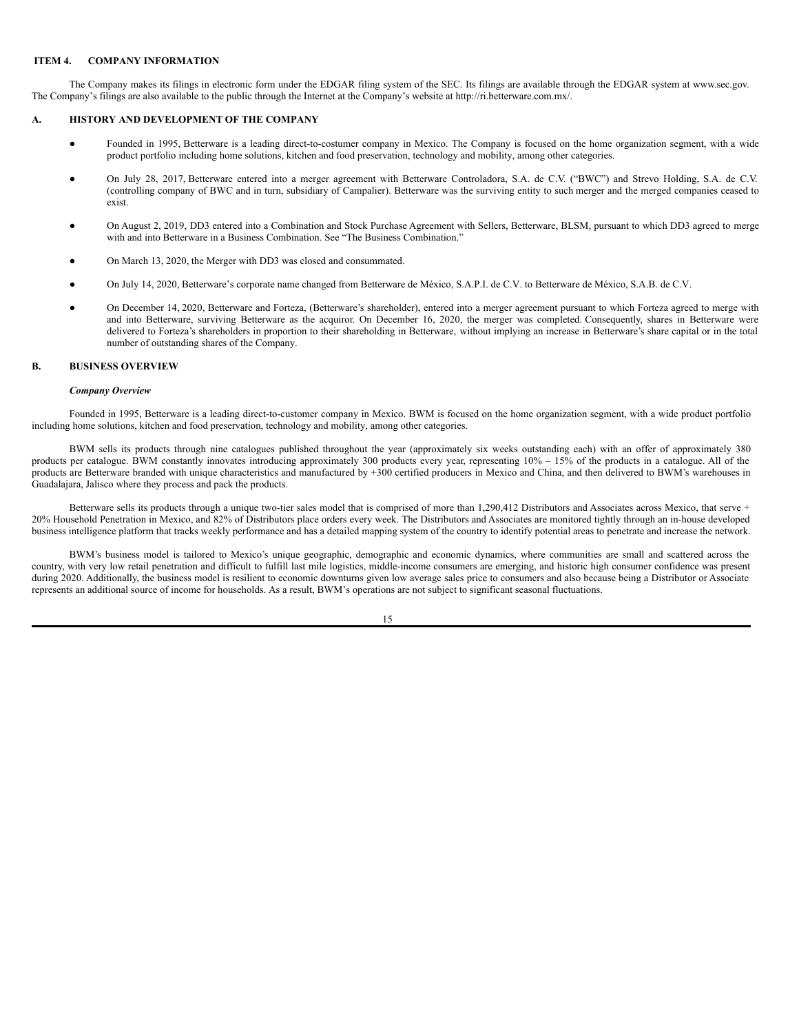#### <span id="page-23-0"></span>**ITEM 4. COMPANY INFORMATION**

The Company makes its filings in electronic form under the EDGAR filing system of the SEC. Its filings are available through the EDGAR system at www.sec.gov. The Company's filings are also available to the public through the Internet at the Company's website at http://ri.betterware.com.mx/.

## **A. HISTORY AND DEVELOPMENT OF THE COMPANY**

- Founded in 1995, Betterware is a leading direct-to-costumer company in Mexico. The Company is focused on the home organization segment, with a wide product portfolio including home solutions, kitchen and food preservation, technology and mobility, among other categories.
- On July 28, 2017, Betterware entered into a merger agreement with Betterware Controladora, S.A. de C.V. ("BWC") and Strevo Holding, S.A. de C.V. (controlling company of BWC and in turn, subsidiary of Campalier). Betterware was the surviving entity to such merger and the merged companies ceased to exist.
- On August 2, 2019, DD3 entered into a Combination and Stock Purchase Agreement with Sellers, Betterware, BLSM, pursuant to which DD3 agreed to merge with and into Betterware in a Business Combination. See "The Business Combination."
- On March 13, 2020, the Merger with DD3 was closed and consummated.
- On July 14, 2020, Betterware's corporate name changed from Betterware de México, S.A.P.I. de C.V. to Betterware de México, S.A.B. de C.V.
- On December 14, 2020, Betterware and Forteza, (Betterware's shareholder), entered into a merger agreement pursuant to which Forteza agreed to merge with and into Betterware, surviving Betterware as the acquiror. On December 16, 2020, the merger was completed. Consequently, shares in Betterware were delivered to Forteza's shareholders in proportion to their shareholding in Betterware, without implying an increase in Betterware's share capital or in the total number of outstanding shares of the Company.

## **B. BUSINESS OVERVIEW**

#### *Company Overview*

Founded in 1995, Betterware is a leading direct-to-customer company in Mexico. BWM is focused on the home organization segment, with a wide product portfolio including home solutions, kitchen and food preservation, technology and mobility, among other categories.

BWM sells its products through nine catalogues published throughout the year (approximately six weeks outstanding each) with an offer of approximately 380 products per catalogue. BWM constantly innovates introducing approximately 300 products every year, representing 10% – 15% of the products in a catalogue. All of the products are Betterware branded with unique characteristics and manufactured by +300 certified producers in Mexico and China, and then delivered to BWM's warehouses in Guadalajara, Jalisco where they process and pack the products.

Betterware sells its products through a unique two-tier sales model that is comprised of more than 1,290,412 Distributors and Associates across Mexico, that serve + 20% Household Penetration in Mexico, and 82% of Distributors place orders every week. The Distributors and Associates are monitored tightly through an in-house developed business intelligence platform that tracks weekly performance and has a detailed mapping system of the country to identify potential areas to penetrate and increase the network.

BWM's business model is tailored to Mexico's unique geographic, demographic and economic dynamics, where communities are small and scattered across the country, with very low retail penetration and difficult to fulfill last mile logistics, middle-income consumers are emerging, and historic high consumer confidence was present during 2020. Additionally, the business model is resilient to economic downturns given low average sales price to consumers and also because being a Distributor or Associate represents an additional source of income for households. As a result, BWM's operations are not subject to significant seasonal fluctuations.

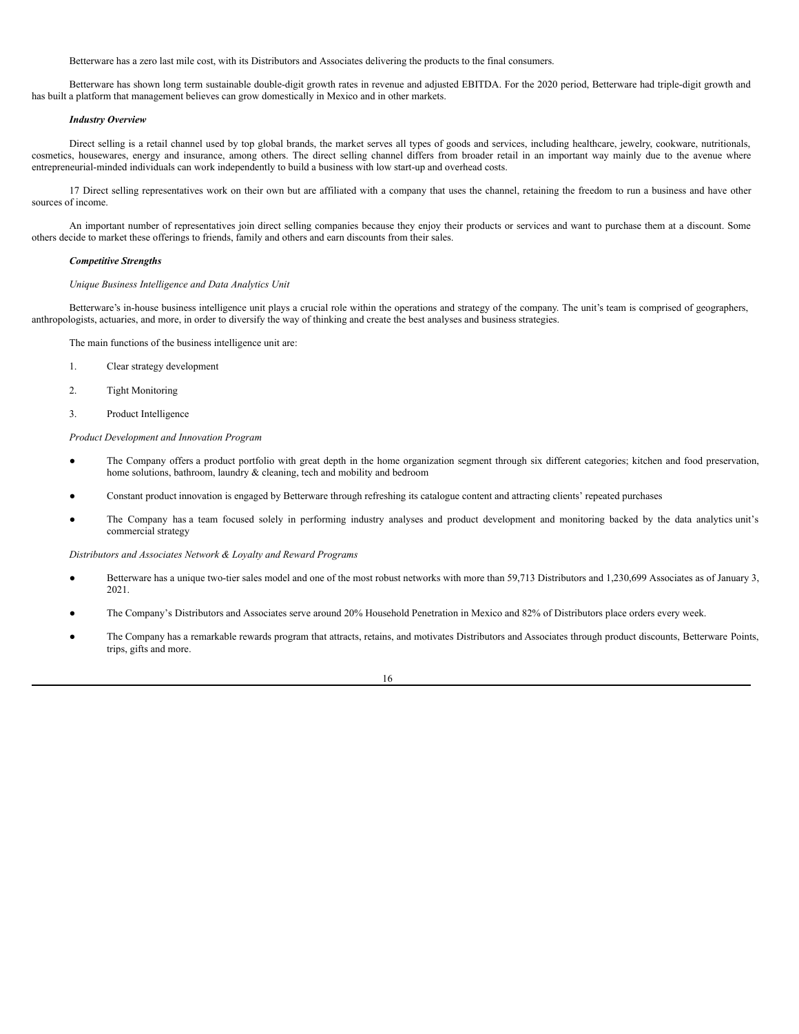Betterware has a zero last mile cost, with its Distributors and Associates delivering the products to the final consumers.

Betterware has shown long term sustainable double-digit growth rates in revenue and adjusted EBITDA. For the 2020 period, Betterware had triple-digit growth and has built a platform that management believes can grow domestically in Mexico and in other markets.

#### *Industry Overview*

Direct selling is a retail channel used by top global brands, the market serves all types of goods and services, including healthcare, jewelry, cookware, nutritionals, cosmetics, housewares, energy and insurance, among others. The direct selling channel differs from broader retail in an important way mainly due to the avenue where entrepreneurial-minded individuals can work independently to build a business with low start-up and overhead costs.

17 Direct selling representatives work on their own but are affiliated with a company that uses the channel, retaining the freedom to run a business and have other sources of income.

An important number of representatives join direct selling companies because they enjoy their products or services and want to purchase them at a discount. Some others decide to market these offerings to friends, family and others and earn discounts from their sales.

#### *Competitive Strengths*

#### *Unique Business Intelligence and Data Analytics Unit*

Betterware's in-house business intelligence unit plays a crucial role within the operations and strategy of the company. The unit's team is comprised of geographers, anthropologists, actuaries, and more, in order to diversify the way of thinking and create the best analyses and business strategies.

The main functions of the business intelligence unit are:

- 1. Clear strategy development
- 2. Tight Monitoring
- 3. Product Intelligence

## *Product Development and Innovation Program*

- The Company offers a product portfolio with great depth in the home organization segment through six different categories; kitchen and food preservation, home solutions, bathroom, laundry & cleaning, tech and mobility and bedroom
- Constant product innovation is engaged by Betterware through refreshing its catalogue content and attracting clients' repeated purchases
- The Company has a team focused solely in performing industry analyses and product development and monitoring backed by the data analytics unit's commercial strategy

### *Distributors and Associates Network & Loyalty and Reward Programs*

- Betterware has a unique two-tier sales model and one of the most robust networks with more than 59,713 Distributors and 1,230,699 Associates as of January 3, 2021.
- The Company's Distributors and Associates serve around 20% Household Penetration in Mexico and 82% of Distributors place orders every week.
- The Company has a remarkable rewards program that attracts, retains, and motivates Distributors and Associates through product discounts, Betterware Points, trips, gifts and more.

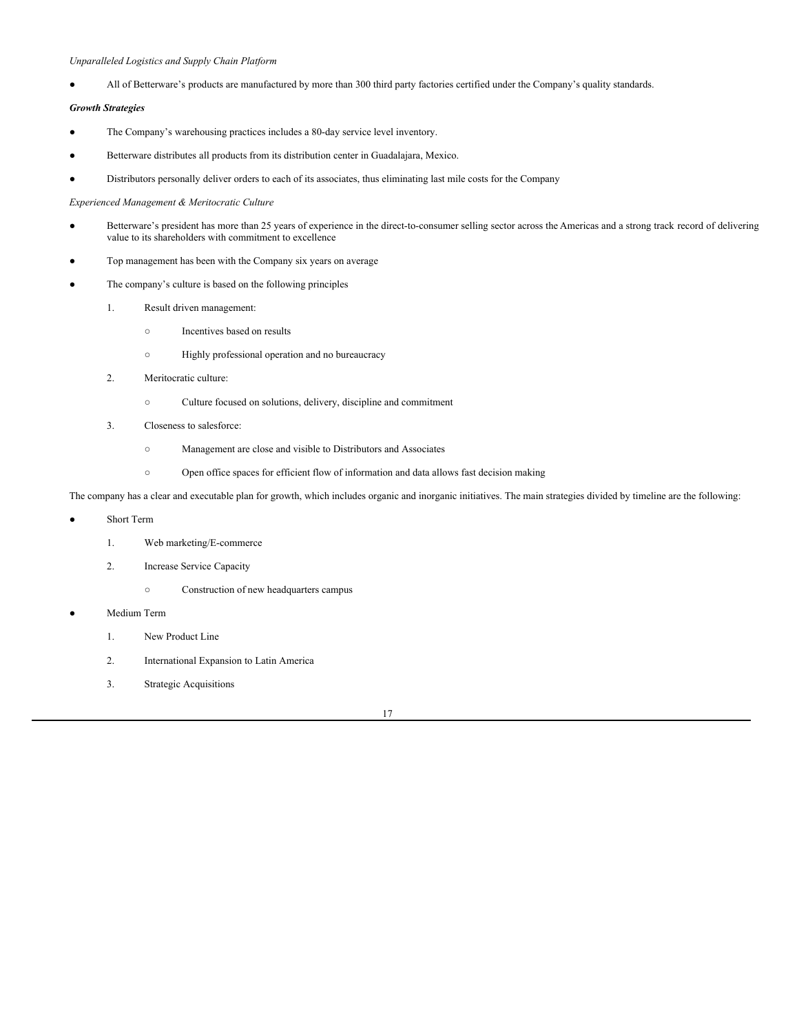## *Unparalleled Logistics and Supply Chain Platform*

All of Betterware's products are manufactured by more than 300 third party factories certified under the Company's quality standards.

### *Growth Strategies*

- The Company's warehousing practices includes a 80-day service level inventory.
- Betterware distributes all products from its distribution center in Guadalajara, Mexico.
- Distributors personally deliver orders to each of its associates, thus eliminating last mile costs for the Company

### *Experienced Management & Meritocratic Culture*

- Betterware's president has more than 25 years of experience in the direct-to-consumer selling sector across the Americas and a strong track record of delivering value to its shareholders with commitment to excellence
- Top management has been with the Company six years on average
- The company's culture is based on the following principles
	- 1. Result driven management:
		- Incentives based on results
		- Highly professional operation and no bureaucracy
	- 2. Meritocratic culture:
		- Culture focused on solutions, delivery, discipline and commitment
	- 3. Closeness to salesforce:
		- Management are close and visible to Distributors and Associates
		- Open office spaces for efficient flow of information and data allows fast decision making

The company has a clear and executable plan for growth, which includes organic and inorganic initiatives. The main strategies divided by timeline are the following:

- Short Term
	- 1. Web marketing/E-commerce
	- 2. Increase Service Capacity
		- Construction of new headquarters campus
- Medium Term
	- 1. New Product Line
	- 2. International Expansion to Latin America
	- 3. Strategic Acquisitions

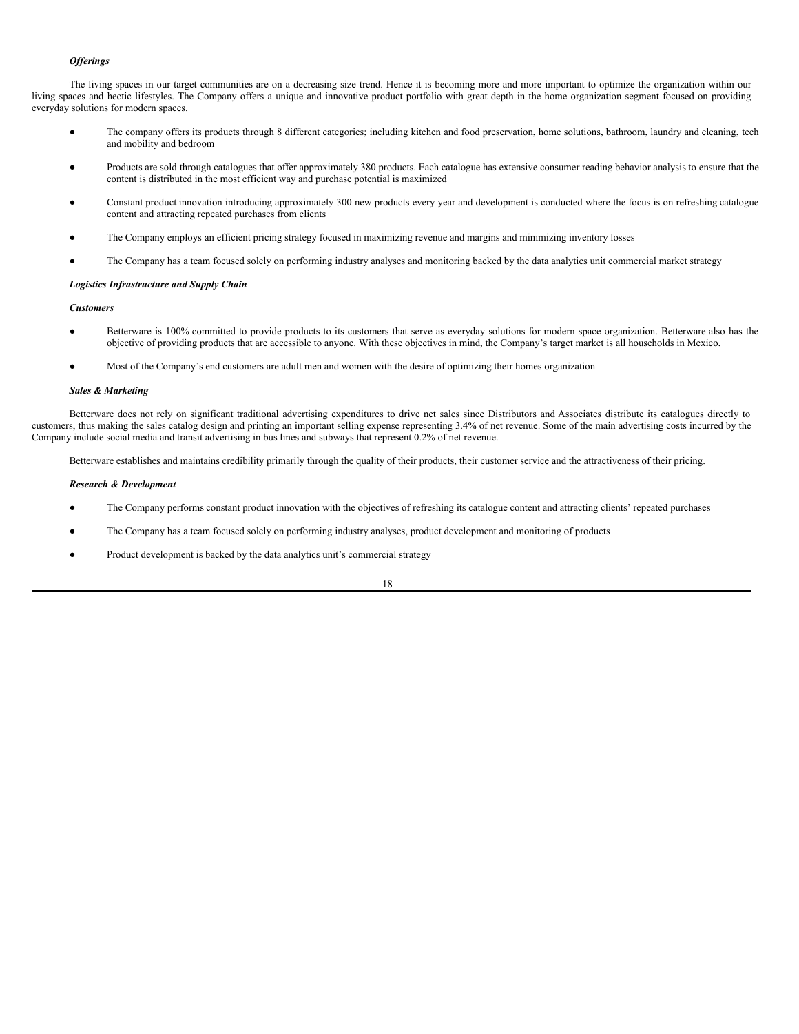## *Of erings*

The living spaces in our target communities are on a decreasing size trend. Hence it is becoming more and more important to optimize the organization within our living spaces and hectic lifestyles. The Company offers a unique and innovative product portfolio with great depth in the home organization segment focused on providing everyday solutions for modern spaces.

- The company offers its products through 8 different categories; including kitchen and food preservation, home solutions, bathroom, laundry and cleaning, tech and mobility and bedroom
- Products are sold through catalogues that offer approximately 380 products. Each catalogue has extensive consumer reading behavior analysis to ensure that the content is distributed in the most efficient way and purchase potential is maximized
- Constant product innovation introducing approximately 300 new products every year and development is conducted where the focus is on refreshing catalogue content and attracting repeated purchases from clients
- The Company employs an efficient pricing strategy focused in maximizing revenue and margins and minimizing inventory losses
- The Company has a team focused solely on performing industry analyses and monitoring backed by the data analytics unit commercial market strategy

#### *Logistics Infrastructure and Supply Chain*

### *Customers*

- Betterware is 100% committed to provide products to its customers that serve as everyday solutions for modern space organization. Betterware also has the objective of providing products that are accessible to anyone. With these objectives in mind, the Company's target market is all households in Mexico.
- Most of the Company's end customers are adult men and women with the desire of optimizing their homes organization

### *Sales & Marketing*

Betterware does not rely on significant traditional advertising expenditures to drive net sales since Distributors and Associates distribute its catalogues directly to customers, thus making the sales catalog design and printing an important selling expense representing 3.4% of net revenue. Some of the main advertising costs incurred by the Company include social media and transit advertising in bus lines and subways that represent 0.2% of net revenue.

Betterware establishes and maintains credibility primarily through the quality of their products, their customer service and the attractiveness of their pricing.

#### *Research & Development*

- The Company performs constant product innovation with the objectives of refreshing its catalogue content and attracting clients' repeated purchases
- The Company has a team focused solely on performing industry analyses, product development and monitoring of products
- Product development is backed by the data analytics unit's commercial strategy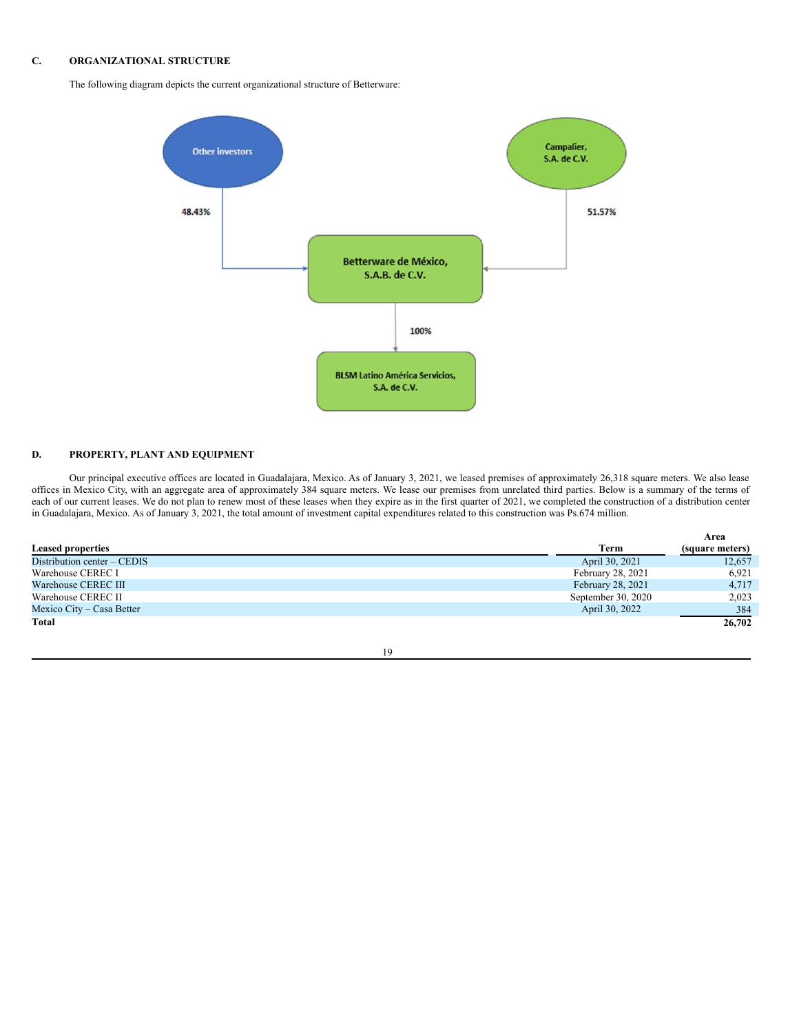## **C. ORGANIZATIONAL STRUCTURE**

The following diagram depicts the current organizational structure of Betterware:



## **D. PROPERTY, PLANT AND EQUIPMENT**

Our principal executive offices are located in Guadalajara, Mexico. As of January 3, 2021, we leased premises of approximately 26,318 square meters. We also lease offices in Mexico City, with an aggregate area of approximately 384 square meters. We lease our premises from unrelated third parties. Below is a summary of the terms of each of our current leases. We do not plan to renew most of these leases when they expire as in the first quarter of 2021, we completed the construction of a distribution center in Guadalajara, Mexico. As of January 3, 2021, the total amount of investment capital expenditures related to this construction was Ps.674 million.

|                             |                    | Area            |
|-----------------------------|--------------------|-----------------|
| <b>Leased properties</b>    | Term               | (square meters) |
| Distribution center – CEDIS | April 30, 2021     | 12,657          |
| Warehouse CEREC I           | February 28, 2021  | 6,921           |
| Warehouse CEREC III         | February 28, 2021  | 4.717           |
| Warehouse CEREC II          | September 30, 2020 | 2,023           |
| Mexico City – Casa Better   | April 30, 2022     | 384             |
| Total                       |                    | 26,702          |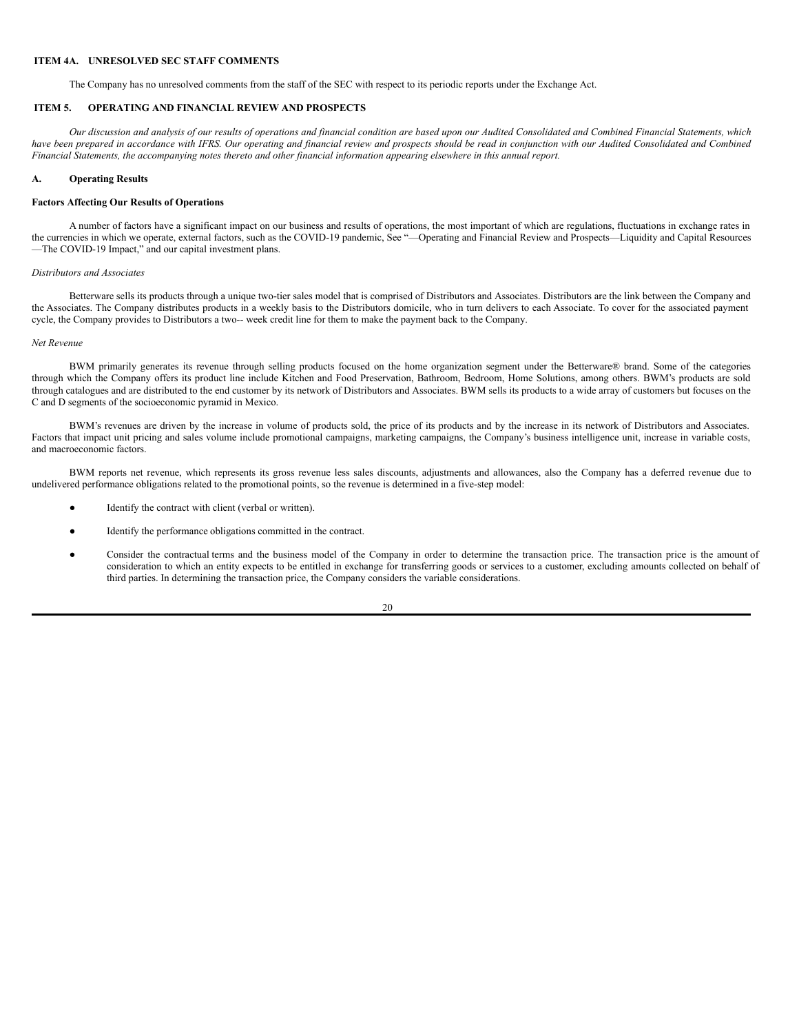#### <span id="page-28-0"></span>**ITEM 4A. UNRESOLVED SEC STAFF COMMENTS**

The Company has no unresolved comments from the staff of the SEC with respect to its periodic reports under the Exchange Act.

## <span id="page-28-1"></span>**ITEM 5. OPERATING AND FINANCIAL REVIEW AND PROSPECTS**

Our discussion and analysis of our results of operations and financial condition are based upon our Audited Consolidated and Combined Financial Statements, which have been prepared in accordance with IFRS. Our operating and financial review and prospects should be read in conjunction with our Audited Consolidated and Combined Financial Statements, the accompanying notes thereto and other financial information appearing elsewhere in this annual report.

#### **A. Operating Results**

### **Factors Affecting Our Results of Operations**

A number of factors have a significant impact on our business and results of operations, the most important of which are regulations, fluctuations in exchange rates in the currencies in which we operate, external factors, such as the COVID-19 pandemic, See "—Operating and Financial Review and Prospects—Liquidity and Capital Resources —The COVID-19 Impact," and our capital investment plans.

### *Distributors and Associates*

Betterware sells its products through a unique two-tier sales model that is comprised of Distributors and Associates. Distributors are the link between the Company and the Associates. The Company distributes products in a weekly basis to the Distributors domicile, who in turn delivers to each Associate. To cover for the associated payment cycle, the Company provides to Distributors a two-- week credit line for them to make the payment back to the Company.

#### *Net Revenue*

BWM primarily generates its revenue through selling products focused on the home organization segment under the Betterware® brand. Some of the categories through which the Company offers its product line include Kitchen and Food Preservation, Bathroom, Bedroom, Home Solutions, among others. BWM's products are sold through catalogues and are distributed to the end customer by its network of Distributors and Associates. BWM sells its products to a wide array of customers but focuses on the C and D segments of the socioeconomic pyramid in Mexico.

BWM's revenues are driven by the increase in volume of products sold, the price of its products and by the increase in its network of Distributors and Associates. Factors that impact unit pricing and sales volume include promotional campaigns, marketing campaigns, the Company's business intelligence unit, increase in variable costs, and macroeconomic factors.

BWM reports net revenue, which represents its gross revenue less sales discounts, adjustments and allowances, also the Company has a deferred revenue due to undelivered performance obligations related to the promotional points, so the revenue is determined in a five-step model:

- Identify the contract with client (verbal or written).
- Identify the performance obligations committed in the contract.
- Consider the contractual terms and the business model of the Company in order to determine the transaction price. The transaction price is the amount of consideration to which an entity expects to be entitled in exchange for transferring goods or services to a customer, excluding amounts collected on behalf of third parties. In determining the transaction price, the Company considers the variable considerations.

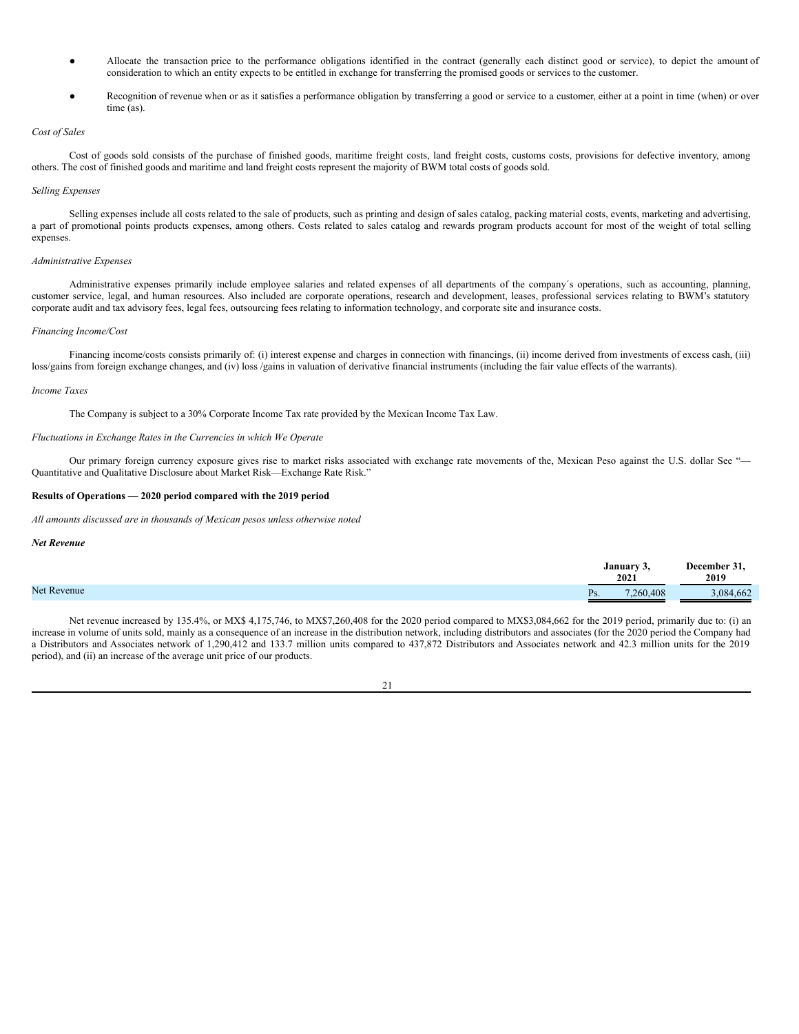- Allocate the transaction price to the performance obligations identified in the contract (generally each distinct good or service), to depict the amount of consideration to which an entity expects to be entitled in exchange for transferring the promised goods or services to the customer.
- Recognition of revenue when or as it satisfies a performance obligation by transferring a good or service to a customer, either at a point in time (when) or over time (as).

## *Cost of Sales*

Cost of goods sold consists of the purchase of finished goods, maritime freight costs, land freight costs, customs costs, provisions for defective inventory, among others. The cost of finished goods and maritime and land freight costs represent the majority of BWM total costs of goods sold.

#### *Selling Expenses*

Selling expenses include all costs related to the sale of products, such as printing and design of sales catalog, packing material costs, events, marketing and advertising, a part of promotional points products expenses, among others. Costs related to sales catalog and rewards program products account for most of the weight of total selling expenses.

#### *Administrative Expenses*

Administrative expenses primarily include employee salaries and related expenses of all departments of the company´s operations, such as accounting, planning, customer service, legal, and human resources. Also included are corporate operations, research and development, leases, professional services relating to BWM's statutory corporate audit and tax advisory fees, legal fees, outsourcing fees relating to information technology, and corporate site and insurance costs.

## *Financing Income/Cost*

Financing income/costs consists primarily of: (i) interest expense and charges in connection with financings, (ii) income derived from investments of excess cash, (iii) loss/gains from foreign exchange changes, and (iv) loss /gains in valuation of derivative financial instruments (including the fair value effects of the warrants).

### *Income Taxes*

The Company is subject to a 30% Corporate Income Tax rate provided by the Mexican Income Tax Law.

## *Fluctuations in Exchange Rates in the Currencies in which We Operate*

Our primary foreign currency exposure gives rise to market risks associated with exchange rate movements of the, Mexican Peso against the U.S. dollar See "— Quantitative and Qualitative Disclosure about Market Risk—Exchange Rate Risk."

## **Results of Operations — 2020 period compared with the 2019 period**

*All amounts discussed are in thousands of Mexican pesos unless otherwise noted*

### *Net Revenue*

|                    | January<br>2021 |           | December 31.<br>2019 |  |
|--------------------|-----------------|-----------|----------------------|--|
| <b>Net Revenue</b> | Ps.             | 7.260.408 | 3,084,662            |  |

Net revenue increased by 135.4%, or MX\$ 4,175,746, to MX\$7,260,408 for the 2020 period compared to MX\$3,084,662 for the 2019 period, primarily due to: (i) an increase in volume of units sold, mainly as a consequence of an increase in the distribution network, including distributors and associates (for the 2020 period the Company had a Distributors and Associates network of 1,290,412 and 133.7 million units compared to 437,872 Distributors and Associates network and 42.3 million units for the 2019 period), and (ii) an increase of the average unit price of our products.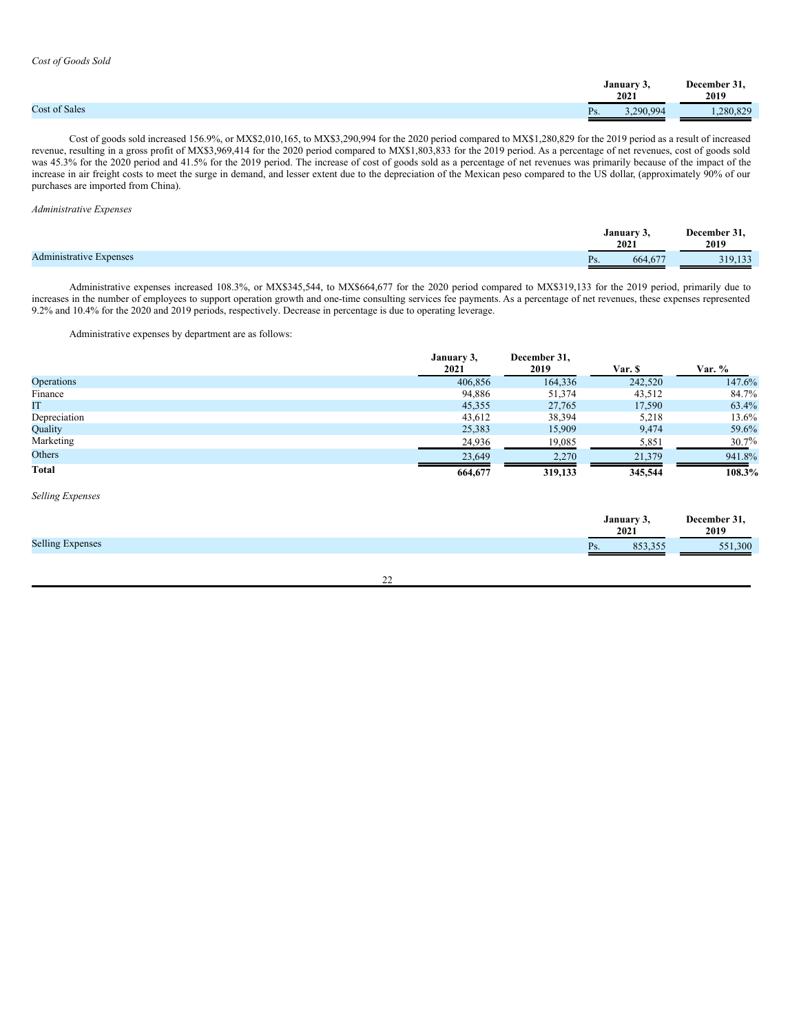|               | Januarv<br>◡<br>2021 |                | December 31<br>2019 |  |
|---------------|----------------------|----------------|---------------------|--|
| Cost of Sales | Ps.                  | 200.004<br>--- | .280,829            |  |

Cost of goods sold increased 156.9%, or MX\$2,010,165, to MX\$3,290,994 for the 2020 period compared to MX\$1,280,829 for the 2019 period as a result of increased revenue, resulting in a gross profit of MX\$3,969,414 for the 2020 period compared to MX\$1,803,833 for the 2019 period. As a percentage of net revenues, cost of goods sold was 45.3% for the 2020 period and 41.5% for the 2019 period. The increase of cost of goods sold as a percentage of net revenues was primarily because of the impact of the increase in air freight costs to meet the surge in demand, and lesser extent due to the depreciation of the Mexican peso compared to the US dollar, (approximately 90% of our purchases are imported from China).

### *Administrative Expenses*

|                                |     | January<br>J.<br>2021     | December 31,<br>2019 |
|--------------------------------|-----|---------------------------|----------------------|
| <b>Administrative Expenses</b> | Ps. | $\sqrt{2}$<br>664<br>l.б. | 319,133              |
|                                |     |                           |                      |

Administrative expenses increased 108.3%, or MX\$345,544, to MX\$664,677 for the 2020 period compared to MX\$319,133 for the 2019 period, primarily due to increases in the number of employees to support operation growth and one-time consulting services fee payments. As a percentage of net revenues, these expenses represented 9.2% and 10.4% for the 2020 and 2019 periods, respectively. Decrease in percentage is due to operating leverage.

Administrative expenses by department are as follows:

|              | January 3, | December 31, |         |               |
|--------------|------------|--------------|---------|---------------|
|              | 2021       | 2019         | Var. \$ | <b>Var.</b> % |
| Operations   | 406,856    | 164,336      | 242,520 | 147.6%        |
| Finance      | 94,886     | 51,374       | 43,512  | 84.7%         |
| IT           | 45,355     | 27,765       | 17,590  | 63.4%         |
| Depreciation | 43,612     | 38,394       | 5,218   | 13.6%         |
| Quality      | 25,383     | 15,909       | 9,474   | 59.6%         |
| Marketing    | 24,936     | 19,085       | 5,851   | 30.7%         |
| Others       | 23,649     | 2,270        | 21,379  | 941.8%        |
| <b>Total</b> | 664,677    | 319,133      | 345,544 | 108.3%        |

*Selling Expenses*

|                         |     | Januarv<br>◡<br>2021 | December 31.<br>2019 |
|-------------------------|-----|----------------------|----------------------|
| <b>Selling Expenses</b> | Ps. | 0.52.25              | 1,300                |
|                         |     |                      |                      |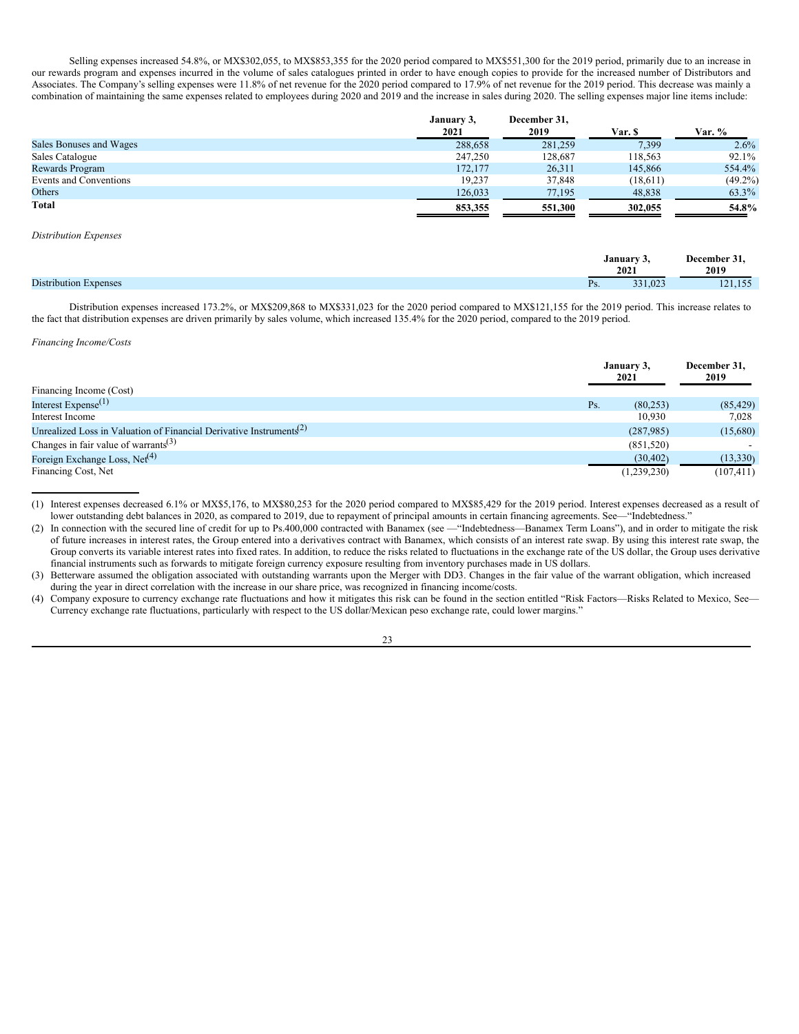Selling expenses increased 54.8%, or MX\$302,055, to MX\$853,355 for the 2020 period compared to MX\$551,300 for the 2019 period, primarily due to an increase in our rewards program and expenses incurred in the volume of sales catalogues printed in order to have enough copies to provide for the increased number of Distributors and Associates. The Company's selling expenses were 11.8% of net revenue for the 2020 period compared to 17.9% of net revenue for the 2019 period. This decrease was mainly a combination of maintaining the same expenses related to employees during 2020 and 2019 and the increase in sales during 2020. The selling expenses major line items include:

|                         | January 3,<br>2021 | December 31,<br>2019 | Var. \$  | Var. %     |
|-------------------------|--------------------|----------------------|----------|------------|
| Sales Bonuses and Wages | 288,658            | 281,259              | 7,399    | 2.6%       |
| Sales Catalogue         | 247,250            | 128,687              | 118,563  | 92.1%      |
| Rewards Program         | 172,177            | 26,311               | 145,866  | 554.4%     |
| Events and Conventions  | 19,237             | 37,848               | (18,611) | $(49.2\%)$ |
| Others                  | 126,033            | 77,195               | 48,838   | 63.3%      |
| Total                   | 853,355            | 551,300              | 302,055  | 54.8%      |

*Distribution Expenses*

|                              |     | Januarv<br>$\cdot$ .<br>2021 | $\sim$<br>December 31.<br>2019 |
|------------------------------|-----|------------------------------|--------------------------------|
| <b>Distribution Expenses</b> | Ps. | 1,023<br>331                 | $\bigcap$ 1<br>155<br>121, 133 |

Distribution expenses increased 173.2%, or MX\$209,868 to MX\$331,023 for the 2020 period compared to MX\$121,155 for the 2019 period. This increase relates to the fact that distribution expenses are driven primarily by sales volume, which increased 135.4% for the 2020 period, compared to the 2019 period.

### *Financing Income/Costs*

| Financing Income (Cost)                                                         |     | January 3,<br>2021 | December 31,<br>2019 |
|---------------------------------------------------------------------------------|-----|--------------------|----------------------|
| Interest Expense $(1)$                                                          | Ps. | (80, 253)          | (85, 429)            |
| Interest Income                                                                 |     | 10.930             | 7,028                |
| Unrealized Loss in Valuation of Financial Derivative Instruments <sup>(2)</sup> |     | (287,985)          | (15,680)             |
| Changes in fair value of warrants <sup>(3)</sup>                                |     | (851,520)          |                      |
| Foreign Exchange Loss, $Net(4)$                                                 |     | (30, 402)          | (13,330)             |
| Financing Cost, Net                                                             |     | (1,239,230)        | (107, 411)           |

(1) Interest expenses decreased 6.1% or MX\$5,176, to MX\$80,253 for the 2020 period compared to MX\$85,429 for the 2019 period. Interest expenses decreased as a result of lower outstanding debt balances in 2020, as compared to 2019, due to repayment of principal amounts in certain financing agreements. See—"Indebtedness."

(2) In connection with the secured line of credit for up to Ps.400,000 contracted with Banamex (see —"Indebtedness—Banamex Term Loans"), and in order to mitigate the risk of future increases in interest rates, the Group entered into a derivatives contract with Banamex, which consists of an interest rate swap. By using this interest rate swap, the Group converts its variable interest rates into fixed rates. In addition, to reduce the risks related to fluctuations in the exchange rate of the US dollar, the Group uses derivative financial instruments such as forwards to mitigate foreign currency exposure resulting from inventory purchases made in US dollars.

(3) Betterware assumed the obligation associated with outstanding warrants upon the Merger with DD3. Changes in the fair value of the warrant obligation, which increased during the year in direct correlation with the increase in our share price, was recognized in financing income/costs.

(4) Company exposure to currency exchange rate fluctuations and how it mitigates this risk can be found in the section entitled "Risk Factors—Risks Related to Mexico, See— Currency exchange rate fluctuations, particularly with respect to the US dollar/Mexican peso exchange rate, could lower margins."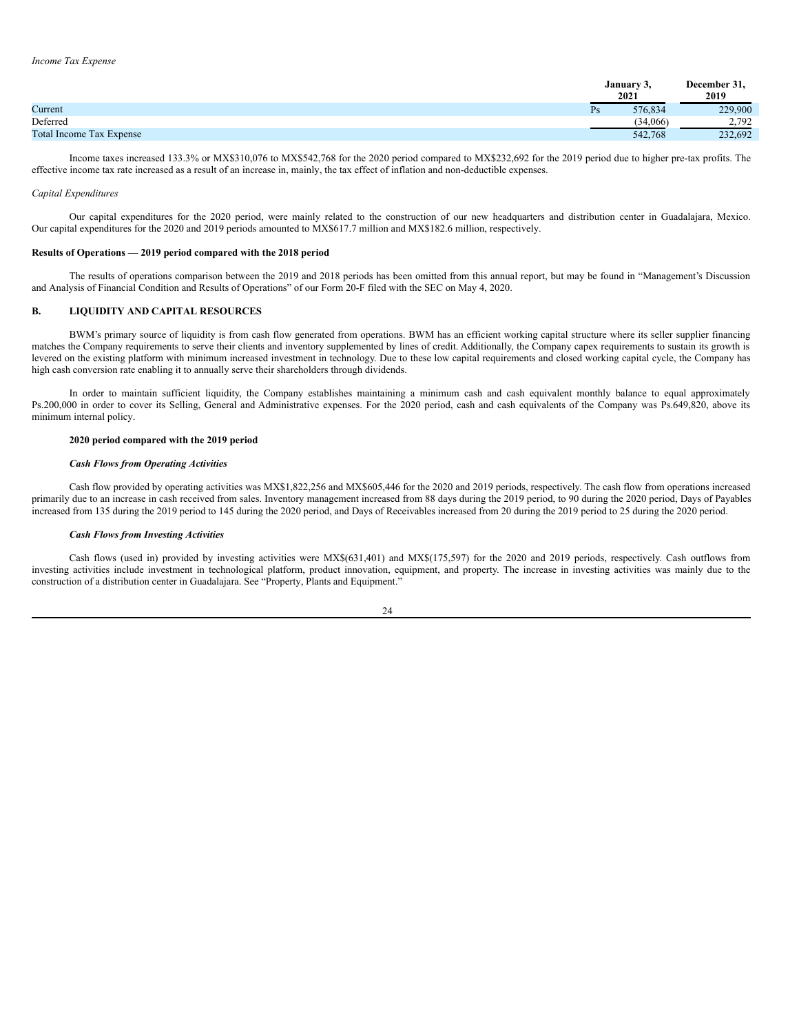|                                 | January 3,<br>2021 | December 31.<br>2019 |
|---------------------------------|--------------------|----------------------|
| Current                         | 576,834<br>Ps      | 229,900              |
| Deferred                        | (34.066)           | 2,792                |
| <b>Total Income Tax Expense</b> | 542.768            | 232,692              |

Income taxes increased 133.3% or MX\$310,076 to MX\$542,768 for the 2020 period compared to MX\$232,692 for the 2019 period due to higher pre-tax profits. The effective income tax rate increased as a result of an increase in, mainly, the tax effect of inflation and non-deductible expenses.

*Capital Expenditures*

Our capital expenditures for the 2020 period, were mainly related to the construction of our new headquarters and distribution center in Guadalajara, Mexico. Our capital expenditures for the 2020 and 2019 periods amounted to MX\$617.7 million and MX\$182.6 million, respectively.

### **Results of Operations — 2019 period compared with the 2018 period**

The results of operations comparison between the 2019 and 2018 periods has been omitted from this annual report, but may be found in "Management's Discussion and Analysis of Financial Condition and Results of Operations" of our Form 20-F filed with the SEC on May 4, 2020.

## **B. LIQUIDITY AND CAPITAL RESOURCES**

BWM's primary source of liquidity is from cash flow generated from operations. BWM has an efficient working capital structure where its seller supplier financing matches the Company requirements to serve their clients and inventory supplemented by lines of credit. Additionally, the Company capex requirements to sustain its growth is levered on the existing platform with minimum increased investment in technology. Due to these low capital requirements and closed working capital cycle, the Company has high cash conversion rate enabling it to annually serve their shareholders through dividends.

In order to maintain sufficient liquidity, the Company establishes maintaining a minimum cash and cash equivalent monthly balance to equal approximately Ps.200,000 in order to cover its Selling, General and Administrative expenses. For the 2020 period, cash and cash equivalents of the Company was Ps.649,820, above its minimum internal policy.

#### **2020 period compared with the 2019 period**

#### *Cash Flows from Operating Activities*

Cash flow provided by operating activities was MX\$1,822,256 and MX\$605,446 for the 2020 and 2019 periods, respectively. The cash flow from operations increased primarily due to an increase in cash received from sales. Inventory management increased from 88 days during the 2019 period, to 90 during the 2020 period, Days of Payables increased from 135 during the 2019 period to 145 during the 2020 period, and Days of Receivables increased from 20 during the 2019 period to 25 during the 2020 period.

### *Cash Flows from Investing Activities*

Cash flows (used in) provided by investing activities were MX\$(631,401) and MX\$(175,597) for the 2020 and 2019 periods, respectively. Cash outflows from investing activities include investment in technological platform, product innovation, equipment, and property. The increase in investing activities was mainly due to the construction of a distribution center in Guadalajara. See "Property, Plants and Equipment."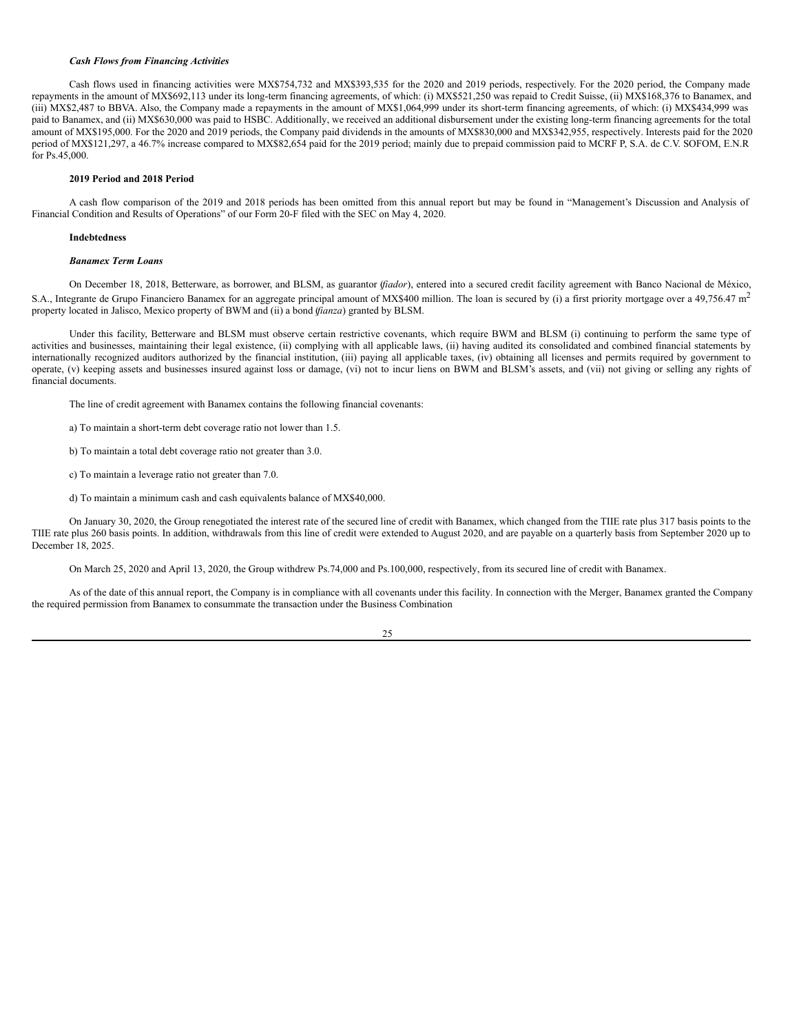#### *Cash Flows from Financing Activities*

Cash flows used in financing activities were MX\$754,732 and MX\$393,535 for the 2020 and 2019 periods, respectively. For the 2020 period, the Company made repayments in the amount of MX\$692,113 under its long-term financing agreements, of which: (i) MX\$521,250 was repaid to Credit Suisse, (ii) MX\$168,376 to Banamex, and (iii) MX\$2,487 to BBVA. Also, the Company made a repayments in the amount of MX\$1,064,999 under its short-term financing agreements, of which: (i) MX\$434,999 was paid to Banamex, and (ii) MX\$630,000 was paid to HSBC. Additionally, we received an additional disbursement under the existing long-term financing agreements for the total amount of MX\$195,000. For the 2020 and 2019 periods, the Company paid dividends in the amounts of MX\$830,000 and MX\$342,955, respectively. Interests paid for the 2020 period of MX\$121,297, a 46.7% increase compared to MX\$82,654 paid for the 2019 period; mainly due to prepaid commission paid to MCRF P, S.A. de C.V. SOFOM, E.N.R for Ps.45,000.

#### **2019 Period and 2018 Period**

A cash flow comparison of the 2019 and 2018 periods has been omitted from this annual report but may be found in "Management's Discussion and Analysis of Financial Condition and Results of Operations" of our Form 20-F filed with the SEC on May 4, 2020.

#### **Indebtedness**

#### *Banamex Term Loans*

On December 18, 2018, Betterware, as borrower, and BLSM, as guarantor (*fiador*), entered into a secured credit facility agreement with Banco Nacional de México, S.A., Integrante de Grupo Financiero Banamex for an aggregate principal amount of MX\$400 million. The loan is secured by (i) a first priority mortgage over a 49,756.47 m<sup>2</sup> property located in Jalisco, Mexico property of BWM and (ii) a bond (*fianza*) granted by BLSM.

Under this facility, Betterware and BLSM must observe certain restrictive covenants, which require BWM and BLSM (i) continuing to perform the same type of activities and businesses, maintaining their legal existence, (ii) complying with all applicable laws, (ii) having audited its consolidated and combined financial statements by internationally recognized auditors authorized by the financial institution, (iii) paying all applicable taxes, (iv) obtaining all licenses and permits required by government to operate, (v) keeping assets and businesses insured against loss or damage, (vi) not to incur liens on BWM and BLSM's assets, and (vii) not giving or selling any rights of financial documents.

The line of credit agreement with Banamex contains the following financial covenants:

a) To maintain a short-term debt coverage ratio not lower than 1.5.

b) To maintain a total debt coverage ratio not greater than 3.0.

c) To maintain a leverage ratio not greater than 7.0.

d) To maintain a minimum cash and cash equivalents balance of MX\$40,000.

On January 30, 2020, the Group renegotiated the interest rate of the secured line of credit with Banamex, which changed from the TIIE rate plus 317 basis points to the TIIE rate plus 260 basis points. In addition, withdrawals from this line of credit were extended to August 2020, and are payable on a quarterly basis from September 2020 up to December 18, 2025.

On March 25, 2020 and April 13, 2020, the Group withdrew Ps.74,000 and Ps.100,000, respectively, from its secured line of credit with Banamex.

As of the date of this annual report, the Company is in compliance with all covenants under this facility. In connection with the Merger, Banamex granted the Company the required permission from Banamex to consummate the transaction under the Business Combination

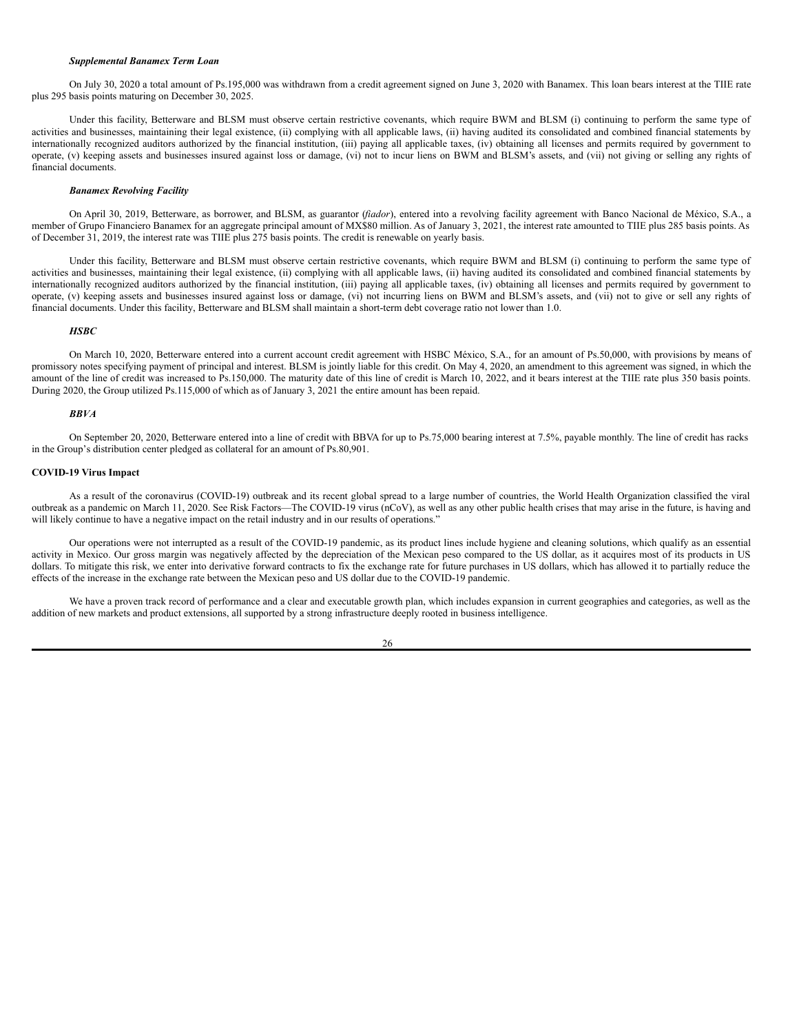#### *Supplemental Banamex Term Loan*

On July 30, 2020 a total amount of Ps.195,000 was withdrawn from a credit agreement signed on June 3, 2020 with Banamex. This loan bears interest at the TIIE rate plus 295 basis points maturing on December 30, 2025.

Under this facility, Betterware and BLSM must observe certain restrictive covenants, which require BWM and BLSM (i) continuing to perform the same type of activities and businesses, maintaining their legal existence, (ii) complying with all applicable laws, (ii) having audited its consolidated and combined financial statements by internationally recognized auditors authorized by the financial institution, (iii) paying all applicable taxes, (iv) obtaining all licenses and permits required by government to operate, (v) keeping assets and businesses insured against loss or damage, (vi) not to incur liens on BWM and BLSM's assets, and (vii) not giving or selling any rights of financial documents.

#### *Banamex Revolving Facility*

On April 30, 2019, Betterware, as borrower, and BLSM, as guarantor (*fiador*), entered into a revolving facility agreement with Banco Nacional de México, S.A., a member of Grupo Financiero Banamex for an aggregate principal amount of MX\$80 million. As of January 3, 2021, the interest rate amounted to TIIE plus 285 basis points. As of December 31, 2019, the interest rate was TIIE plus 275 basis points. The credit is renewable on yearly basis.

Under this facility, Betterware and BLSM must observe certain restrictive covenants, which require BWM and BLSM (i) continuing to perform the same type of activities and businesses, maintaining their legal existence, (ii) complying with all applicable laws, (ii) having audited its consolidated and combined financial statements by internationally recognized auditors authorized by the financial institution, (iii) paying all applicable taxes, (iv) obtaining all licenses and permits required by government to operate, (v) keeping assets and businesses insured against loss or damage, (vi) not incurring liens on BWM and BLSM's assets, and (vii) not to give or sell any rights of financial documents. Under this facility, Betterware and BLSM shall maintain a short-term debt coverage ratio not lower than 1.0.

#### *HSBC*

On March 10, 2020, Betterware entered into a current account credit agreement with HSBC México, S.A., for an amount of Ps.50,000, with provisions by means of promissory notes specifying payment of principal and interest. BLSM is jointly liable for this credit. On May 4, 2020, an amendment to this agreement was signed, in which the amount of the line of credit was increased to Ps.150,000. The maturity date of this line of credit is March 10, 2022, and it bears interest at the TIIE rate plus 350 basis points. During 2020, the Group utilized Ps.115,000 of which as of January 3, 2021 the entire amount has been repaid.

#### *BBVA*

On September 20, 2020, Betterware entered into a line of credit with BBVA for up to Ps.75,000 bearing interest at 7.5%, payable monthly. The line of credit has racks in the Group's distribution center pledged as collateral for an amount of Ps.80,901.

### **COVID-19 Virus Impact**

As a result of the coronavirus (COVID-19) outbreak and its recent global spread to a large number of countries, the World Health Organization classified the viral outbreak as a pandemic on March 11, 2020. See Risk Factors—The COVID-19 virus (nCoV), as well as any other public health crises that may arise in the future, is having and will likely continue to have a negative impact on the retail industry and in our results of operations."

Our operations were not interrupted as a result of the COVID-19 pandemic, as its product lines include hygiene and cleaning solutions, which qualify as an essential activity in Mexico. Our gross margin was negatively affected by the depreciation of the Mexican peso compared to the US dollar, as it acquires most of its products in US dollars. To mitigate this risk, we enter into derivative forward contracts to fix the exchange rate for future purchases in US dollars, which has allowed it to partially reduce the effects of the increase in the exchange rate between the Mexican peso and US dollar due to the COVID-19 pandemic.

We have a proven track record of performance and a clear and executable growth plan, which includes expansion in current geographies and categories, as well as the addition of new markets and product extensions, all supported by a strong infrastructure deeply rooted in business intelligence.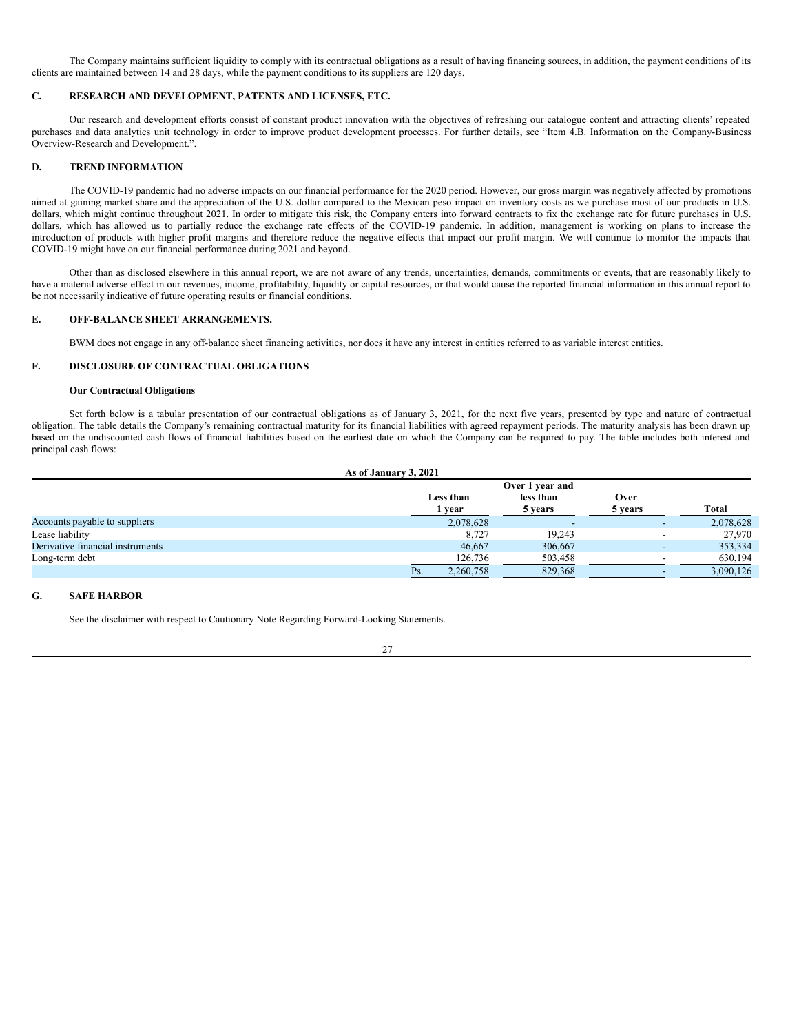The Company maintains sufficient liquidity to comply with its contractual obligations as a result of having financing sources, in addition, the payment conditions of its clients are maintained between 14 and 28 days, while the payment conditions to its suppliers are 120 days.

### **C. RESEARCH AND DEVELOPMENT, PATENTS AND LICENSES, ETC.**

Our research and development efforts consist of constant product innovation with the objectives of refreshing our catalogue content and attracting clients' repeated purchases and data analytics unit technology in order to improve product development processes. For further details, see "Item 4.B. Information on the Company-Business Overview-Research and Development.".

## **D. TREND INFORMATION**

The COVID-19 pandemic had no adverse impacts on our financial performance for the 2020 period. However, our gross margin was negatively affected by promotions aimed at gaining market share and the appreciation of the U.S. dollar compared to the Mexican peso impact on inventory costs as we purchase most of our products in U.S. dollars, which might continue throughout 2021. In order to mitigate this risk, the Company enters into forward contracts to fix the exchange rate for future purchases in U.S. dollars, which has allowed us to partially reduce the exchange rate effects of the COVID-19 pandemic. In addition, management is working on plans to increase the introduction of products with higher profit margins and therefore reduce the negative effects that impact our profit margin. We will continue to monitor the impacts that COVID-19 might have on our financial performance during 2021 and beyond.

Other than as disclosed elsewhere in this annual report, we are not aware of any trends, uncertainties, demands, commitments or events, that are reasonably likely to have a material adverse effect in our revenues, income, profitability, liquidity or capital resources, or that would cause the reported financial information in this annual report to be not necessarily indicative of future operating results or financial conditions.

#### **E. OFF-BALANCE SHEET ARRANGEMENTS.**

BWM does not engage in any off-balance sheet financing activities, nor does it have any interest in entities referred to as variable interest entities.

## **F. DISCLOSURE OF CONTRACTUAL OBLIGATIONS**

## **Our Contractual Obligations**

Set forth below is a tabular presentation of our contractual obligations as of January 3, 2021, for the next five years, presented by type and nature of contractual obligation. The table details the Company's remaining contractual maturity for its financial liabilities with agreed repayment periods. The maturity analysis has been drawn up based on the undiscounted cash flows of financial liabilities based on the earliest date on which the Company can be required to pay. The table includes both interest and principal cash flows:

|                                  | As of January 3, 2021 |                 |                          |           |
|----------------------------------|-----------------------|-----------------|--------------------------|-----------|
|                                  |                       | Over 1 year and |                          |           |
|                                  | Less than             | less than       | Over                     |           |
|                                  | i vear                | 5 years         | 5 years                  | Total     |
| Accounts payable to suppliers    | 2,078,628             |                 |                          | 2,078,628 |
| Lease liability                  | 8,727                 | 19.243          | $\overline{\phantom{a}}$ | 27,970    |
| Derivative financial instruments | 46,667                | 306,667         | $\overline{\phantom{0}}$ | 353,334   |
| Long-term debt                   | 126,736               | 503,458         |                          | 630,194   |
|                                  | 2,260,758<br>Ps.      | 829,368         |                          | 3,090,126 |

## **G. SAFE HARBOR**

See the disclaimer with respect to Cautionary Note Regarding Forward-Looking Statements.

27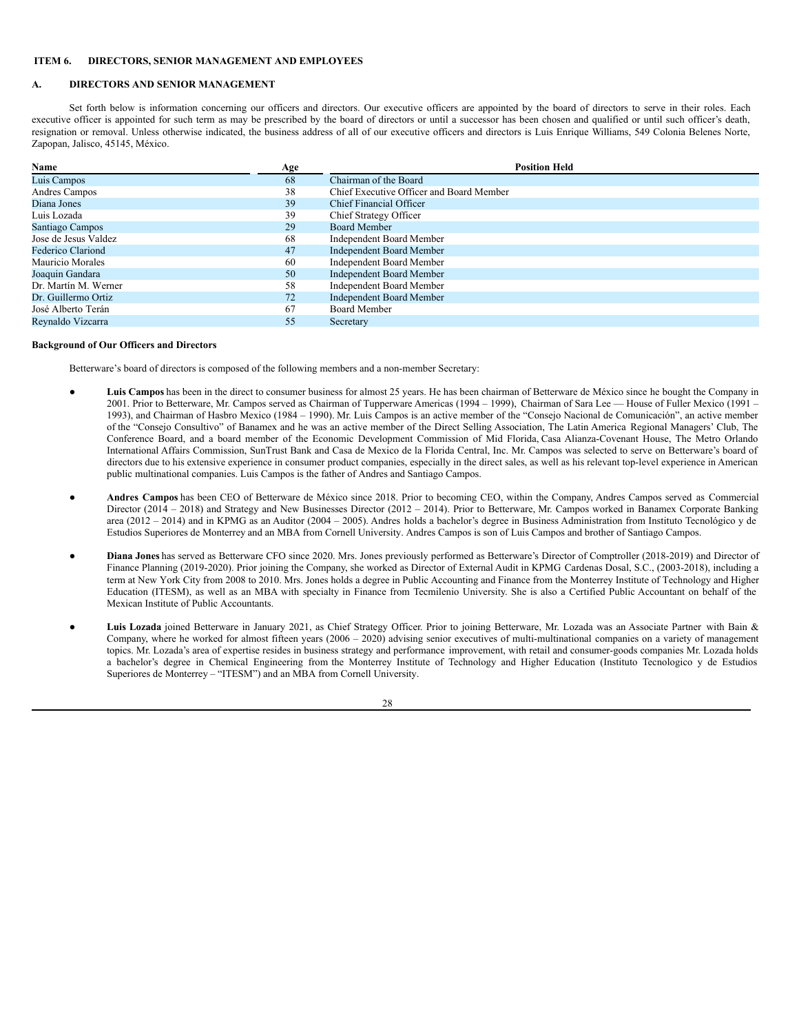## **ITEM 6. DIRECTORS, SENIOR MANAGEMENT AND EMPLOYEES**

# **A. DIRECTORS AND SENIOR MANAGEMENT**

Set forth below is information concerning our officers and directors. Our executive officers are appointed by the board of directors to serve in their roles. Each executive officer is appointed for such term as may be prescribed by the board of directors or until a successor has been chosen and qualified or until such officer's death, resignation or removal. Unless otherwise indicated, the business address of all of our executive officers and directors is Luis Enrique Williams, 549 Colonia Belenes Norte, Zapopan, Jalisco, 45145, México.

| Name                 | Age | <b>Position Held</b>                     |
|----------------------|-----|------------------------------------------|
| Luis Campos          | 68  | Chairman of the Board                    |
| Andres Campos        | 38  | Chief Executive Officer and Board Member |
| Diana Jones          | 39  | Chief Financial Officer                  |
| Luis Lozada          | 39  | Chief Strategy Officer                   |
| Santiago Campos      | 29  | <b>Board Member</b>                      |
| Jose de Jesus Valdez | 68  | Independent Board Member                 |
| Federico Clariond    | 47  | Independent Board Member                 |
| Mauricio Morales     | 60  | Independent Board Member                 |
| Joaquin Gandara      | 50  | Independent Board Member                 |
| Dr. Martín M. Werner | 58  | Independent Board Member                 |
| Dr. Guillermo Ortiz  | 72  | Independent Board Member                 |
| José Alberto Terán   | 67  | <b>Board Member</b>                      |
| Reynaldo Vizcarra    | 55  | Secretary                                |

## **Background of Our Officers and Directors**

Betterware's board of directors is composed of the following members and a non-member Secretary:

- Luis Campos has been in the direct to consumer business for almost 25 years. He has been chairman of Betterware de México since he bought the Company in 2001. Prior to Betterware, Mr. Campos served as Chairman of Tupperware Americas (1994 – 1999), Chairman of Sara Lee — House of Fuller Mexico (1991 – 1993), and Chairman of Hasbro Mexico (1984 – 1990). Mr. Luis Campos is an active member of the "Consejo Nacional de Comunicación", an active member of the "Consejo Consultivo" of Banamex and he was an active member of the Direct Selling Association, The Latin America Regional Managers' Club, The Conference Board, and a board member of the Economic Development Commission of Mid Florida, Casa Alianza-Covenant House, The Metro Orlando International Affairs Commission, SunTrust Bank and Casa de Mexico de la Florida Central, Inc. Mr. Campos was selected to serve on Betterware's board of directors due to his extensive experience in consumer product companies, especially in the direct sales, as well as his relevant top-level experience in American public multinational companies. Luis Campos is the father of Andres and Santiago Campos.
- **Andres Campos** has been CEO of Betterware de México since 2018. Prior to becoming CEO, within the Company, Andres Campos served as Commercial Director (2014 – 2018) and Strategy and New Businesses Director (2012 – 2014). Prior to Betterware, Mr. Campos worked in Banamex Corporate Banking area (2012 – 2014) and in KPMG as an Auditor (2004 – 2005). Andres holds a bachelor's degree in Business Administration from Instituto Tecnológico y de Estudios Superiores de Monterrey and an MBA from Cornell University. Andres Campos is son of Luis Campos and brother of Santiago Campos.
- **Diana Jones** has served as Betterware CFO since 2020. Mrs. Jones previously performed as Betterware's Director of Comptroller (2018-2019) and Director of Finance Planning (2019-2020). Prior joining the Company, she worked as Director of External Audit in KPMG Cardenas Dosal, S.C., (2003-2018), including a term at New York City from 2008 to 2010. Mrs. Jones holds a degree in Public Accounting and Finance from the Monterrey Institute of Technology and Higher Education (ITESM), as well as an MBA with specialty in Finance from Tecmilenio University. She is also a Certified Public Accountant on behalf of the Mexican Institute of Public Accountants.
- Luis Lozada joined Betterware in January 2021, as Chief Strategy Officer. Prior to joining Betterware, Mr. Lozada was an Associate Partner with Bain & Company, where he worked for almost fifteen years (2006 – 2020) advising senior executives of multi-multinational companies on a variety of management topics. Mr. Lozada's area of expertise resides in business strategy and performance improvement, with retail and consumer-goods companies Mr. Lozada holds a bachelor's degree in Chemical Engineering from the Monterrey Institute of Technology and Higher Education (Instituto Tecnologico y de Estudios Superiores de Monterrey – "ITESM") and an MBA from Cornell University.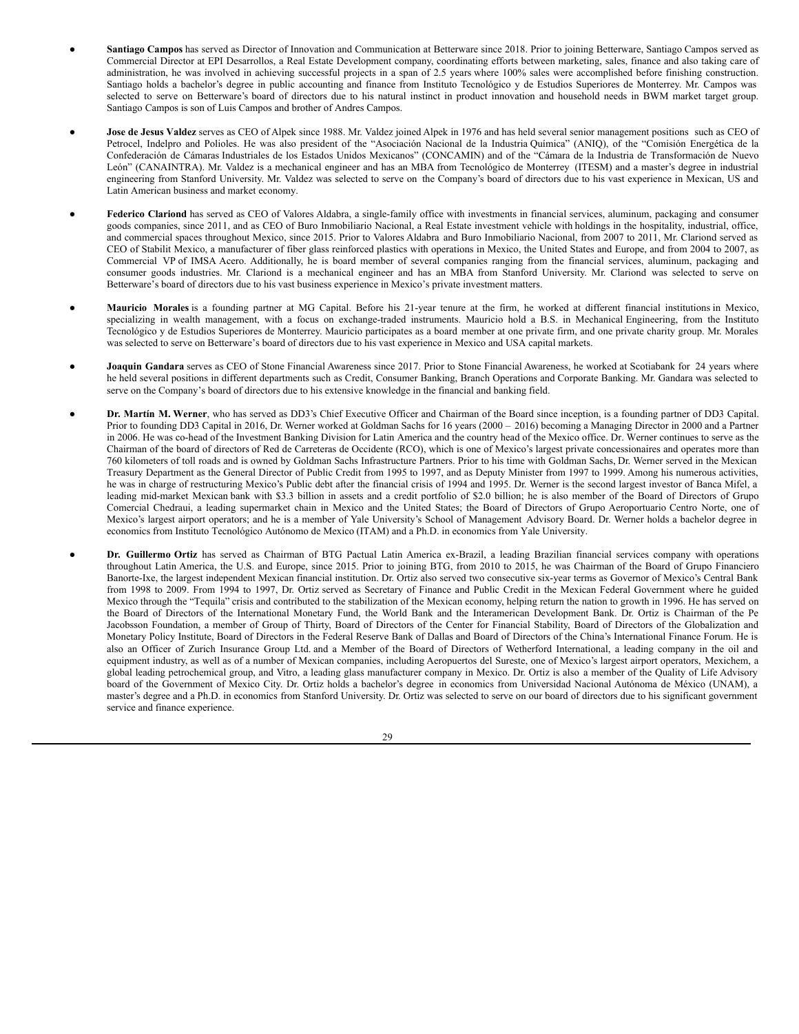- Santiago Campos has served as Director of Innovation and Communication at Betterware since 2018. Prior to joining Betterware, Santiago Campos served as Commercial Director at EPI Desarrollos, a Real Estate Development company, coordinating efforts between marketing, sales, finance and also taking care of administration, he was involved in achieving successful projects in a span of 2.5 years where 100% sales were accomplished before finishing construction. Santiago holds a bachelor's degree in public accounting and finance from Instituto Tecnológico y de Estudios Superiores de Monterrey. Mr. Campos was selected to serve on Betterware's board of directors due to his natural instinct in product innovation and household needs in BWM market target group. Santiago Campos is son of Luis Campos and brother of Andres Campos.
- **Jose de Jesus Valdez** serves as CEO of Alpek since 1988. Mr. Valdez joined Alpek in 1976 and has held several senior management positions such as CEO of Petrocel, Indelpro and Polioles. He was also president of the "Asociación Nacional de la Industria Química" (ANIQ), of the "Comisión Energética de la Confederación de Cámaras Industriales de los Estados Unidos Mexicanos" (CONCAMIN) and of the "Cámara de la Industria de Transformación de Nuevo León" (CANAINTRA). Mr. Valdez is a mechanical engineer and has an MBA from Tecnológico de Monterrey (ITESM) and a master's degree in industrial engineering from Stanford University. Mr. Valdez was selected to serve on the Company's board of directors due to his vast experience in Mexican, US and Latin American business and market economy.
- Federico Clariond has served as CEO of Valores Aldabra, a single-family office with investments in financial services, aluminum, packaging and consumer goods companies, since 2011, and as CEO of Buro Inmobiliario Nacional, a Real Estate investment vehicle with holdings in the hospitality, industrial, office, and commercial spaces throughout Mexico, since 2015. Prior to Valores Aldabra and Buro Inmobiliario Nacional, from 2007 to 2011, Mr. Clariond served as CEO of Stabilit Mexico, a manufacturer of fiber glass reinforced plastics with operations in Mexico, the United States and Europe, and from 2004 to 2007, as Commercial VP of IMSA Acero. Additionally, he is board member of several companies ranging from the financial services, aluminum, packaging and consumer goods industries. Mr. Clariond is a mechanical engineer and has an MBA from Stanford University. Mr. Clariond was selected to serve on Betterware's board of directors due to his vast business experience in Mexico's private investment matters.
- **Mauricio Morales** is a founding partner at MG Capital. Before his 21-year tenure at the firm, he worked at different financial institutions in Mexico, specializing in wealth management, with a focus on exchange-traded instruments. Mauricio hold a B.S. in Mechanical Engineering, from the Instituto Tecnológico y de Estudios Superiores de Monterrey. Mauricio participates as a board member at one private firm, and one private charity group. Mr. Morales was selected to serve on Betterware's board of directors due to his vast experience in Mexico and USA capital markets.
- Joaquin Gandara serves as CEO of Stone Financial Awareness since 2017. Prior to Stone Financial Awareness, he worked at Scotiabank for 24 years where he held several positions in different departments such as Credit, Consumer Banking, Branch Operations and Corporate Banking. Mr. Gandara was selected to serve on the Company's board of directors due to his extensive knowledge in the financial and banking field.
- **Dr. Martín M. Werner**, who has served as DD3's Chief Executive Officer and Chairman of the Board since inception, is a founding partner of DD3 Capital. Prior to founding DD3 Capital in 2016, Dr. Werner worked at Goldman Sachs for 16 years (2000 – 2016) becoming a Managing Director in 2000 and a Partner in 2006. He was co-head of the Investment Banking Division for Latin America and the country head of the Mexico office. Dr. Werner continues to serve as the Chairman of the board of directors of Red de Carreteras de Occidente (RCO), which is one of Mexico's largest private concessionaires and operates more than 760 kilometers of toll roads and is owned by Goldman Sachs Infrastructure Partners. Prior to his time with Goldman Sachs, Dr. Werner served in the Mexican Treasury Department as the General Director of Public Credit from 1995 to 1997, and as Deputy Minister from 1997 to 1999. Among his numerous activities, he was in charge of restructuring Mexico's Public debt after the financial crisis of 1994 and 1995. Dr. Werner is the second largest investor of Banca Mifel, a leading mid-market Mexican bank with \$3.3 billion in assets and a credit portfolio of \$2.0 billion; he is also member of the Board of Directors of Grupo Comercial Chedraui, a leading supermarket chain in Mexico and the United States; the Board of Directors of Grupo Aeroportuario Centro Norte, one of Mexico's largest airport operators; and he is a member of Yale University's School of Management Advisory Board. Dr. Werner holds a bachelor degree in economics from Instituto Tecnológico Autónomo de Mexico (ITAM) and a Ph.D. in economics from Yale University.
- **Dr. Guillermo Ortiz** has served as Chairman of BTG Pactual Latin America ex-Brazil, a leading Brazilian financial services company with operations throughout Latin America, the U.S. and Europe, since 2015. Prior to joining BTG, from 2010 to 2015, he was Chairman of the Board of Grupo Financiero Banorte-Ixe, the largest independent Mexican financial institution. Dr. Ortiz also served two consecutive six-year terms as Governor of Mexico's Central Bank from 1998 to 2009. From 1994 to 1997, Dr. Ortiz served as Secretary of Finance and Public Credit in the Mexican Federal Government where he guided Mexico through the "Tequila" crisis and contributed to the stabilization of the Mexican economy, helping return the nation to growth in 1996. He has served on the Board of Directors of the International Monetary Fund, the World Bank and the Interamerican Development Bank. Dr. Ortiz is Chairman of the Pe Jacobsson Foundation, a member of Group of Thirty, Board of Directors of the Center for Financial Stability, Board of Directors of the Globalization and Monetary Policy Institute, Board of Directors in the Federal Reserve Bank of Dallas and Board of Directors of the China's International Finance Forum. He is also an Officer of Zurich Insurance Group Ltd. and a Member of the Board of Directors of Wetherford International, a leading company in the oil and equipment industry, as well as of a number of Mexican companies, including Aeropuertos del Sureste, one of Mexico's largest airport operators, Mexichem, a global leading petrochemical group, and Vitro, a leading glass manufacturer company in Mexico. Dr. Ortiz is also a member of the Quality of Life Advisory board of the Government of Mexico City. Dr. Ortiz holds a bachelor's degree in economics from Universidad Nacional Autónoma de México (UNAM), a master's degree and a Ph.D. in economics from Stanford University. Dr. Ortiz was selected to serve on our board of directors due to his significant government service and finance experience.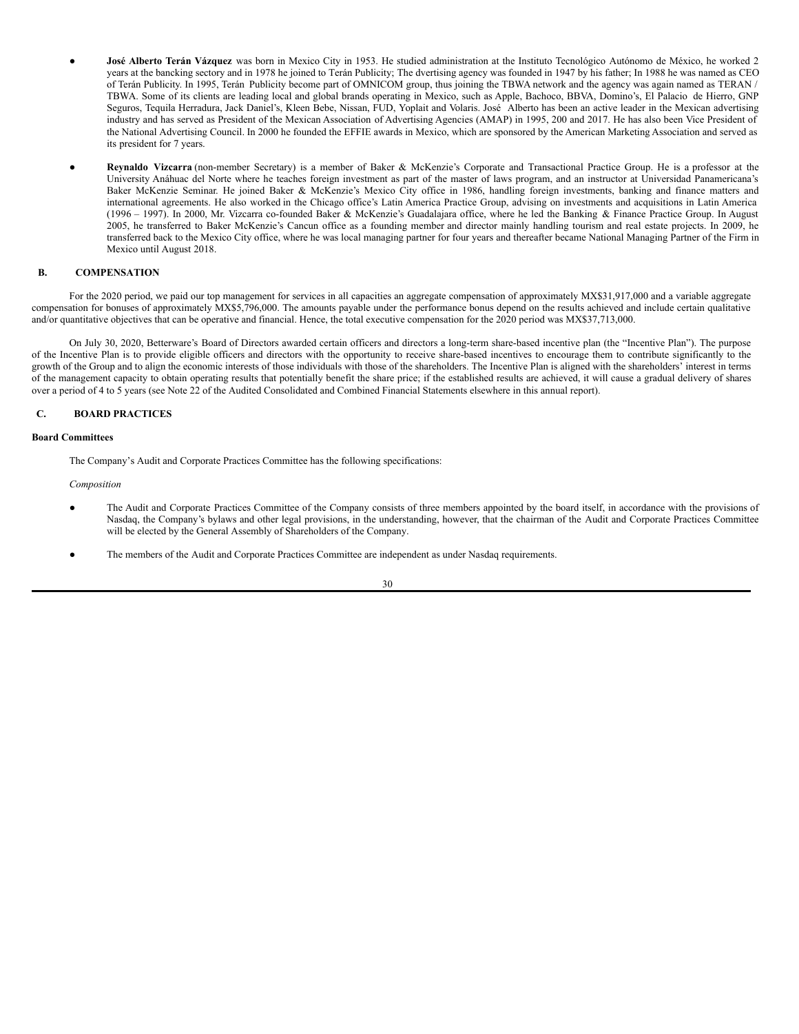- **José Alberto Terán Vázquez** was born in Mexico City in 1953. He studied administration at the Instituto Tecnológico Autónomo de México, he worked 2 years at the bancking sectory and in 1978 he joined to Terán Publicity; The dvertising agency was founded in 1947 by his father; In 1988 he was named as CEO of Terán Publicity. In 1995, Terán Publicity become part of OMNICOM group, thus joining the TBWA network and the agency was again named as TERAN / TBWA. Some of its clients are leading local and global brands operating in Mexico, such as Apple, Bachoco, BBVA, Domino's, El Palacio de Hierro, GNP Seguros, Tequila Herradura, Jack Daniel's, Kleen Bebe, Nissan, FUD, Yoplait and Volaris. José Alberto has been an active leader in the Mexican advertising industry and has served as President of the Mexican Association of Advertising Agencies (AMAP) in 1995, 200 and 2017. He has also been Vice President of the National Advertising Council. In 2000 he founded the EFFIE awards in Mexico, which are sponsored by the American Marketing Association and served as its president for 7 years.
- **Reynaldo Vizcarra** (non-member Secretary) is a member of Baker & McKenzie's Corporate and Transactional Practice Group. He is a professor at the University Anáhuac del Norte where he teaches foreign investment as part of the master of laws program, and an instructor at Universidad Panamericana's Baker McKenzie Seminar. He joined Baker & McKenzie's Mexico City office in 1986, handling foreign investments, banking and finance matters and international agreements. He also worked in the Chicago office's Latin America Practice Group, advising on investments and acquisitions in Latin America (1996 – 1997). In 2000, Mr. Vizcarra co-founded Baker & McKenzie's Guadalajara office, where he led the Banking & Finance Practice Group. In August 2005, he transferred to Baker McKenzie's Cancun office as a founding member and director mainly handling tourism and real estate projects. In 2009, he transferred back to the Mexico City office, where he was local managing partner for four years and thereafter became National Managing Partner of the Firm in Mexico until August 2018.

## **B. COMPENSATION**

For the 2020 period, we paid our top management for services in all capacities an aggregate compensation of approximately MX\$31,917,000 and a variable aggregate compensation for bonuses of approximately MX\$5,796,000. The amounts payable under the performance bonus depend on the results achieved and include certain qualitative and/or quantitative objectives that can be operative and financial. Hence, the total executive compensation for the 2020 period was MX\$37,713,000.

On July 30, 2020, Betterware's Board of Directors awarded certain officers and directors a long-term share-based incentive plan (the "Incentive Plan"). The purpose of the Incentive Plan is to provide eligible officers and directors with the opportunity to receive share-based incentives to encourage them to contribute significantly to the growth of the Group and to align the economic interests of those individuals with those of the shareholders. The Incentive Plan is aligned with the shareholders' interest in terms of the management capacity to obtain operating results that potentially benefit the share price; if the established results are achieved, it will cause a gradual delivery of shares over a period of 4 to 5 years (see Note 22 of the Audited Consolidated and Combined Financial Statements elsewhere in this annual report).

# **C. BOARD PRACTICES**

## **Board Committees**

The Company's Audit and Corporate Practices Committee has the following specifications:

*Composition*

- The Audit and Corporate Practices Committee of the Company consists of three members appointed by the board itself, in accordance with the provisions of Nasdaq, the Company's bylaws and other legal provisions, in the understanding, however, that the chairman of the Audit and Corporate Practices Committee will be elected by the General Assembly of Shareholders of the Company.
- The members of the Audit and Corporate Practices Committee are independent as under Nasdaq requirements.

$$
30\,
$$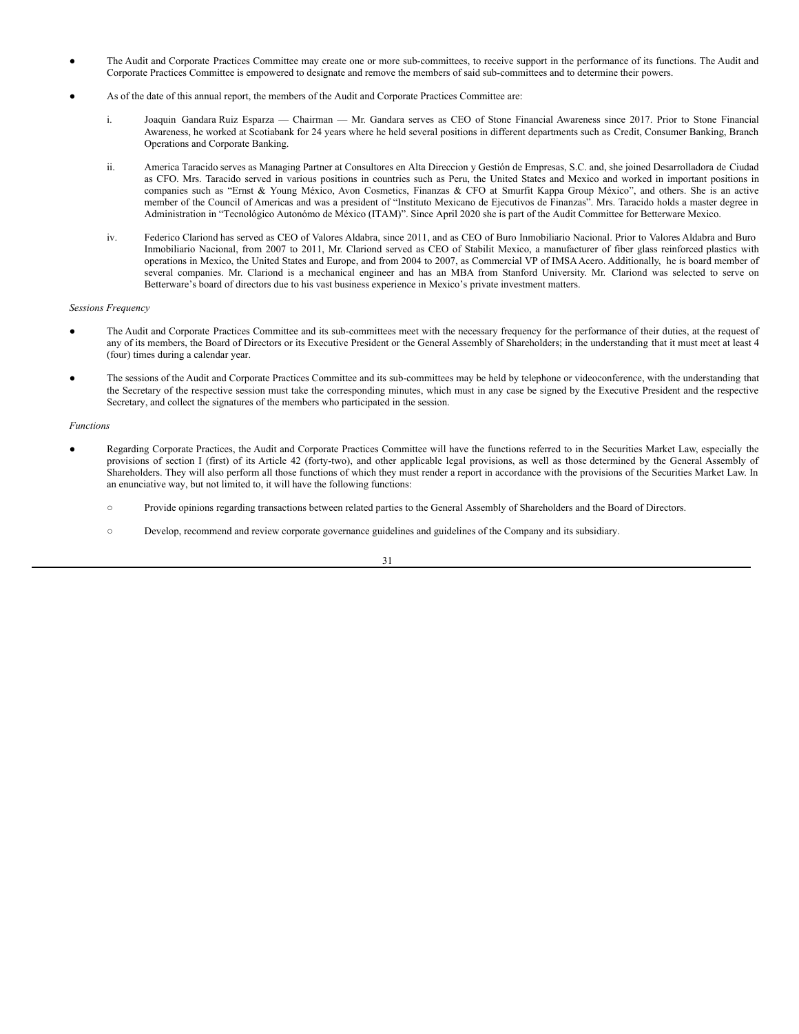- The Audit and Corporate Practices Committee may create one or more sub-committees, to receive support in the performance of its functions. The Audit and Corporate Practices Committee is empowered to designate and remove the members of said sub-committees and to determine their powers.
- As of the date of this annual report, the members of the Audit and Corporate Practices Committee are:
	- i. Joaquin Gandara Ruiz Esparza Chairman Mr. Gandara serves as CEO of Stone Financial Awareness since 2017. Prior to Stone Financial Awareness, he worked at Scotiabank for 24 years where he held several positions in different departments such as Credit, Consumer Banking, Branch Operations and Corporate Banking.
	- ii. America Taracido serves as Managing Partner at Consultores en Alta Direccion y Gestión de Empresas, S.C. and, she joined Desarrolladora de Ciudad as CFO. Mrs. Taracido served in various positions in countries such as Peru, the United States and Mexico and worked in important positions in companies such as "Ernst & Young México, Avon Cosmetics, Finanzas & CFO at Smurfit Kappa Group México", and others. She is an active member of the Council of Americas and was a president of "Instituto Mexicano de Ejecutivos de Finanzas". Mrs. Taracido holds a master degree in Administration in "Tecnológico Autonómo de México (ITAM)". Since April 2020 she is part of the Audit Committee for Betterware Mexico.
	- iv. Federico Clariond has served as CEO of Valores Aldabra, since 2011, and as CEO of Buro Inmobiliario Nacional. Prior to Valores Aldabra and Buro Inmobiliario Nacional, from 2007 to 2011, Mr. Clariond served as CEO of Stabilit Mexico, a manufacturer of fiber glass reinforced plastics with operations in Mexico, the United States and Europe, and from 2004 to 2007, as Commercial VP of IMSAAcero. Additionally, he is board member of several companies. Mr. Clariond is a mechanical engineer and has an MBA from Stanford University. Mr. Clariond was selected to serve on Betterware's board of directors due to his vast business experience in Mexico's private investment matters.

## *Sessions Frequency*

- The Audit and Corporate Practices Committee and its sub-committees meet with the necessary frequency for the performance of their duties, at the request of any of its members, the Board of Directors or its Executive President or the General Assembly of Shareholders; in the understanding that it must meet at least 4 (four) times during a calendar year.
- The sessions of the Audit and Corporate Practices Committee and its sub-committees may be held by telephone or videoconference, with the understanding that the Secretary of the respective session must take the corresponding minutes, which must in any case be signed by the Executive President and the respective Secretary, and collect the signatures of the members who participated in the session.

## *Functions*

- Regarding Corporate Practices, the Audit and Corporate Practices Committee will have the functions referred to in the Securities Market Law, especially the provisions of section I (first) of its Article 42 (forty-two), and other applicable legal provisions, as well as those determined by the General Assembly of Shareholders. They will also perform all those functions of which they must render a report in accordance with the provisions of the Securities Market Law. In an enunciative way, but not limited to, it will have the following functions:
	- Provide opinions regarding transactions between related parties to the General Assembly of Shareholders and the Board of Directors.
	- Develop, recommend and review corporate governance guidelines and guidelines of the Company and its subsidiary.

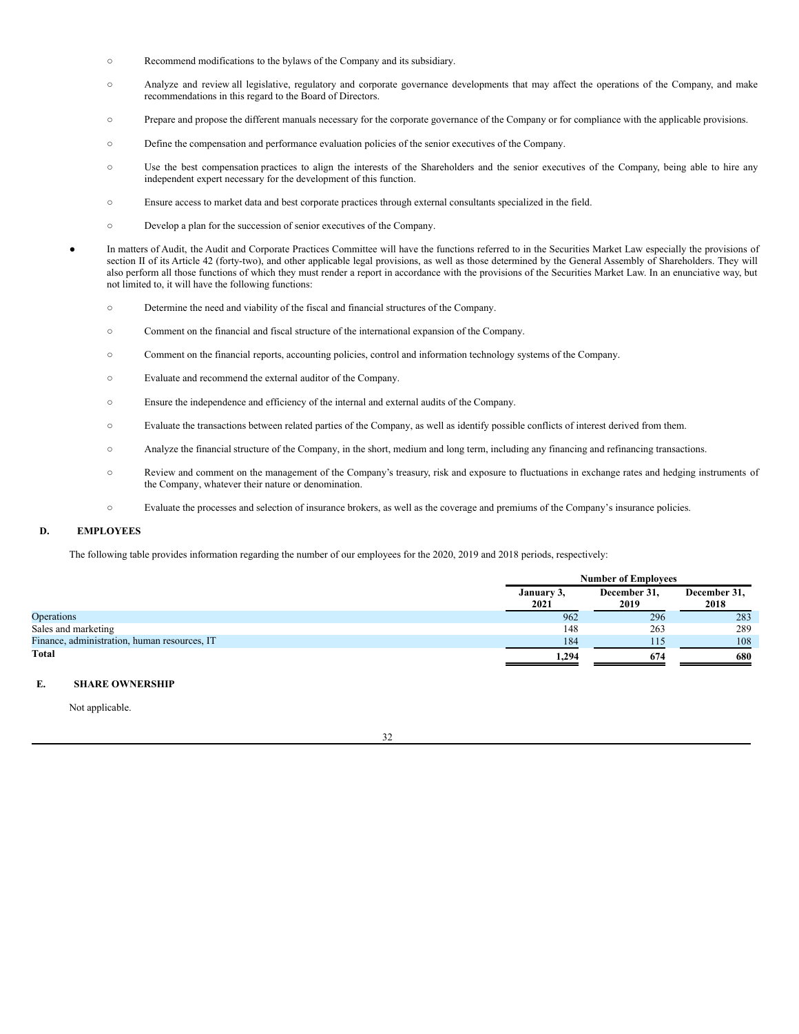- Recommend modifications to the bylaws of the Company and its subsidiary.
- Analyze and review all legislative, regulatory and corporate governance developments that may affect the operations of the Company, and make recommendations in this regard to the Board of Directors.
- Prepare and propose the different manuals necessary for the corporate governance of the Company or for compliance with the applicable provisions.
- Define the compensation and performance evaluation policies of the senior executives of the Company.
- Use the best compensation practices to align the interests of the Shareholders and the senior executives of the Company, being able to hire any independent expert necessary for the development of this function.
- Ensure access to market data and best corporate practices through external consultants specialized in the field.
- Develop a plan for the succession of senior executives of the Company.
- In matters of Audit, the Audit and Corporate Practices Committee will have the functions referred to in the Securities Market Law especially the provisions of section II of its Article 42 (forty-two), and other applicable legal provisions, as well as those determined by the General Assembly of Shareholders. They will also perform all those functions of which they must render a report in accordance with the provisions of the Securities Market Law. In an enunciative way, but not limited to, it will have the following functions:
	- Determine the need and viability of the fiscal and financial structures of the Company.
	- Comment on the financial and fiscal structure of the international expansion of the Company.
	- Comment on the financial reports, accounting policies, control and information technology systems of the Company.
	- Evaluate and recommend the external auditor of the Company.
	- Ensure the independence and efficiency of the internal and external audits of the Company.
	- Evaluate the transactions between related parties of the Company, as well as identify possible conflicts of interest derived from them.
	- Analyze the financial structure of the Company, in the short, medium and long term, including any financing and refinancing transactions.
	- Review and comment on the management of the Company's treasury, risk and exposure to fluctuations in exchange rates and hedging instruments of the Company, whatever their nature or denomination.
	- Evaluate the processes and selection of insurance brokers, as well as the coverage and premiums of the Company's insurance policies.

# **D. EMPLOYEES**

The following table provides information regarding the number of our employees for the 2020, 2019 and 2018 periods, respectively:

|                                              | <b>Number of Employees</b> |                      |                      |  |
|----------------------------------------------|----------------------------|----------------------|----------------------|--|
|                                              | January 3.<br>2021         | December 31,<br>2019 | December 31,<br>2018 |  |
| Operations                                   | 962                        | 296                  | 283                  |  |
| Sales and marketing                          | 148                        | 263                  | 289                  |  |
| Finance, administration, human resources, IT | 184                        |                      | 108                  |  |
| Total                                        | 1,294                      | 674                  | 680                  |  |

# **E. SHARE OWNERSHIP**

Not applicable.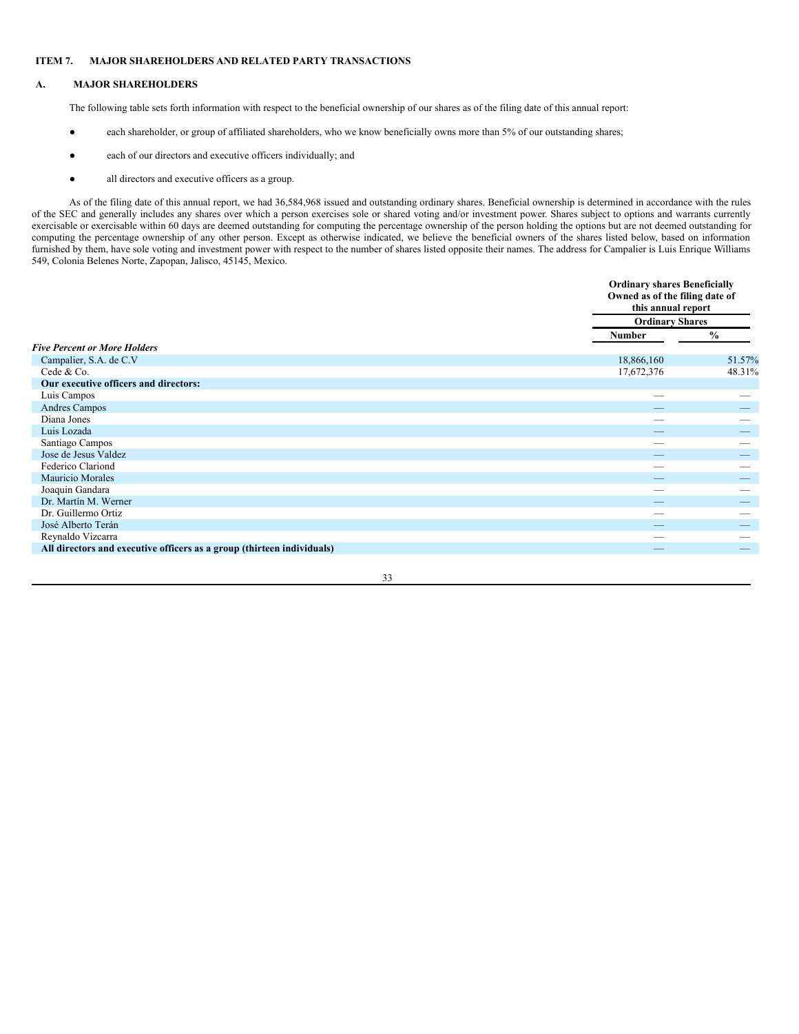## **ITEM 7. MAJOR SHAREHOLDERS AND RELATED PARTY TRANSACTIONS**

# **A. MAJOR SHAREHOLDERS**

The following table sets forth information with respect to the beneficial ownership of our shares as of the filing date of this annual report:

- each shareholder, or group of affiliated shareholders, who we know beneficially owns more than 5% of our outstanding shares;
- each of our directors and executive officers individually; and
- all directors and executive officers as a group.

As of the filing date of this annual report, we had 36,584,968 issued and outstanding ordinary shares. Beneficial ownership is determined in accordance with the rules of the SEC and generally includes any shares over which a person exercises sole or shared voting and/or investment power. Shares subject to options and warrants currently exercisable or exercisable within 60 days are deemed outstanding for computing the percentage ownership of the person holding the options but are not deemed outstanding for computing the percentage ownership of any other person. Except as otherwise indicated, we believe the beneficial owners of the shares listed below, based on information furnished by them, have sole voting and investment power with respect to the number of shares listed opposite their names. The address for Campalier is Luis Enrique Williams 549, Colonia Belenes Norte, Zapopan, Jalisco, 45145, Mexico.

|                                                                        | <b>Ordinary shares Beneficially</b><br>Owned as of the filing date of<br>this annual report |        |
|------------------------------------------------------------------------|---------------------------------------------------------------------------------------------|--------|
|                                                                        | <b>Ordinary Shares</b>                                                                      |        |
|                                                                        | Number                                                                                      | $\%$   |
| <b>Five Percent or More Holders</b>                                    |                                                                                             |        |
| Campalier, S.A. de C.V                                                 | 18,866,160                                                                                  | 51.57% |
| Cede & Co.                                                             | 17,672,376                                                                                  | 48.31% |
| Our executive officers and directors:                                  |                                                                                             |        |
| Luis Campos                                                            |                                                                                             |        |
| Andres Campos                                                          |                                                                                             |        |
| Diana Jones                                                            | _                                                                                           |        |
| Luis Lozada                                                            |                                                                                             |        |
| Santiago Campos                                                        |                                                                                             |        |
| Jose de Jesus Valdez                                                   |                                                                                             |        |
| Federico Clariond                                                      |                                                                                             |        |
| Mauricio Morales                                                       |                                                                                             |        |
| Joaquin Gandara                                                        | $\sim$                                                                                      |        |
| Dr. Martín M. Werner                                                   |                                                                                             |        |
| Dr. Guillermo Ortiz                                                    | _                                                                                           |        |
| José Alberto Terán                                                     |                                                                                             |        |
| Reynaldo Vizcarra                                                      |                                                                                             |        |
| All directors and executive officers as a group (thirteen individuals) |                                                                                             |        |

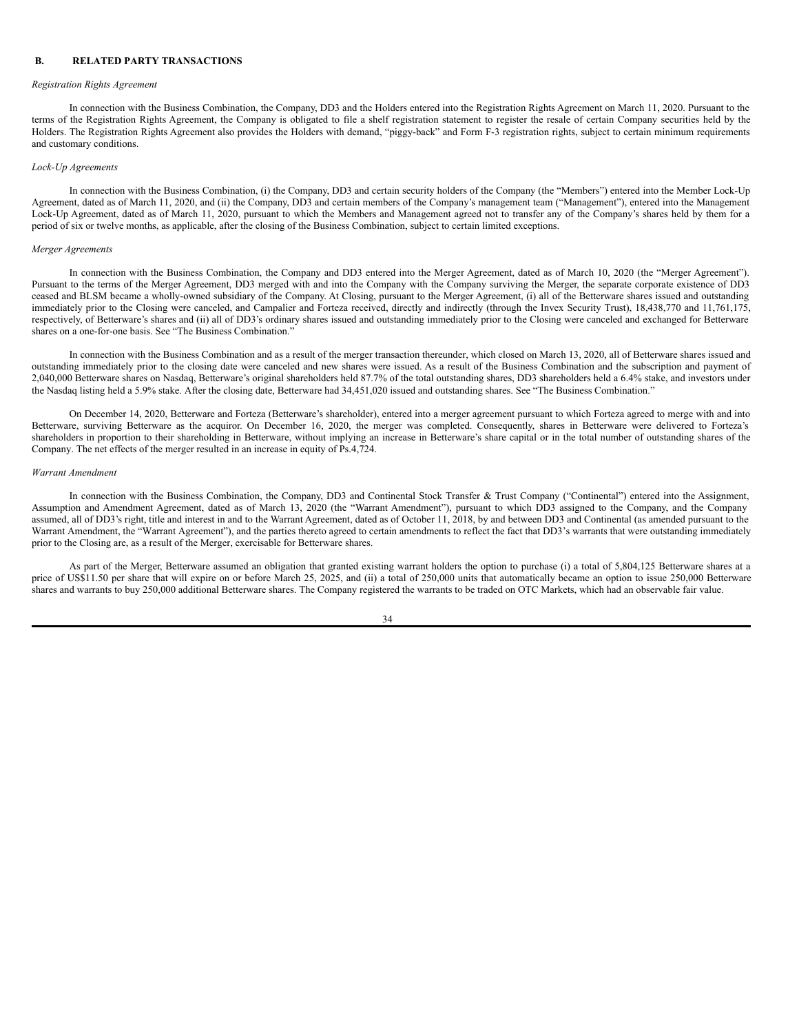## **B. RELATED PARTY TRANSACTIONS**

## *Registration Rights Agreement*

In connection with the Business Combination, the Company, DD3 and the Holders entered into the Registration Rights Agreement on March 11, 2020. Pursuant to the terms of the Registration Rights Agreement, the Company is obligated to file a shelf registration statement to register the resale of certain Company securities held by the Holders. The Registration Rights Agreement also provides the Holders with demand, "piggy-back" and Form F-3 registration rights, subject to certain minimum requirements and customary conditions.

### *Lock-Up Agreements*

In connection with the Business Combination, (i) the Company, DD3 and certain security holders of the Company (the "Members") entered into the Member Lock-Up Agreement, dated as of March 11, 2020, and (ii) the Company, DD3 and certain members of the Company's management team ("Management"), entered into the Management Lock-Up Agreement, dated as of March 11, 2020, pursuant to which the Members and Management agreed not to transfer any of the Company's shares held by them for a period of six or twelve months, as applicable, after the closing of the Business Combination, subject to certain limited exceptions.

### *Merger Agreements*

In connection with the Business Combination, the Company and DD3 entered into the Merger Agreement, dated as of March 10, 2020 (the "Merger Agreement"). Pursuant to the terms of the Merger Agreement, DD3 merged with and into the Company with the Company surviving the Merger, the separate corporate existence of DD3 ceased and BLSM became a wholly-owned subsidiary of the Company. At Closing, pursuant to the Merger Agreement, (i) all of the Betterware shares issued and outstanding immediately prior to the Closing were canceled, and Campalier and Forteza received, directly and indirectly (through the Invex Security Trust), 18,438,770 and 11,761,175, respectively, of Betterware's shares and (ii) all of DD3's ordinary shares issued and outstanding immediately prior to the Closing were canceled and exchanged for Betterware shares on a one-for-one basis. See "The Business Combination."

In connection with the Business Combination and as a result of the merger transaction thereunder, which closed on March 13, 2020, all of Betterware shares issued and outstanding immediately prior to the closing date were canceled and new shares were issued. As a result of the Business Combination and the subscription and payment of 2,040,000 Betterware shares on Nasdaq, Betterware's original shareholders held 87.7% of the total outstanding shares, DD3 shareholders held a 6.4% stake, and investors under the Nasdaq listing held a 5.9% stake. After the closing date, Betterware had 34,451,020 issued and outstanding shares. See "The Business Combination."

On December 14, 2020, Betterware and Forteza (Betterware's shareholder), entered into a merger agreement pursuant to which Forteza agreed to merge with and into Betterware, surviving Betterware as the acquiror. On December 16, 2020, the merger was completed. Consequently, shares in Betterware were delivered to Forteza's shareholders in proportion to their shareholding in Betterware, without implying an increase in Betterware's share capital or in the total number of outstanding shares of the Company. The net effects of the merger resulted in an increase in equity of Ps.4,724.

## *Warrant Amendment*

In connection with the Business Combination, the Company, DD3 and Continental Stock Transfer & Trust Company ("Continental") entered into the Assignment, Assumption and Amendment Agreement, dated as of March 13, 2020 (the "Warrant Amendment"), pursuant to which DD3 assigned to the Company, and the Company assumed, all of DD3's right, title and interest in and to the Warrant Agreement, dated as of October 11, 2018, by and between DD3 and Continental (as amended pursuant to the Warrant Amendment, the "Warrant Agreement"), and the parties thereto agreed to certain amendments to reflect the fact that DD3's warrants that were outstanding immediately prior to the Closing are, as a result of the Merger, exercisable for Betterware shares.

As part of the Merger, Betterware assumed an obligation that granted existing warrant holders the option to purchase (i) a total of 5,804,125 Betterware shares at a price of US\$11.50 per share that will expire on or before March 25, 2025, and (ii) a total of 250,000 units that automatically became an option to issue 250,000 Betterware shares and warrants to buy 250,000 additional Betterware shares. The Company registered the warrants to be traded on OTC Markets, which had an observable fair value.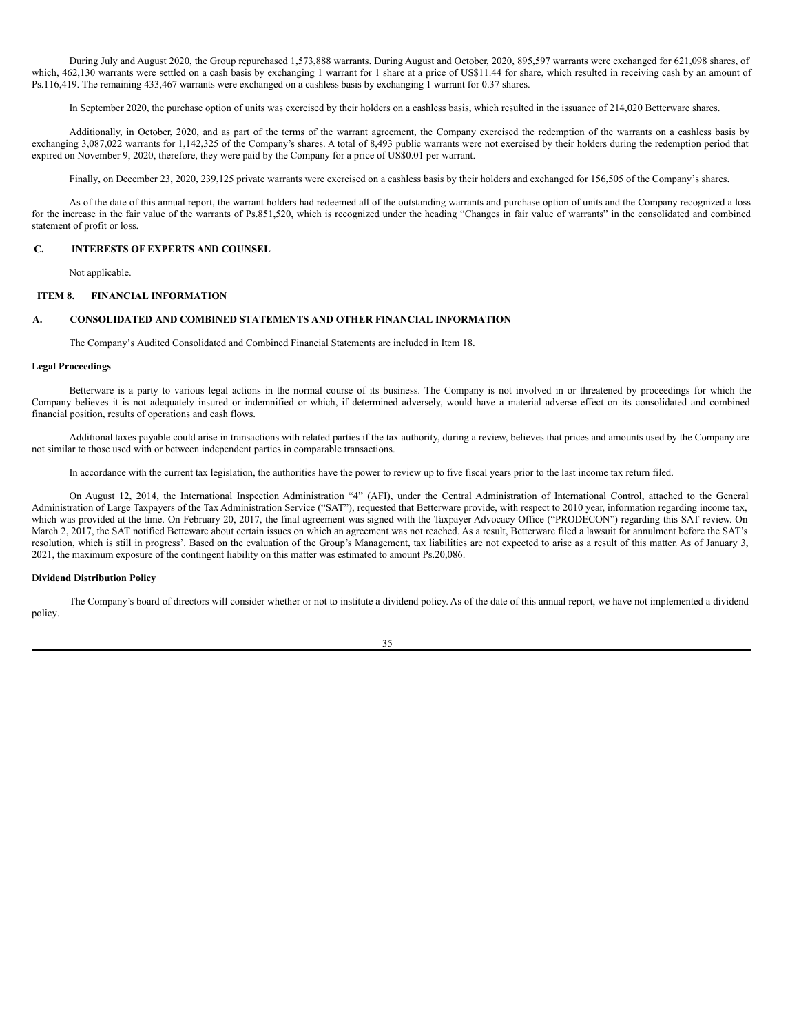During July and August 2020, the Group repurchased 1,573,888 warrants. During August and October, 2020, 895,597 warrants were exchanged for 621,098 shares, of which, 462,130 warrants were settled on a cash basis by exchanging 1 warrant for 1 share at a price of US\$11.44 for share, which resulted in receiving cash by an amount of Ps.116,419. The remaining 433,467 warrants were exchanged on a cashless basis by exchanging 1 warrant for 0.37 shares.

In September 2020, the purchase option of units was exercised by their holders on a cashless basis, which resulted in the issuance of 214,020 Betterware shares.

Additionally, in October, 2020, and as part of the terms of the warrant agreement, the Company exercised the redemption of the warrants on a cashless basis by exchanging 3,087,022 warrants for 1,142,325 of the Company's shares. A total of 8,493 public warrants were not exercised by their holders during the redemption period that expired on November 9, 2020, therefore, they were paid by the Company for a price of US\$0.01 per warrant.

Finally, on December 23, 2020, 239,125 private warrants were exercised on a cashless basis by their holders and exchanged for 156,505 of the Company's shares.

As of the date of this annual report, the warrant holders had redeemed all of the outstanding warrants and purchase option of units and the Company recognized a loss for the increase in the fair value of the warrants of Ps.851,520, which is recognized under the heading "Changes in fair value of warrants" in the consolidated and combined statement of profit or loss.

## **C. INTERESTS OF EXPERTS AND COUNSEL**

Not applicable.

## **ITEM 8. FINANCIAL INFORMATION**

# **A. CONSOLIDATED AND COMBINED STATEMENTS AND OTHER FINANCIAL INFORMATION**

The Company's Audited Consolidated and Combined Financial Statements are included in Item 18.

# **Legal Proceedings**

Betterware is a party to various legal actions in the normal course of its business. The Company is not involved in or threatened by proceedings for which the Company believes it is not adequately insured or indemnified or which, if determined adversely, would have a material adverse effect on its consolidated and combined financial position, results of operations and cash flows.

Additional taxes payable could arise in transactions with related parties if the tax authority, during a review, believes that prices and amounts used by the Company are not similar to those used with or between independent parties in comparable transactions.

In accordance with the current tax legislation, the authorities have the power to review up to five fiscal years prior to the last income tax return filed.

On August 12, 2014, the International Inspection Administration "4" (AFI), under the Central Administration of International Control, attached to the General Administration of Large Taxpayers of the Tax Administration Service ("SAT"), requested that Betterware provide, with respect to 2010 year, information regarding income tax, which was provided at the time. On February 20, 2017, the final agreement was signed with the Taxpayer Advocacy Office ("PRODECON") regarding this SAT review. On March 2, 2017, the SAT notified Betteware about certain issues on which an agreement was not reached. As a result, Betterware filed a lawsuit for annulment before the SAT's resolution, which is still in progress'. Based on the evaluation of the Group's Management, tax liabilities are not expected to arise as a result of this matter. As of January 3, 2021, the maximum exposure of the contingent liability on this matter was estimated to amount Ps.20,086.

### **Dividend Distribution Policy**

The Company's board of directors will consider whether or not to institute a dividend policy. As of the date of this annual report, we have not implemented a dividend policy.

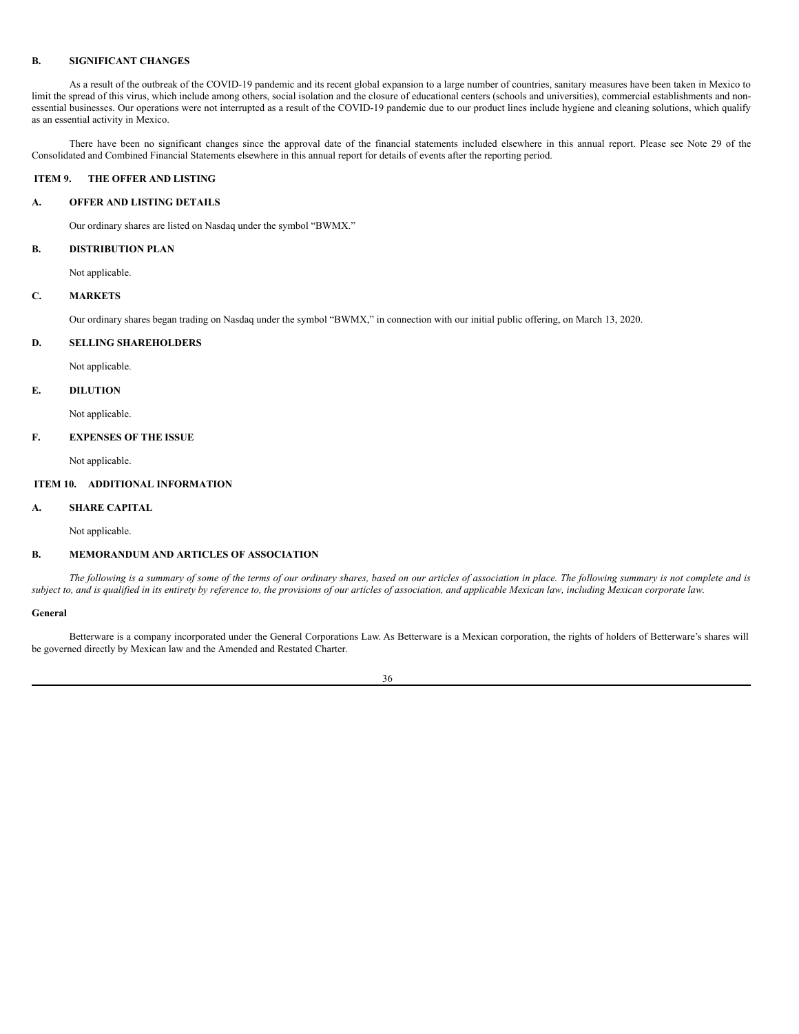## **B. SIGNIFICANT CHANGES**

As a result of the outbreak of the COVID-19 pandemic and its recent global expansion to a large number of countries, sanitary measures have been taken in Mexico to limit the spread of this virus, which include among others, social isolation and the closure of educational centers (schools and universities), commercial establishments and nonessential businesses. Our operations were not interrupted as a result of the COVID-19 pandemic due to our product lines include hygiene and cleaning solutions, which qualify as an essential activity in Mexico.

There have been no significant changes since the approval date of the financial statements included elsewhere in this annual report. Please see Note 29 of the Consolidated and Combined Financial Statements elsewhere in this annual report for details of events after the reporting period.

# **ITEM 9. THE OFFER AND LISTING**

# **A. OFFER AND LISTING DETAILS**

Our ordinary shares are listed on Nasdaq under the symbol "BWMX."

## **B. DISTRIBUTION PLAN**

Not applicable.

## **C. MARKETS**

Our ordinary shares began trading on Nasdaq under the symbol "BWMX," in connection with our initial public offering, on March 13, 2020.

# **D. SELLING SHAREHOLDERS**

Not applicable.

### **E. DILUTION**

Not applicable.

# **F. EXPENSES OF THE ISSUE**

Not applicable.

# **ITEM 10. ADDITIONAL INFORMATION**

# **A. SHARE CAPITAL**

Not applicable.

# **B. MEMORANDUM AND ARTICLES OF ASSOCIATION**

The following is a summary of some of the terms of our ordinary shares, based on our articles of association in place. The following summary is not complete and is subject to, and is qualified in its entirety by reference to, the provisions of our articles of association, and applicable Mexican law, including Mexican corporate law.

## **General**

Betterware is a company incorporated under the General Corporations Law. As Betterware is a Mexican corporation, the rights of holders of Betterware's shares will be governed directly by Mexican law and the Amended and Restated Charter.

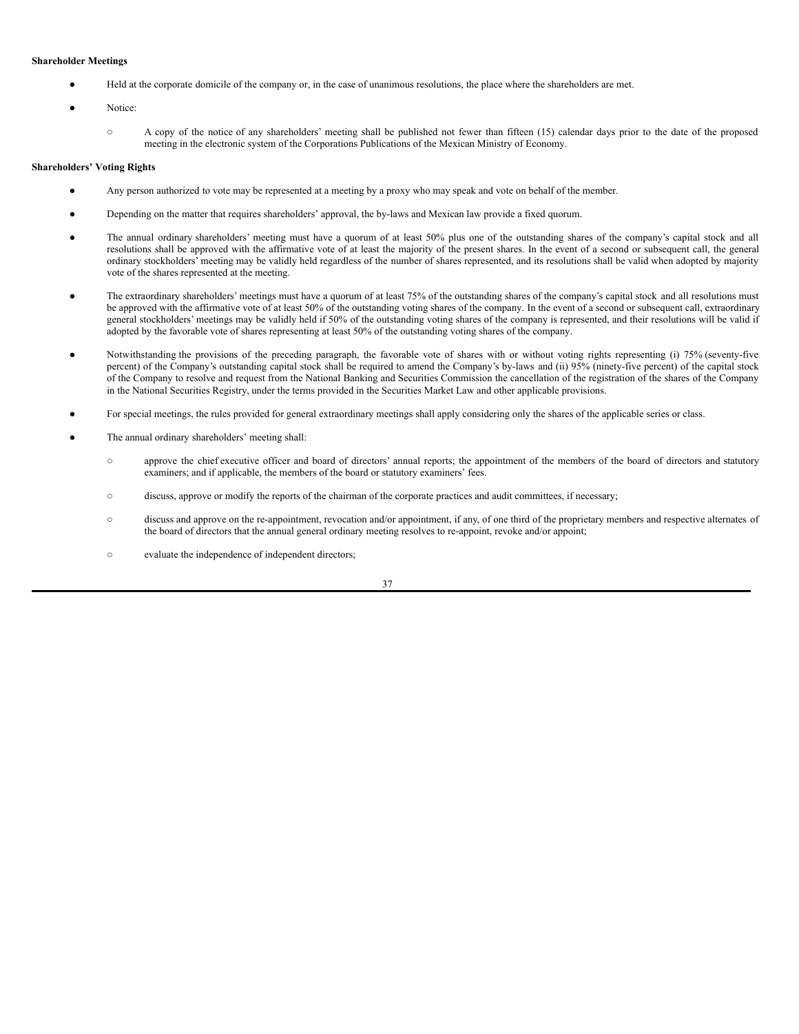## **Shareholder Meetings**

- Held at the corporate domicile of the company or, in the case of unanimous resolutions, the place where the shareholders are met.
- Notice:
	- A copy of the notice of any shareholders' meeting shall be published not fewer than fifteen (15) calendar days prior to the date of the proposed meeting in the electronic system of the Corporations Publications of the Mexican Ministry of Economy.

## **Shareholders' Voting Rights**

- Any person authorized to vote may be represented at a meeting by a proxy who may speak and vote on behalf of the member.
- Depending on the matter that requires shareholders' approval, the by-laws and Mexican law provide a fixed quorum.
- The annual ordinary shareholders' meeting must have a quorum of at least 50% plus one of the outstanding shares of the company's capital stock and all resolutions shall be approved with the affirmative vote of at least the majority of the present shares. In the event of a second or subsequent call, the general ordinary stockholders' meeting may be validly held regardless of the number of shares represented, and its resolutions shall be valid when adopted by majority vote of the shares represented at the meeting.
- The extraordinary shareholders' meetings must have a quorum of at least 75% of the outstanding shares of the company's capital stock and all resolutions must be approved with the affirmative vote of at least 50% of the outstanding voting shares of the company. In the event of a second or subsequent call, extraordinary general stockholders' meetings may be validly held if 50% of the outstanding voting shares of the company is represented, and their resolutions will be valid if adopted by the favorable vote of shares representing at least 50% of the outstanding voting shares of the company.
- Notwithstanding the provisions of the preceding paragraph, the favorable vote of shares with or without voting rights representing (i) 75% (seventy-five percent) of the Company's outstanding capital stock shall be required to amend the Company's by-laws and (ii) 95% (ninety-five percent) of the capital stock of the Company to resolve and request from the National Banking and Securities Commission the cancellation of the registration of the shares of the Company in the National Securities Registry, under the terms provided in the Securities Market Law and other applicable provisions.
- For special meetings, the rules provided for general extraordinary meetings shall apply considering only the shares of the applicable series or class.
- The annual ordinary shareholders' meeting shall:
	- approve the chief executive officer and board of directors' annual reports; the appointment of the members of the board of directors and statutory examiners; and if applicable, the members of the board or statutory examiners' fees.
	- discuss, approve or modify the reports of the chairman of the corporate practices and audit committees, if necessary;
	- discuss and approve on the re-appointment, revocation and/or appointment, if any, of one third of the proprietary members and respective alternates of the board of directors that the annual general ordinary meeting resolves to re-appoint, revoke and/or appoint;
	- evaluate the independence of independent directors;

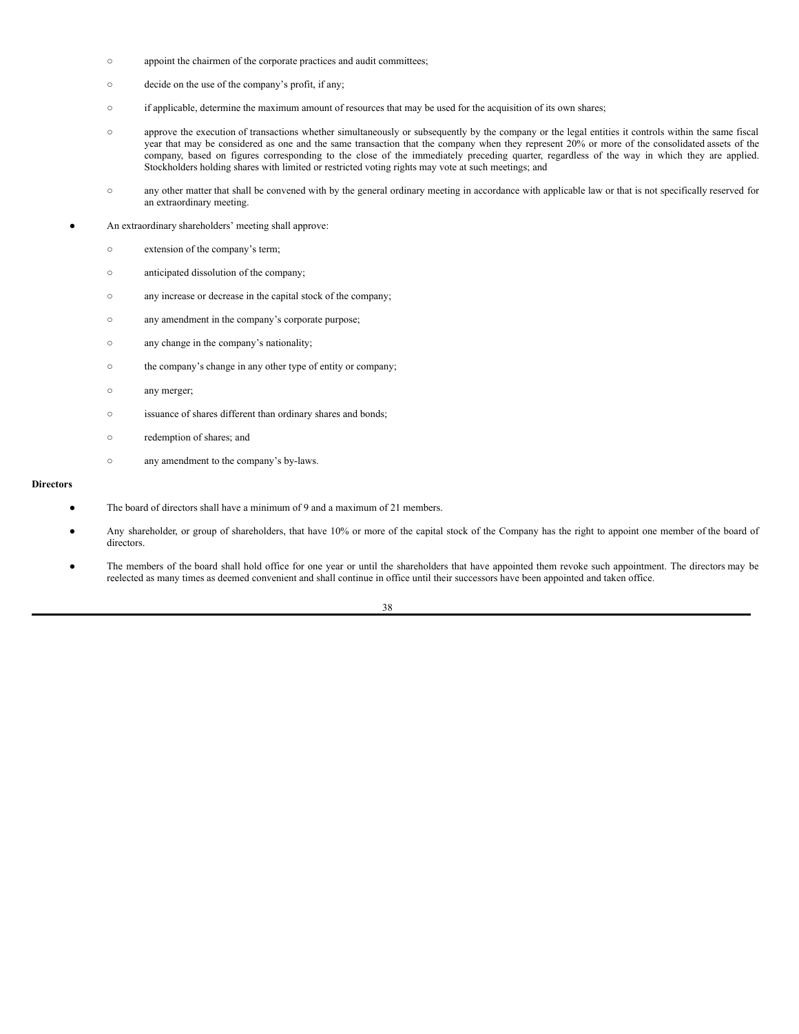- appoint the chairmen of the corporate practices and audit committees;
- decide on the use of the company's profit, if any;
- if applicable, determine the maximum amount of resources that may be used for the acquisition of its own shares;
- approve the execution of transactions whether simultaneously or subsequently by the company or the legal entities it controls within the same fiscal year that may be considered as one and the same transaction that the company when they represent 20% or more of the consolidated assets of the company, based on figures corresponding to the close of the immediately preceding quarter, regardless of the way in which they are applied. Stockholders holding shares with limited or restricted voting rights may vote at such meetings; and
- any other matter that shall be convened with by the general ordinary meeting in accordance with applicable law or that is not specifically reserved for an extraordinary meeting.
- An extraordinary shareholders' meeting shall approve:
	- extension of the company's term;
	- anticipated dissolution of the company;
	- any increase or decrease in the capital stock of the company;
	- any amendment in the company's corporate purpose;
	- any change in the company's nationality;
	- the company's change in any other type of entity or company;
	- any merger;
	- issuance of shares different than ordinary shares and bonds;
	- redemption of shares; and
	- any amendment to the company's by-laws.

#### **Directors**

- The board of directors shall have a minimum of 9 and a maximum of 21 members.
- Any shareholder, or group of shareholders, that have 10% or more of the capital stock of the Company has the right to appoint one member of the board of directors.
- The members of the board shall hold office for one year or until the shareholders that have appointed them revoke such appointment. The directors may be reelected as many times as deemed convenient and shall continue in office until their successors have been appointed and taken office.

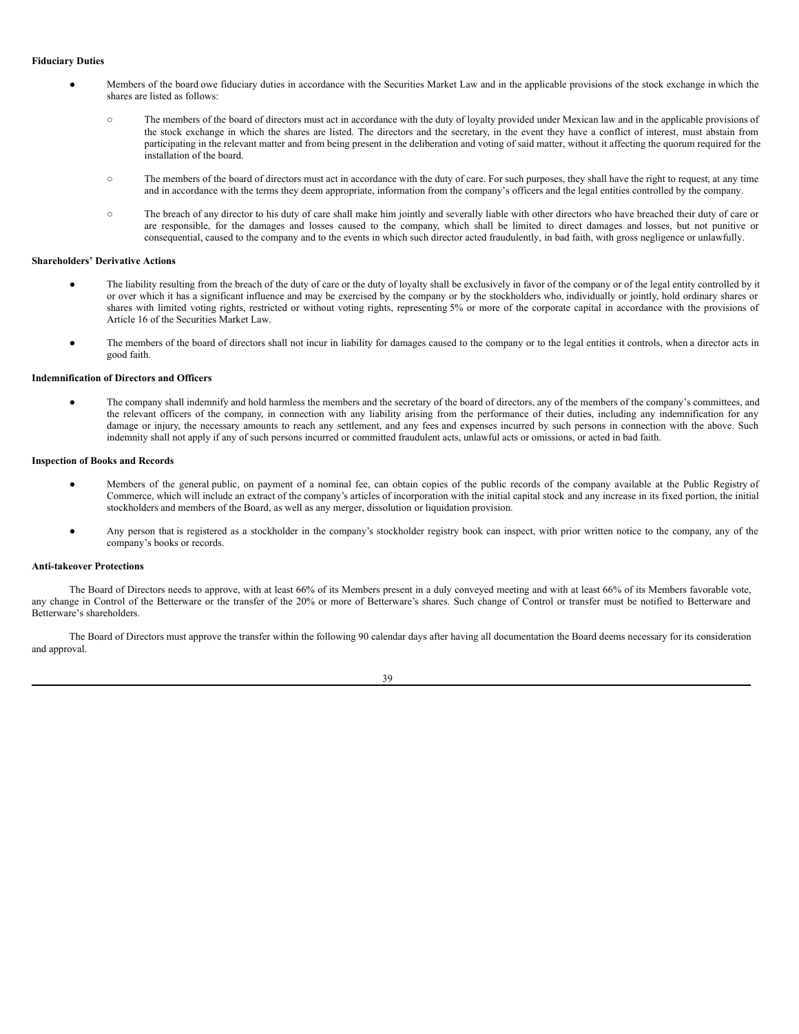### **Fiduciary Duties**

- Members of the board owe fiduciary duties in accordance with the Securities Market Law and in the applicable provisions of the stock exchange in which the shares are listed as follows:
	- The members of the board of directors must act in accordance with the duty of loyalty provided under Mexican law and in the applicable provisions of the stock exchange in which the shares are listed. The directors and the secretary, in the event they have a conflict of interest, must abstain from participating in the relevant matter and from being present in the deliberation and voting of said matter, without it affecting the quorum required for the installation of the board.
	- The members of the board of directors must act in accordance with the duty of care. For such purposes, they shall have the right to request, at any time and in accordance with the terms they deem appropriate, information from the company's officers and the legal entities controlled by the company.
	- The breach of any director to his duty of care shall make him jointly and severally liable with other directors who have breached their duty of care or are responsible, for the damages and losses caused to the company, which shall be limited to direct damages and losses, but not punitive or consequential, caused to the company and to the events in which such director acted fraudulently, in bad faith, with gross negligence or unlawfully.

## **Shareholders' Derivative Actions**

- The liability resulting from the breach of the duty of care or the duty of loyalty shall be exclusively in favor of the company or of the legal entity controlled by it or over which it has a significant influence and may be exercised by the company or by the stockholders who, individually or jointly, hold ordinary shares or shares with limited voting rights, restricted or without voting rights, representing 5% or more of the corporate capital in accordance with the provisions of Article 16 of the Securities Market Law.
- The members of the board of directors shall not incur in liability for damages caused to the company or to the legal entities it controls, when a director acts in good faith.

## **Indemnification of Directors and Officers**

The company shall indemnify and hold harmless the members and the secretary of the board of directors, any of the members of the company's committees, and the relevant officers of the company, in connection with any liability arising from the performance of their duties, including any indemnification for any damage or injury, the necessary amounts to reach any settlement, and any fees and expenses incurred by such persons in connection with the above. Such indemnity shall not apply if any of such persons incurred or committed fraudulent acts, unlawful acts or omissions, or acted in bad faith.

### **Inspection of Books and Records**

- Members of the general public, on payment of a nominal fee, can obtain copies of the public records of the company available at the Public Registry of Commerce, which will include an extract of the company's articles of incorporation with the initial capital stock and any increase in its fixed portion, the initial stockholders and members of the Board, as well as any merger, dissolution or liquidation provision.
- Any person that is registered as a stockholder in the company's stockholder registry book can inspect, with prior written notice to the company, any of the company's books or records.

# **Anti-takeover Protections**

The Board of Directors needs to approve, with at least 66% of its Members present in a duly conveyed meeting and with at least 66% of its Members favorable vote, any change in Control of the Betterware or the transfer of the 20% or more of Betterware's shares. Such change of Control or transfer must be notified to Betterware and Betterware's shareholders.

The Board of Directors must approve the transfer within the following 90 calendar days after having all documentation the Board deems necessary for its consideration and approval.

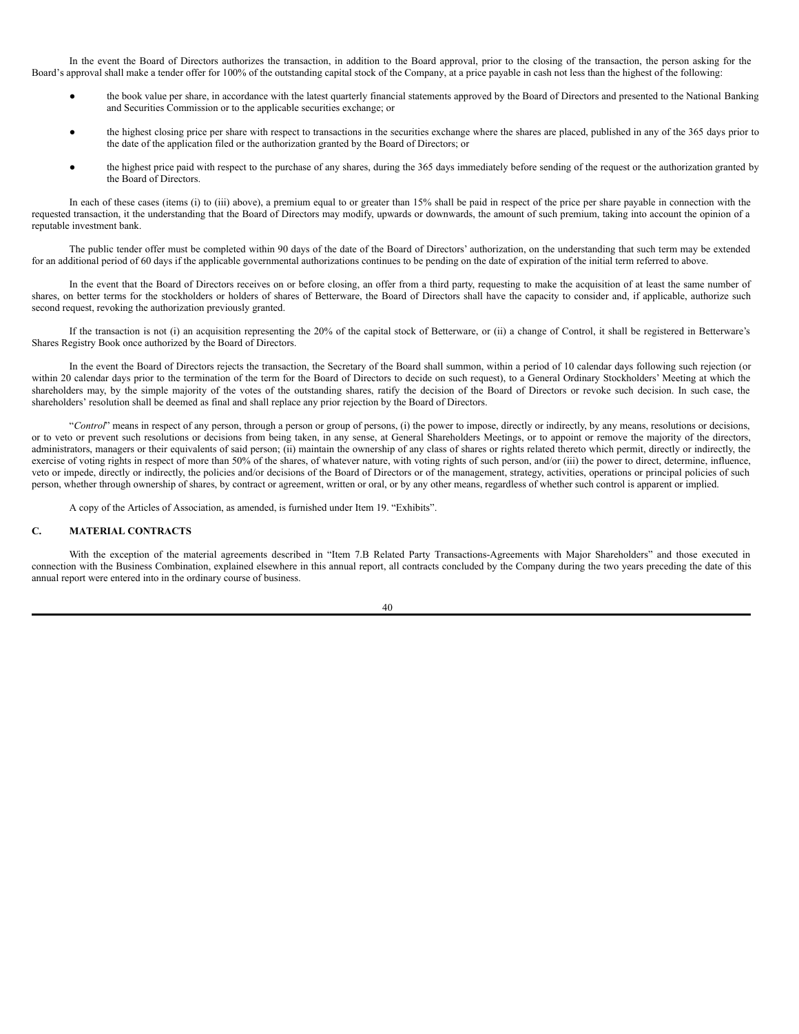In the event the Board of Directors authorizes the transaction, in addition to the Board approval, prior to the closing of the transaction, the person asking for the Board's approval shall make a tender offer for 100% of the outstanding capital stock of the Company, at a price payable in cash not less than the highest of the following:

- the book value per share, in accordance with the latest quarterly financial statements approved by the Board of Directors and presented to the National Banking and Securities Commission or to the applicable securities exchange; or
- the highest closing price per share with respect to transactions in the securities exchange where the shares are placed, published in any of the 365 days prior to the date of the application filed or the authorization granted by the Board of Directors; or
- the highest price paid with respect to the purchase of any shares, during the 365 days immediately before sending of the request or the authorization granted by the Board of Directors.

In each of these cases (items (i) to (iii) above), a premium equal to or greater than 15% shall be paid in respect of the price per share payable in connection with the requested transaction, it the understanding that the Board of Directors may modify, upwards or downwards, the amount of such premium, taking into account the opinion of a reputable investment bank.

The public tender offer must be completed within 90 days of the date of the Board of Directors' authorization, on the understanding that such term may be extended for an additional period of 60 days if the applicable governmental authorizations continues to be pending on the date of expiration of the initial term referred to above.

In the event that the Board of Directors receives on or before closing, an offer from a third party, requesting to make the acquisition of at least the same number of shares, on better terms for the stockholders or holders of shares of Betterware, the Board of Directors shall have the capacity to consider and, if applicable, authorize such second request, revoking the authorization previously granted.

If the transaction is not (i) an acquisition representing the 20% of the capital stock of Betterware, or (ii) a change of Control, it shall be registered in Betterware's Shares Registry Book once authorized by the Board of Directors.

In the event the Board of Directors rejects the transaction, the Secretary of the Board shall summon, within a period of 10 calendar days following such rejection (or within 20 calendar days prior to the termination of the term for the Board of Directors to decide on such request), to a General Ordinary Stockholders' Meeting at which the shareholders may, by the simple majority of the votes of the outstanding shares, ratify the decision of the Board of Directors or revoke such decision. In such case, the shareholders' resolution shall be deemed as final and shall replace any prior rejection by the Board of Directors.

"*Control*" means in respect of any person, through a person or group of persons, (i) the power to impose, directly or indirectly, by any means, resolutions or decisions, or to veto or prevent such resolutions or decisions from being taken, in any sense, at General Shareholders Meetings, or to appoint or remove the majority of the directors, administrators, managers or their equivalents of said person; (ii) maintain the ownership of any class of shares or rights related thereto which permit, directly or indirectly, the exercise of voting rights in respect of more than 50% of the shares, of whatever nature, with voting rights of such person, and/or (iii) the power to direct, determine, influence, veto or impede, directly or indirectly, the policies and/or decisions of the Board of Directors or of the management, strategy, activities, operations or principal policies of such person, whether through ownership of shares, by contract or agreement, written or oral, or by any other means, regardless of whether such control is apparent or implied.

A copy of the Articles of Association, as amended, is furnished under Item 19. "Exhibits".

# **C. MATERIAL CONTRACTS**

With the exception of the material agreements described in "Item 7.B Related Party Transactions-Agreements with Major Shareholders" and those executed in connection with the Business Combination, explained elsewhere in this annual report, all contracts concluded by the Company during the two years preceding the date of this annual report were entered into in the ordinary course of business.

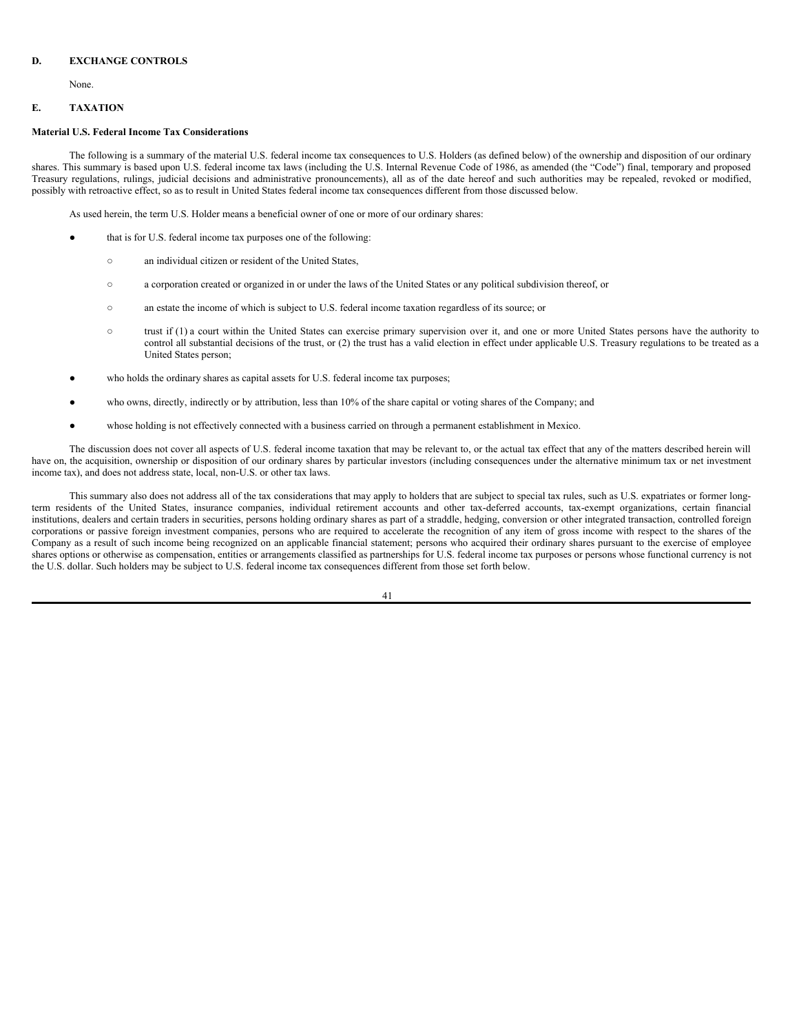## **D. EXCHANGE CONTROLS**

None.

# **E. TAXATION**

# **Material U.S. Federal Income Tax Considerations**

The following is a summary of the material U.S. federal income tax consequences to U.S. Holders (as defined below) of the ownership and disposition of our ordinary shares. This summary is based upon U.S. federal income tax laws (including the U.S. Internal Revenue Code of 1986, as amended (the "Code") final, temporary and proposed Treasury regulations, rulings, judicial decisions and administrative pronouncements), all as of the date hereof and such authorities may be repealed, revoked or modified, possibly with retroactive effect, so as to result in United States federal income tax consequences different from those discussed below.

As used herein, the term U.S. Holder means a beneficial owner of one or more of our ordinary shares:

- that is for U.S. federal income tax purposes one of the following:
	- an individual citizen or resident of the United States,
	- a corporation created or organized in or under the laws of the United States or any political subdivision thereof, or
	- an estate the income of which is subject to U.S. federal income taxation regardless of its source; or
	- trust if (1) a court within the United States can exercise primary supervision over it, and one or more United States persons have the authority to control all substantial decisions of the trust, or (2) the trust has a valid election in effect under applicable U.S. Treasury regulations to be treated as a United States person;
- who holds the ordinary shares as capital assets for U.S. federal income tax purposes;
- who owns, directly, indirectly or by attribution, less than 10% of the share capital or voting shares of the Company; and
- whose holding is not effectively connected with a business carried on through a permanent establishment in Mexico.

The discussion does not cover all aspects of U.S. federal income taxation that may be relevant to, or the actual tax effect that any of the matters described herein will have on, the acquisition, ownership or disposition of our ordinary shares by particular investors (including consequences under the alternative minimum tax or net investment income tax), and does not address state, local, non-U.S. or other tax laws.

This summary also does not address all of the tax considerations that may apply to holders that are subject to special tax rules, such as U.S. expatriates or former longterm residents of the United States, insurance companies, individual retirement accounts and other tax-deferred accounts, tax-exempt organizations, certain financial institutions, dealers and certain traders in securities, persons holding ordinary shares as part of a straddle, hedging, conversion or other integrated transaction, controlled foreign corporations or passive foreign investment companies, persons who are required to accelerate the recognition of any item of gross income with respect to the shares of the Company as a result of such income being recognized on an applicable financial statement; persons who acquired their ordinary shares pursuant to the exercise of employee shares options or otherwise as compensation, entities or arrangements classified as partnerships for U.S. federal income tax purposes or persons whose functional currency is not the U.S. dollar. Such holders may be subject to U.S. federal income tax consequences different from those set forth below.

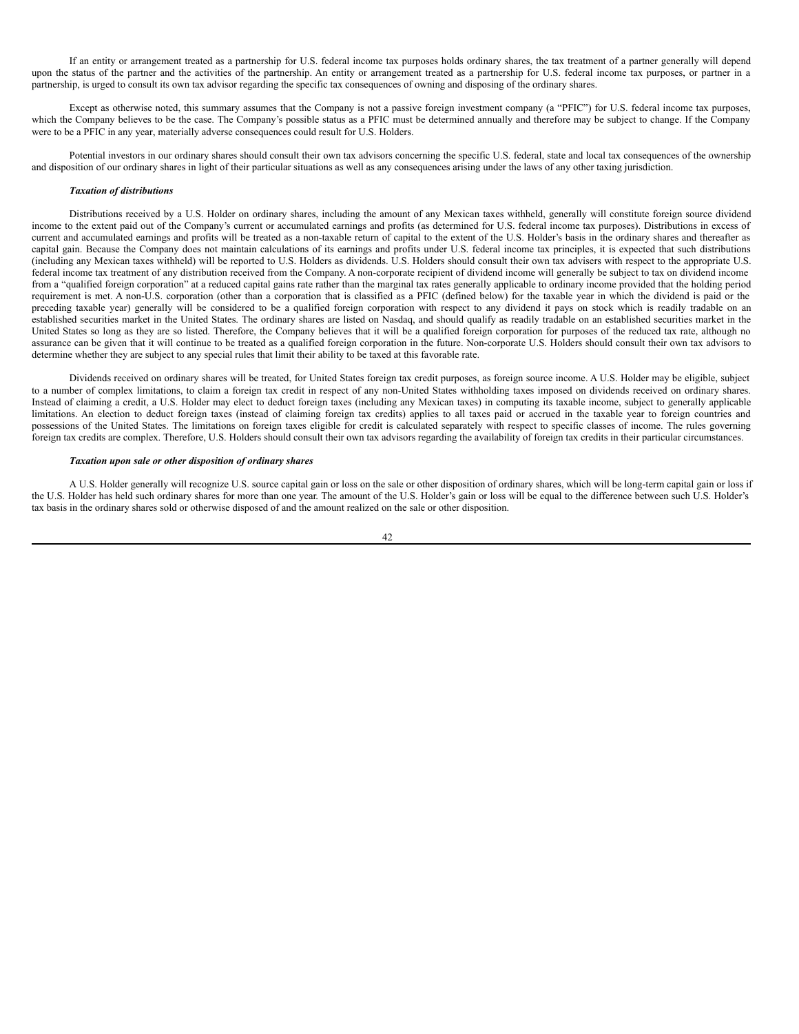If an entity or arrangement treated as a partnership for U.S. federal income tax purposes holds ordinary shares, the tax treatment of a partner generally will depend upon the status of the partner and the activities of the partnership. An entity or arrangement treated as a partnership for U.S. federal income tax purposes, or partner in a partnership, is urged to consult its own tax advisor regarding the specific tax consequences of owning and disposing of the ordinary shares.

Except as otherwise noted, this summary assumes that the Company is not a passive foreign investment company (a "PFIC") for U.S. federal income tax purposes, which the Company believes to be the case. The Company's possible status as a PFIC must be determined annually and therefore may be subject to change. If the Company were to be a PFIC in any year, materially adverse consequences could result for U.S. Holders.

Potential investors in our ordinary shares should consult their own tax advisors concerning the specific U.S. federal, state and local tax consequences of the ownership and disposition of our ordinary shares in light of their particular situations as well as any consequences arising under the laws of any other taxing jurisdiction.

## *Taxation of distributions*

Distributions received by a U.S. Holder on ordinary shares, including the amount of any Mexican taxes withheld, generally will constitute foreign source dividend income to the extent paid out of the Company's current or accumulated earnings and profits (as determined for U.S. federal income tax purposes). Distributions in excess of current and accumulated earnings and profits will be treated as a non-taxable return of capital to the extent of the U.S. Holder's basis in the ordinary shares and thereafter as capital gain. Because the Company does not maintain calculations of its earnings and profits under U.S. federal income tax principles, it is expected that such distributions (including any Mexican taxes withheld) will be reported to U.S. Holders as dividends. U.S. Holders should consult their own tax advisers with respect to the appropriate U.S. federal income tax treatment of any distribution received from the Company. A non-corporate recipient of dividend income will generally be subject to tax on dividend income from a "qualified foreign corporation" at a reduced capital gains rate rather than the marginal tax rates generally applicable to ordinary income provided that the holding period requirement is met. A non-U.S. corporation (other than a corporation that is classified as a PFIC (defined below) for the taxable year in which the dividend is paid or the preceding taxable year) generally will be considered to be a qualified foreign corporation with respect to any dividend it pays on stock which is readily tradable on an established securities market in the United States. The ordinary shares are listed on Nasdaq, and should qualify as readily tradable on an established securities market in the United States so long as they are so listed. Therefore, the Company believes that it will be a qualified foreign corporation for purposes of the reduced tax rate, although no assurance can be given that it will continue to be treated as a qualified foreign corporation in the future. Non-corporate U.S. Holders should consult their own tax advisors to determine whether they are subject to any special rules that limit their ability to be taxed at this favorable rate.

Dividends received on ordinary shares will be treated, for United States foreign tax credit purposes, as foreign source income. A U.S. Holder may be eligible, subject to a number of complex limitations, to claim a foreign tax credit in respect of any non-United States withholding taxes imposed on dividends received on ordinary shares. Instead of claiming a credit, a U.S. Holder may elect to deduct foreign taxes (including any Mexican taxes) in computing its taxable income, subject to generally applicable limitations. An election to deduct foreign taxes (instead of claiming foreign tax credits) applies to all taxes paid or accrued in the taxable year to foreign countries and possessions of the United States. The limitations on foreign taxes eligible for credit is calculated separately with respect to specific classes of income. The rules governing foreign tax credits are complex. Therefore, U.S. Holders should consult their own tax advisors regarding the availability of foreign tax credits in their particular circumstances.

## *Taxation upon sale or other disposition of ordinary shares*

A U.S. Holder generally will recognize U.S. source capital gain or loss on the sale or other disposition of ordinary shares, which will be long-term capital gain or loss if the U.S. Holder has held such ordinary shares for more than one year. The amount of the U.S. Holder's gain or loss will be equal to the difference between such U.S. Holder's tax basis in the ordinary shares sold or otherwise disposed of and the amount realized on the sale or other disposition.

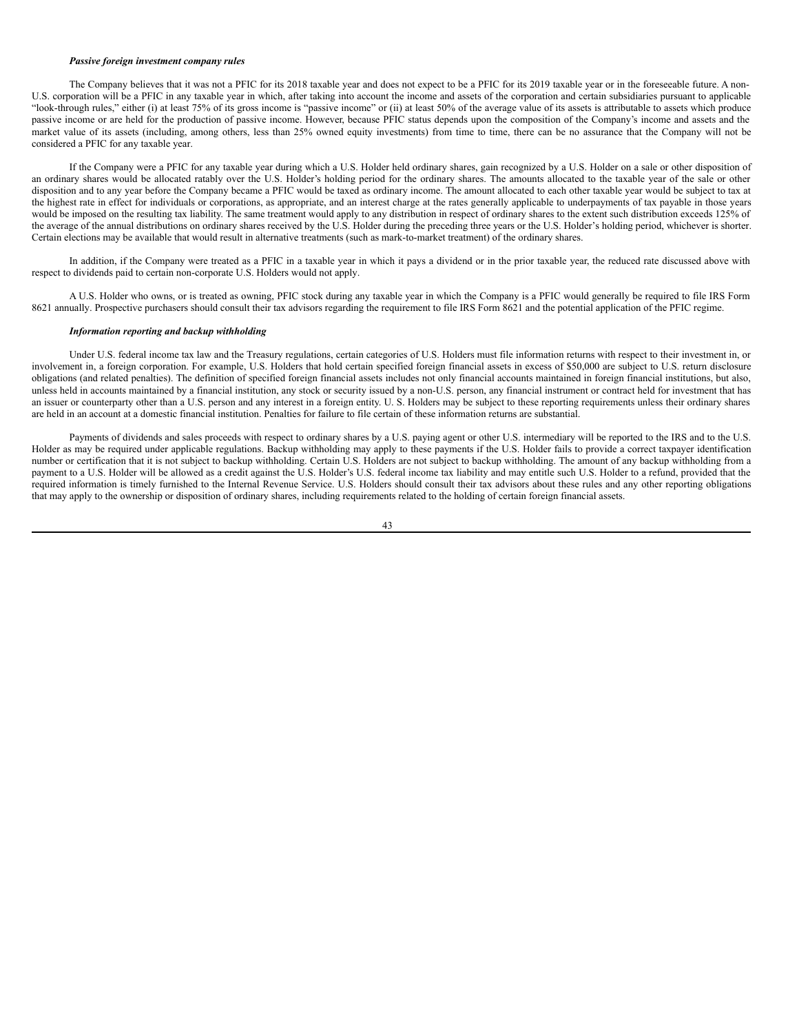#### *Passive foreign investment company rules*

The Company believes that it was not a PFIC for its 2018 taxable year and does not expect to be a PFIC for its 2019 taxable year or in the foreseeable future. A non-U.S. corporation will be a PFIC in any taxable year in which, after taking into account the income and assets of the corporation and certain subsidiaries pursuant to applicable "look-through rules," either (i) at least 75% of its gross income is "passive income" or (ii) at least 50% of the average value of its assets is attributable to assets which produce passive income or are held for the production of passive income. However, because PFIC status depends upon the composition of the Company's income and assets and the market value of its assets (including, among others, less than 25% owned equity investments) from time to time, there can be no assurance that the Company will not be considered a PFIC for any taxable year.

If the Company were a PFIC for any taxable year during which a U.S. Holder held ordinary shares, gain recognized by a U.S. Holder on a sale or other disposition of an ordinary shares would be allocated ratably over the U.S. Holder's holding period for the ordinary shares. The amounts allocated to the taxable year of the sale or other disposition and to any year before the Company became a PFIC would be taxed as ordinary income. The amount allocated to each other taxable year would be subject to tax at the highest rate in effect for individuals or corporations, as appropriate, and an interest charge at the rates generally applicable to underpayments of tax payable in those years would be imposed on the resulting tax liability. The same treatment would apply to any distribution in respect of ordinary shares to the extent such distribution exceeds 125% of the average of the annual distributions on ordinary shares received by the U.S. Holder during the preceding three years or the U.S. Holder's holding period, whichever is shorter. Certain elections may be available that would result in alternative treatments (such as mark-to-market treatment) of the ordinary shares.

In addition, if the Company were treated as a PFIC in a taxable year in which it pays a dividend or in the prior taxable year, the reduced rate discussed above with respect to dividends paid to certain non-corporate U.S. Holders would not apply.

A U.S. Holder who owns, or is treated as owning, PFIC stock during any taxable year in which the Company is a PFIC would generally be required to file IRS Form 8621 annually. Prospective purchasers should consult their tax advisors regarding the requirement to file IRS Form 8621 and the potential application of the PFIC regime.

## *Information reporting and backup withholding*

Under U.S. federal income tax law and the Treasury regulations, certain categories of U.S. Holders must file information returns with respect to their investment in, or involvement in, a foreign corporation. For example, U.S. Holders that hold certain specified foreign financial assets in excess of \$50,000 are subject to U.S. return disclosure obligations (and related penalties). The definition of specified foreign financial assets includes not only financial accounts maintained in foreign financial institutions, but also, unless held in accounts maintained by a financial institution, any stock or security issued by a non-U.S. person, any financial instrument or contract held for investment that has an issuer or counterparty other than a U.S. person and any interest in a foreign entity. U.S. Holders may be subject to these reporting requirements unless their ordinary shares are held in an account at a domestic financial institution. Penalties for failure to file certain of these information returns are substantial.

Payments of dividends and sales proceeds with respect to ordinary shares by a U.S. paying agent or other U.S. intermediary will be reported to the IRS and to the U.S. Holder as may be required under applicable regulations. Backup withholding may apply to these payments if the U.S. Holder fails to provide a correct taxpayer identification number or certification that it is not subject to backup withholding. Certain U.S. Holders are not subject to backup withholding. The amount of any backup withholding from a payment to a U.S. Holder will be allowed as a credit against the U.S. Holder's U.S. federal income tax liability and may entitle such U.S. Holder to a refund, provided that the required information is timely furnished to the Internal Revenue Service. U.S. Holders should consult their tax advisors about these rules and any other reporting obligations that may apply to the ownership or disposition of ordinary shares, including requirements related to the holding of certain foreign financial assets.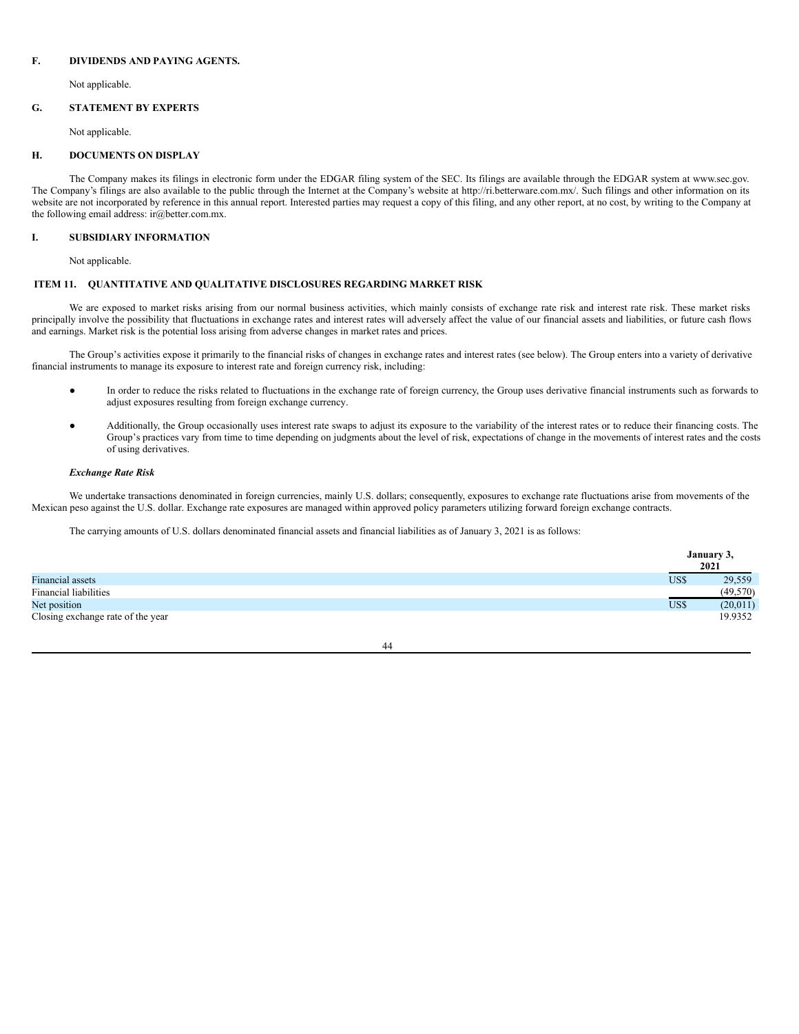## **F. DIVIDENDS AND PAYING AGENTS.**

Not applicable.

# **G. STATEMENT BY EXPERTS**

Not applicable.

## **H. DOCUMENTS ON DISPLAY**

The Company makes its filings in electronic form under the EDGAR filing system of the SEC. Its filings are available through the EDGAR system at www.sec.gov. The Company's filings are also available to the public through the Internet at the Company's website at http://ri.betterware.com.mx/. Such filings and other information on its website are not incorporated by reference in this annual report. Interested parties may request a copy of this filing, and any other report, at no cost, by writing to the Company at the following email address: ir@better.com.mx.

# **I. SUBSIDIARY INFORMATION**

Not applicable.

# **ITEM 11. QUANTITATIVE AND QUALITATIVE DISCLOSURES REGARDING MARKET RISK**

We are exposed to market risks arising from our normal business activities, which mainly consists of exchange rate risk and interest rate risk. These market risks principally involve the possibility that fluctuations in exchange rates and interest rates will adversely affect the value of our financial assets and liabilities, or future cash flows and earnings. Market risk is the potential loss arising from adverse changes in market rates and prices.

The Group's activities expose it primarily to the financial risks of changes in exchange rates and interest rates (see below). The Group enters into a variety of derivative financial instruments to manage its exposure to interest rate and foreign currency risk, including:

- In order to reduce the risks related to fluctuations in the exchange rate of foreign currency, the Group uses derivative financial instruments such as forwards to adjust exposures resulting from foreign exchange currency.
- Additionally, the Group occasionally uses interest rate swaps to adjust its exposure to the variability of the interest rates or to reduce their financing costs. The Group's practices vary from time to time depending on judgments about the level of risk, expectations of change in the movements of interest rates and the costs of using derivatives.

## *Exchange Rate Risk*

We undertake transactions denominated in foreign currencies, mainly U.S. dollars; consequently, exposures to exchange rate fluctuations arise from movements of the Mexican peso against the U.S. dollar. Exchange rate exposures are managed within approved policy parameters utilizing forward foreign exchange contracts.

The carrying amounts of U.S. dollars denominated financial assets and financial liabilities as of January 3, 2021 is as follows:

|                                   | January 3,<br>2021 |           |
|-----------------------------------|--------------------|-----------|
| Financial assets                  | US\$               | 29,559    |
| Financial liabilities             |                    | (49, 570) |
| Net position                      | US\$               | (20,011)  |
| Closing exchange rate of the year |                    | 19.9352   |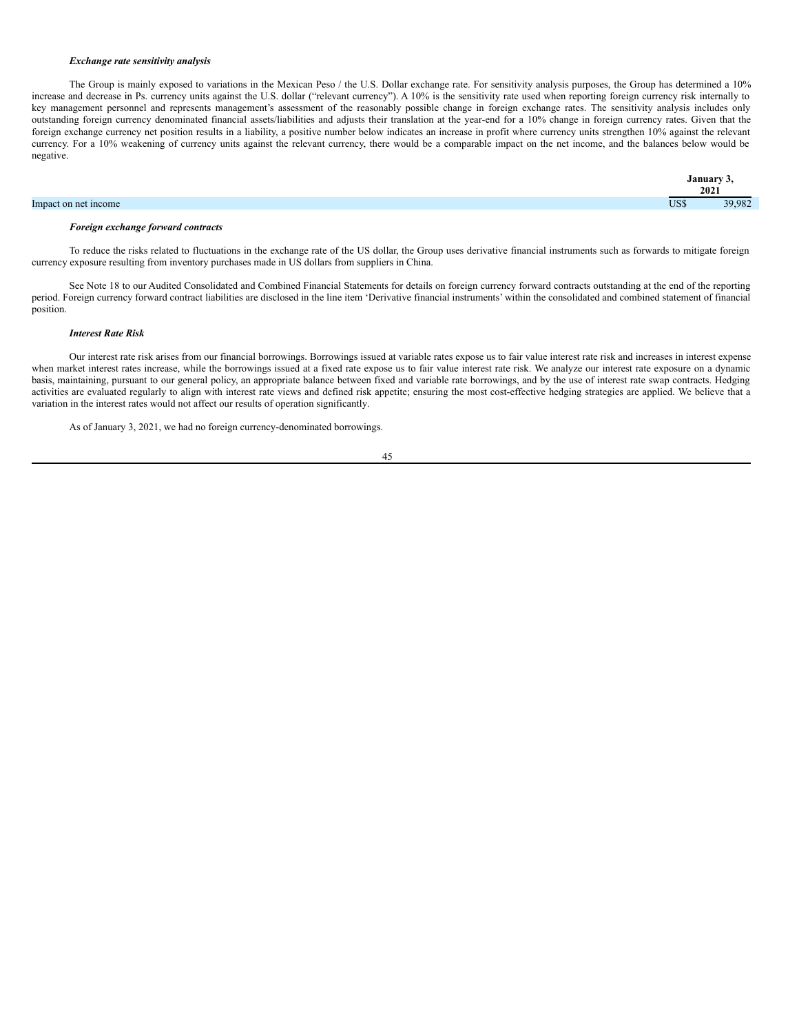#### *Exchange rate sensitivity analysis*

The Group is mainly exposed to variations in the Mexican Peso / the U.S. Dollar exchange rate. For sensitivity analysis purposes, the Group has determined a 10% increase and decrease in Ps. currency units against the U.S. dollar ("relevant currency"). A 10% is the sensitivity rate used when reporting foreign currency risk internally to key management personnel and represents management's assessment of the reasonably possible change in foreign exchange rates. The sensitivity analysis includes only outstanding foreign currency denominated financial assets/liabilities and adjusts their translation at the year-end for a 10% change in foreign currency rates. Given that the foreign exchange currency net position results in a liability, a positive number below indicates an increase in profit where currency units strengthen 10% against the relevant currency. For a 10% weakening of currency units against the relevant currency, there would be a comparable impact on the net income, and the balances below would be negative.

|                      | Januarv<br>2021 |        |
|----------------------|-----------------|--------|
| Impact on net income | US\$            | 39.982 |

### *Foreign exchange forward contracts*

To reduce the risks related to fluctuations in the exchange rate of the US dollar, the Group uses derivative financial instruments such as forwards to mitigate foreign currency exposure resulting from inventory purchases made in US dollars from suppliers in China.

See Note 18 to our Audited Consolidated and Combined Financial Statements for details on foreign currency forward contracts outstanding at the end of the reporting period. Foreign currency forward contract liabilities are disclosed in the line item 'Derivative financial instruments' within the consolidated and combined statement of financial position.

#### *Interest Rate Risk*

Our interest rate risk arises from our financial borrowings. Borrowings issued at variable rates expose us to fair value interest rate risk and increases in interest expense when market interest rates increase, while the borrowings issued at a fixed rate expose us to fair value interest rate risk. We analyze our interest rate exposure on a dynamic basis, maintaining, pursuant to our general policy, an appropriate balance between fixed and variable rate borrowings, and by the use of interest rate swap contracts. Hedging activities are evaluated regularly to align with interest rate views and defined risk appetite; ensuring the most cost-effective hedging strategies are applied. We believe that a variation in the interest rates would not affect our results of operation significantly.

As of January 3, 2021, we had no foreign currency-denominated borrowings.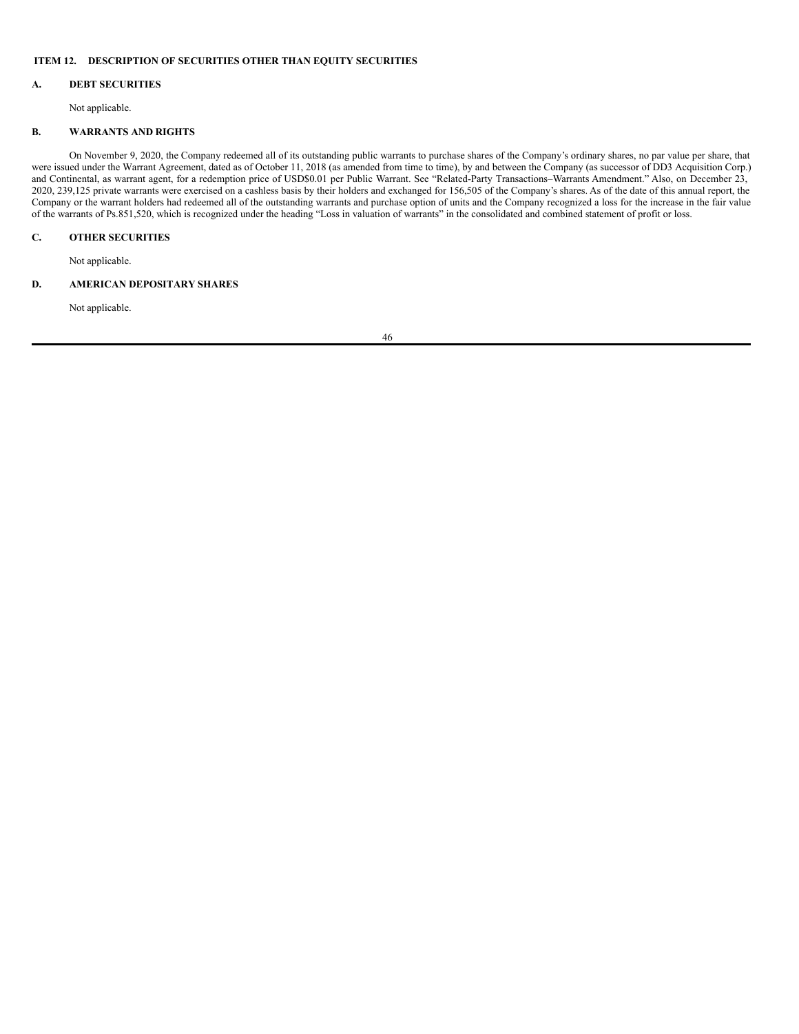# **ITEM 12. DESCRIPTION OF SECURITIES OTHER THAN EQUITY SECURITIES**

# **A. DEBT SECURITIES**

Not applicable.

# **B. WARRANTS AND RIGHTS**

On November 9, 2020, the Company redeemed all of its outstanding public warrants to purchase shares of the Company's ordinary shares, no par value per share, that were issued under the Warrant Agreement, dated as of October 11, 2018 (as amended from time to time), by and between the Company (as successor of DD3 Acquisition Corp.) and Continental, as warrant agent, for a redemption price of USD\$0.01 per Public Warrant. See "Related-Party Transactions–Warrants Amendment." Also, on December 23, 2020, 239,125 private warrants were exercised on a cashless basis by their holders and exchanged for 156,505 of the Company's shares. As of the date of this annual report, the Company or the warrant holders had redeemed all of the outstanding warrants and purchase option of units and the Company recognized a loss for the increase in the fair value of the warrants of Ps.851,520, which is recognized under the heading "Loss in valuation of warrants" in the consolidated and combined statement of profit or loss.

# **C. OTHER SECURITIES**

Not applicable.

# **D. AMERICAN DEPOSITARY SHARES**

Not applicable.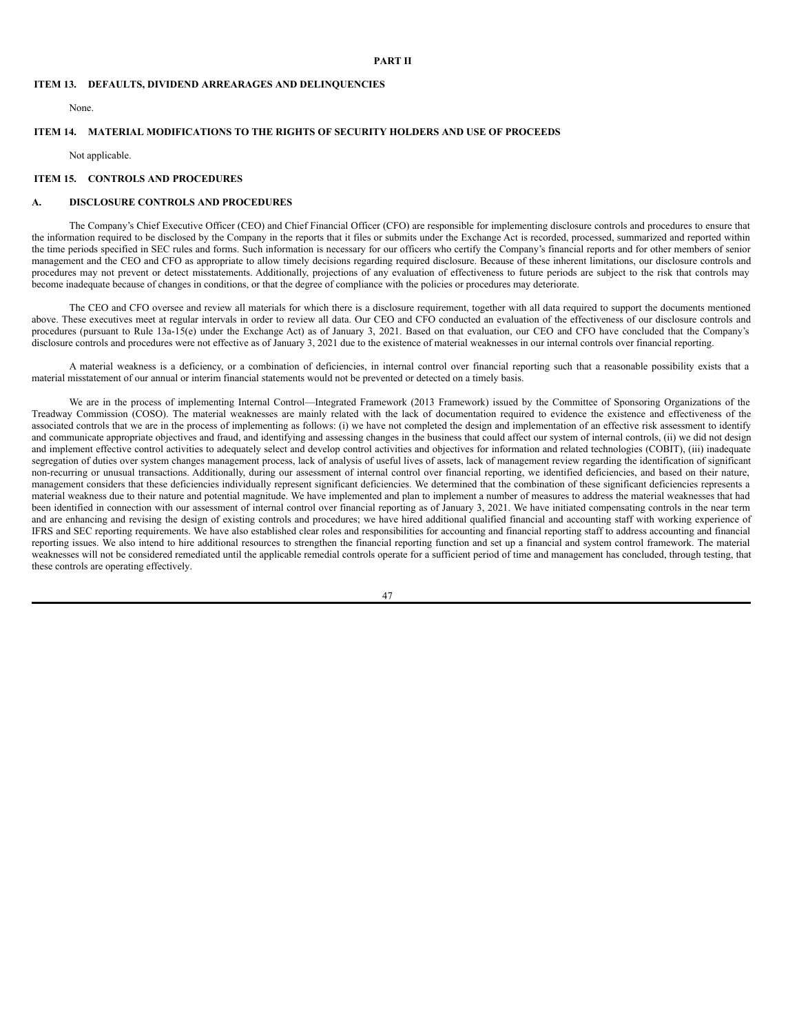#### **PART II**

# **ITEM 13. DEFAULTS, DIVIDEND ARREARAGES AND DELINQUENCIES**

None.

## **ITEM 14. MATERIAL MODIFICATIONS TO THE RIGHTS OF SECURITY HOLDERS AND USE OF PROCEEDS**

Not applicable.

### **ITEM 15. CONTROLS AND PROCEDURES**

## **A. DISCLOSURE CONTROLS AND PROCEDURES**

The Company's Chief Executive Officer (CEO) and Chief Financial Officer (CFO) are responsible for implementing disclosure controls and procedures to ensure that the information required to be disclosed by the Company in the reports that it files or submits under the Exchange Act is recorded, processed, summarized and reported within the time periods specified in SEC rules and forms. Such information is necessary for our officers who certify the Company's financial reports and for other members of senior management and the CEO and CFO as appropriate to allow timely decisions regarding required disclosure. Because of these inherent limitations, our disclosure controls and procedures may not prevent or detect misstatements. Additionally, projections of any evaluation of effectiveness to future periods are subject to the risk that controls may become inadequate because of changes in conditions, or that the degree of compliance with the policies or procedures may deteriorate.

The CEO and CFO oversee and review all materials for which there is a disclosure requirement, together with all data required to support the documents mentioned above. These executives meet at regular intervals in order to review all data. Our CEO and CFO conducted an evaluation of the effectiveness of our disclosure controls and procedures (pursuant to Rule 13a-15(e) under the Exchange Act) as of January 3, 2021. Based on that evaluation, our CEO and CFO have concluded that the Company's disclosure controls and procedures were not effective as of January 3, 2021 due to the existence of material weaknesses in our internal controls over financial reporting.

A material weakness is a deficiency, or a combination of deficiencies, in internal control over financial reporting such that a reasonable possibility exists that a material misstatement of our annual or interim financial statements would not be prevented or detected on a timely basis.

We are in the process of implementing Internal Control—Integrated Framework (2013 Framework) issued by the Committee of Sponsoring Organizations of the Treadway Commission (COSO). The material weaknesses are mainly related with the lack of documentation required to evidence the existence and effectiveness of the associated controls that we are in the process of implementing as follows: (i) we have not completed the design and implementation of an effective risk assessment to identify and communicate appropriate objectives and fraud, and identifying and assessing changes in the business that could affect our system of internal controls, (ii) we did not design and implement effective control activities to adequately select and develop control activities and objectives for information and related technologies (COBIT), (iii) inadequate segregation of duties over system changes management process, lack of analysis of useful lives of assets, lack of management review regarding the identification of significant non-recurring or unusual transactions. Additionally, during our assessment of internal control over financial reporting, we identified deficiencies, and based on their nature, management considers that these deficiencies individually represent significant deficiencies. We determined that the combination of these significant deficiencies represents a material weakness due to their nature and potential magnitude. We have implemented and plan to implement a number of measures to address the material weaknesses that had been identified in connection with our assessment of internal control over financial reporting as of January 3, 2021. We have initiated compensating controls in the near term and are enhancing and revising the design of existing controls and procedures; we have hired additional qualified financial and accounting staff with working experience of IFRS and SEC reporting requirements. We have also established clear roles and responsibilities for accounting and financial reporting staff to address accounting and financial reporting issues. We also intend to hire additional resources to strengthen the financial reporting function and set up a financial and system control framework. The material weaknesses will not be considered remediated until the applicable remedial controls operate for a sufficient period of time and management has concluded, through testing, that these controls are operating effectively.

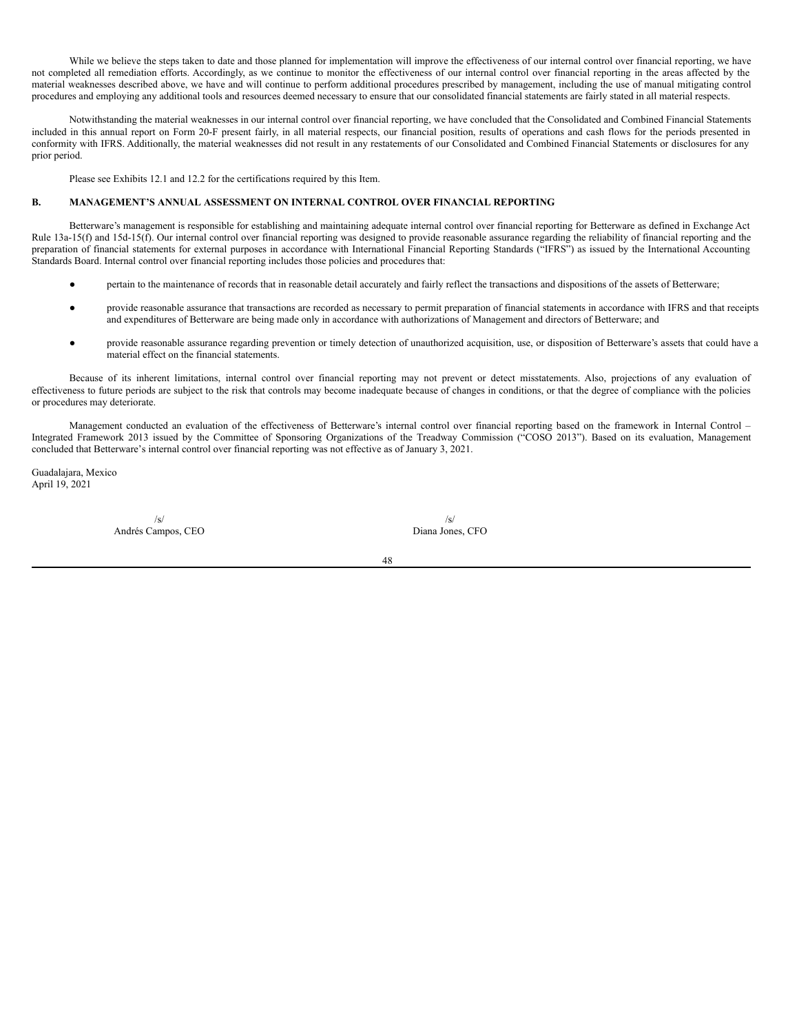While we believe the steps taken to date and those planned for implementation will improve the effectiveness of our internal control over financial reporting, we have not completed all remediation efforts. Accordingly, as we continue to monitor the effectiveness of our internal control over financial reporting in the areas affected by the material weaknesses described above, we have and will continue to perform additional procedures prescribed by management, including the use of manual mitigating control procedures and employing any additional tools and resources deemed necessary to ensure that our consolidated financial statements are fairly stated in all material respects.

Notwithstanding the material weaknesses in our internal control over financial reporting, we have concluded that the Consolidated and Combined Financial Statements included in this annual report on Form 20-F present fairly, in all material respects, our financial position, results of operations and cash flows for the periods presented in conformity with IFRS. Additionally, the material weaknesses did not result in any restatements of our Consolidated and Combined Financial Statements or disclosures for any prior period.

Please see Exhibits 12.1 and 12.2 for the certifications required by this Item.

## **B. MANAGEMENT'S ANNUAL ASSESSMENT ON INTERNAL CONTROL OVER FINANCIAL REPORTING**

Betterware's management is responsible for establishing and maintaining adequate internal control over financial reporting for Betterware as defined in Exchange Act Rule 13a-15(f) and 15d-15(f). Our internal control over financial reporting was designed to provide reasonable assurance regarding the reliability of financial reporting and the preparation of financial statements for external purposes in accordance with International Financial Reporting Standards ("IFRS") as issued by the International Accounting Standards Board. Internal control over financial reporting includes those policies and procedures that:

- pertain to the maintenance of records that in reasonable detail accurately and fairly reflect the transactions and dispositions of the assets of Betterware;
- provide reasonable assurance that transactions are recorded as necessary to permit preparation of financial statements in accordance with IFRS and that receipts and expenditures of Betterware are being made only in accordance with authorizations of Management and directors of Betterware; and
- provide reasonable assurance regarding prevention or timely detection of unauthorized acquisition, use, or disposition of Betterware's assets that could have a material effect on the financial statements.

Because of its inherent limitations, internal control over financial reporting may not prevent or detect misstatements. Also, projections of any evaluation of effectiveness to future periods are subject to the risk that controls may become inadequate because of changes in conditions, or that the degree of compliance with the policies or procedures may deteriorate.

Management conducted an evaluation of the effectiveness of Betterware's internal control over financial reporting based on the framework in Internal Control – Integrated Framework 2013 issued by the Committee of Sponsoring Organizations of the Treadway Commission ("COSO 2013"). Based on its evaluation, Management concluded that Betterware's internal control over financial reporting was not effective as of January 3, 2021.

Guadalajara, Mexico April 19, 2021

Andrés Campos, CEO Diana Jones, CFO

/s/ /s/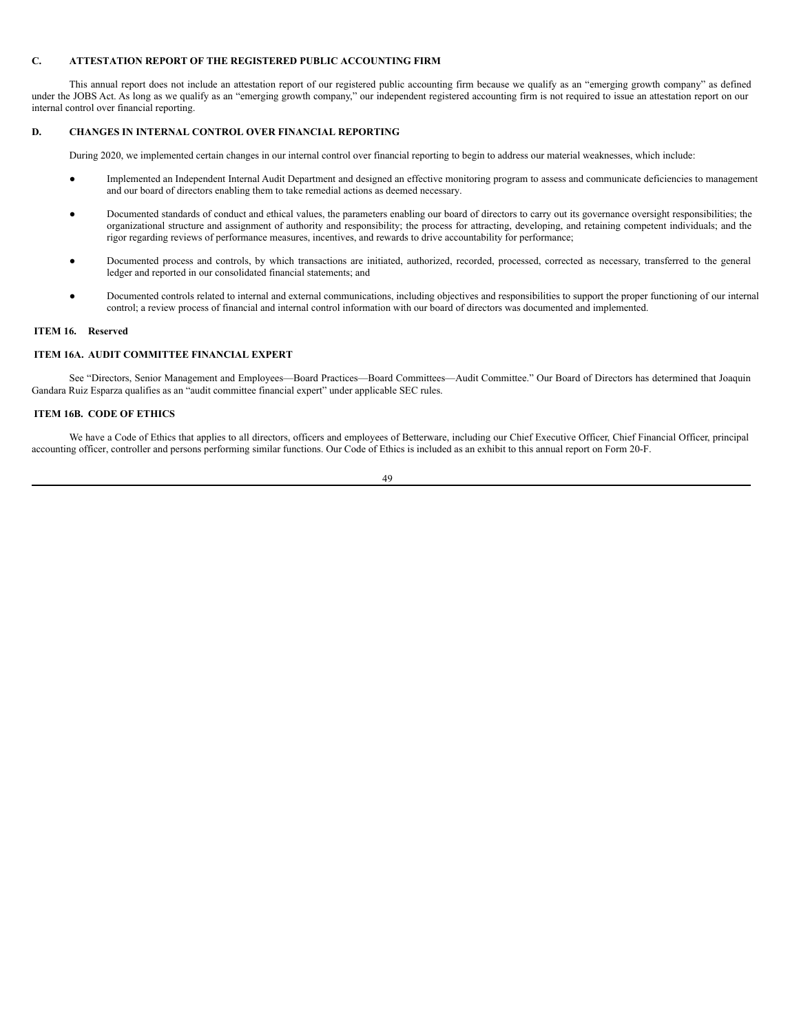## **C. ATTESTATION REPORT OF THE REGISTERED PUBLIC ACCOUNTING FIRM**

This annual report does not include an attestation report of our registered public accounting firm because we qualify as an "emerging growth company" as defined under the JOBS Act. As long as we qualify as an "emerging growth company," our independent registered accounting firm is not required to issue an attestation report on our internal control over financial reporting.

### **D. CHANGES IN INTERNAL CONTROL OVER FINANCIAL REPORTING**

During 2020, we implemented certain changes in our internal control over financial reporting to begin to address our material weaknesses, which include:

- Implemented an Independent Internal Audit Department and designed an effective monitoring program to assess and communicate deficiencies to management and our board of directors enabling them to take remedial actions as deemed necessary.
- Documented standards of conduct and ethical values, the parameters enabling our board of directors to carry out its governance oversight responsibilities; the organizational structure and assignment of authority and responsibility; the process for attracting, developing, and retaining competent individuals; and the rigor regarding reviews of performance measures, incentives, and rewards to drive accountability for performance;
- Documented process and controls, by which transactions are initiated, authorized, recorded, processed, corrected as necessary, transferred to the general ledger and reported in our consolidated financial statements; and
- Documented controls related to internal and external communications, including objectives and responsibilities to support the proper functioning of our internal control; a review process of financial and internal control information with our board of directors was documented and implemented.

# **ITEM 16. Reserved**

### **ITEM 16A. AUDIT COMMITTEE FINANCIAL EXPERT**

See "Directors, Senior Management and Employees—Board Practices—Board Committees—Audit Committee." Our Board of Directors has determined that Joaquin Gandara Ruiz Esparza qualifies as an "audit committee financial expert" under applicable SEC rules.

# **ITEM 16B. CODE OF ETHICS**

We have a Code of Ethics that applies to all directors, officers and employees of Betterware, including our Chief Executive Officer, Chief Financial Officer, principal accounting officer, controller and persons performing similar functions. Our Code of Ethics is included as an exhibit to this annual report on Form 20-F.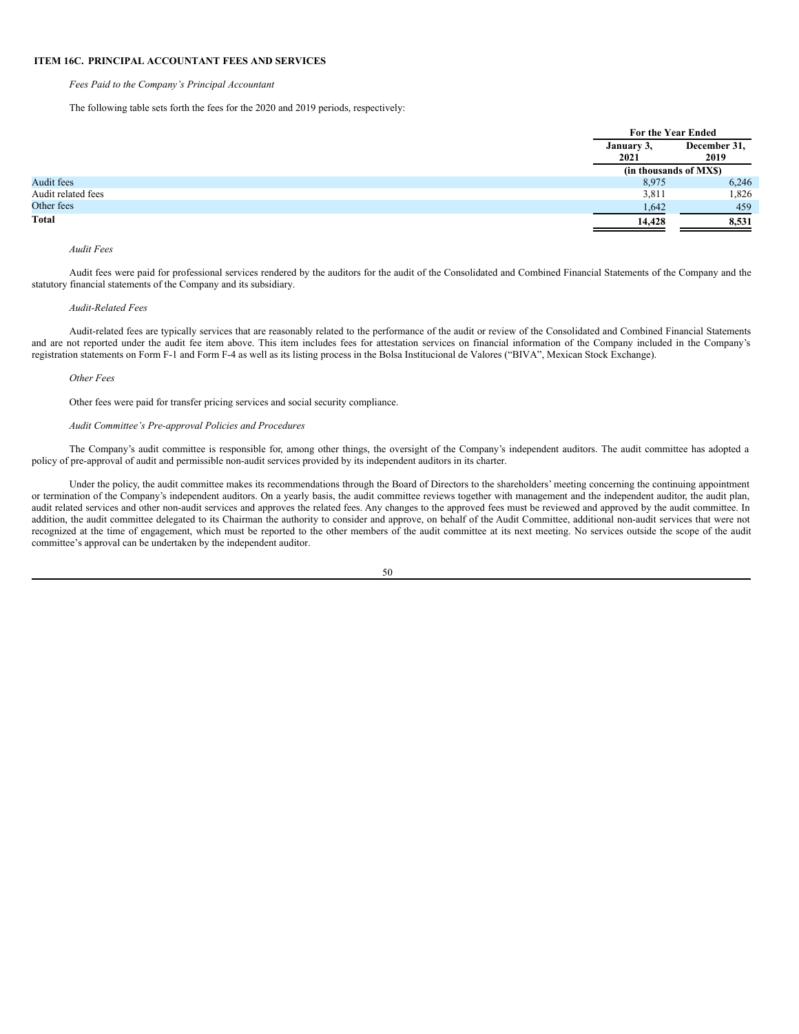### **ITEM 16C. PRINCIPAL ACCOUNTANT FEES AND SERVICES**

*Fees Paid to the Company's Principal Accountant*

The following table sets forth the fees for the 2020 and 2019 periods, respectively:

|                    | For the Year Ended                         |       |
|--------------------|--------------------------------------------|-------|
|                    | December 31,<br>January 3,<br>2021<br>2019 |       |
|                    | (in thousands of MX\$)                     |       |
| Audit fees         | 8,975                                      | 6,246 |
| Audit related fees | 3,811                                      | 1,826 |
| Other fees         | 1,642                                      | 459   |
| <b>Total</b>       | 14,428                                     | 8,531 |

# *Audit Fees*

Audit fees were paid for professional services rendered by the auditors for the audit of the Consolidated and Combined Financial Statements of the Company and the statutory financial statements of the Company and its subsidiary.

#### *Audit-Related Fees*

Audit-related fees are typically services that are reasonably related to the performance of the audit or review of the Consolidated and Combined Financial Statements and are not reported under the audit fee item above. This item includes fees for attestation services on financial information of the Company included in the Company's registration statements on Form F-1 and Form F-4 as well as its listing process in the Bolsa Institucional de Valores ("BIVA", Mexican Stock Exchange).

## *Other Fees*

Other fees were paid for transfer pricing services and social security compliance.

## *Audit Committee's Pre-approval Policies and Procedures*

The Company's audit committee is responsible for, among other things, the oversight of the Company's independent auditors. The audit committee has adopted a policy of pre-approval of audit and permissible non-audit services provided by its independent auditors in its charter.

Under the policy, the audit committee makes its recommendations through the Board of Directors to the shareholders' meeting concerning the continuing appointment or termination of the Company's independent auditors. On a yearly basis, the audit committee reviews together with management and the independent auditor, the audit plan, audit related services and other non-audit services and approves the related fees. Any changes to the approved fees must be reviewed and approved by the audit committee. In addition, the audit committee delegated to its Chairman the authority to consider and approve, on behalf of the Audit Committee, additional non-audit services that were not recognized at the time of engagement, which must be reported to the other members of the audit committee at its next meeting. No services outside the scope of the audit committee's approval can be undertaken by the independent auditor.

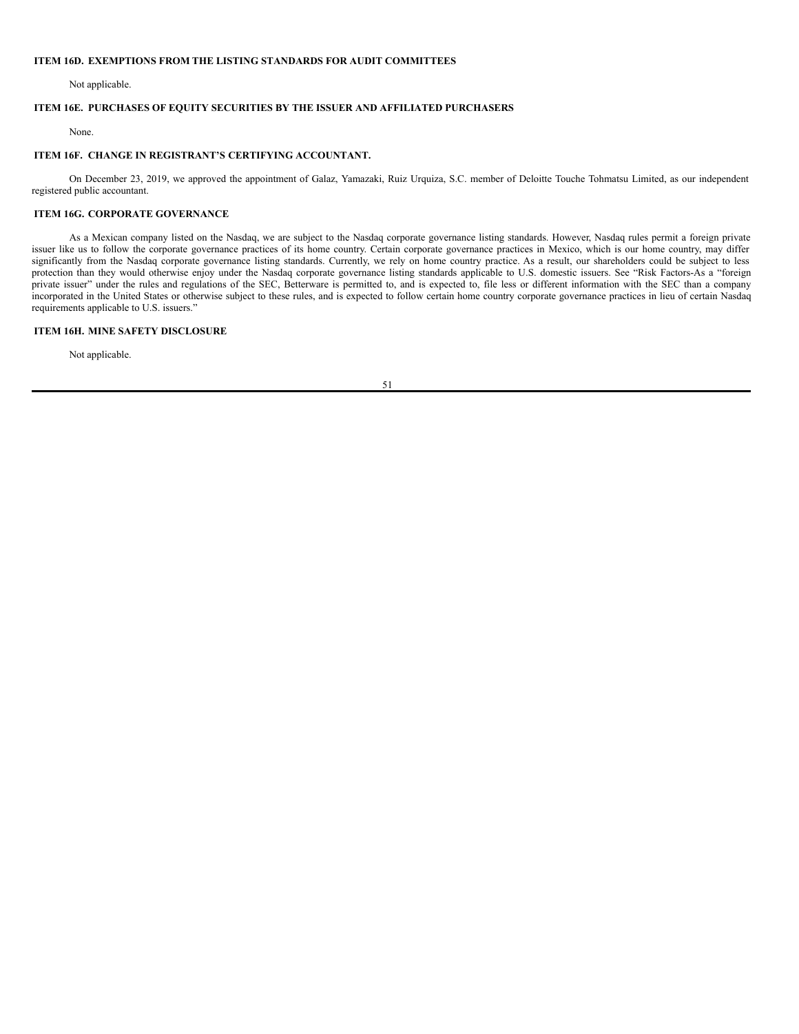# **ITEM 16D. EXEMPTIONS FROM THE LISTING STANDARDS FOR AUDIT COMMITTEES**

Not applicable.

# **ITEM 16E. PURCHASES OF EQUITY SECURITIES BY THE ISSUER AND AFFILIATED PURCHASERS**

None.

## **ITEM 16F. CHANGE IN REGISTRANT'S CERTIFYING ACCOUNTANT.**

On December 23, 2019, we approved the appointment of Galaz, Yamazaki, Ruiz Urquiza, S.C. member of Deloitte Touche Tohmatsu Limited, as our independent registered public accountant.

# **ITEM 16G. CORPORATE GOVERNANCE**

As a Mexican company listed on the Nasdaq, we are subject to the Nasdaq corporate governance listing standards. However, Nasdaq rules permit a foreign private issuer like us to follow the corporate governance practices of its home country. Certain corporate governance practices in Mexico, which is our home country, may differ significantly from the Nasdaq corporate governance listing standards. Currently, we rely on home country practice. As a result, our shareholders could be subject to less protection than they would otherwise enjoy under the Nasdaq corporate governance listing standards applicable to U.S. domestic issuers. See "Risk Factors-As a "foreign private issuer" under the rules and regulations of the SEC, Betterware is permitted to, and is expected to, file less or different information with the SEC than a company incorporated in the United States or otherwise subject to these rules, and is expected to follow certain home country corporate governance practices in lieu of certain Nasdaq requirements applicable to U.S. issuers."

# **ITEM 16H. MINE SAFETY DISCLOSURE**

Not applicable.

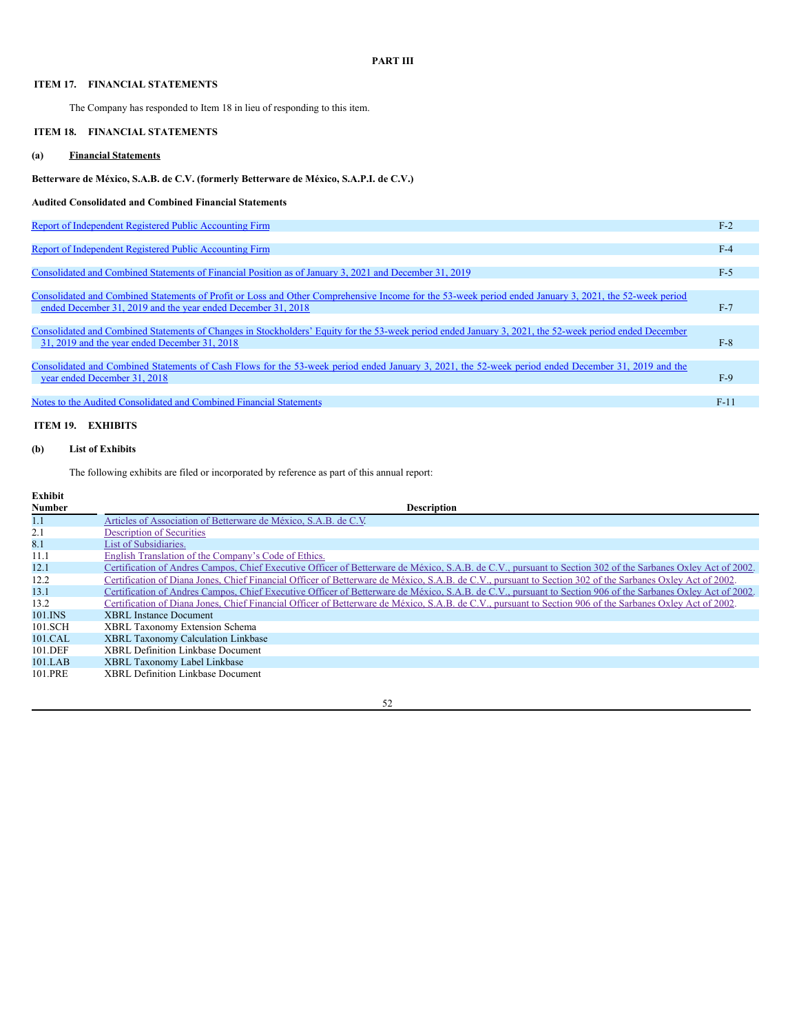# **PART III**

# **ITEM 17. FINANCIAL STATEMENTS**

The Company has responded to Item 18 in lieu of responding to this item.

# **ITEM 18. FINANCIAL STATEMENTS**

# **(a) Financial Statements**

# **Betterware de México, S.A.B. de C.V. (formerly Betterware de México, S.A.P.I. de C.V.)**

# **Audited Consolidated and Combined Financial Statements**

| Report of Independent Registered Public Accounting Firm                                                                                                 | $F-2$  |
|---------------------------------------------------------------------------------------------------------------------------------------------------------|--------|
|                                                                                                                                                         |        |
|                                                                                                                                                         |        |
| Report of Independent Registered Public Accounting Firm                                                                                                 | $F-4$  |
|                                                                                                                                                         |        |
| Consolidated and Combined Statements of Financial Position as of January 3, 2021 and December 31, 2019                                                  | $F-5$  |
|                                                                                                                                                         |        |
| Consolidated and Combined Statements of Profit or Loss and Other Comprehensive Income for the 53-week period ended January 3, 2021, the 52-week period  |        |
| ended December 31, 2019 and the year ended December 31, 2018                                                                                            | $F-7$  |
|                                                                                                                                                         |        |
|                                                                                                                                                         |        |
| Consolidated and Combined Statements of Changes in Stockholders' Equity for the 53-week period ended January 3, 2021, the 52-week period ended December |        |
| 31, 2019 and the year ended December 31, 2018                                                                                                           | $F-8$  |
|                                                                                                                                                         |        |
| Consolidated and Combined Statements of Cash Flows for the 53-week period ended January 3, 2021, the 52-week period ended December 31, 2019 and the     |        |
|                                                                                                                                                         |        |
| year ended December 31, 2018                                                                                                                            | $F-9$  |
|                                                                                                                                                         |        |
| Notes to the Audited Consolidated and Combined Financial Statements                                                                                     | $F-11$ |
|                                                                                                                                                         |        |

# **ITEM 19. EXHIBITS**

# **(b) List of Exhibits**

The following exhibits are filed or incorporated by reference as part of this annual report:

| Exhibit |                                                                                                                                                             |
|---------|-------------------------------------------------------------------------------------------------------------------------------------------------------------|
| Number  | <b>Description</b>                                                                                                                                          |
| 1.1     | Articles of Association of Betterware de México, S.A.B. de C.V.                                                                                             |
| 2.1     | <b>Description of Securities</b>                                                                                                                            |
| 8.1     | List of Subsidiaries.                                                                                                                                       |
| 11.1    | English Translation of the Company's Code of Ethics.                                                                                                        |
| 12.1    | Certification of Andres Campos, Chief Executive Officer of Betterware de México, S.A.B. de C.V., pursuant to Section 302 of the Sarbanes Oxley Act of 2002. |
| 12.2    | Certification of Diana Jones, Chief Financial Officer of Betterware de México, S.A.B. de C.V., pursuant to Section 302 of the Sarbanes Oxley Act of 2002.   |
| 13.1    | Certification of Andres Campos, Chief Executive Officer of Betterware de México, S.A.B. de C.V., pursuant to Section 906 of the Sarbanes Oxley Act of 2002. |
| 13.2    | Certification of Diana Jones, Chief Financial Officer of Betterware de México, S.A.B. de C.V., pursuant to Section 906 of the Sarbanes Oxley Act of 2002.   |
| 101.INS | <b>XBRL</b> Instance Document                                                                                                                               |
| 101.SCH | XBRL Taxonomy Extension Schema                                                                                                                              |
| 101.CAL | XBRL Taxonomy Calculation Linkbase                                                                                                                          |
| 101.DEF | <b>XBRL Definition Linkbase Document</b>                                                                                                                    |
| 101.LAB | XBRL Taxonomy Label Linkbase                                                                                                                                |
| 101.PRE | <b>XBRL Definition Linkbase Document</b>                                                                                                                    |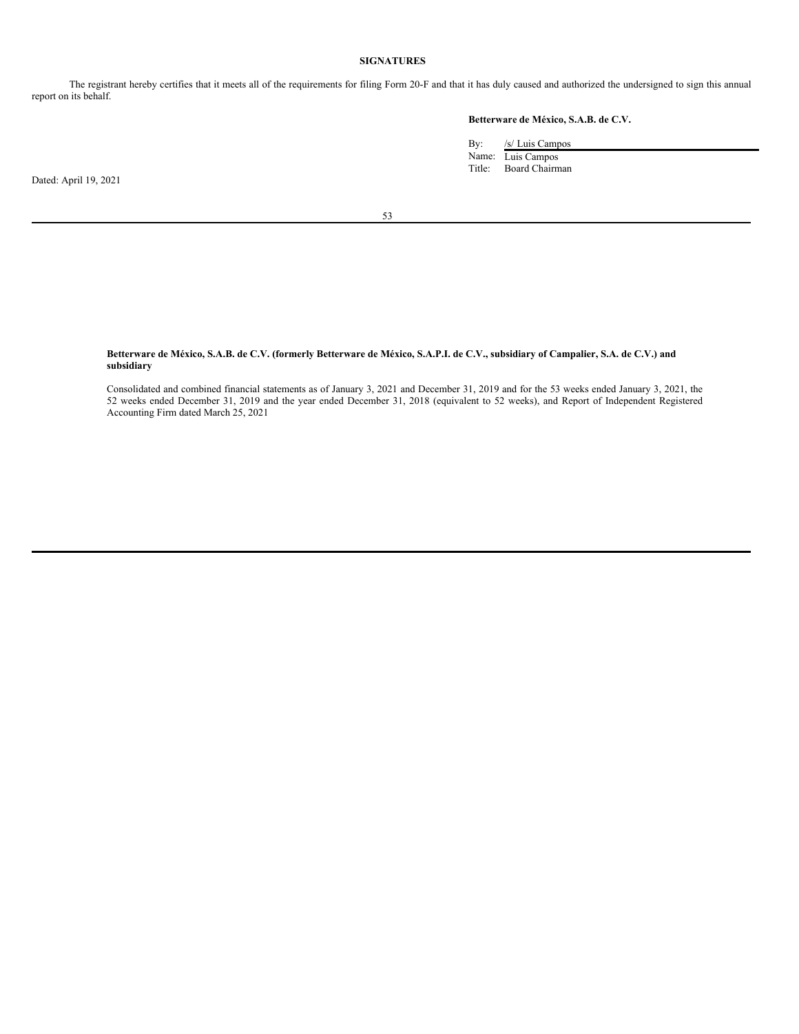## **SIGNATURES**

The registrant hereby certifies that it meets all of the requirements for filing Form 20-F and that it has duly caused and authorized the undersigned to sign this annual report on its behalf.

# **Betterware de México, S.A.B. de C.V.**

By: /s/ Luis Campos Name: Luis Campos Title: Board Chairman

# Betterware de México, S.A.B. de C.V. (formerly Betterware de México, S.A.P.I. de C.V., subsidiary of Campalier, S.A. de C.V.) and **subsidiary**

Consolidated and combined financial statements as of January 3, 2021 and December 31, 2019 and for the 53 weeks ended January 3, 2021, the 52 weeks ended December 31, 2019 and the year ended December 31, 2018 (equivalent to 52 weeks), and Report of Independent Registered Accounting Firm dated March 25, 2021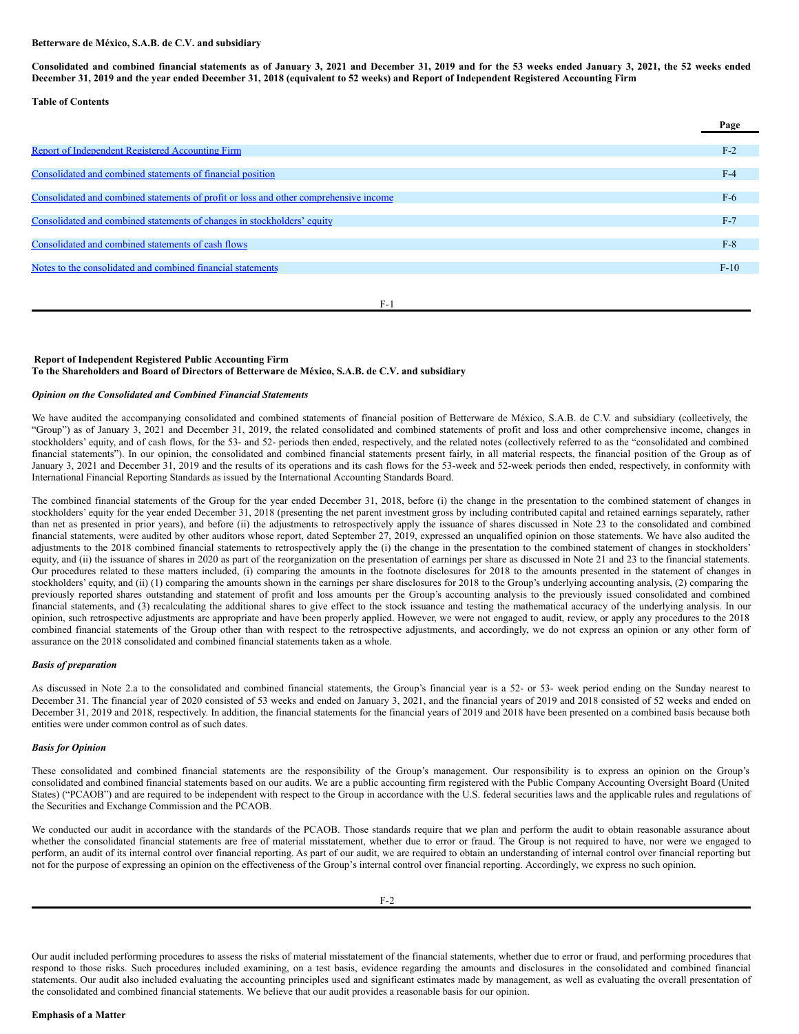### **Betterware de México, S.A.B. de C.V. and subsidiary**

Consolidated and combined financial statements as of January 3, 2021 and December 31, 2019 and for the 53 weeks ended January 3, 2021, the 52 weeks ended December 31, 2019 and the year ended December 31, 2018 (equivalent to 52 weeks) and Report of Independent Registered Accounting Firm

### **Table of Contents**

|                                                                                       | Page   |
|---------------------------------------------------------------------------------------|--------|
| Report of Independent Registered Accounting Firm                                      | $F-2$  |
|                                                                                       |        |
| Consolidated and combined statements of financial position                            | $F-4$  |
| Consolidated and combined statements of profit or loss and other comprehensive income | $F-6$  |
| Consolidated and combined statements of changes in stockholders' equity               | $F-7$  |
| Consolidated and combined statements of cash flows                                    | $F-8$  |
| Notes to the consolidated and combined financial statements                           | $F-10$ |
|                                                                                       |        |
| F-1                                                                                   |        |

## <span id="page-62-0"></span>**Report of Independent Registered Public Accounting Firm To the Shareholders and Board of Directors of Betterware de México, S.A.B. de C.V. and subsidiary**

#### *Opinion on the Consolidated and Combined Financial Statements*

We have audited the accompanying consolidated and combined statements of financial position of Betterware de México, S.A.B. de C.V. and subsidiary (collectively, the "Group") as of January 3, 2021 and December 31, 2019, the related consolidated and combined statements of profit and loss and other comprehensive income, changes in stockholders' equity, and of cash flows, for the 53- and 52- periods then ended, respectively, and the related notes (collectively referred to as the "consolidated and combined financial statements"). In our opinion, the consolidated and combined financial statements present fairly, in all material respects, the financial position of the Group as of January 3, 2021 and December 31, 2019 and the results of its operations and its cash flows for the 53-week and 52-week periods then ended, respectively, in conformity with International Financial Reporting Standards as issued by the International Accounting Standards Board.

The combined financial statements of the Group for the year ended December 31, 2018, before (i) the change in the presentation to the combined statement of changes in stockholders' equity for the year ended December 31, 2018 (presenting the net parent investment gross by including contributed capital and retained earnings separately, rather than net as presented in prior years), and before (ii) the adjustments to retrospectively apply the issuance of shares discussed in Note 23 to the consolidated and combined financial statements, were audited by other auditors whose report, dated September 27, 2019, expressed an unqualified opinion on those statements. We have also audited the adjustments to the 2018 combined financial statements to retrospectively apply the (i) the change in the presentation to the combined statement of changes in stockholders' equity, and (ii) the issuance of shares in 2020 as part of the reorganization on the presentation of earnings per share as discussed in Note 21 and 23 to the financial statements. Our procedures related to these matters included, (i) comparing the amounts in the footnote disclosures for 2018 to the amounts presented in the statement of changes in stockholders' equity, and (ii) (1) comparing the amounts shown in the earnings per share disclosures for 2018 to the Group's underlying accounting analysis, (2) comparing the previously reported shares outstanding and statement of profit and loss amounts per the Group's accounting analysis to the previously issued consolidated and combined financial statements, and (3) recalculating the additional shares to give effect to the stock issuance and testing the mathematical accuracy of the underlying analysis. In our opinion, such retrospective adjustments are appropriate and have been properly applied. However, we were not engaged to audit, review, or apply any procedures to the 2018 combined financial statements of the Group other than with respect to the retrospective adjustments, and accordingly, we do not express an opinion or any other form of assurance on the 2018 consolidated and combined financial statements taken as a whole.

# *Basis of preparation*

As discussed in Note 2.a to the consolidated and combined financial statements, the Group's financial year is a 52- or 53- week period ending on the Sunday nearest to December 31. The financial year of 2020 consisted of 53 weeks and ended on January 3, 2021, and the financial years of 2019 and 2018 consisted of 52 weeks and ended on December 31, 2019 and 2018, respectively. In addition, the financial statements for the financial years of 2019 and 2018 have been presented on a combined basis because both entities were under common control as of such dates.

#### *Basis for Opinion*

These consolidated and combined financial statements are the responsibility of the Group's management. Our responsibility is to express an opinion on the Group's consolidated and combined financial statements based on our audits. We are a public accounting firm registered with the Public Company Accounting Oversight Board (United States) ("PCAOB") and are required to be independent with respect to the Group in accordance with the U.S. federal securities laws and the applicable rules and regulations of the Securities and Exchange Commission and the PCAOB.

We conducted our audit in accordance with the standards of the PCAOB. Those standards require that we plan and perform the audit to obtain reasonable assurance about whether the consolidated financial statements are free of material misstatement, whether due to error or fraud. The Group is not required to have, nor were we engaged to perform, an audit of its internal control over financial reporting. As part of our audit, we are required to obtain an understanding of internal control over financial reporting but not for the purpose of expressing an opinion on the effectiveness of the Group's internal control over financial reporting. Accordingly, we express no such opinion.

Our audit included performing procedures to assess the risks of material misstatement of the financial statements, whether due to error or fraud, and performing procedures that respond to those risks. Such procedures included examining, on a test basis, evidence regarding the amounts and disclosures in the consolidated and combined financial statements. Our audit also included evaluating the accounting principles used and significant estimates made by management, as well as evaluating the overall presentation of the consolidated and combined financial statements. We believe that our audit provides a reasonable basis for our opinion.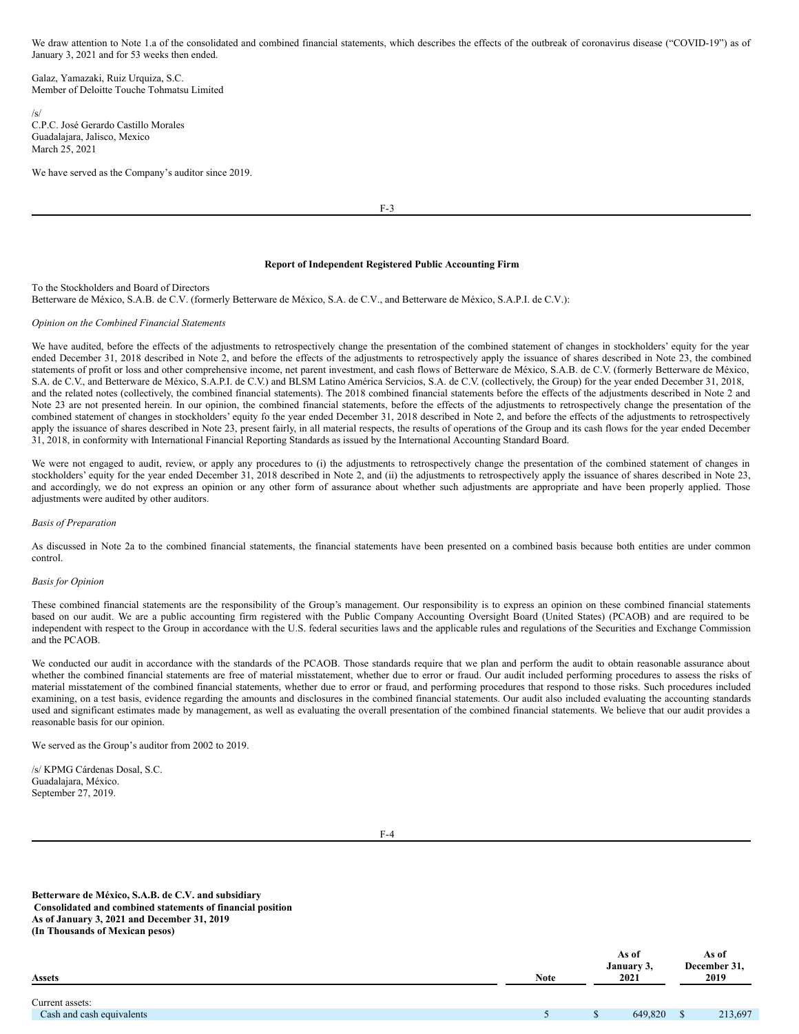We draw attention to Note 1.a of the consolidated and combined financial statements, which describes the effects of the outbreak of coronavirus disease ("COVID-19") as of January 3, 2021 and for 53 weeks then ended.

Galaz, Yamazaki, Ruiz Urquiza, S.C. Member of Deloitte Touche Tohmatsu Limited

/s/

C.P.C. José Gerardo Castillo Morales Guadalajara, Jalisco, Mexico March 25, 2021

We have served as the Company's auditor since 2019.

F-3

### **Report of Independent Registered Public Accounting Firm**

To the Stockholders and Board of Directors Betterware de México, S.A.B. de C.V. (formerly Betterware de México, S.A. de C.V., and Betterware de México, S.A.P.I. de C.V.):

## *Opinion on the Combined Financial Statements*

We have audited, before the effects of the adjustments to retrospectively change the presentation of the combined statement of changes in stockholders' equity for the year ended December 31, 2018 described in Note 2, and before the effects of the adjustments to retrospectively apply the issuance of shares described in Note 23, the combined statements of profit or loss and other comprehensive income, net parent investment, and cash flows of Betterware de México, S.A.B. de C.V. (formerly Betterware de México, S.A. de C.V., and Betterware de México, S.A.P.I. de C.V.) and BLSM Latino América Servicios, S.A. de C.V. (collectively, the Group) for the year ended December 31, 2018, and the related notes (collectively, the combined financial statements). The 2018 combined financial statements before the effects of the adjustments described in Note 2 and Note 23 are not presented herein. In our opinion, the combined financial statements, before the effects of the adjustments to retrospectively change the presentation of the combined statement of changes in stockholders' equity fo the year ended December 31, 2018 described in Note 2, and before the effects of the adjustments to retrospectively apply the issuance of shares described in Note 23, present fairly, in all material respects, the results of operations of the Group and its cash flows for the year ended December 31, 2018, in conformity with International Financial Reporting Standards as issued by the International Accounting Standard Board.

We were not engaged to audit, review, or apply any procedures to (i) the adjustments to retrospectively change the presentation of the combined statement of changes in stockholders' equity for the year ended December 31, 2018 described in Note 2, and (ii) the adjustments to retrospectively apply the issuance of shares described in Note 23, and accordingly, we do not express an opinion or any other form of assurance about whether such adjustments are appropriate and have been properly applied. Those adjustments were audited by other auditors.

#### *Basis of Preparation*

As discussed in Note 2a to the combined financial statements, the financial statements have been presented on a combined basis because both entities are under common control.

#### *Basis for Opinion*

These combined financial statements are the responsibility of the Group's management. Our responsibility is to express an opinion on these combined financial statements based on our audit. We are a public accounting firm registered with the Public Company Accounting Oversight Board (United States) (PCAOB) and are required to be independent with respect to the Group in accordance with the U.S. federal securities laws and the applicable rules and regulations of the Securities and Exchange Commission and the PCAOB.

We conducted our audit in accordance with the standards of the PCAOB. Those standards require that we plan and perform the audit to obtain reasonable assurance about whether the combined financial statements are free of material misstatement, whether due to error or fraud. Our audit included performing procedures to assess the risks of material misstatement of the combined financial statements, whether due to error or fraud, and performing procedures that respond to those risks. Such procedures included examining, on a test basis, evidence regarding the amounts and disclosures in the combined financial statements. Our audit also included evaluating the accounting standards used and significant estimates made by management, as well as evaluating the overall presentation of the combined financial statements. We believe that our audit provides a reasonable basis for our opinion.

We served as the Group's auditor from 2002 to 2019.

/s/ KPMG Cárdenas Dosal, S.C. Guadalajara, México. September 27, 2019.

F-4

<span id="page-63-0"></span>**Betterware de México, S.A.B. de C.V. and subsidiary Consolidated and combined statements of financial position As of January 3, 2021 and December 31, 2019 (In Thousands of Mexican pesos)**

| <b>Assets</b>             | <b>Note</b> | As of<br>January 3,<br>2021 |  | As of<br>December 31,<br>2019 |  |
|---------------------------|-------------|-----------------------------|--|-------------------------------|--|
| Current assets:           |             |                             |  |                               |  |
| Cash and cash equivalents |             | 649,820                     |  | 213,697                       |  |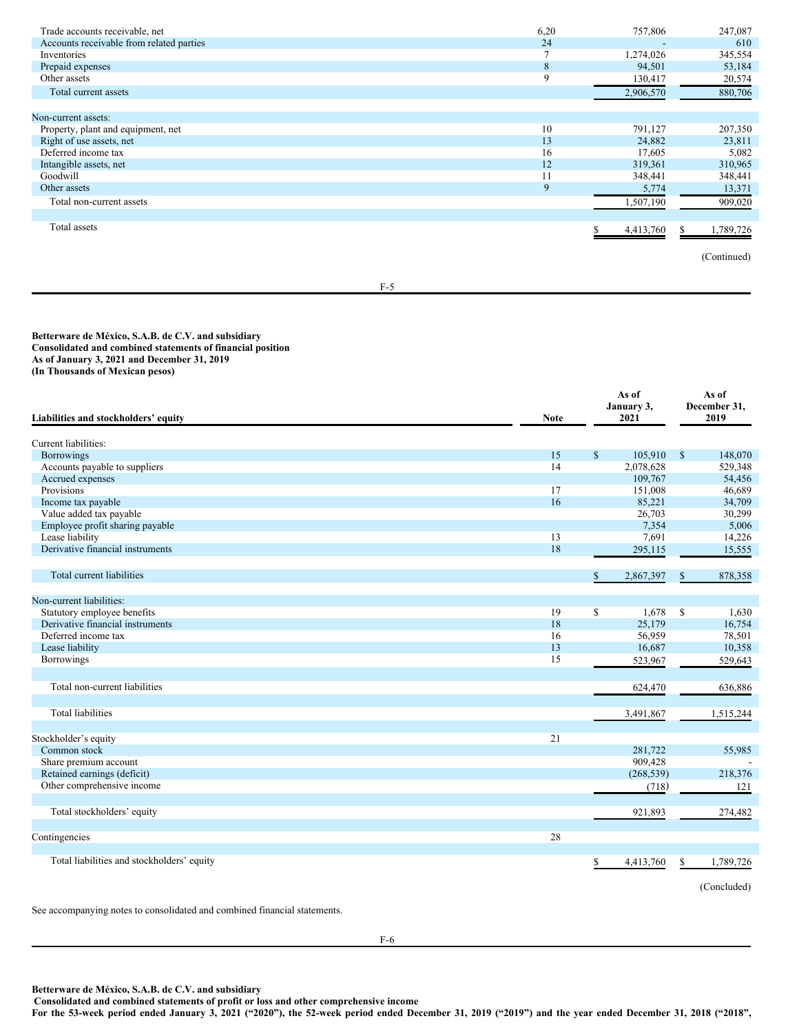| Trade accounts receivable, net           | 6,20 | 757,806   | 247,087   |
|------------------------------------------|------|-----------|-----------|
| Accounts receivable from related parties | 24   |           | 610       |
| Inventories                              |      | 1,274,026 | 345,554   |
| Prepaid expenses                         | 8    | 94,501    | 53,184    |
| Other assets                             | 9    | 130,417   | 20,574    |
| Total current assets                     |      | 2,906,570 | 880,706   |
|                                          |      |           |           |
| Non-current assets:                      |      |           |           |
| Property, plant and equipment, net       | 10   | 791,127   | 207,350   |
| Right of use assets, net                 | 13   | 24,882    | 23,811    |
| Deferred income tax                      | 16   | 17,605    | 5,082     |
| Intangible assets, net                   | 12   | 319,361   | 310,965   |
| Goodwill                                 | 11   | 348,441   | 348,441   |
| Other assets                             | 9    | 5,774     | 13,371    |
| Total non-current assets                 |      | 1,507,190 | 909,020   |
|                                          |      |           |           |
| Total assets                             |      | 4,413,760 | 1,789,726 |
|                                          |      |           |           |
|                                          |      |           |           |

(Continued)

F-5

**Betterware de México, S.A.B. de C.V. and subsidiary Consolidated and combined statements of financial position As of January 3, 2021 and December 31, 2019 (In Thousands of Mexican pesos)**

| Liabilities and stockholders' equity       |    | As of<br>January 3,<br>2021 |            | As of<br>December 31,<br>2019 |             |
|--------------------------------------------|----|-----------------------------|------------|-------------------------------|-------------|
| Current liabilities:                       |    |                             |            |                               |             |
| <b>Borrowings</b>                          | 15 | $\mathbb{S}$                | 105,910    | $\mathbb{S}$                  | 148,070     |
| Accounts payable to suppliers              | 14 |                             | 2,078,628  |                               | 529,348     |
| Accrued expenses                           |    |                             | 109,767    |                               | 54,456      |
| Provisions                                 | 17 |                             | 151,008    |                               | 46,689      |
| Income tax payable                         | 16 |                             | 85,221     |                               | 34,709      |
| Value added tax payable                    |    |                             | 26,703     |                               | 30,299      |
| Employee profit sharing payable            |    |                             | 7,354      |                               | 5,006       |
| Lease liability                            | 13 |                             | 7,691      |                               | 14,226      |
| Derivative financial instruments           | 18 |                             | 295,115    |                               | 15,555      |
| Total current liabilities                  |    | \$                          | 2,867,397  | <sup>\$</sup>                 | 878,358     |
| Non-current liabilities:                   |    |                             |            |                               |             |
| Statutory employee benefits                | 19 | \$                          | 1,678      | \$                            | 1,630       |
| Derivative financial instruments           | 18 |                             | 25,179     |                               | 16,754      |
| Deferred income tax                        | 16 |                             | 56,959     |                               | 78,501      |
| Lease liability                            | 13 |                             | 16,687     |                               | 10,358      |
| <b>Borrowings</b>                          | 15 |                             | 523,967    |                               | 529,643     |
| Total non-current liabilities              |    |                             | 624,470    |                               | 636,886     |
| <b>Total liabilities</b>                   |    |                             | 3,491,867  |                               | 1,515,244   |
| Stockholder's equity                       | 21 |                             |            |                               |             |
| Common stock                               |    |                             | 281,722    |                               | 55,985      |
| Share premium account                      |    |                             | 909,428    |                               |             |
| Retained earnings (deficit)                |    |                             | (268, 539) |                               | 218,376     |
| Other comprehensive income                 |    |                             | (718)      |                               | 121         |
|                                            |    |                             |            |                               |             |
| Total stockholders' equity                 |    |                             | 921,893    |                               | 274,482     |
|                                            |    |                             |            |                               |             |
| Contingencies                              | 28 |                             |            |                               |             |
| Total liabilities and stockholders' equity |    | \$                          | 4,413,760  | \$                            | 1,789,726   |
|                                            |    |                             |            |                               | (Concluded) |

See accompanying notes to consolidated and combined financial statements.

F-6

**Betterware de México, S.A.B. de C.V. and subsidiary**

<span id="page-64-0"></span>**Consolidated and combined statements of profit or loss and other comprehensive income**

For the 53-week period ended January 3, 2021 ("2020"), the 52-week period ended December 31, 2019 ("2019") and the year ended December 31, 2018 ("2018",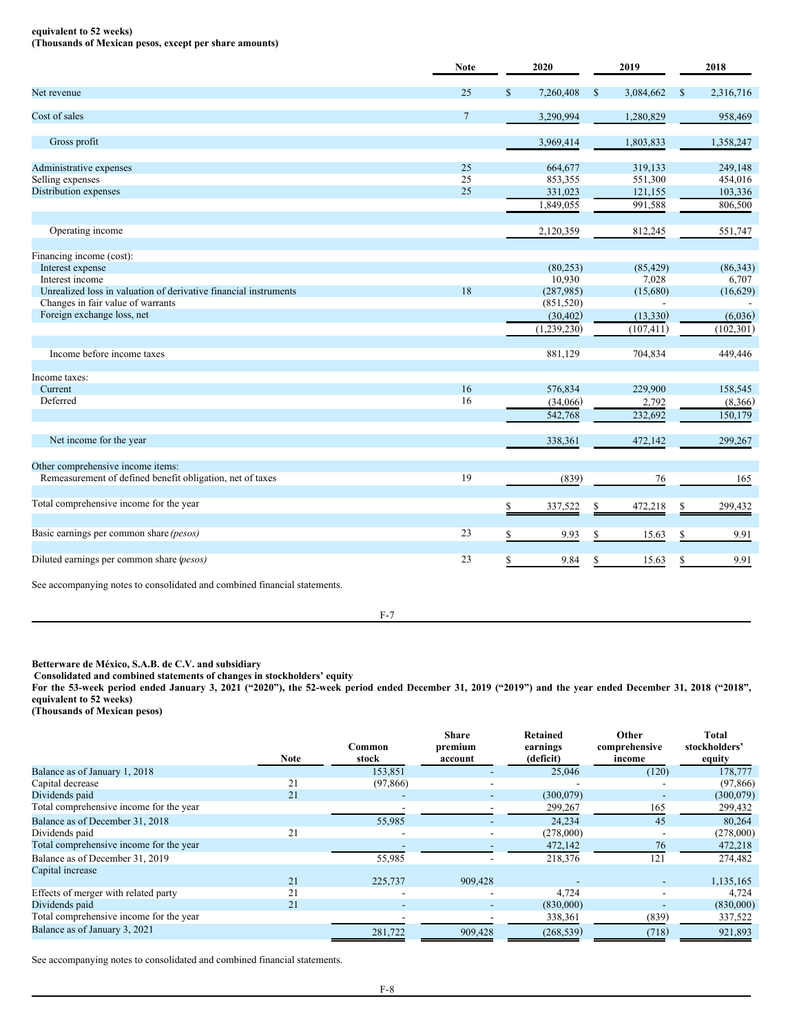# **equivalent to 52 weeks) (Thousands of Mexican pesos, except per share amounts)**

|                                                                  | <b>Note</b>    |              | 2020        |               | 2019       |              | 2018       |
|------------------------------------------------------------------|----------------|--------------|-------------|---------------|------------|--------------|------------|
| Net revenue                                                      | 25             | $\mathbb{S}$ | 7,260,408   | $\mathsf{\$}$ | 3,084,662  | $\mathbf{s}$ | 2,316,716  |
| Cost of sales                                                    | $\overline{7}$ |              | 3,290,994   |               | 1,280,829  |              | 958,469    |
| Gross profit                                                     |                |              | 3,969,414   |               | 1,803,833  |              | 1,358,247  |
| Administrative expenses                                          | 25             |              | 664,677     |               | 319,133    |              | 249,148    |
| Selling expenses                                                 | 25             |              | 853,355     |               | 551,300    |              | 454,016    |
| Distribution expenses                                            | 25             |              | 331,023     |               | 121,155    |              | 103,336    |
|                                                                  |                |              | 1,849,055   |               | 991,588    |              | 806,500    |
| Operating income                                                 |                |              | 2,120,359   |               | 812,245    |              | 551,747    |
| Financing income (cost):                                         |                |              |             |               |            |              |            |
| Interest expense                                                 |                |              | (80, 253)   |               | (85, 429)  |              | (86,343)   |
| Interest income                                                  |                |              | 10,930      |               | 7,028      |              | 6,707      |
| Unrealized loss in valuation of derivative financial instruments | 18             |              | (287,985)   |               | (15,680)   |              | (16,629)   |
| Changes in fair value of warrants                                |                |              | (851, 520)  |               |            |              |            |
| Foreign exchange loss, net                                       |                |              | (30, 402)   |               | (13, 330)  |              | (6,036)    |
|                                                                  |                |              | (1,239,230) |               | (107, 411) |              | (102, 301) |
| Income before income taxes                                       |                |              | 881,129     |               | 704,834    |              | 449,446    |
| Income taxes:                                                    |                |              |             |               |            |              |            |
| Current                                                          | 16             |              | 576,834     |               | 229,900    |              | 158,545    |
| Deferred                                                         | 16             |              | (34,066)    |               | 2,792      |              | (8,366)    |
|                                                                  |                |              | 542,768     |               | 232,692    |              | 150,179    |
| Net income for the year                                          |                |              | 338,361     |               | 472,142    |              | 299,267    |
| Other comprehensive income items:                                |                |              |             |               |            |              |            |
| Remeasurement of defined benefit obligation, net of taxes        | 19             |              | (839)       |               | 76         |              | 165        |
| Total comprehensive income for the year                          |                |              | 337,522     | S             | 472,218    | S            | 299,432    |
| Basic earnings per common share (pesos)                          | 23             | S            | 9.93        | \$            | 15.63      | \$           | 9.91       |
| Diluted earnings per common share (pesos)                        | 23             | \$           | 9.84        | \$            | 15.63      | \$           | 9.91       |

See accompanying notes to consolidated and combined financial statements.

F-7

**Betterware de México, S.A.B. de C.V. and subsidiary**

<span id="page-65-0"></span>**Consolidated and combined statements of changes in stockholders' equity**

For the 53-week period ended January 3, 2021 ("2020"), the 52-week period ended December 31, 2019 ("2019") and the year ended December 31, 2018 ("2018", **equivalent to 52 weeks)**

**(Thousands of Mexican pesos)**

|                                         | Note | Common<br>stock          | Share<br>premium<br>account | Retained<br>earnings<br>(deficit) | Other<br>comprehensive<br>income | Total<br>stockholders'<br>equity |
|-----------------------------------------|------|--------------------------|-----------------------------|-----------------------------------|----------------------------------|----------------------------------|
| Balance as of January 1, 2018           |      | 153,851                  |                             | 25,046                            | (120)                            | 178,777                          |
| Capital decrease                        | 21   | (97, 866)                |                             |                                   |                                  | (97, 866)                        |
| Dividends paid                          | 21   |                          |                             | (300,079)                         |                                  | (300,079)                        |
| Total comprehensive income for the year |      |                          |                             | 299,267                           | 165                              | 299,432                          |
| Balance as of December 31, 2018         |      | 55,985                   |                             | 24,234                            | 45                               | 80,264                           |
| Dividends paid                          | 21   |                          |                             | (278,000)                         |                                  | (278,000)                        |
| Total comprehensive income for the year |      |                          |                             | 472,142                           | 76                               | 472,218                          |
| Balance as of December 31, 2019         |      | 55,985                   |                             | 218,376                           | 121                              | 274,482                          |
| Capital increase                        |      |                          |                             |                                   |                                  |                                  |
|                                         | 21   | 225,737                  | 909,428                     |                                   |                                  | 1,135,165                        |
| Effects of merger with related party    | 21   | $\overline{\phantom{a}}$ |                             | 4,724                             |                                  | 4,724                            |
| Dividends paid                          | 21   | $\sim$                   | $\overline{\phantom{a}}$    | (830,000)                         |                                  | (830,000)                        |
| Total comprehensive income for the year |      |                          |                             | 338,361                           | (839)                            | 337,522                          |
| Balance as of January 3, 2021           |      | 281,722                  | 909,428                     | (268, 539)                        | (718)                            | 921,893                          |

See accompanying notes to consolidated and combined financial statements.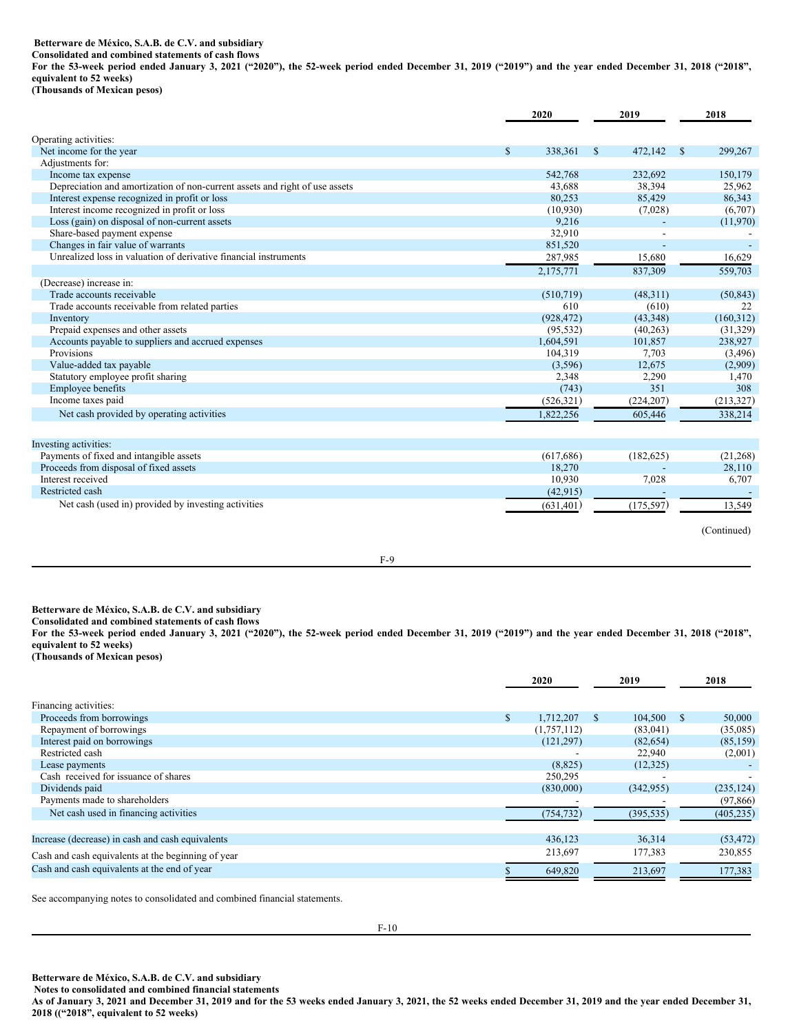# <span id="page-66-0"></span>**Betterware de México, S.A.B. de C.V. and subsidiary**

**Consolidated and combined statements of cash flows**

For the 53-week period ended January 3, 2021 ("2020"), the 52-week period ended December 31, 2019 ("2019") and the year ended December 31, 2018 ("2018", **equivalent to 52 weeks)**

# **(Thousands of Mexican pesos)**

|                                                                             |              | 2020       |              | 2019       | 2018                    |
|-----------------------------------------------------------------------------|--------------|------------|--------------|------------|-------------------------|
| Operating activities:                                                       |              |            |              |            |                         |
| Net income for the year                                                     | $\mathbb{S}$ | 338.361    | $\mathbb{S}$ | 472,142    | 299,267<br><sup>S</sup> |
| Adjustments for:                                                            |              |            |              |            |                         |
| Income tax expense                                                          |              | 542,768    |              | 232,692    | 150,179                 |
| Depreciation and amortization of non-current assets and right of use assets |              | 43.688     |              | 38,394     | 25,962                  |
| Interest expense recognized in profit or loss                               |              | 80.253     |              | 85,429     | 86,343                  |
| Interest income recognized in profit or loss                                |              | (10,930)   |              | (7,028)    | (6,707)                 |
| Loss (gain) on disposal of non-current assets                               |              | 9,216      |              |            | (11,970)                |
| Share-based payment expense                                                 |              | 32,910     |              |            |                         |
| Changes in fair value of warrants                                           |              | 851,520    |              |            |                         |
| Unrealized loss in valuation of derivative financial instruments            |              | 287,985    |              | 15,680     | 16,629                  |
|                                                                             |              | 2,175,771  |              | 837,309    | 559,703                 |
| (Decrease) increase in:                                                     |              |            |              |            |                         |
| Trade accounts receivable                                                   |              | (510, 719) |              | (48,311)   | (50, 843)               |
| Trade accounts receivable from related parties                              |              | 610        |              | (610)      | 22                      |
| Inventory                                                                   |              | (928, 472) |              | (43,348)   | (160, 312)              |
| Prepaid expenses and other assets                                           |              | (95, 532)  |              | (40, 263)  | (31,329)                |
| Accounts payable to suppliers and accrued expenses                          |              | 1.604.591  |              | 101,857    | 238,927                 |
| Provisions                                                                  |              | 104.319    |              | 7.703      | (3, 496)                |
| Value-added tax payable                                                     |              | (3,596)    |              | 12.675     | (2,909)                 |
| Statutory employee profit sharing                                           |              | 2.348      |              | 2.290      | 1.470                   |
| <b>Employee benefits</b>                                                    |              | (743)      |              | 351        | 308                     |
| Income taxes paid                                                           |              | (526, 321) |              | (224, 207) | (213, 327)              |
| Net cash provided by operating activities                                   |              | 1,822,256  |              | 605,446    | 338,214                 |
|                                                                             |              |            |              |            |                         |
| Investing activities:                                                       |              |            |              |            |                         |
| Payments of fixed and intangible assets                                     |              | (617, 686) |              | (182, 625) | (21, 268)               |
| Proceeds from disposal of fixed assets                                      |              | 18,270     |              |            | 28,110                  |
| Interest received                                                           |              | 10,930     |              | 7,028      | 6,707                   |
| Restricted cash                                                             |              | (42, 915)  |              |            |                         |
| Net cash (used in) provided by investing activities                         |              | (631, 401) |              | (175, 597) | 13,549                  |
|                                                                             |              |            |              |            | (Continued)             |

F-9

**Betterware de México, S.A.B. de C.V. and subsidiary**

**Consolidated and combined statements of cash flows**

For the 53-week period ended January 3, 2021 ("2020"), the 52-week period ended December 31, 2019 ("2019") and the year ended December 31, 2018 ("2018", **equivalent to 52 weeks)**

**(Thousands of Mexican pesos)**

|                                                    | 2020        |          | 2019       |              | 2018       |
|----------------------------------------------------|-------------|----------|------------|--------------|------------|
| Financing activities:                              |             |          |            |              |            |
| Proceeds from borrowings                           | 1.712.207   | <b>S</b> | 104,500    | <sup>S</sup> | 50,000     |
| Repayment of borrowings                            | (1,757,112) |          | (83,041)   |              | (35,085)   |
| Interest paid on borrowings                        | (121, 297)  |          | (82, 654)  |              | (85, 159)  |
| Restricted cash                                    |             |          | 22,940     |              | (2,001)    |
| Lease payments                                     | (8,825)     |          | (12, 325)  |              |            |
| Cash received for issuance of shares               | 250,295     |          |            |              |            |
| Dividends paid                                     | (830,000)   |          | (342, 955) |              | (235, 124) |
| Payments made to shareholders                      |             |          |            |              | (97, 866)  |
| Net cash used in financing activities              | (754, 732)  |          | (395, 535) |              | (405, 235) |
|                                                    |             |          |            |              |            |
| Increase (decrease) in cash and cash equivalents   | 436,123     |          | 36,314     |              | (53, 472)  |
| Cash and cash equivalents at the beginning of year | 213,697     |          | 177,383    |              | 230,855    |
| Cash and cash equivalents at the end of year       | 649,820     |          | 213.697    |              | 177,383    |

See accompanying notes to consolidated and combined financial statements.

**Betterware de México, S.A.B. de C.V. and subsidiary Notes to consolidated and combined financial statements**

<span id="page-66-1"></span>As of January 3, 2021 and December 31, 2019 and for the 53 weeks ended January 3, 2021, the 52 weeks ended December 31, 2019 and the year ended December 31, **2018 (("2018", equivalent to 52 weeks)**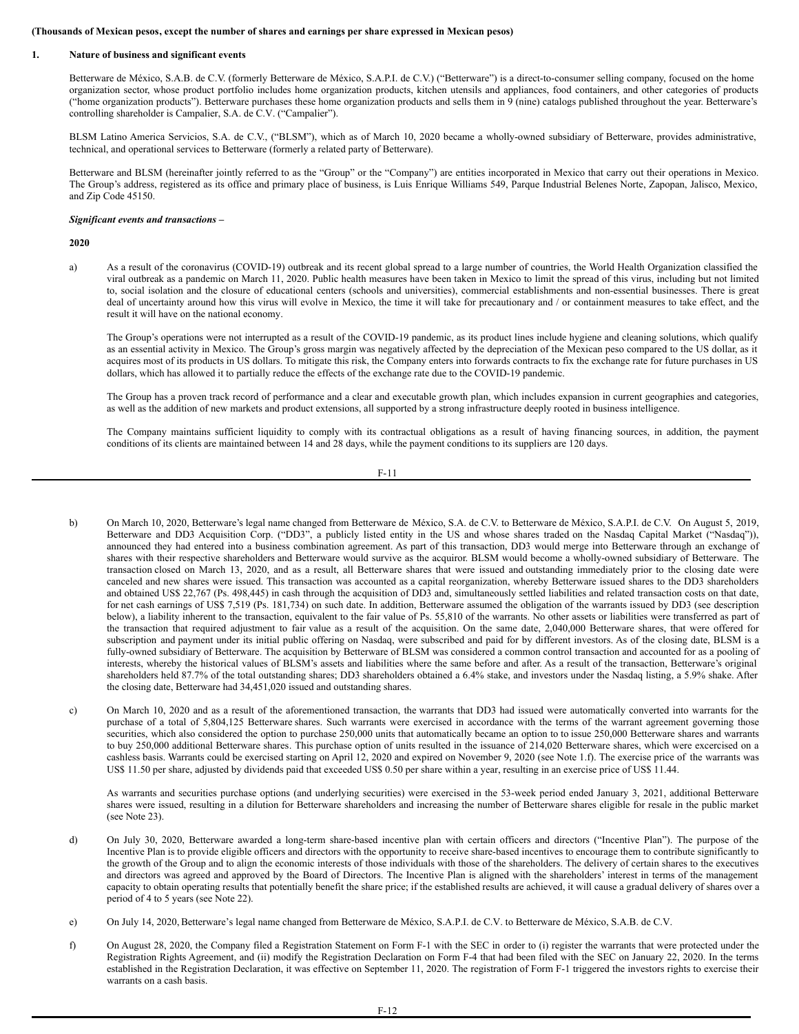### (Thousands of Mexican pesos, except the number of shares and earnings per share expressed in Mexican pesos)

# **1. Nature of business and significant events**

Betterware de México, S.A.B. de C.V. (formerly Betterware de México, S.A.P.I. de C.V.) ("Betterware") is a direct-to-consumer selling company, focused on the home organization sector, whose product portfolio includes home organization products, kitchen utensils and appliances, food containers, and other categories of products ("home organization products"). Betterware purchases these home organization products and sells them in 9 (nine) catalogs published throughout the year. Betterware's controlling shareholder is Campalier, S.A. de C.V. ("Campalier").

BLSM Latino America Servicios, S.A. de C.V., ("BLSM"), which as of March 10, 2020 became a wholly-owned subsidiary of Betterware, provides administrative, technical, and operational services to Betterware (formerly a related party of Betterware).

Betterware and BLSM (hereinafter jointly referred to as the "Group" or the "Company") are entities incorporated in Mexico that carry out their operations in Mexico. The Group's address, registered as its office and primary place of business, is Luis Enrique Williams 549, Parque Industrial Belenes Norte, Zapopan, Jalisco, Mexico, and Zip Code 45150.

#### *Significant events and transactions –*

## **2020**

a) As a result of the coronavirus (COVID-19) outbreak and its recent global spread to a large number of countries, the World Health Organization classified the viral outbreak as a pandemic on March 11, 2020. Public health measures have been taken in Mexico to limit the spread of this virus, including but not limited to, social isolation and the closure of educational centers (schools and universities), commercial establishments and non-essential businesses. There is great deal of uncertainty around how this virus will evolve in Mexico, the time it will take for precautionary and / or containment measures to take effect, and the result it will have on the national economy.

The Group's operations were not interrupted as a result of the COVID-19 pandemic, as its product lines include hygiene and cleaning solutions, which qualify as an essential activity in Mexico. The Group's gross margin was negatively affected by the depreciation of the Mexican peso compared to the US dollar, as it acquires most of its products in US dollars. To mitigate this risk, the Company enters into forwards contracts to fix the exchange rate for future purchases in US dollars, which has allowed it to partially reduce the effects of the exchange rate due to the COVID-19 pandemic.

The Group has a proven track record of performance and a clear and executable growth plan, which includes expansion in current geographies and categories, as well as the addition of new markets and product extensions, all supported by a strong infrastructure deeply rooted in business intelligence.

The Company maintains sufficient liquidity to comply with its contractual obligations as a result of having financing sources, in addition, the payment conditions of its clients are maintained between 14 and 28 days, while the payment conditions to its suppliers are 120 days.

F-11

- b) On March 10, 2020, Betterware's legal name changed from Betterware de México, S.A. de C.V. to Betterware de México, S.A.P.I. de C.V. On August 5, 2019, Betterware and DD3 Acquisition Corp. ("DD3", a publicly listed entity in the US and whose shares traded on the Nasdaq Capital Market ("Nasdaq")), announced they had entered into a business combination agreement. As part of this transaction, DD3 would merge into Betterware through an exchange of shares with their respective shareholders and Betterware would survive as the acquiror. BLSM would become a wholly-owned subsidiary of Betterware. The transaction closed on March 13, 2020, and as a result, all Betterware shares that were issued and outstanding immediately prior to the closing date were canceled and new shares were issued. This transaction was accounted as a capital reorganization, whereby Betterware issued shares to the DD3 shareholders and obtained US\$ 22,767 (Ps. 498,445) in cash through the acquisition of DD3 and, simultaneously settled liabilities and related transaction costs on that date, for net cash earnings of US\$ 7,519 (Ps. 181,734) on such date. In addition, Betterware assumed the obligation of the warrants issued by DD3 (see description below), a liability inherent to the transaction, equivalent to the fair value of Ps. 55,810 of the warrants. No other assets or liabilities were transferred as part of the transaction that required adjustment to fair value as a result of the acquisition. On the same date, 2,040,000 Betterware shares, that were offered for subscription and payment under its initial public offering on Nasdaq, were subscribed and paid for by different investors. As of the closing date, BLSM is a fully-owned subsidiary of Betterware. The acquisition by Betterware of BLSM was considered a common control transaction and accounted for as a pooling of interests, whereby the historical values of BLSM's assets and liabilities where the same before and after. As a result of the transaction, Betterware's original shareholders held 87.7% of the total outstanding shares; DD3 shareholders obtained a 6.4% stake, and investors under the Nasdaq listing, a 5.9% shake. After the closing date, Betterware had 34,451,020 issued and outstanding shares.
- c) On March 10, 2020 and as a result of the aforementioned transaction, the warrants that DD3 had issued were automatically converted into warrants for the purchase of a total of 5,804,125 Betterware shares. Such warrants were exercised in accordance with the terms of the warrant agreement governing those securities, which also considered the option to purchase 250,000 units that automatically became an option to to issue 250,000 Betterware shares and warrants to buy 250,000 additional Betterware shares. This purchase option of units resulted in the issuance of 214,020 Betterware shares, which were excercised on a cashless basis. Warrants could be exercised starting on April 12, 2020 and expired on November 9, 2020 (see Note 1.f). The exercise price of the warrants was US\$ 11.50 per share, adjusted by dividends paid that exceeded US\$ 0.50 per share within a year, resulting in an exercise price of US\$ 11.44.

As warrants and securities purchase options (and underlying securities) were exercised in the 53-week period ended January 3, 2021, additional Betterware shares were issued, resulting in a dilution for Betterware shareholders and increasing the number of Betterware shares eligible for resale in the public market (see Note 23).

- d) On July 30, 2020, Betterware awarded a long-term share-based incentive plan with certain officers and directors ("Incentive Plan"). The purpose of the Incentive Plan is to provide eligible officers and directors with the opportunity to receive share-based incentives to encourage them to contribute significantly to the growth of the Group and to align the economic interests of those individuals with those of the shareholders. The delivery of certain shares to the executives and directors was agreed and approved by the Board of Directors. The Incentive Plan is aligned with the shareholders' interest in terms of the management capacity to obtain operating results that potentially benefit the share price; if the established results are achieved, it will cause a gradual delivery of shares over a period of 4 to 5 years (see Note 22).
- e) On July 14, 2020, Betterware's legal name changed from Betterware de México, S.A.P.I. de C.V. to Betterware de México, S.A.B. de C.V.
- f) On August 28, 2020, the Company filed a Registration Statement on Form F-1 with the SEC in order to (i) register the warrants that were protected under the Registration Rights Agreement, and (ii) modify the Registration Declaration on Form F-4 that had been filed with the SEC on January 22, 2020. In the terms established in the Registration Declaration, it was effective on September 11, 2020. The registration of Form F-1 triggered the investors rights to exercise their warrants on a cash basis.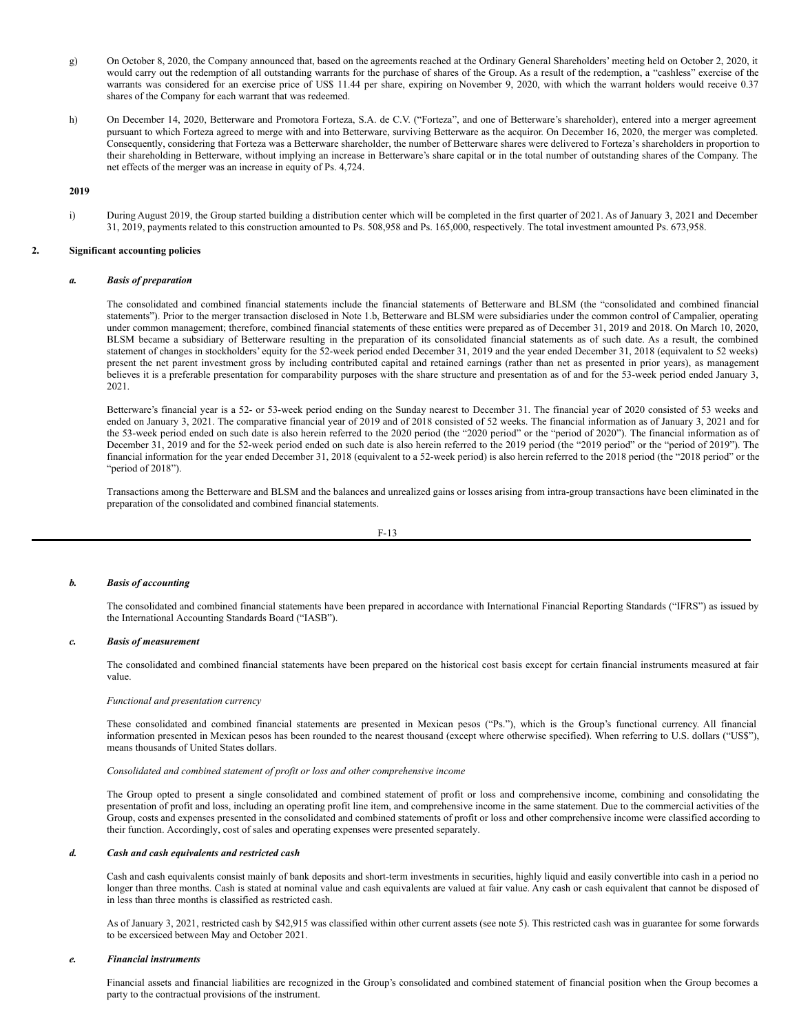- g) On October 8, 2020, the Company announced that, based on the agreements reached at the Ordinary General Shareholders' meeting held on October 2, 2020, it would carry out the redemption of all outstanding warrants for the purchase of shares of the Group. As a result of the redemption, a "cashless" exercise of the warrants was considered for an exercise price of US\$ 11.44 per share, expiring on November 9, 2020, with which the warrant holders would receive 0.37 shares of the Company for each warrant that was redeemed.
- h) On December 14, 2020, Betterware and Promotora Forteza, S.A. de C.V. ("Forteza", and one of Betterware's shareholder), entered into a merger agreement pursuant to which Forteza agreed to merge with and into Betterware, surviving Betterware as the acquiror. On December 16, 2020, the merger was completed. Consequently, considering that Forteza was a Betterware shareholder, the number of Betterware shares were delivered to Forteza's shareholders in proportion to their shareholding in Betterware, without implying an increase in Betterware's share capital or in the total number of outstanding shares of the Company. The net effects of the merger was an increase in equity of Ps. 4,724.

## **2019**

i) During August 2019, the Group started building a distribution center which will be completed in the first quarter of 2021. As of January 3, 2021 and December 31, 2019, payments related to this construction amounted to Ps. 508,958 and Ps. 165,000, respectively. The total investment amounted Ps. 673,958.

## **2. Significant accounting policies**

## *a. Basis of preparation*

The consolidated and combined financial statements include the financial statements of Betterware and BLSM (the "consolidated and combined financial statements"). Prior to the merger transaction disclosed in Note 1.b, Betterware and BLSM were subsidiaries under the common control of Campalier, operating under common management; therefore, combined financial statements of these entities were prepared as of December 31, 2019 and 2018. On March 10, 2020, BLSM became a subsidiary of Betterware resulting in the preparation of its consolidated financial statements as of such date. As a result, the combined statement of changes in stockholders' equity for the 52-week period ended December 31, 2019 and the year ended December 31, 2018 (equivalent to 52 weeks) present the net parent investment gross by including contributed capital and retained earnings (rather than net as presented in prior years), as management believes it is a preferable presentation for comparability purposes with the share structure and presentation as of and for the 53-week period ended January 3, 2021.

Betterware's financial year is a 52- or 53-week period ending on the Sunday nearest to December 31. The financial year of 2020 consisted of 53 weeks and ended on January 3, 2021. The comparative financial year of 2019 and of 2018 consisted of 52 weeks. The financial information as of January 3, 2021 and for the 53-week period ended on such date is also herein referred to the 2020 period (the "2020 period" or the "period of 2020"). The financial information as of December 31, 2019 and for the 52-week period ended on such date is also herein referred to the 2019 period (the "2019 period" or the "period of 2019"). The financial information for the year ended December 31, 2018 (equivalent to a 52-week period) is also herein referred to the 2018 period (the "2018 period" or the "period of 2018").

Transactions among the Betterware and BLSM and the balances and unrealized gains or losses arising from intra-group transactions have been eliminated in the preparation of the consolidated and combined financial statements.

F-13

#### *b. Basis of accounting*

The consolidated and combined financial statements have been prepared in accordance with International Financial Reporting Standards ("IFRS") as issued by the International Accounting Standards Board ("IASB").

#### *c. Basis of measurement*

The consolidated and combined financial statements have been prepared on the historical cost basis except for certain financial instruments measured at fair value.

#### *Functional and presentation currency*

These consolidated and combined financial statements are presented in Mexican pesos ("Ps."), which is the Group's functional currency. All financial information presented in Mexican pesos has been rounded to the nearest thousand (except where otherwise specified). When referring to U.S. dollars ("US\$"), means thousands of United States dollars.

#### *Consolidated and combined statement of profit or loss and other comprehensive income*

The Group opted to present a single consolidated and combined statement of profit or loss and comprehensive income, combining and consolidating the presentation of profit and loss, including an operating profit line item, and comprehensive income in the same statement. Due to the commercial activities of the Group, costs and expenses presented in the consolidated and combined statements of profit or loss and other comprehensive income were classified according to their function. Accordingly, cost of sales and operating expenses were presented separately.

#### *d. Cash and cash equivalents and restricted cash*

Cash and cash equivalents consist mainly of bank deposits and short-term investments in securities, highly liquid and easily convertible into cash in a period no longer than three months. Cash is stated at nominal value and cash equivalents are valued at fair value. Any cash or cash equivalent that cannot be disposed of in less than three months is classified as restricted cash.

As of January 3, 2021, restricted cash by \$42,915 was classified within other current assets (see note 5). This restricted cash was in guarantee for some forwards to be excersiced between May and October 2021.

#### *e. Financial instruments*

Financial assets and financial liabilities are recognized in the Group's consolidated and combined statement of financial position when the Group becomes a party to the contractual provisions of the instrument.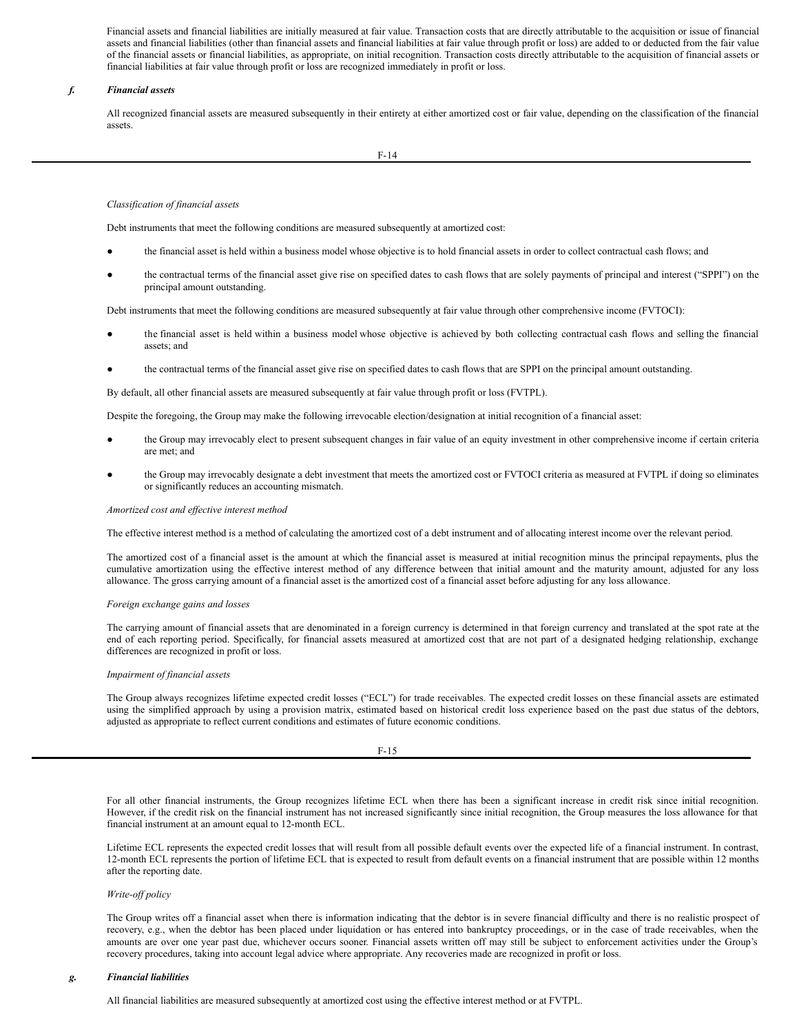Financial assets and financial liabilities are initially measured at fair value. Transaction costs that are directly attributable to the acquisition or issue of financial assets and financial liabilities (other than financial assets and financial liabilities at fair value through profit or loss) are added to or deducted from the fair value of the financial assets or financial liabilities, as appropriate, on initial recognition. Transaction costs directly attributable to the acquisition of financial assets or financial liabilities at fair value through profit or loss are recognized immediately in profit or loss.

### *f. Financial assets*

All recognized financial assets are measured subsequently in their entirety at either amortized cost or fair value, depending on the classification of the financial assets.

#### *Classification of financial assets*

Debt instruments that meet the following conditions are measured subsequently at amortized cost:

- the financial asset is held within a business model whose objective is to hold financial assets in order to collect contractual cash flows; and
- the contractual terms of the financial asset give rise on specified dates to cash flows that are solely payments of principal and interest ("SPPI") on the principal amount outstanding.

Debt instruments that meet the following conditions are measured subsequently at fair value through other comprehensive income (FVTOCI):

- the financial asset is held within a business model whose objective is achieved by both collecting contractual cash flows and selling the financial assets; and
- the contractual terms of the financial asset give rise on specified dates to cash flows that are SPPI on the principal amount outstanding.

By default, all other financial assets are measured subsequently at fair value through profit or loss (FVTPL).

Despite the foregoing, the Group may make the following irrevocable election/designation at initial recognition of a financial asset:

- the Group may irrevocably elect to present subsequent changes in fair value of an equity investment in other comprehensive income if certain criteria are met; and
- the Group may irrevocably designate a debt investment that meets the amortized cost or FVTOCI criteria as measured at FVTPL if doing so eliminates or significantly reduces an accounting mismatch.

#### *Amortized cost and ef ective interest method*

The effective interest method is a method of calculating the amortized cost of a debt instrument and of allocating interest income over the relevant period.

The amortized cost of a financial asset is the amount at which the financial asset is measured at initial recognition minus the principal repayments, plus the cumulative amortization using the effective interest method of any difference between that initial amount and the maturity amount, adjusted for any loss allowance. The gross carrying amount of a financial asset is the amortized cost of a financial asset before adjusting for any loss allowance.

#### *Foreign exchange gains and losses*

The carrying amount of financial assets that are denominated in a foreign currency is determined in that foreign currency and translated at the spot rate at the end of each reporting period. Specifically, for financial assets measured at amortized cost that are not part of a designated hedging relationship, exchange differences are recognized in profit or loss.

### *Impairment of financial assets*

The Group always recognizes lifetime expected credit losses ("ECL") for trade receivables. The expected credit losses on these financial assets are estimated using the simplified approach by using a provision matrix, estimated based on historical credit loss experience based on the past due status of the debtors, adjusted as appropriate to reflect current conditions and estimates of future economic conditions.

## F-15

For all other financial instruments, the Group recognizes lifetime ECL when there has been a significant increase in credit risk since initial recognition. However, if the credit risk on the financial instrument has not increased significantly since initial recognition, the Group measures the loss allowance for that financial instrument at an amount equal to 12-month ECL.

Lifetime ECL represents the expected credit losses that will result from all possible default events over the expected life of a financial instrument. In contrast, 12-month ECL represents the portion of lifetime ECL that is expected to result from default events on a financial instrument that are possible within 12 months after the reporting date.

#### *Write-of policy*

The Group writes off a financial asset when there is information indicating that the debtor is in severe financial difficulty and there is no realistic prospect of recovery, e.g., when the debtor has been placed under liquidation or has entered into bankruptcy proceedings, or in the case of trade receivables, when the amounts are over one year past due, whichever occurs sooner. Financial assets written off may still be subject to enforcement activities under the Group's recovery procedures, taking into account legal advice where appropriate. Any recoveries made are recognized in profit or loss.

## *g. Financial liabilities*

All financial liabilities are measured subsequently at amortized cost using the effective interest method or at FVTPL.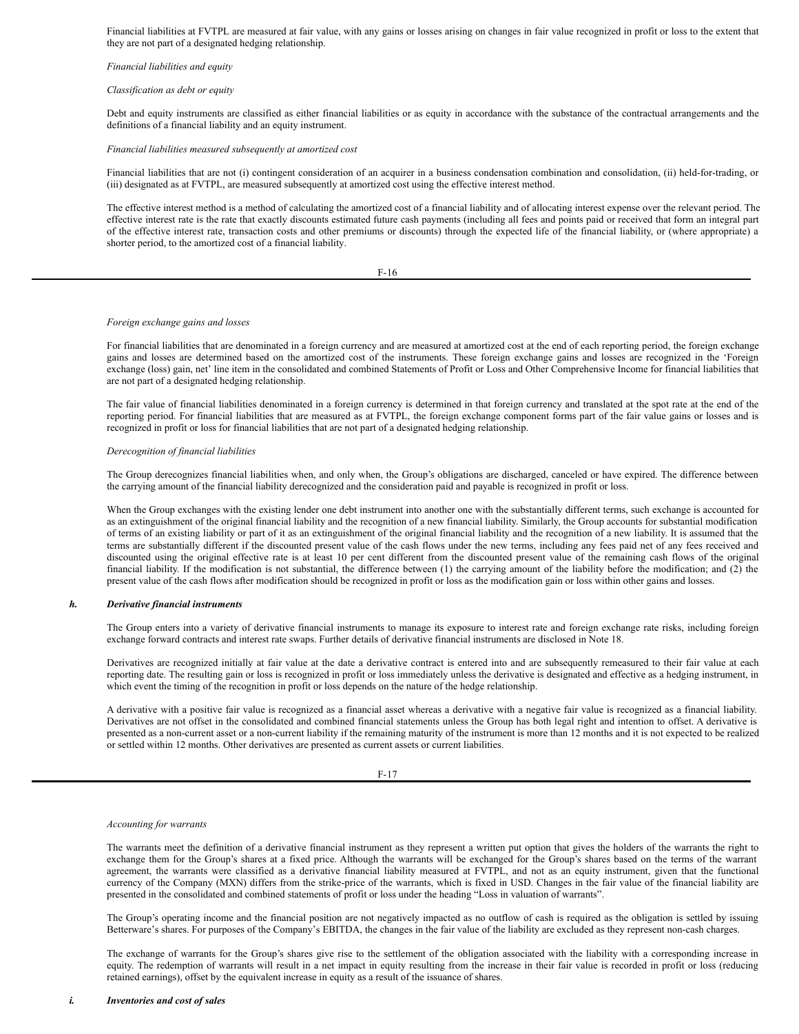Financial liabilities at FVTPL are measured at fair value, with any gains or losses arising on changes in fair value recognized in profit or loss to the extent that they are not part of a designated hedging relationship.

#### *Financial liabilities and equity*

### *Classification as debt or equity*

Debt and equity instruments are classified as either financial liabilities or as equity in accordance with the substance of the contractual arrangements and the definitions of a financial liability and an equity instrument.

#### *Financial liabilities measured subsequently at amortized cost*

Financial liabilities that are not (i) contingent consideration of an acquirer in a business condensation combination and consolidation, (ii) held-for-trading, or (iii) designated as at FVTPL, are measured subsequently at amortized cost using the effective interest method.

The effective interest method is a method of calculating the amortized cost of a financial liability and of allocating interest expense over the relevant period. The effective interest rate is the rate that exactly discounts estimated future cash payments (including all fees and points paid or received that form an integral part of the effective interest rate, transaction costs and other premiums or discounts) through the expected life of the financial liability, or (where appropriate) a shorter period, to the amortized cost of a financial liability.

## F-16

### *Foreign exchange gains and losses*

For financial liabilities that are denominated in a foreign currency and are measured at amortized cost at the end of each reporting period, the foreign exchange gains and losses are determined based on the amortized cost of the instruments. These foreign exchange gains and losses are recognized in the 'Foreign exchange (loss) gain, net' line item in the consolidated and combined Statements of Profit or Loss and Other Comprehensive Income for financial liabilities that are not part of a designated hedging relationship.

The fair value of financial liabilities denominated in a foreign currency is determined in that foreign currency and translated at the spot rate at the end of the reporting period. For financial liabilities that are measured as at FVTPL, the foreign exchange component forms part of the fair value gains or losses and is recognized in profit or loss for financial liabilities that are not part of a designated hedging relationship.

#### *Derecognition of financial liabilities*

The Group derecognizes financial liabilities when, and only when, the Group's obligations are discharged, canceled or have expired. The difference between the carrying amount of the financial liability derecognized and the consideration paid and payable is recognized in profit or loss.

When the Group exchanges with the existing lender one debt instrument into another one with the substantially different terms, such exchange is accounted for as an extinguishment of the original financial liability and the recognition of a new financial liability. Similarly, the Group accounts for substantial modification of terms of an existing liability or part of it as an extinguishment of the original financial liability and the recognition of a new liability. It is assumed that the terms are substantially different if the discounted present value of the cash flows under the new terms, including any fees paid net of any fees received and discounted using the original effective rate is at least 10 per cent different from the discounted present value of the remaining cash flows of the original financial liability. If the modification is not substantial, the difference between (1) the carrying amount of the liability before the modification; and (2) the present value of the cash flows after modification should be recognized in profit or loss as the modification gain or loss within other gains and losses.

#### *h. Derivative financial instruments*

The Group enters into a variety of derivative financial instruments to manage its exposure to interest rate and foreign exchange rate risks, including foreign exchange forward contracts and interest rate swaps. Further details of derivative financial instruments are disclosed in Note 18.

Derivatives are recognized initially at fair value at the date a derivative contract is entered into and are subsequently remeasured to their fair value at each reporting date. The resulting gain or loss is recognized in profit or loss immediately unless the derivative is designated and effective as a hedging instrument, in which event the timing of the recognition in profit or loss depends on the nature of the hedge relationship.

A derivative with a positive fair value is recognized as a financial asset whereas a derivative with a negative fair value is recognized as a financial liability. Derivatives are not offset in the consolidated and combined financial statements unless the Group has both legal right and intention to offset. A derivative is presented as a non-current asset or a non-current liability if the remaining maturity of the instrument is more than 12 months and it is not expected to be realized or settled within 12 months. Other derivatives are presented as current assets or current liabilities.

F-17

## *Accounting for warrants*

The warrants meet the definition of a derivative financial instrument as they represent a written put option that gives the holders of the warrants the right to exchange them for the Group's shares at a fixed price. Although the warrants will be exchanged for the Group's shares based on the terms of the warrant agreement, the warrants were classified as a derivative financial liability measured at FVTPL, and not as an equity instrument, given that the functional currency of the Company (MXN) differs from the strike-price of the warrants, which is fixed in USD. Changes in the fair value of the financial liability are presented in the consolidated and combined statements of profit or loss under the heading "Loss in valuation of warrants".

The Group's operating income and the financial position are not negatively impacted as no outflow of cash is required as the obligation is settled by issuing Betterware's shares. For purposes of the Company's EBITDA, the changes in the fair value of the liability are excluded as they represent non-cash charges.

The exchange of warrants for the Group's shares give rise to the settlement of the obligation associated with the liability with a corresponding increase in equity. The redemption of warrants will result in a net impact in equity resulting from the increase in their fair value is recorded in profit or loss (reducing retained earnings), offset by the equivalent increase in equity as a result of the issuance of shares.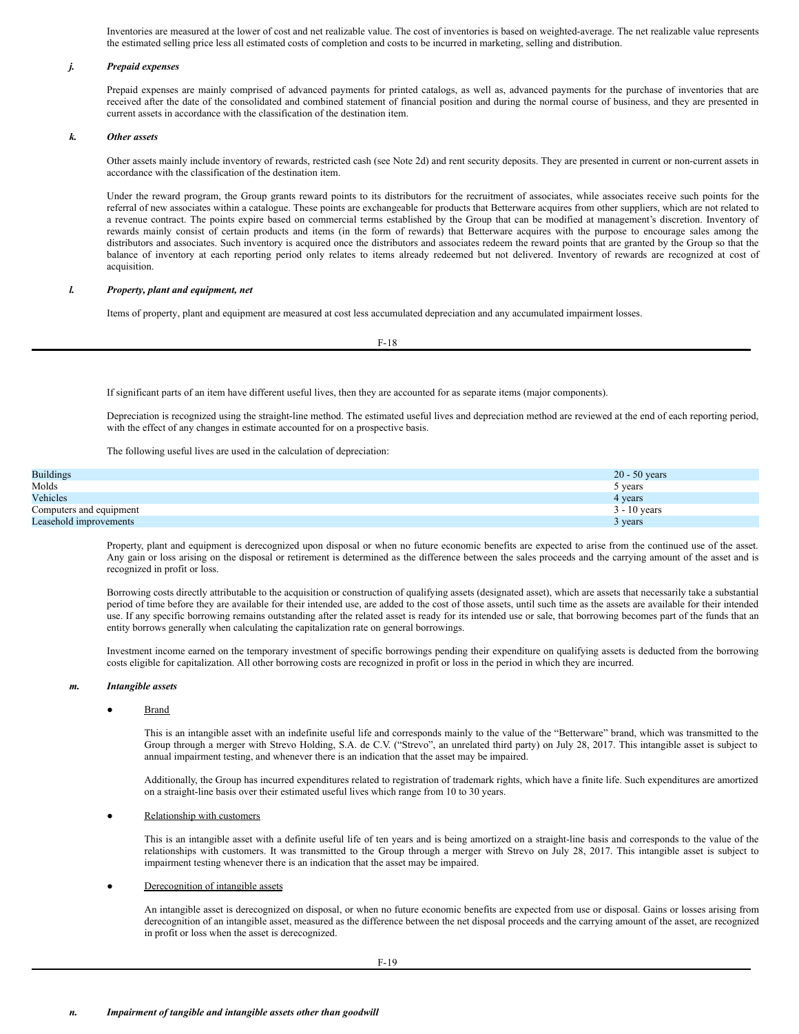Inventories are measured at the lower of cost and net realizable value. The cost of inventories is based on weighted-average. The net realizable value represents the estimated selling price less all estimated costs of completion and costs to be incurred in marketing, selling and distribution.

#### *j. Prepaid expenses*

Prepaid expenses are mainly comprised of advanced payments for printed catalogs, as well as, advanced payments for the purchase of inventories that are received after the date of the consolidated and combined statement of financial position and during the normal course of business, and they are presented in current assets in accordance with the classification of the destination item.

### *k. Other assets*

Other assets mainly include inventory of rewards, restricted cash (see Note 2d) and rent security deposits. They are presented in current or non-current assets in accordance with the classification of the destination item.

Under the reward program, the Group grants reward points to its distributors for the recruitment of associates, while associates receive such points for the referral of new associates within a catalogue. These points are exchangeable for products that Betterware acquires from other suppliers, which are not related to a revenue contract. The points expire based on commercial terms established by the Group that can be modified at management's discretion. Inventory of rewards mainly consist of certain products and items (in the form of rewards) that Betterware acquires with the purpose to encourage sales among the distributors and associates. Such inventory is acquired once the distributors and associates redeem the reward points that are granted by the Group so that the balance of inventory at each reporting period only relates to items already redeemed but not delivered. Inventory of rewards are recognized at cost of acquisition.

# *l. Property, plant and equipment, net*

Items of property, plant and equipment are measured at cost less accumulated depreciation and any accumulated impairment losses.

| F-18                                                                                                                           |
|--------------------------------------------------------------------------------------------------------------------------------|
|                                                                                                                                |
|                                                                                                                                |
| If significant parts of an item have different useful lives, then they are accounted for as separate items (major components). |

Depreciation is recognized using the straight-line method. The estimated useful lives and depreciation method are reviewed at the end of each reporting period, with the effect of any changes in estimate accounted for on a prospective basis.

The following useful lives are used in the calculation of depreciation:

| <b>Buildings</b>        | $20 - 50$ years |
|-------------------------|-----------------|
| Molds                   | 5 years         |
| Vehicles                | 4 years         |
| Computers and equipment | $3 - 10$ years  |
| Leasehold improvements  | 3 years         |

Property, plant and equipment is derecognized upon disposal or when no future economic benefits are expected to arise from the continued use of the asset. Any gain or loss arising on the disposal or retirement is determined as the difference between the sales proceeds and the carrying amount of the asset and is recognized in profit or loss.

Borrowing costs directly attributable to the acquisition or construction of qualifying assets (designated asset), which are assets that necessarily take a substantial period of time before they are available for their intended use, are added to the cost of those assets, until such time as the assets are available for their intended use. If any specific borrowing remains outstanding after the related asset is ready for its intended use or sale, that borrowing becomes part of the funds that an entity borrows generally when calculating the capitalization rate on general borrowings.

Investment income earned on the temporary investment of specific borrowings pending their expenditure on qualifying assets is deducted from the borrowing costs eligible for capitalization. All other borrowing costs are recognized in profit or loss in the period in which they are incurred.

#### *m. Intangible assets*

**Brand** 

This is an intangible asset with an indefinite useful life and corresponds mainly to the value of the "Betterware" brand, which was transmitted to the Group through a merger with Strevo Holding, S.A. de C.V. ("Strevo", an unrelated third party) on July 28, 2017. This intangible asset is subject to annual impairment testing, and whenever there is an indication that the asset may be impaired.

Additionally, the Group has incurred expenditures related to registration of trademark rights, which have a finite life. Such expenditures are amortized on a straight-line basis over their estimated useful lives which range from 10 to 30 years.

### Relationship with customers

This is an intangible asset with a definite useful life of ten years and is being amortized on a straight-line basis and corresponds to the value of the relationships with customers. It was transmitted to the Group through a merger with Strevo on July 28, 2017. This intangible asset is subject to impairment testing whenever there is an indication that the asset may be impaired.

### Derecognition of intangible assets

An intangible asset is derecognized on disposal, or when no future economic benefits are expected from use or disposal. Gains or losses arising from derecognition of an intangible asset, measured as the difference between the net disposal proceeds and the carrying amount of the asset, are recognized in profit or loss when the asset is derecognized.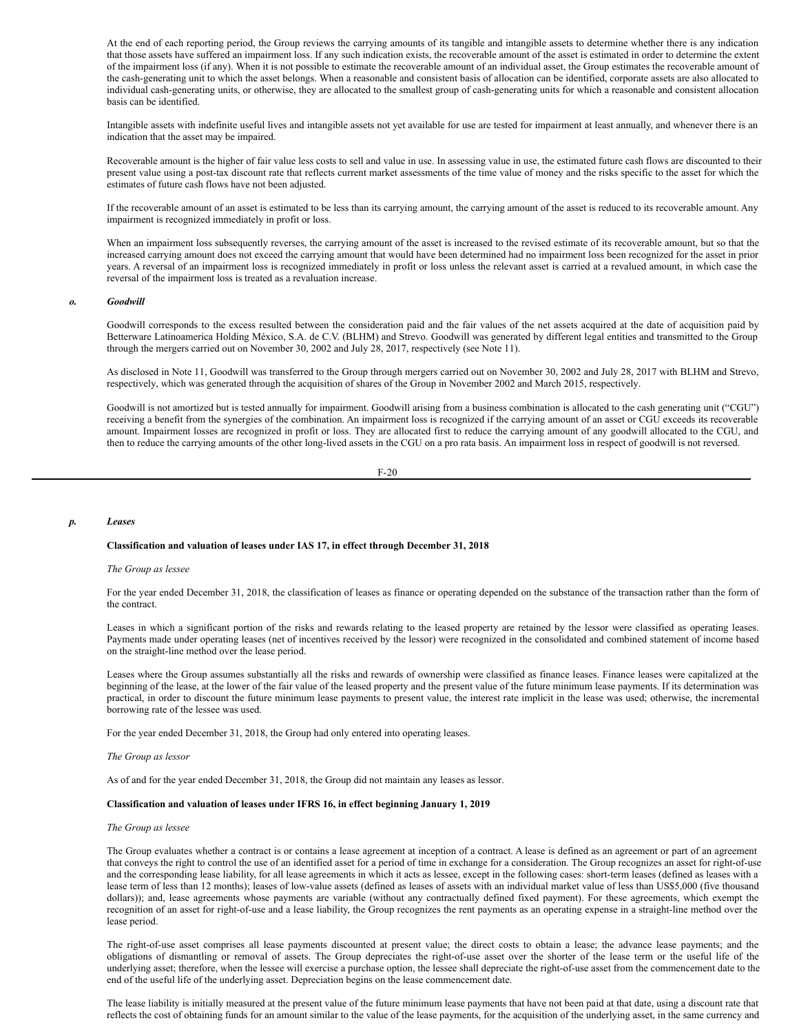At the end of each reporting period, the Group reviews the carrying amounts of its tangible and intangible assets to determine whether there is any indication that those assets have suffered an impairment loss. If any such indication exists, the recoverable amount of the asset is estimated in order to determine the extent of the impairment loss (if any). When it is not possible to estimate the recoverable amount of an individual asset, the Group estimates the recoverable amount of the cash-generating unit to which the asset belongs. When a reasonable and consistent basis of allocation can be identified, corporate assets are also allocated to individual cash-generating units, or otherwise, they are allocated to the smallest group of cash-generating units for which a reasonable and consistent allocation basis can be identified.

Intangible assets with indefinite useful lives and intangible assets not yet available for use are tested for impairment at least annually, and whenever there is an indication that the asset may be impaired.

Recoverable amount is the higher of fair value less costs to sell and value in use. In assessing value in use, the estimated future cash flows are discounted to their present value using a post-tax discount rate that reflects current market assessments of the time value of money and the risks specific to the asset for which the estimates of future cash flows have not been adjusted.

If the recoverable amount of an asset is estimated to be less than its carrying amount, the carrying amount of the asset is reduced to its recoverable amount. Any impairment is recognized immediately in profit or loss.

When an impairment loss subsequently reverses, the carrying amount of the asset is increased to the revised estimate of its recoverable amount, but so that the increased carrying amount does not exceed the carrying amount that would have been determined had no impairment loss been recognized for the asset in prior years. A reversal of an impairment loss is recognized immediately in profit or loss unless the relevant asset is carried at a revalued amount, in which case the reversal of the impairment loss is treated as a revaluation increase.

#### *o. Goodwill*

Goodwill corresponds to the excess resulted between the consideration paid and the fair values of the net assets acquired at the date of acquisition paid by Betterware Latinoamerica Holding México, S.A. de C.V. (BLHM) and Strevo. Goodwill was generated by different legal entities and transmitted to the Group through the mergers carried out on November 30, 2002 and July 28, 2017, respectively (see Note 11).

As disclosed in Note 11, Goodwill was transferred to the Group through mergers carried out on November 30, 2002 and July 28, 2017 with BLHM and Strevo, respectively, which was generated through the acquisition of shares of the Group in November 2002 and March 2015, respectively.

Goodwill is not amortized but is tested annually for impairment. Goodwill arising from a business combination is allocated to the cash generating unit ("CGU") receiving a benefit from the synergies of the combination. An impairment loss is recognized if the carrying amount of an asset or CGU exceeds its recoverable amount. Impairment losses are recognized in profit or loss. They are allocated first to reduce the carrying amount of any goodwill allocated to the CGU, and then to reduce the carrying amounts of the other long-lived assets in the CGU on a pro rata basis. An impairment loss in respect of goodwill is not reversed.

#### *p. Leases*

# **Classification and valuation of leases under IAS 17, in effect through December 31, 2018**

#### *The Group as lessee*

For the year ended December 31, 2018, the classification of leases as finance or operating depended on the substance of the transaction rather than the form of the contract.

Leases in which a significant portion of the risks and rewards relating to the leased property are retained by the lessor were classified as operating leases. Payments made under operating leases (net of incentives received by the lessor) were recognized in the consolidated and combined statement of income based on the straight-line method over the lease period.

Leases where the Group assumes substantially all the risks and rewards of ownership were classified as finance leases. Finance leases were capitalized at the beginning of the lease, at the lower of the fair value of the leased property and the present value of the future minimum lease payments. If its determination was practical, in order to discount the future minimum lease payments to present value, the interest rate implicit in the lease was used; otherwise, the incremental borrowing rate of the lessee was used.

For the year ended December 31, 2018, the Group had only entered into operating leases.

*The Group as lessor*

As of and for the year ended December 31, 2018, the Group did not maintain any leases as lessor.

### **Classification and valuation of leases under IFRS 16, in effect beginning January 1, 2019**

#### *The Group as lessee*

The Group evaluates whether a contract is or contains a lease agreement at inception of a contract. A lease is defined as an agreement or part of an agreement that conveys the right to control the use of an identified asset for a period of time in exchange for a consideration. The Group recognizes an asset for right-of-use and the corresponding lease liability, for all lease agreements in which it acts as lessee, except in the following cases: short-term leases (defined as leases with a lease term of less than 12 months); leases of low-value assets (defined as leases of assets with an individual market value of less than US\$5,000 (five thousand dollars)); and, lease agreements whose payments are variable (without any contractually defined fixed payment). For these agreements, which exempt the recognition of an asset for right-of-use and a lease liability, the Group recognizes the rent payments as an operating expense in a straight-line method over the lease period.

The right-of-use asset comprises all lease payments discounted at present value; the direct costs to obtain a lease; the advance lease payments; and the obligations of dismantling or removal of assets. The Group depreciates the right-of-use asset over the shorter of the lease term or the useful life of the underlying asset; therefore, when the lessee will exercise a purchase option, the lessee shall depreciate the right-of-use asset from the commencement date to the end of the useful life of the underlying asset. Depreciation begins on the lease commencement date.

The lease liability is initially measured at the present value of the future minimum lease payments that have not been paid at that date, using a discount rate that reflects the cost of obtaining funds for an amount similar to the value of the lease payments, for the acquisition of the underlying asset, in the same currency and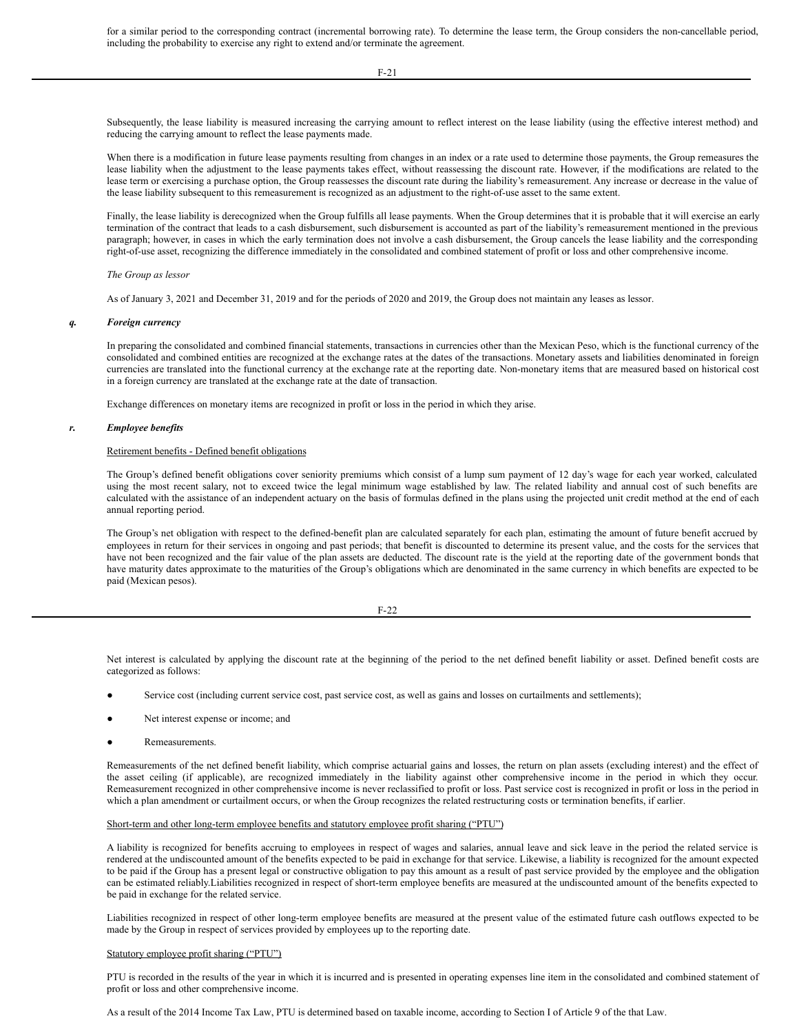for a similar period to the corresponding contract (incremental borrowing rate). To determine the lease term, the Group considers the non-cancellable period, including the probability to exercise any right to extend and/or terminate the agreement.

F-21

Subsequently, the lease liability is measured increasing the carrying amount to reflect interest on the lease liability (using the effective interest method) and reducing the carrying amount to reflect the lease payments made.

When there is a modification in future lease payments resulting from changes in an index or a rate used to determine those payments, the Group remeasures the lease liability when the adjustment to the lease payments takes effect, without reassessing the discount rate. However, if the modifications are related to the lease term or exercising a purchase option, the Group reassesses the discount rate during the liability's remeasurement. Any increase or decrease in the value of the lease liability subsequent to this remeasurement is recognized as an adjustment to the right-of-use asset to the same extent.

Finally, the lease liability is derecognized when the Group fulfills all lease payments. When the Group determines that it is probable that it will exercise an early termination of the contract that leads to a cash disbursement, such disbursement is accounted as part of the liability's remeasurement mentioned in the previous paragraph; however, in cases in which the early termination does not involve a cash disbursement, the Group cancels the lease liability and the corresponding right-of-use asset, recognizing the difference immediately in the consolidated and combined statement of profit or loss and other comprehensive income.

#### *The Group as lessor*

As of January 3, 2021 and December 31, 2019 and for the periods of 2020 and 2019, the Group does not maintain any leases as lessor.

#### *q. Foreign currency*

In preparing the consolidated and combined financial statements, transactions in currencies other than the Mexican Peso, which is the functional currency of the consolidated and combined entities are recognized at the exchange rates at the dates of the transactions. Monetary assets and liabilities denominated in foreign currencies are translated into the functional currency at the exchange rate at the reporting date. Non-monetary items that are measured based on historical cost in a foreign currency are translated at the exchange rate at the date of transaction.

Exchange differences on monetary items are recognized in profit or loss in the period in which they arise.

#### *r. Employee benefits*

## Retirement benefits - Defined benefit obligations

The Group's defined benefit obligations cover seniority premiums which consist of a lump sum payment of 12 day's wage for each year worked, calculated using the most recent salary, not to exceed twice the legal minimum wage established by law. The related liability and annual cost of such benefits are calculated with the assistance of an independent actuary on the basis of formulas defined in the plans using the projected unit credit method at the end of each annual reporting period.

The Group's net obligation with respect to the defined-benefit plan are calculated separately for each plan, estimating the amount of future benefit accrued by employees in return for their services in ongoing and past periods; that benefit is discounted to determine its present value, and the costs for the services that have not been recognized and the fair value of the plan assets are deducted. The discount rate is the yield at the reporting date of the government bonds that have maturity dates approximate to the maturities of the Group's obligations which are denominated in the same currency in which benefits are expected to be paid (Mexican pesos).

F-22

Net interest is calculated by applying the discount rate at the beginning of the period to the net defined benefit liability or asset. Defined benefit costs are categorized as follows:

- Service cost (including current service cost, past service cost, as well as gains and losses on curtailments and settlements);
- Net interest expense or income; and
- Remeasurements.

Remeasurements of the net defined benefit liability, which comprise actuarial gains and losses, the return on plan assets (excluding interest) and the effect of the asset ceiling (if applicable), are recognized immediately in the liability against other comprehensive income in the period in which they occur. Remeasurement recognized in other comprehensive income is never reclassified to profit or loss. Past service cost is recognized in profit or loss in the period in which a plan amendment or curtailment occurs, or when the Group recognizes the related restructuring costs or termination benefits, if earlier.

# Short-term and other long-term employee benefits and statutory employee profit sharing ("PTU")

A liability is recognized for benefits accruing to employees in respect of wages and salaries, annual leave and sick leave in the period the related service is rendered at the undiscounted amount of the benefits expected to be paid in exchange for that service. Likewise, a liability is recognized for the amount expected to be paid if the Group has a present legal or constructive obligation to pay this amount as a result of past service provided by the employee and the obligation can be estimated reliably.Liabilities recognized in respect of short-term employee benefits are measured at the undiscounted amount of the benefits expected to be paid in exchange for the related service.

Liabilities recognized in respect of other long-term employee benefits are measured at the present value of the estimated future cash outflows expected to be made by the Group in respect of services provided by employees up to the reporting date.

#### Statutory employee profit sharing ("PTU")

PTU is recorded in the results of the year in which it is incurred and is presented in operating expenses line item in the consolidated and combined statement of profit or loss and other comprehensive income.

As a result of the 2014 Income Tax Law, PTU is determined based on taxable income, according to Section I of Article 9 of the that Law.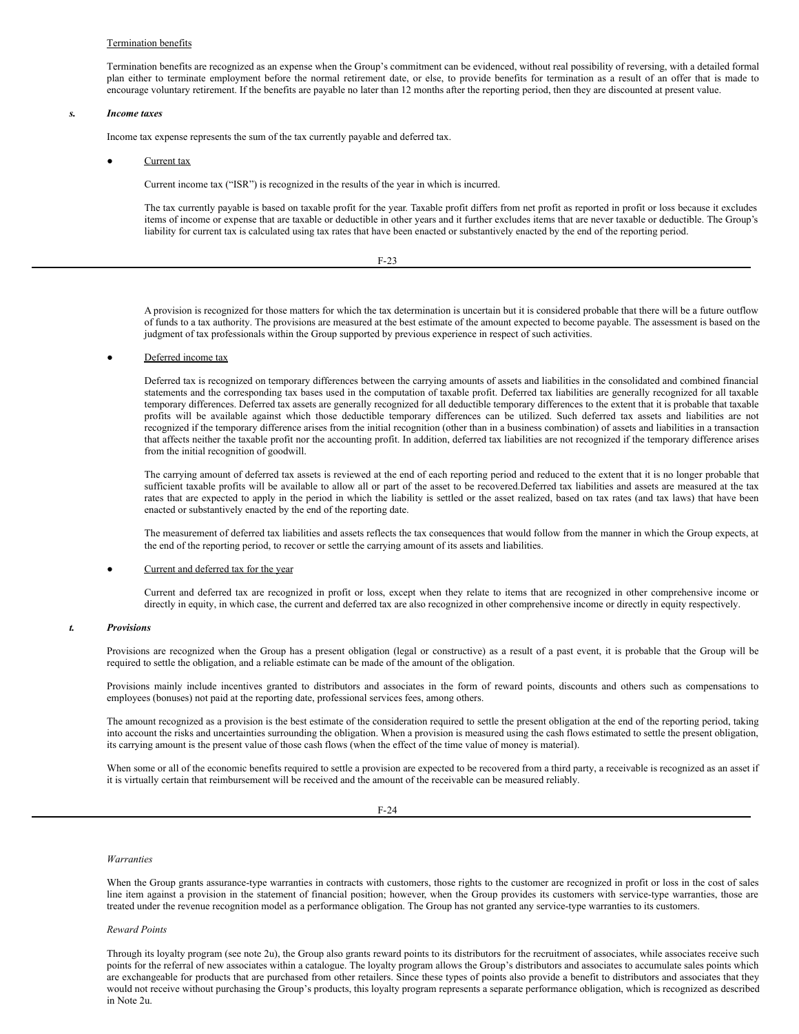#### Termination benefits

Termination benefits are recognized as an expense when the Group's commitment can be evidenced, without real possibility of reversing, with a detailed formal plan either to terminate employment before the normal retirement date, or else, to provide benefits for termination as a result of an offer that is made to encourage voluntary retirement. If the benefits are payable no later than 12 months after the reporting period, then they are discounted at present value.

### *s. Income taxes*

Income tax expense represents the sum of the tax currently payable and deferred tax.

#### Current tax

Current income tax ("ISR") is recognized in the results of the year in which is incurred.

The tax currently payable is based on taxable profit for the year. Taxable profit differs from net profit as reported in profit or loss because it excludes items of income or expense that are taxable or deductible in other years and it further excludes items that are never taxable or deductible. The Group's liability for current tax is calculated using tax rates that have been enacted or substantively enacted by the end of the reporting period.

## F-23

A provision is recognized for those matters for which the tax determination is uncertain but it is considered probable that there will be a future outflow of funds to a tax authority. The provisions are measured at the best estimate of the amount expected to become payable. The assessment is based on the judgment of tax professionals within the Group supported by previous experience in respect of such activities.

#### Deferred income tax

Deferred tax is recognized on temporary differences between the carrying amounts of assets and liabilities in the consolidated and combined financial statements and the corresponding tax bases used in the computation of taxable profit. Deferred tax liabilities are generally recognized for all taxable temporary differences. Deferred tax assets are generally recognized for all deductible temporary differences to the extent that it is probable that taxable profits will be available against which those deductible temporary differences can be utilized. Such deferred tax assets and liabilities are not recognized if the temporary difference arises from the initial recognition (other than in a business combination) of assets and liabilities in a transaction that affects neither the taxable profit nor the accounting profit. In addition, deferred tax liabilities are not recognized if the temporary difference arises from the initial recognition of goodwill.

The carrying amount of deferred tax assets is reviewed at the end of each reporting period and reduced to the extent that it is no longer probable that sufficient taxable profits will be available to allow all or part of the asset to be recovered.Deferred tax liabilities and assets are measured at the tax rates that are expected to apply in the period in which the liability is settled or the asset realized, based on tax rates (and tax laws) that have been enacted or substantively enacted by the end of the reporting date.

The measurement of deferred tax liabilities and assets reflects the tax consequences that would follow from the manner in which the Group expects, at the end of the reporting period, to recover or settle the carrying amount of its assets and liabilities.

## Current and deferred tax for the year

Current and deferred tax are recognized in profit or loss, except when they relate to items that are recognized in other comprehensive income or directly in equity, in which case, the current and deferred tax are also recognized in other comprehensive income or directly in equity respectively.

### *t. Provisions*

Provisions are recognized when the Group has a present obligation (legal or constructive) as a result of a past event, it is probable that the Group will be required to settle the obligation, and a reliable estimate can be made of the amount of the obligation.

Provisions mainly include incentives granted to distributors and associates in the form of reward points, discounts and others such as compensations to employees (bonuses) not paid at the reporting date, professional services fees, among others.

The amount recognized as a provision is the best estimate of the consideration required to settle the present obligation at the end of the reporting period, taking into account the risks and uncertainties surrounding the obligation. When a provision is measured using the cash flows estimated to settle the present obligation, its carrying amount is the present value of those cash flows (when the effect of the time value of money is material).

When some or all of the economic benefits required to settle a provision are expected to be recovered from a third party, a receivable is recognized as an asset if it is virtually certain that reimbursement will be received and the amount of the receivable can be measured reliably.

F-24

# *Warranties*

When the Group grants assurance-type warranties in contracts with customers, those rights to the customer are recognized in profit or loss in the cost of sales line item against a provision in the statement of financial position; however, when the Group provides its customers with service-type warranties, those are treated under the revenue recognition model as a performance obligation. The Group has not granted any service-type warranties to its customers.

#### *Reward Points*

Through its loyalty program (see note 2u), the Group also grants reward points to its distributors for the recruitment of associates, while associates receive such points for the referral of new associates within a catalogue. The loyalty program allows the Group's distributors and associates to accumulate sales points which are exchangeable for products that are purchased from other retailers. Since these types of points also provide a benefit to distributors and associates that they would not receive without purchasing the Group's products, this loyalty program represents a separate performance obligation, which is recognized as described in Note 2u.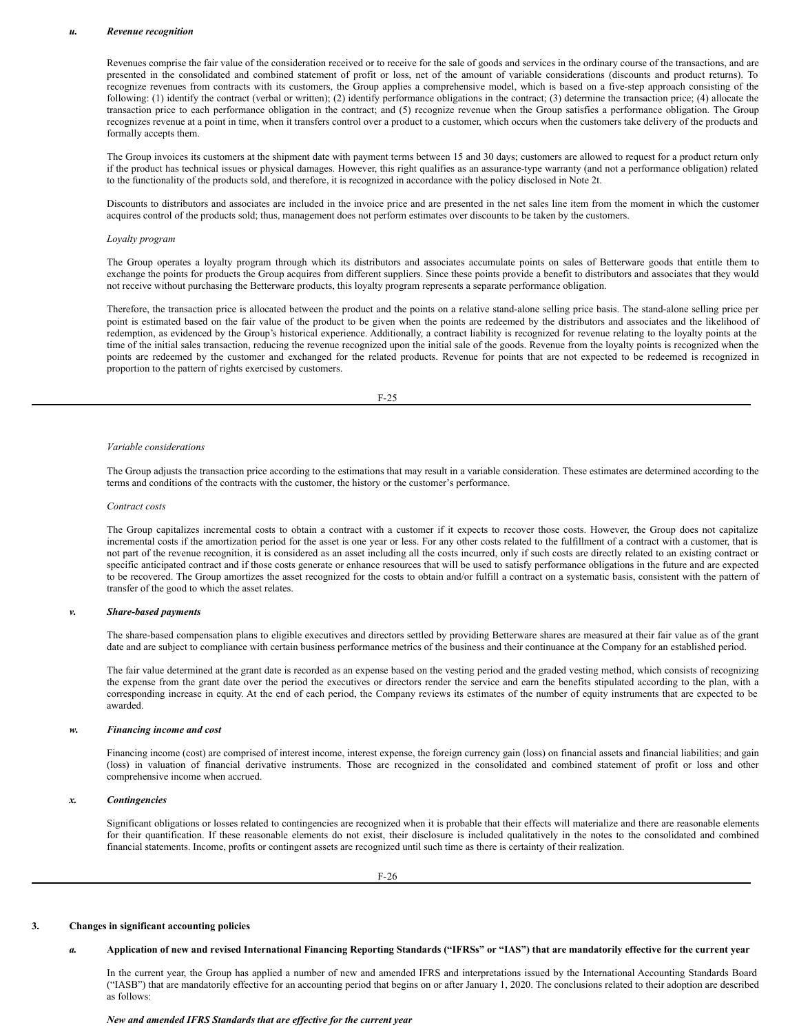#### *u. Revenue recognition*

Revenues comprise the fair value of the consideration received or to receive for the sale of goods and services in the ordinary course of the transactions, and are presented in the consolidated and combined statement of profit or loss, net of the amount of variable considerations (discounts and product returns). To recognize revenues from contracts with its customers, the Group applies a comprehensive model, which is based on a five-step approach consisting of the following: (1) identify the contract (verbal or written); (2) identify performance obligations in the contract; (3) determine the transaction price; (4) allocate the transaction price to each performance obligation in the contract; and (5) recognize revenue when the Group satisfies a performance obligation. The Group recognizes revenue at a point in time, when it transfers control over a product to a customer, which occurs when the customers take delivery of the products and formally accepts them.

The Group invoices its customers at the shipment date with payment terms between 15 and 30 days; customers are allowed to request for a product return only if the product has technical issues or physical damages. However, this right qualifies as an assurance-type warranty (and not a performance obligation) related to the functionality of the products sold, and therefore, it is recognized in accordance with the policy disclosed in Note 2t.

Discounts to distributors and associates are included in the invoice price and are presented in the net sales line item from the moment in which the customer acquires control of the products sold; thus, management does not perform estimates over discounts to be taken by the customers.

#### *Loyalty program*

The Group operates a loyalty program through which its distributors and associates accumulate points on sales of Betterware goods that entitle them to exchange the points for products the Group acquires from different suppliers. Since these points provide a benefit to distributors and associates that they would not receive without purchasing the Betterware products, this loyalty program represents a separate performance obligation.

Therefore, the transaction price is allocated between the product and the points on a relative stand-alone selling price basis. The stand-alone selling price per point is estimated based on the fair value of the product to be given when the points are redeemed by the distributors and associates and the likelihood of redemption, as evidenced by the Group's historical experience. Additionally, a contract liability is recognized for revenue relating to the loyalty points at the time of the initial sales transaction, reducing the revenue recognized upon the initial sale of the goods. Revenue from the loyalty points is recognized when the points are redeemed by the customer and exchanged for the related products. Revenue for points that are not expected to be redeemed is recognized in proportion to the pattern of rights exercised by customers.

F-25

#### *Variable considerations*

The Group adjusts the transaction price according to the estimations that may result in a variable consideration. These estimates are determined according to the terms and conditions of the contracts with the customer, the history or the customer's performance.

#### *Contract costs*

The Group capitalizes incremental costs to obtain a contract with a customer if it expects to recover those costs. However, the Group does not capitalize incremental costs if the amortization period for the asset is one year or less. For any other costs related to the fulfillment of a contract with a customer, that is not part of the revenue recognition, it is considered as an asset including all the costs incurred, only if such costs are directly related to an existing contract or specific anticipated contract and if those costs generate or enhance resources that will be used to satisfy performance obligations in the future and are expected to be recovered. The Group amortizes the asset recognized for the costs to obtain and/or fulfill a contract on a systematic basis, consistent with the pattern of transfer of the good to which the asset relates.

#### *v. Share-based payments*

The share-based compensation plans to eligible executives and directors settled by providing Betterware shares are measured at their fair value as of the grant date and are subject to compliance with certain business performance metrics of the business and their continuance at the Company for an established period.

The fair value determined at the grant date is recorded as an expense based on the vesting period and the graded vesting method, which consists of recognizing the expense from the grant date over the period the executives or directors render the service and earn the benefits stipulated according to the plan, with a corresponding increase in equity. At the end of each period, the Company reviews its estimates of the number of equity instruments that are expected to be awarded.

#### *w. Financing income and cost*

Financing income (cost) are comprised of interest income, interest expense, the foreign currency gain (loss) on financial assets and financial liabilities; and gain (loss) in valuation of financial derivative instruments. Those are recognized in the consolidated and combined statement of profit or loss and other comprehensive income when accrued.

### *x. Contingencies*

Significant obligations or losses related to contingencies are recognized when it is probable that their effects will materialize and there are reasonable elements for their quantification. If these reasonable elements do not exist, their disclosure is included qualitatively in the notes to the consolidated and combined financial statements. Income, profits or contingent assets are recognized until such time as there is certainty of their realization.

# **3. Changes in significant accounting policies**

# a. Application of new and revised International Financing Reporting Standards ("IFRSs" or "IAS") that are mandatorily effective for the current year

In the current year, the Group has applied a number of new and amended IFRS and interpretations issued by the International Accounting Standards Board ("IASB") that are mandatorily effective for an accounting period that begins on or after January 1, 2020. The conclusions related to their adoption are described as follows: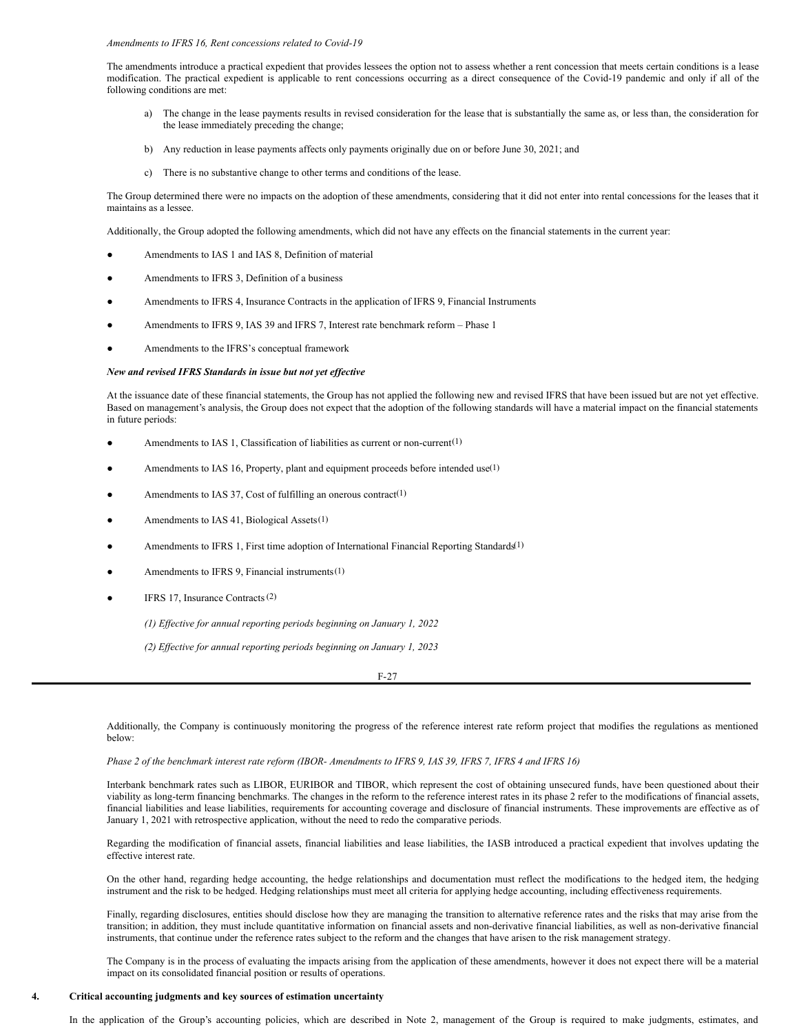The amendments introduce a practical expedient that provides lessees the option not to assess whether a rent concession that meets certain conditions is a lease modification. The practical expedient is applicable to rent concessions occurring as a direct consequence of the Covid-19 pandemic and only if all of the following conditions are met:

- a) The change in the lease payments results in revised consideration for the lease that is substantially the same as, or less than, the consideration for the lease immediately preceding the change;
- b) Any reduction in lease payments affects only payments originally due on or before June 30, 2021; and
- c) There is no substantive change to other terms and conditions of the lease.

The Group determined there were no impacts on the adoption of these amendments, considering that it did not enter into rental concessions for the leases that it maintains as a lessee.

Additionally, the Group adopted the following amendments, which did not have any effects on the financial statements in the current year:

- Amendments to IAS 1 and IAS 8, Definition of material
- Amendments to IFRS 3, Definition of a business
- Amendments to IFRS 4, Insurance Contracts in the application of IFRS 9, Financial Instruments
- Amendments to IFRS 9, IAS 39 and IFRS 7, Interest rate benchmark reform Phase 1
- Amendments to the IFRS's conceptual framework

### *New and revised IFRS Standards in issue but not yet ef ective*

At the issuance date of these financial statements, the Group has not applied the following new and revised IFRS that have been issued but are not yet effective. Based on management's analysis, the Group does not expect that the adoption of the following standards will have a material impact on the financial statements in future periods:

- Amendments to IAS 1, Classification of liabilities as current or non-current(1)
- Amendments to IAS 16, Property, plant and equipment proceeds before intended use $(1)$
- Amendments to IAS 37, Cost of fulfilling an onerous contract $(1)$
- Amendments to IAS 41, Biological Assets $(1)$
- Amendments to IFRS 1, First time adoption of International Financial Reporting Standards(1)
- Amendments to IFRS 9, Financial instruments $(1)$
- IFRS 17, Insurance Contracts(2)

*(1) Ef ective for annual reporting periods beginning on January 1, 2022*

*(2) Ef ective for annual reporting periods beginning on January 1, 2023*

F-27

Additionally, the Company is continuously monitoring the progress of the reference interest rate reform project that modifies the regulations as mentioned below:

# Phase 2 of the benchmark interest rate reform (IBOR- Amendments to IFRS 9, IAS 39, IFRS 7, IFRS 4 and IFRS 16)

Interbank benchmark rates such as LIBOR, EURIBOR and TIBOR, which represent the cost of obtaining unsecured funds, have been questioned about their viability as long-term financing benchmarks. The changes in the reform to the reference interest rates in its phase 2 refer to the modifications of financial assets, financial liabilities and lease liabilities, requirements for accounting coverage and disclosure of financial instruments. These improvements are effective as of January 1, 2021 with retrospective application, without the need to redo the comparative periods.

Regarding the modification of financial assets, financial liabilities and lease liabilities, the IASB introduced a practical expedient that involves updating the effective interest rate.

On the other hand, regarding hedge accounting, the hedge relationships and documentation must reflect the modifications to the hedged item, the hedging instrument and the risk to be hedged. Hedging relationships must meet all criteria for applying hedge accounting, including effectiveness requirements.

Finally, regarding disclosures, entities should disclose how they are managing the transition to alternative reference rates and the risks that may arise from the transition; in addition, they must include quantitative information on financial assets and non-derivative financial liabilities, as well as non-derivative financial instruments, that continue under the reference rates subject to the reform and the changes that have arisen to the risk management strategy.

The Company is in the process of evaluating the impacts arising from the application of these amendments, however it does not expect there will be a material impact on its consolidated financial position or results of operations.

# **4. Critical accounting judgments and key sources of estimation uncertainty**

In the application of the Group's accounting policies, which are described in Note 2, management of the Group is required to make judgments, estimates, and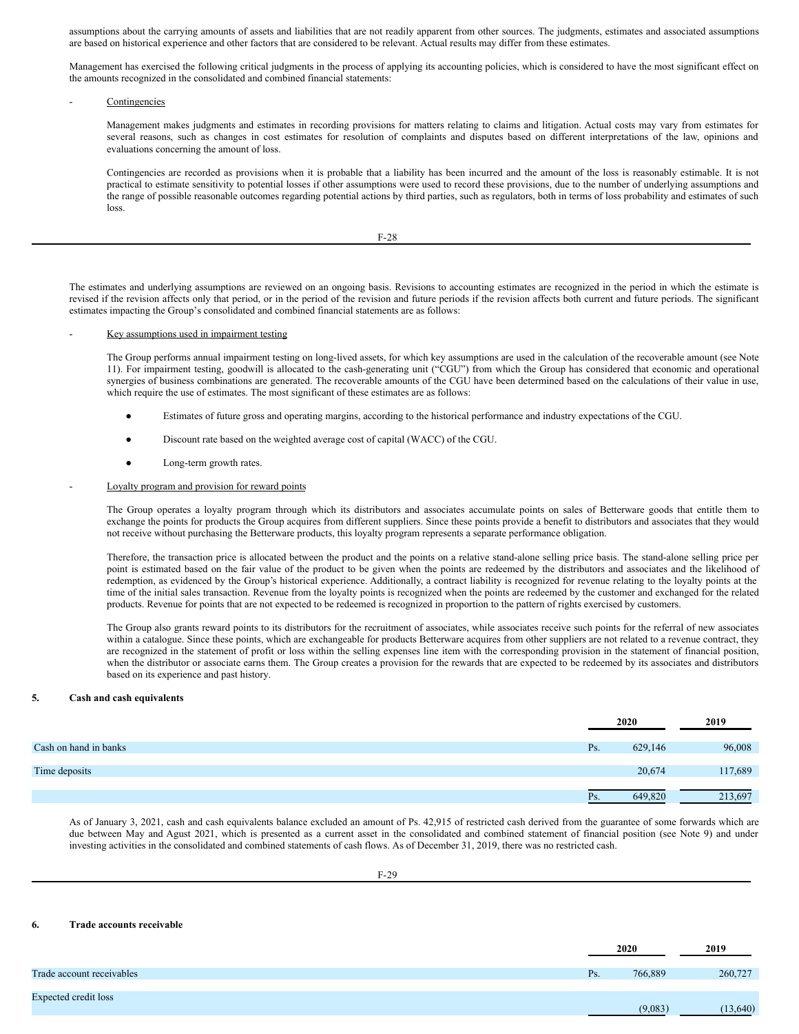assumptions about the carrying amounts of assets and liabilities that are not readily apparent from other sources. The judgments, estimates and associated assumptions are based on historical experience and other factors that are considered to be relevant. Actual results may differ from these estimates.

Management has exercised the following critical judgments in the process of applying its accounting policies, which is considered to have the most significant effect on the amounts recognized in the consolidated and combined financial statements:

### **Contingencies**

Management makes judgments and estimates in recording provisions for matters relating to claims and litigation. Actual costs may vary from estimates for several reasons, such as changes in cost estimates for resolution of complaints and disputes based on different interpretations of the law, opinions and evaluations concerning the amount of loss.

Contingencies are recorded as provisions when it is probable that a liability has been incurred and the amount of the loss is reasonably estimable. It is not practical to estimate sensitivity to potential losses if other assumptions were used to record these provisions, due to the number of underlying assumptions and the range of possible reasonable outcomes regarding potential actions by third parties, such as regulators, both in terms of loss probability and estimates of such loss.

The estimates and underlying assumptions are reviewed on an ongoing basis. Revisions to accounting estimates are recognized in the period in which the estimate is revised if the revision affects only that period, or in the period of the revision and future periods if the revision affects both current and future periods. The significant estimates impacting the Group's consolidated and combined financial statements are as follows:

### Key assumptions used in impairment testing

The Group performs annual impairment testing on long-lived assets, for which key assumptions are used in the calculation of the recoverable amount (see Note 11). For impairment testing, goodwill is allocated to the cash-generating unit ("CGU") from which the Group has considered that economic and operational synergies of business combinations are generated. The recoverable amounts of the CGU have been determined based on the calculations of their value in use, which require the use of estimates. The most significant of these estimates are as follows:

- Estimates of future gross and operating margins, according to the historical performance and industry expectations of the CGU.
- Discount rate based on the weighted average cost of capital (WACC) of the CGU.
- Long-term growth rates.

# Loyalty program and provision for reward points

The Group operates a loyalty program through which its distributors and associates accumulate points on sales of Betterware goods that entitle them to exchange the points for products the Group acquires from different suppliers. Since these points provide a benefit to distributors and associates that they would not receive without purchasing the Betterware products, this loyalty program represents a separate performance obligation.

Therefore, the transaction price is allocated between the product and the points on a relative stand-alone selling price basis. The stand-alone selling price per point is estimated based on the fair value of the product to be given when the points are redeemed by the distributors and associates and the likelihood of redemption, as evidenced by the Group's historical experience. Additionally, a contract liability is recognized for revenue relating to the loyalty points at the time of the initial sales transaction. Revenue from the loyalty points is recognized when the points are redeemed by the customer and exchanged for the related products. Revenue for points that are not expected to be redeemed is recognized in proportion to the pattern of rights exercised by customers.

The Group also grants reward points to its distributors for the recruitment of associates, while associates receive such points for the referral of new associates within a catalogue. Since these points, which are exchangeable for products Betterware acquires from other suppliers are not related to a revenue contract, they are recognized in the statement of profit or loss within the selling expenses line item with the corresponding provision in the statement of financial position, when the distributor or associate earns them. The Group creates a provision for the rewards that are expected to be redeemed by its associates and distributors based on its experience and past history.

#### **5. Cash and cash equivalents**

|                       |     | 2020    | 2019    |
|-----------------------|-----|---------|---------|
| Cash on hand in banks | Ps. | 629,146 | 96,008  |
| Time deposits         |     | 20,674  | 117,689 |
|                       | Ps. | 649,820 | 213,697 |

As of January 3, 2021, cash and cash equivalents balance excluded an amount of Ps. 42,915 of restricted cash derived from the guarantee of some forwards which are due between May and Agust 2021, which is presented as a current asset in the consolidated and combined statement of financial position (see Note 9) and under investing activities in the consolidated and combined statements of cash flows. As of December 31, 2019, there was no restricted cash.

F-29

#### **6. Trade accounts receivable**

|                           |     | 2020    | 2019      |
|---------------------------|-----|---------|-----------|
| Trade account receivables | Ps. | 766,889 | 260,727   |
| Expected credit loss      |     | (9,083) | (13, 640) |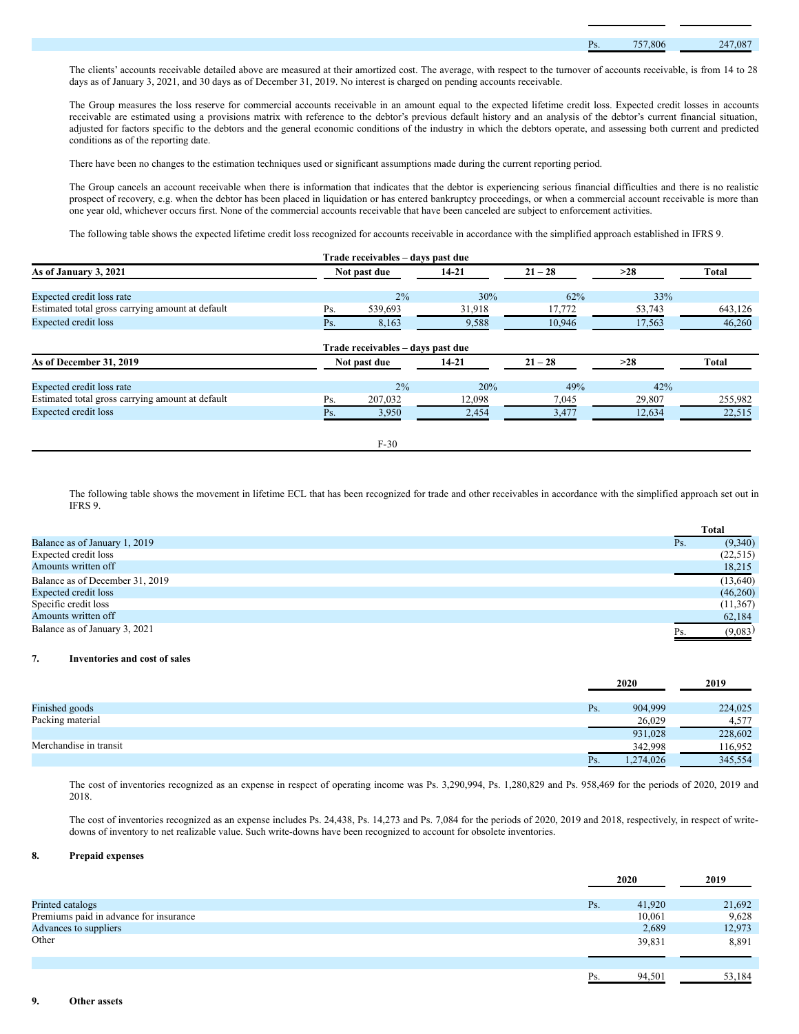| Ps. | 757,806 | 247,087 |
|-----|---------|---------|
|     |         |         |

The clients' accounts receivable detailed above are measured at their amortized cost. The average, with respect to the turnover of accounts receivable, is from 14 to 28 days as of January 3, 2021, and 30 days as of December 31, 2019. No interest is charged on pending accounts receivable.

The Group measures the loss reserve for commercial accounts receivable in an amount equal to the expected lifetime credit loss. Expected credit losses in accounts receivable are estimated using a provisions matrix with reference to the debtor's previous default history and an analysis of the debtor's current financial situation, adjusted for factors specific to the debtors and the general economic conditions of the industry in which the debtors operate, and assessing both current and predicted conditions as of the reporting date.

There have been no changes to the estimation techniques used or significant assumptions made during the current reporting period.

The Group cancels an account receivable when there is information that indicates that the debtor is experiencing serious financial difficulties and there is no realistic prospect of recovery, e.g. when the debtor has been placed in liquidation or has entered bankruptcy proceedings, or when a commercial account receivable is more than one year old, whichever occurs first. None of the commercial accounts receivable that have been canceled are subject to enforcement activities.

The following table shows the expected lifetime credit loss recognized for accounts receivable in accordance with the simplified approach established in IFRS 9.

|                                                  |     | Trade receivables - days past due |           |           |        |              |
|--------------------------------------------------|-----|-----------------------------------|-----------|-----------|--------|--------------|
| As of January 3, 2021                            |     | Not past due                      | $14 - 21$ | $21 - 28$ | >28    | <b>Total</b> |
| Expected credit loss rate                        |     | $2\%$                             | 30%       | 62%       | 33%    |              |
| Estimated total gross carrying amount at default | Ps. | 539,693                           | 31,918    | 17,772    | 53,743 | 643,126      |
| <b>Expected credit loss</b>                      | Ps. | 8,163                             | 9,588     | 10,946    | 17,563 | 46,260       |
|                                                  |     | Trade receivables - days past due |           |           |        |              |
| As of December 31, 2019                          |     | Not past due                      | $14 - 21$ | $21 - 28$ | >28    | <b>Total</b> |
| Expected credit loss rate                        |     | 2%                                | 20%       | 49%       | 42%    |              |
| Estimated total gross carrying amount at default | Ps. | 207,032                           | 12,098    | 7,045     | 29,807 | 255,982      |
| Expected credit loss                             | Ps. | 3,950                             | 2,454     | 3,477     | 12,634 | 22,515       |
|                                                  |     | $F-30$                            |           |           |        |              |

The following table shows the movement in lifetime ECL that has been recognized for trade and other receivables in accordance with the simplified approach set out in IFRS 9.

|                                 |     | Total     |
|---------------------------------|-----|-----------|
| Balance as of January 1, 2019   | Ps. | (9,340)   |
| Expected credit loss            |     | (22, 515) |
| Amounts written off             |     | 18,215    |
| Balance as of December 31, 2019 |     | (13,640)  |
| Expected credit loss            |     | (46,260)  |
| Specific credit loss            |     | (11,367)  |
| Amounts written off             |     | 62,184    |
| Balance as of January 3, 2021   | Ps  | (9,083)   |

# **7. Inventories and cost of sales**

|                        |     | 2020      | 2019    |  |
|------------------------|-----|-----------|---------|--|
|                        |     |           |         |  |
| Finished goods         | Ps. | 904,999   | 224,025 |  |
| Packing material       |     | 26,029    | 4,577   |  |
|                        |     | 931,028   | 228,602 |  |
| Merchandise in transit |     | 342,998   | 116.952 |  |
|                        | Ps. | 1,274,026 | 345,554 |  |

The cost of inventories recognized as an expense in respect of operating income was Ps. 3,290,994, Ps. 1,280,829 and Ps. 958,469 for the periods of 2020, 2019 and 2018.

The cost of inventories recognized as an expense includes Ps. 24,438, Ps. 14,273 and Ps. 7,084 for the periods of 2020, 2019 and 2018, respectively, in respect of writedowns of inventory to net realizable value. Such write-downs have been recognized to account for obsolete inventories.

# **8. Prepaid expenses**

|                                        |     | 2020   | 2019   |  |
|----------------------------------------|-----|--------|--------|--|
|                                        |     |        |        |  |
| Printed catalogs                       | Ps. | 41,920 | 21,692 |  |
| Premiums paid in advance for insurance |     | 10,061 | 9,628  |  |
| Advances to suppliers                  |     | 2,689  | 12,973 |  |
| Other                                  |     | 39,831 | 8,891  |  |
|                                        |     |        |        |  |
|                                        |     |        |        |  |
|                                        | Ps. | 94,501 | 53,184 |  |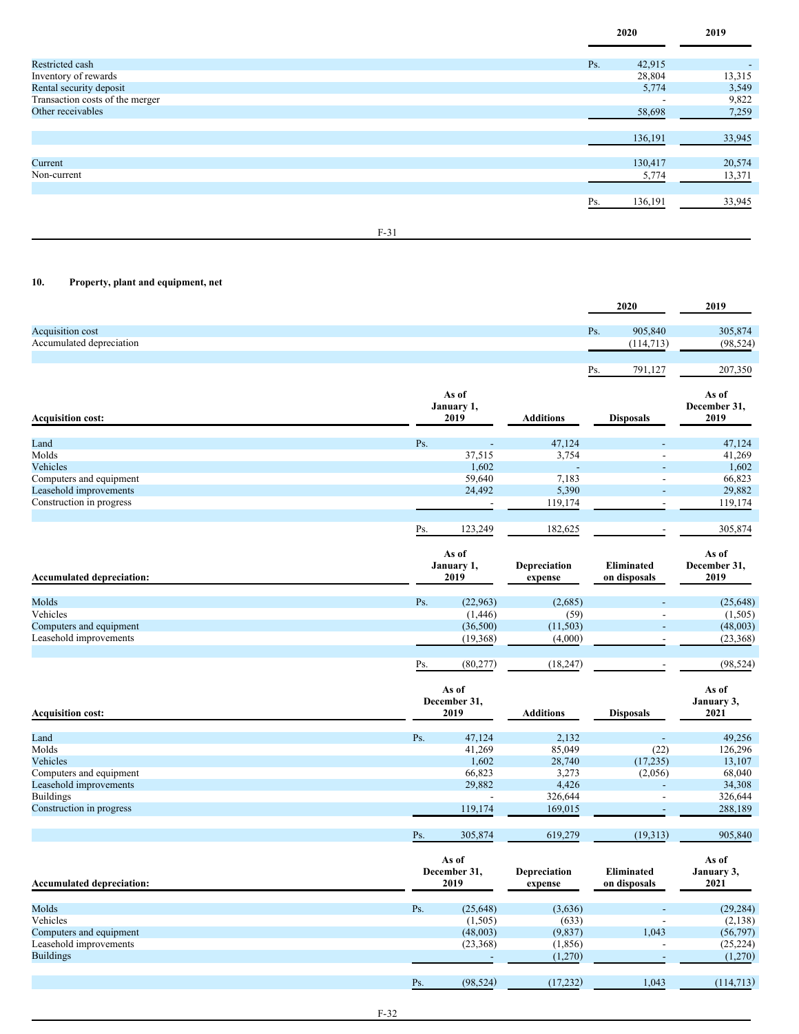|                                 | 2020 |         | 2019   |  |
|---------------------------------|------|---------|--------|--|
|                                 |      |         |        |  |
| Restricted cash                 | Ps.  | 42,915  | ٠.     |  |
| Inventory of rewards            |      | 28,804  | 13,315 |  |
| Rental security deposit         |      | 5,774   | 3,549  |  |
| Transaction costs of the merger |      | ۰       | 9,822  |  |
| Other receivables               |      | 58,698  | 7,259  |  |
|                                 |      |         |        |  |
|                                 |      | 136,191 | 33,945 |  |
|                                 |      |         |        |  |
| Current                         |      | 130,417 | 20,574 |  |
| Non-current                     |      | 5,774   | 13,371 |  |
|                                 |      |         |        |  |
|                                 | Ps.  | 136,191 | 33,945 |  |
|                                 |      |         |        |  |

F-31

# **10. Property, plant and equipment, net**

|                                                   |     |                          |                  | 2020                     | 2019             |
|---------------------------------------------------|-----|--------------------------|------------------|--------------------------|------------------|
| Acquisition cost                                  |     |                          |                  | 905,840<br>Ps.           | 305,874          |
| Accumulated depreciation                          |     |                          |                  | (114,713)                | (98, 524)        |
|                                                   |     |                          |                  |                          |                  |
|                                                   |     |                          |                  | Ps.<br>791,127           | 207,350          |
|                                                   |     | As of                    |                  |                          | As of            |
|                                                   |     | January 1,               |                  |                          | December 31,     |
| <b>Acquisition cost:</b>                          |     | 2019                     | <b>Additions</b> | <b>Disposals</b>         | 2019             |
|                                                   |     |                          |                  |                          |                  |
| Land                                              | Ps. | $\overline{\phantom{a}}$ | 47,124           |                          | 47,124           |
| Molds                                             |     | 37,515                   | 3,754            |                          | 41,269           |
| Vehicles                                          |     | 1,602                    | L.               |                          | 1,602            |
| Computers and equipment<br>Leasehold improvements |     | 59,640<br>24,492         | 7,183<br>5,390   | $\blacksquare$           | 66,823<br>29,882 |
| Construction in progress                          |     |                          | 119,174          |                          | 119,174          |
|                                                   |     |                          |                  |                          |                  |
|                                                   | Ps. | 123,249                  | 182,625          |                          | 305,874          |
|                                                   |     | As of                    |                  |                          | As of            |
|                                                   |     | January 1,               | Depreciation     | <b>Eliminated</b>        | December 31,     |
| <b>Accumulated depreciation:</b>                  |     | 2019                     | expense          | on disposals             | 2019             |
| Molds                                             | Ps. | (22,963)                 | (2,685)          |                          | (25, 648)        |
| Vehicles                                          |     | (1,446)                  | (59)             |                          | (1,505)          |
| Computers and equipment                           |     | (36,500)                 | (11, 503)        |                          | (48,003)         |
| Leasehold improvements                            |     | (19, 368)                | (4,000)          |                          | (23, 368)        |
|                                                   |     |                          |                  |                          |                  |
|                                                   | Ps. | (80, 277)                | (18, 247)        |                          | (98, 524)        |
|                                                   |     | As of                    |                  |                          | As of            |
|                                                   |     | December 31,             |                  |                          | January 3,       |
| <b>Acquisition cost:</b>                          |     | 2019                     | <b>Additions</b> | <b>Disposals</b>         | 2021             |
| Land                                              | Ps. | 47,124                   | 2,132            | $\qquad \qquad -$        | 49,256           |
| Molds                                             |     | 41,269                   | 85,049           | (22)                     | 126,296          |
| Vehicles                                          |     | 1,602                    | 28,740           | (17,235)                 | 13,107           |
| Computers and equipment                           |     | 66,823                   | 3,273            | (2,056)                  | 68,040           |
| Leasehold improvements                            |     | 29,882                   | 4,426            | $\blacksquare$           | 34,308           |
| <b>Buildings</b>                                  |     |                          | 326,644          | $\overline{\phantom{a}}$ | 326,644          |
| Construction in progress                          |     | 119,174                  | 169,015          |                          | 288,189          |
|                                                   | Ps. | 305,874                  | 619,279          | (19,313)                 | 905,840          |
|                                                   |     | As of                    |                  |                          | As of            |
|                                                   |     | December 31,             | Depreciation     | Eliminated               | January 3,       |
| <b>Accumulated depreciation:</b>                  |     | 2019                     | expense          | on disposals             | 2021             |
| Molds                                             | Ps. | (25, 648)                | (3,636)          |                          | (29, 284)        |
| Vehicles                                          |     | (1,505)                  | (633)            |                          | (2, 138)         |
| Computers and equipment                           |     | (48,003)                 | (9, 837)         | 1,043                    | (56, 797)        |
| Leasehold improvements                            |     | (23, 368)                | (1, 856)         | $\overline{\phantom{a}}$ | (25, 224)        |
| <b>Buildings</b>                                  |     |                          | (1,270)          |                          | (1,270)          |
|                                                   |     |                          |                  |                          |                  |
|                                                   | Ps. | (98, 524)                | (17, 232)        | 1,043                    | (114, 713)       |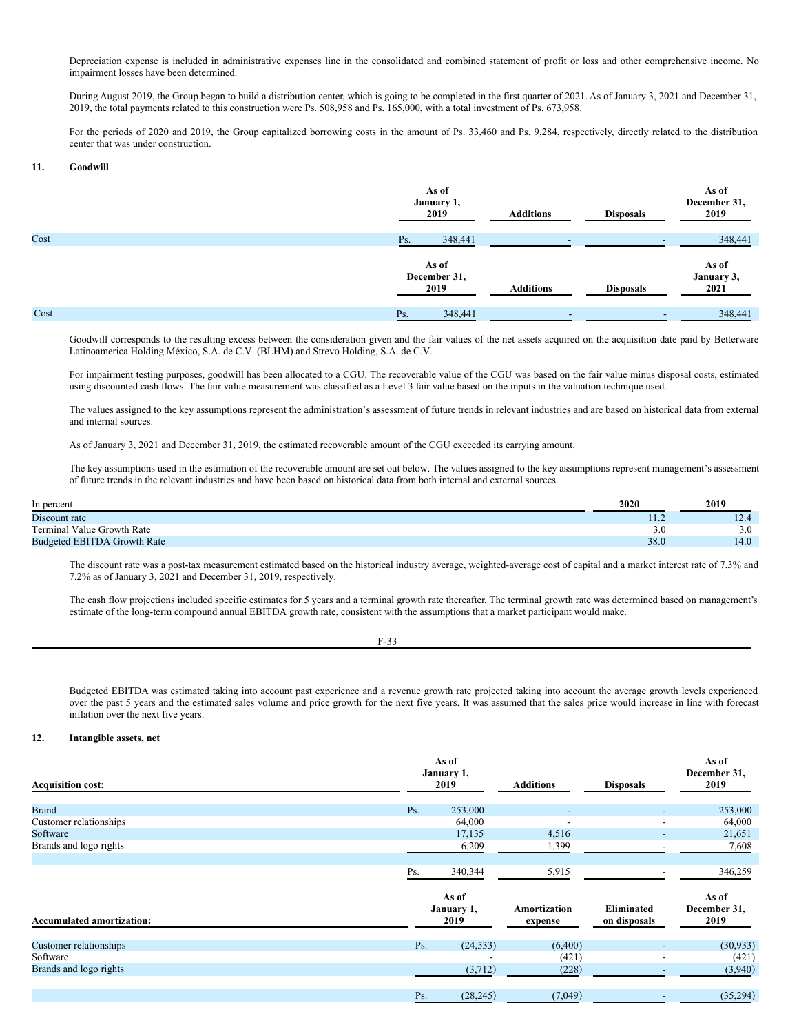Depreciation expense is included in administrative expenses line in the consolidated and combined statement of profit or loss and other comprehensive income. No impairment losses have been determined.

During August 2019, the Group began to build a distribution center, which is going to be completed in the first quarter of 2021. As of January 3, 2021 and December 31, 2019, the total payments related to this construction were Ps. 508,958 and Ps. 165,000, with a total investment of Ps. 673,958.

For the periods of 2020 and 2019, the Group capitalized borrowing costs in the amount of Ps. 33,460 and Ps. 9,284, respectively, directly related to the distribution center that was under construction.

# **11. Goodwill**

|      | As of<br>January 1,<br>2019   | <b>Additions</b> | <b>Disposals</b> | As of<br>December 31,<br>2019 |
|------|-------------------------------|------------------|------------------|-------------------------------|
| Cost | Ps.<br>348,441                |                  |                  | 348,441                       |
|      | As of<br>December 31,<br>2019 | <b>Additions</b> | <b>Disposals</b> | As of<br>January 3,<br>2021   |
| Cost | Ps.<br>348,441                | -                |                  | 348,441                       |

Goodwill corresponds to the resulting excess between the consideration given and the fair values of the net assets acquired on the acquisition date paid by Betterware Latinoamerica Holding México, S.A. de C.V. (BLHM) and Strevo Holding, S.A. de C.V.

For impairment testing purposes, goodwill has been allocated to a CGU. The recoverable value of the CGU was based on the fair value minus disposal costs, estimated using discounted cash flows. The fair value measurement was classified as a Level 3 fair value based on the inputs in the valuation technique used.

The values assigned to the key assumptions represent the administration's assessment of future trends in relevant industries and are based on historical data from external and internal sources.

As of January 3, 2021 and December 31, 2019, the estimated recoverable amount of the CGU exceeded its carrying amount.

The key assumptions used in the estimation of the recoverable amount are set out below. The values assigned to the key assumptions represent management's assessment of future trends in the relevant industries and have been based on historical data from both internal and external sources.

| In percent                         | 2020 | 2019           |
|------------------------------------|------|----------------|
| Discount rate                      | 11.2 | $\sim$<br>12.4 |
| Terminal Value Growth Rate         | ، ز  | 3.0            |
| <b>Budgeted EBITDA Growth Rate</b> | 38.0 | 14.0           |

The discount rate was a post-tax measurement estimated based on the historical industry average, weighted-average cost of capital and a market interest rate of 7.3% and 7.2% as of January 3, 2021 and December 31, 2019, respectively.

The cash flow projections included specific estimates for 5 years and a terminal growth rate thereafter. The terminal growth rate was determined based on management's estimate of the long-term compound annual EBITDA growth rate, consistent with the assumptions that a market participant would make.

Budgeted EBITDA was estimated taking into account past experience and a revenue growth rate projected taking into account the average growth levels experienced over the past 5 years and the estimated sales volume and price growth for the next five years. It was assumed that the sales price would increase in line with forecast inflation over the next five years.

# **12. Intangible assets, net**

| <b>Acquisition cost:</b>         |     | As of<br>January 1,<br>2019 | <b>Additions</b>         | <b>Disposals</b>                  | As of<br>December 31,<br>2019 |
|----------------------------------|-----|-----------------------------|--------------------------|-----------------------------------|-------------------------------|
| <b>Brand</b>                     | Ps. | 253,000                     | $\overline{\phantom{0}}$ | ٠                                 | 253,000                       |
| Customer relationships           |     | 64,000                      | $\overline{\phantom{a}}$ | $\blacksquare$                    | 64,000                        |
| Software                         |     | 17,135                      | 4,516                    | $\overline{\phantom{a}}$          | 21,651                        |
| Brands and logo rights           |     | 6,209                       | 1,399                    |                                   | 7,608                         |
|                                  |     |                             |                          |                                   |                               |
|                                  | Ps. | 340,344                     | 5,915                    |                                   | 346,259                       |
| <b>Accumulated amortization:</b> |     | As of<br>January 1,<br>2019 | Amortization<br>expense  | <b>Eliminated</b><br>on disposals | As of<br>December 31,<br>2019 |
| Customer relationships           | Ps. | (24, 533)                   | (6,400)                  | ٠                                 | (30, 933)                     |
| Software                         |     |                             | (421)                    |                                   | (421)                         |
| Brands and logo rights           |     | (3,712)                     | (228)                    |                                   | (3,940)                       |
|                                  | Ps. | (28, 245)                   | (7,049)                  | $\overline{\phantom{a}}$          | (35,294)                      |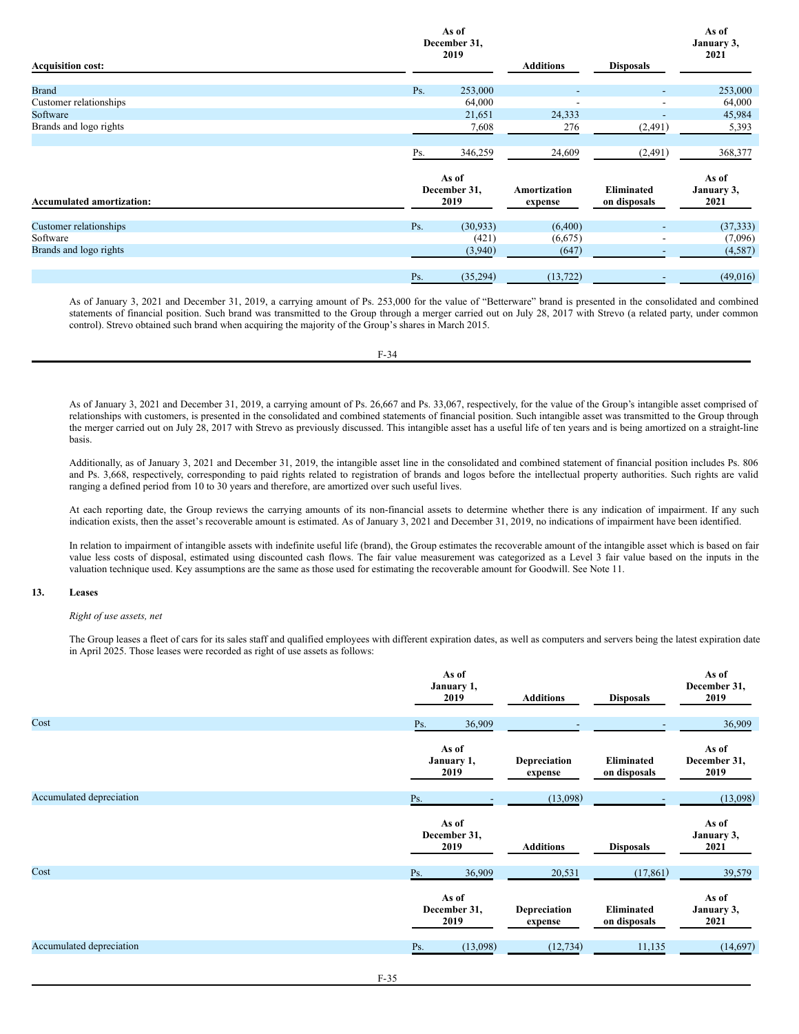|                                  |     | As of<br>December 31,<br>2019 |                          |                            | As of<br>January 3,<br>2021 |
|----------------------------------|-----|-------------------------------|--------------------------|----------------------------|-----------------------------|
| <b>Acquisition cost:</b>         |     |                               | <b>Additions</b>         | <b>Disposals</b>           |                             |
| <b>Brand</b>                     | Ps. | 253,000                       | $\overline{\phantom{a}}$ | $\overline{\phantom{a}}$   | 253,000                     |
| Customer relationships           |     | 64,000                        | $\overline{\phantom{a}}$ | $\overline{\phantom{a}}$   | 64,000                      |
| Software                         |     | 21,651                        | 24,333                   | $\overline{\phantom{a}}$   | 45,984                      |
| Brands and logo rights           |     | 7,608                         | 276                      | (2, 491)                   | 5,393                       |
|                                  |     |                               |                          |                            |                             |
|                                  | Ps. | 346,259                       | 24,609                   | (2, 491)                   | 368,377                     |
| <b>Accumulated amortization:</b> |     | As of<br>December 31,<br>2019 | Amortization<br>expense  | Eliminated<br>on disposals | As of<br>January 3,<br>2021 |
|                                  |     |                               |                          |                            |                             |
| Customer relationships           | Ps. | (30, 933)                     | (6,400)                  | $\overline{\phantom{a}}$   | (37, 333)                   |
| Software                         |     | (421)                         | (6,675)                  | $\overline{\phantom{a}}$   | (7,096)                     |
| Brands and logo rights           |     | (3,940)                       | (647)                    |                            | (4, 587)                    |
|                                  |     |                               |                          |                            |                             |
|                                  | Ps. | (35,294)                      | (13, 722)                |                            | (49,016)                    |

As of January 3, 2021 and December 31, 2019, a carrying amount of Ps. 253,000 for the value of "Betterware" brand is presented in the consolidated and combined statements of financial position. Such brand was transmitted to the Group through a merger carried out on July 28, 2017 with Strevo (a related party, under common control). Strevo obtained such brand when acquiring the majority of the Group's shares in March 2015.

As of January 3, 2021 and December 31, 2019, a carrying amount of Ps. 26,667 and Ps. 33,067, respectively, for the value of the Group's intangible asset comprised of relationships with customers, is presented in the consolidated and combined statements of financial position. Such intangible asset was transmitted to the Group through the merger carried out on July 28, 2017 with Strevo as previously discussed. This intangible asset has a useful life of ten years and is being amortized on a straight-line basis.

Additionally, as of January 3, 2021 and December 31, 2019, the intangible asset line in the consolidated and combined statement of financial position includes Ps. 806 and Ps. 3,668, respectively, corresponding to paid rights related to registration of brands and logos before the intellectual property authorities. Such rights are valid ranging a defined period from 10 to 30 years and therefore, are amortized over such useful lives.

At each reporting date, the Group reviews the carrying amounts of its non-financial assets to determine whether there is any indication of impairment. If any such indication exists, then the asset's recoverable amount is estimated. As of January 3, 2021 and December 31, 2019, no indications of impairment have been identified.

In relation to impairment of intangible assets with indefinite useful life (brand), the Group estimates the recoverable amount of the intangible asset which is based on fair value less costs of disposal, estimated using discounted cash flows. The fair value measurement was categorized as a Level 3 fair value based on the inputs in the valuation technique used. Key assumptions are the same as those used for estimating the recoverable amount for Goodwill. See Note 11.

## **13. Leases**

*Right of use assets, net*

The Group leases a fleet of cars for its sales staff and qualified employees with different expiration dates, as well as computers and servers being the latest expiration date in April 2025. Those leases were recorded as right of use assets as follows:

|                          | As of<br>January 1,<br>2019   | <b>Additions</b>        | <b>Disposals</b>                  | As of<br>December 31,<br>2019 |
|--------------------------|-------------------------------|-------------------------|-----------------------------------|-------------------------------|
| Cost                     | Ps.<br>36,909                 |                         |                                   | 36,909                        |
|                          | As of<br>January 1,<br>2019   | Depreciation<br>expense | Eliminated<br>on disposals        | As of<br>December 31,<br>2019 |
| Accumulated depreciation | Ps.                           | (13,098)                |                                   | (13,098)                      |
|                          | As of<br>December 31,<br>2019 | <b>Additions</b>        | <b>Disposals</b>                  | As of<br>January 3,<br>2021   |
| Cost                     | Ps.<br>36,909                 | 20,531                  | (17, 861)                         | 39,579                        |
|                          | As of<br>December 31,<br>2019 | Depreciation<br>expense | <b>Eliminated</b><br>on disposals | As of<br>January 3,<br>2021   |
| Accumulated depreciation | (13,098)<br>Ps.               | (12, 734)               | 11,135                            | (14,697)                      |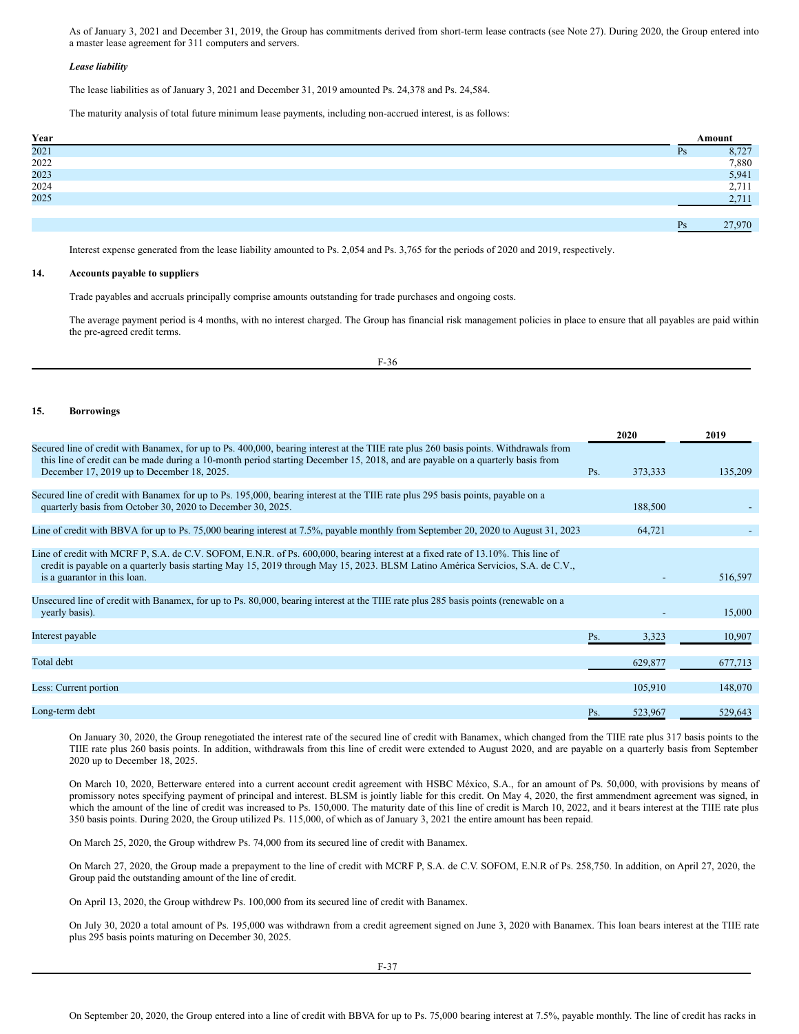As of January 3, 2021 and December 31, 2019, the Group has commitments derived from short-term lease contracts (see Note 27). During 2020, the Group entered into a master lease agreement for 311 computers and servers.

### *Lease liability*

The lease liabilities as of January 3, 2021 and December 31, 2019 amounted Ps. 24,378 and Ps. 24,584.

The maturity analysis of total future minimum lease payments, including non-accrued interest, is as follows:

| Year                 |                | Amount |
|----------------------|----------------|--------|
|                      | $_{\rm Ps}$    | 8.727  |
| 2021<br>2022         |                | 7,880  |
| 2023<br>2024<br>2025 |                | 5,941  |
|                      |                | 2,711  |
|                      |                | 2,711  |
|                      |                |        |
|                      | P <sub>S</sub> | 27,970 |

Interest expense generated from the lease liability amounted to Ps. 2,054 and Ps. 3,765 for the periods of 2020 and 2019, respectively.

# **14. Accounts payable to suppliers**

Trade payables and accruals principally comprise amounts outstanding for trade purchases and ongoing costs.

The average payment period is 4 months, with no interest charged. The Group has financial risk management policies in place to ensure that all payables are paid within the pre-agreed credit terms.

#### **15. Borrowings**

|                                                                                                                                                                                                                                                                                                    |     | 2020    | 2019    |
|----------------------------------------------------------------------------------------------------------------------------------------------------------------------------------------------------------------------------------------------------------------------------------------------------|-----|---------|---------|
| Secured line of credit with Banamex, for up to Ps. 400,000, bearing interest at the TIIE rate plus 260 basis points. Withdrawals from<br>this line of credit can be made during a 10-month period starting December 15, 2018, and are payable on a quarterly basis from                            | Ps. | 373,333 |         |
| December 17, 2019 up to December 18, 2025.                                                                                                                                                                                                                                                         |     |         | 135,209 |
| Secured line of credit with Banamex for up to Ps. 195,000, bearing interest at the TIIE rate plus 295 basis points, payable on a<br>quarterly basis from October 30, 2020 to December 30, 2025.                                                                                                    |     | 188,500 |         |
| Line of credit with BBVA for up to Ps. 75,000 bearing interest at 7.5%, payable monthly from September 20, 2020 to August 31, 2023                                                                                                                                                                 |     | 64,721  |         |
| Line of credit with MCRF P, S.A. de C.V. SOFOM, E.N.R. of Ps. 600,000, bearing interest at a fixed rate of 13.10%. This line of<br>credit is payable on a quarterly basis starting May 15, 2019 through May 15, 2023. BLSM Latino América Servicios, S.A. de C.V.,<br>is a guarantor in this loan. |     |         | 516,597 |
| Unsecured line of credit with Banamex, for up to Ps. 80,000, bearing interest at the TIIE rate plus 285 basis points (renewable on a<br>yearly basis).                                                                                                                                             |     |         | 15,000  |
| Interest payable                                                                                                                                                                                                                                                                                   | Ps. | 3,323   | 10,907  |
| Total debt                                                                                                                                                                                                                                                                                         |     | 629,877 | 677,713 |
| Less: Current portion                                                                                                                                                                                                                                                                              |     | 105,910 | 148,070 |
| Long-term debt                                                                                                                                                                                                                                                                                     | Ps. | 523,967 | 529,643 |

On January 30, 2020, the Group renegotiated the interest rate of the secured line of credit with Banamex, which changed from the TIIE rate plus 317 basis points to the TIIE rate plus 260 basis points. In addition, withdrawals from this line of credit were extended to August 2020, and are payable on a quarterly basis from September 2020 up to December 18, 2025.

On March 10, 2020, Betterware entered into a current account credit agreement with HSBC México, S.A., for an amount of Ps. 50,000, with provisions by means of promissory notes specifying payment of principal and interest. BLSM is jointly liable for this credit. On May 4, 2020, the first ammendment agreement was signed, in which the amount of the line of credit was increased to Ps. 150,000. The maturity date of this line of credit is March 10, 2022, and it bears interest at the TIIE rate plus 350 basis points. During 2020, the Group utilized Ps. 115,000, of which as of January 3, 2021 the entire amount has been repaid.

On March 25, 2020, the Group withdrew Ps. 74,000 from its secured line of credit with Banamex.

On March 27, 2020, the Group made a prepayment to the line of credit with MCRF P, S.A. de C.V. SOFOM, E.N.R of Ps. 258,750. In addition, on April 27, 2020, the Group paid the outstanding amount of the line of credit.

On April 13, 2020, the Group withdrew Ps. 100,000 from its secured line of credit with Banamex.

On July 30, 2020 a total amount of Ps. 195,000 was withdrawn from a credit agreement signed on June 3, 2020 with Banamex. This loan bears interest at the TIIE rate plus 295 basis points maturing on December 30, 2025.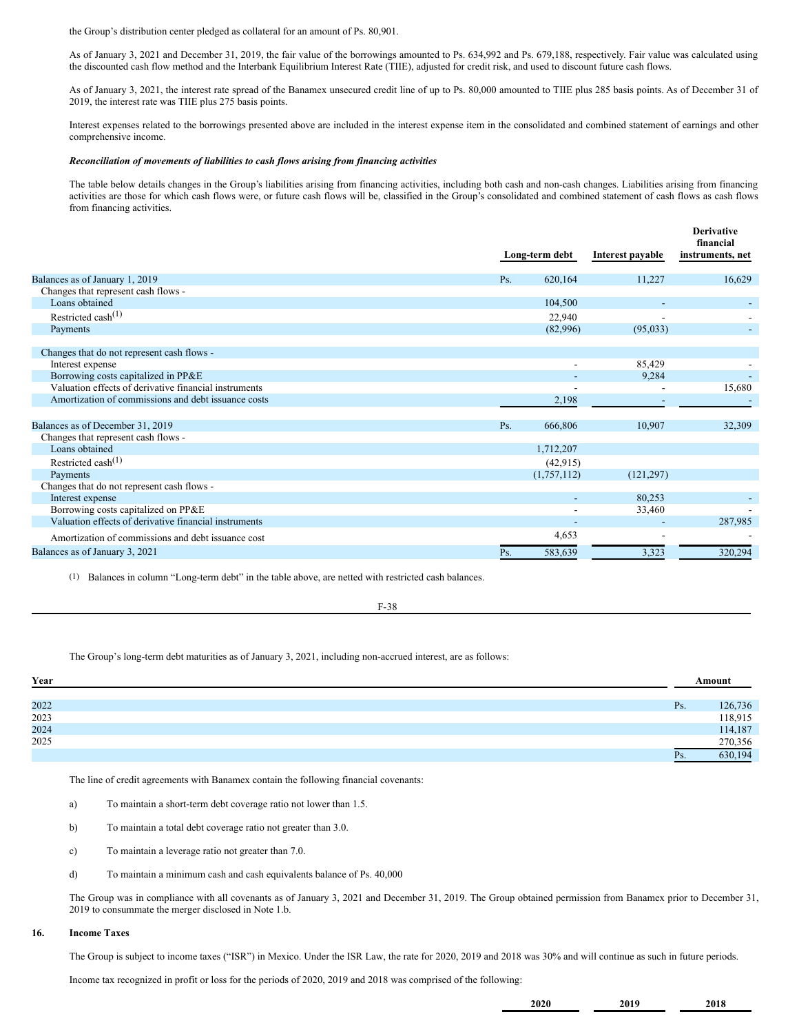the Group's distribution center pledged as collateral for an amount of Ps. 80,901.

As of January 3, 2021 and December 31, 2019, the fair value of the borrowings amounted to Ps. 634,992 and Ps. 679,188, respectively. Fair value was calculated using the discounted cash flow method and the Interbank Equilibrium Interest Rate (TIIE), adjusted for credit risk, and used to discount future cash flows.

As of January 3, 2021, the interest rate spread of the Banamex unsecured credit line of up to Ps. 80,000 amounted to TIIE plus 285 basis points. As of December 31 of 2019, the interest rate was TIIE plus 275 basis points.

Interest expenses related to the borrowings presented above are included in the interest expense item in the consolidated and combined statement of earnings and other comprehensive income.

#### *Reconciliation of movements of liabilities to cash flows arising from financing activities*

The table below details changes in the Group's liabilities arising from financing activities, including both cash and non-cash changes. Liabilities arising from financing activities are those for which cash flows were, or future cash flows will be, classified in the Group's consolidated and combined statement of cash flows as cash flows from financing activities.

|                                                                                              |     | Long-term debt           | Interest payable | <b>Derivative</b><br>financial<br>instruments, net |
|----------------------------------------------------------------------------------------------|-----|--------------------------|------------------|----------------------------------------------------|
| Balances as of January 1, 2019                                                               | Ps. | 620,164                  | 11,227           | 16,629                                             |
| Changes that represent cash flows -                                                          |     |                          |                  |                                                    |
| Loans obtained                                                                               |     | 104,500                  |                  |                                                    |
| Restricted cash <sup>(1)</sup>                                                               |     | 22,940                   |                  |                                                    |
| Payments                                                                                     |     | (82,996)                 | (95,033)         |                                                    |
|                                                                                              |     |                          |                  |                                                    |
| Changes that do not represent cash flows -                                                   |     |                          |                  |                                                    |
| Interest expense                                                                             |     |                          | 85,429           |                                                    |
| Borrowing costs capitalized in PP&E<br>Valuation effects of derivative financial instruments |     |                          | 9,284            | 15,680                                             |
| Amortization of commissions and debt issuance costs                                          |     |                          |                  |                                                    |
|                                                                                              |     | 2,198                    |                  |                                                    |
| Balances as of December 31, 2019                                                             | Ps. | 666,806                  | 10,907           | 32,309                                             |
| Changes that represent cash flows -                                                          |     |                          |                  |                                                    |
| Loans obtained                                                                               |     | 1,712,207                |                  |                                                    |
| Restricted cash $(1)$                                                                        |     | (42, 915)                |                  |                                                    |
| Payments                                                                                     |     | (1,757,112)              | (121, 297)       |                                                    |
| Changes that do not represent cash flows -                                                   |     |                          |                  |                                                    |
| Interest expense                                                                             |     |                          | 80,253           |                                                    |
| Borrowing costs capitalized on PP&E                                                          |     |                          | 33,460           |                                                    |
| Valuation effects of derivative financial instruments                                        |     | $\overline{\phantom{a}}$ |                  | 287,985                                            |
| Amortization of commissions and debt issuance cost                                           |     | 4,653                    |                  |                                                    |
| Balances as of January 3, 2021                                                               | Ps. | 583,639                  | 3,323            | 320,294                                            |
|                                                                                              |     |                          |                  |                                                    |

(1) Balances in column "Long-term debt" in the table above, are netted with restricted cash balances.

F-38

The Group's long-term debt maturities as of January 3, 2021, including non-accrued interest, are as follows:

| Year                 |     | Amount  |
|----------------------|-----|---------|
| 2022                 | Ps. | 126,736 |
| 2023<br>2024<br>2025 |     | 118,915 |
|                      |     | 114,187 |
|                      |     | 270,356 |
|                      | Ps. | 630,194 |

The line of credit agreements with Banamex contain the following financial covenants:

- a) To maintain a short-term debt coverage ratio not lower than 1.5.
- b) To maintain a total debt coverage ratio not greater than 3.0.
- c) To maintain a leverage ratio not greater than 7.0.
- d) To maintain a minimum cash and cash equivalents balance of Ps. 40,000

The Group was in compliance with all covenants as of January 3, 2021 and December 31, 2019. The Group obtained permission from Banamex prior to December 31, 2019 to consummate the merger disclosed in Note 1.b.

#### **16. Income Taxes**

The Group is subject to income taxes ("ISR") in Mexico. Under the ISR Law, the rate for 2020, 2019 and 2018 was 30% and will continue as such in future periods.

Income tax recognized in profit or loss for the periods of 2020, 2019 and 2018 was comprised of the following:

**2020 2019 2018**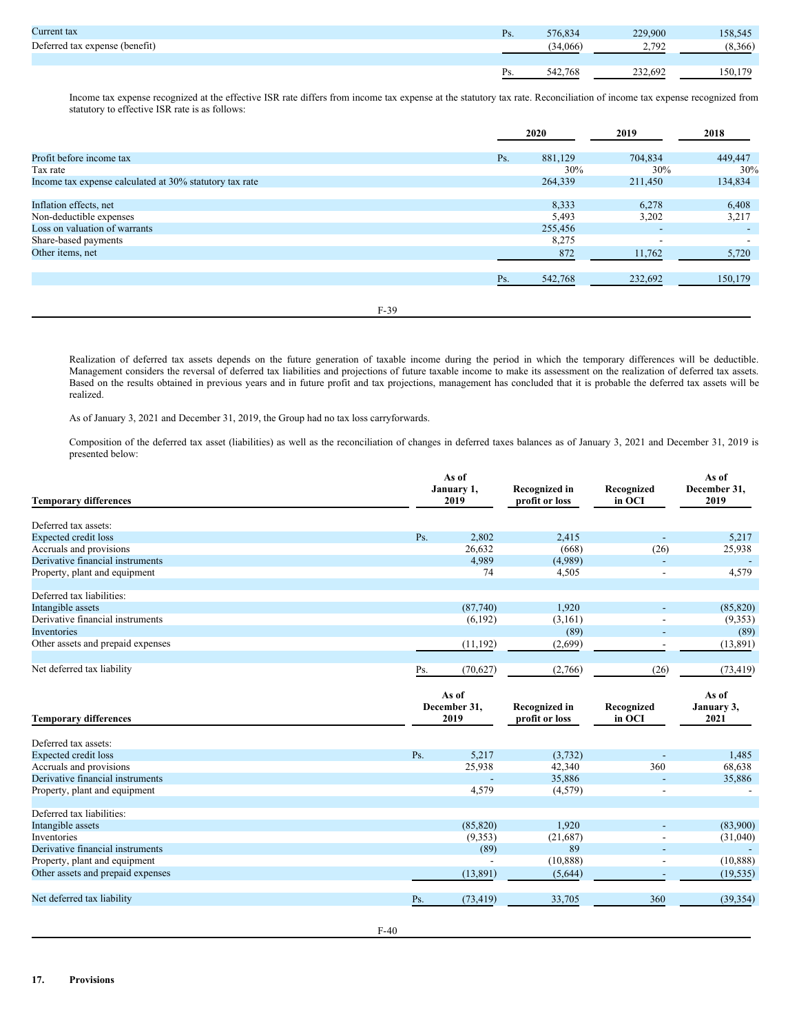| Current tax                    | Ps. | 576.834  | 229,900 | 158,545 |
|--------------------------------|-----|----------|---------|---------|
| Deferred tax expense (benefit) |     | (34.066) | 2.792   | (8,366) |
|                                |     |          |         |         |
|                                | Ps. | 542,768  | 232.692 | 150,179 |

Income tax expense recognized at the effective ISR rate differs from income tax expense at the statutory tax rate. Reconciliation of income tax expense recognized from statutory to effective ISR rate is as follows:

|                                                         |     | 2020    | 2019                     | 2018    |
|---------------------------------------------------------|-----|---------|--------------------------|---------|
|                                                         |     |         |                          |         |
| Profit before income tax                                | Ps. | 881,129 | 704,834                  | 449,447 |
| Tax rate                                                |     | 30%     | 30%                      | 30%     |
| Income tax expense calculated at 30% statutory tax rate |     | 264,339 | 211,450                  | 134,834 |
|                                                         |     |         |                          |         |
| Inflation effects, net                                  |     | 8,333   | 6,278                    | 6,408   |
| Non-deductible expenses                                 |     | 5,493   | 3,202                    | 3,217   |
| Loss on valuation of warrants                           |     | 255,456 | $\overline{\phantom{a}}$ | н.      |
| Share-based payments                                    |     | 8,275   | $\overline{\phantom{a}}$ |         |
| Other items, net                                        |     | 872     | 11,762                   | 5,720   |
|                                                         |     |         |                          |         |
|                                                         | Ps. | 542,768 | 232,692                  | 150,179 |
|                                                         |     |         |                          |         |
| $F-39$                                                  |     |         |                          |         |

Realization of deferred tax assets depends on the future generation of taxable income during the period in which the temporary differences will be deductible. Management considers the reversal of deferred tax liabilities and projections of future taxable income to make its assessment on the realization of deferred tax assets. Based on the results obtained in previous years and in future profit and tax projections, management has concluded that it is probable the deferred tax assets will be realized.

As of January 3, 2021 and December 31, 2019, the Group had no tax loss carryforwards.

Composition of the deferred tax asset (liabilities) as well as the reconciliation of changes in deferred taxes balances as of January 3, 2021 and December 31, 2019 is presented below:

|     | As of<br>2019 | <b>Recognized in</b><br>profit or loss                     | Recognized<br>in OCI               | As of<br>December 31,<br>2019 |
|-----|---------------|------------------------------------------------------------|------------------------------------|-------------------------------|
|     |               |                                                            |                                    |                               |
| Ps. | 2,802         | 2,415                                                      |                                    | 5,217                         |
|     | 26,632        | (668)                                                      | (26)                               | 25,938                        |
|     | 4,989         | (4,989)                                                    | $\blacksquare$                     |                               |
|     | 74            | 4,505                                                      |                                    | 4,579                         |
|     |               |                                                            |                                    |                               |
|     | (87,740)      | 1,920                                                      | $\blacksquare$                     | (85, 820)                     |
|     |               |                                                            |                                    | (9,353)                       |
|     |               |                                                            |                                    | (89)                          |
|     |               | (2,699)                                                    |                                    | (13,891)                      |
| Ps. | (70,627)      | (2,766)                                                    | (26)                               | (73, 419)                     |
|     | As of<br>2019 | Recognized in<br>profit or loss                            | Recognized<br>in OCI               | As of<br>January 3,<br>2021   |
|     |               |                                                            |                                    |                               |
| Ps. | 5,217         | (3,732)                                                    | ÷                                  | 1,485                         |
|     | 25,938        | 42,340                                                     | 360                                | 68,638                        |
|     |               | 35,886                                                     |                                    | 35,886                        |
|     | 4,579         | (4,579)                                                    |                                    |                               |
|     |               |                                                            |                                    |                               |
|     | (85, 820)     | 1,920                                                      |                                    | (83,900)                      |
|     | (9,353)       | (21,687)                                                   |                                    | (31,040)                      |
|     |               |                                                            | $\overline{\phantom{a}}$           |                               |
|     |               |                                                            |                                    | (10, 888)                     |
|     | (13,891)      | (5,644)                                                    |                                    | (19, 535)                     |
| Ps. | (73, 419)     | 33,705                                                     | 360                                | (39, 354)                     |
|     |               | January 1,<br>(6,192)<br>(11, 192)<br>December 31,<br>(89) | (3,161)<br>(89)<br>89<br>(10, 888) |                               |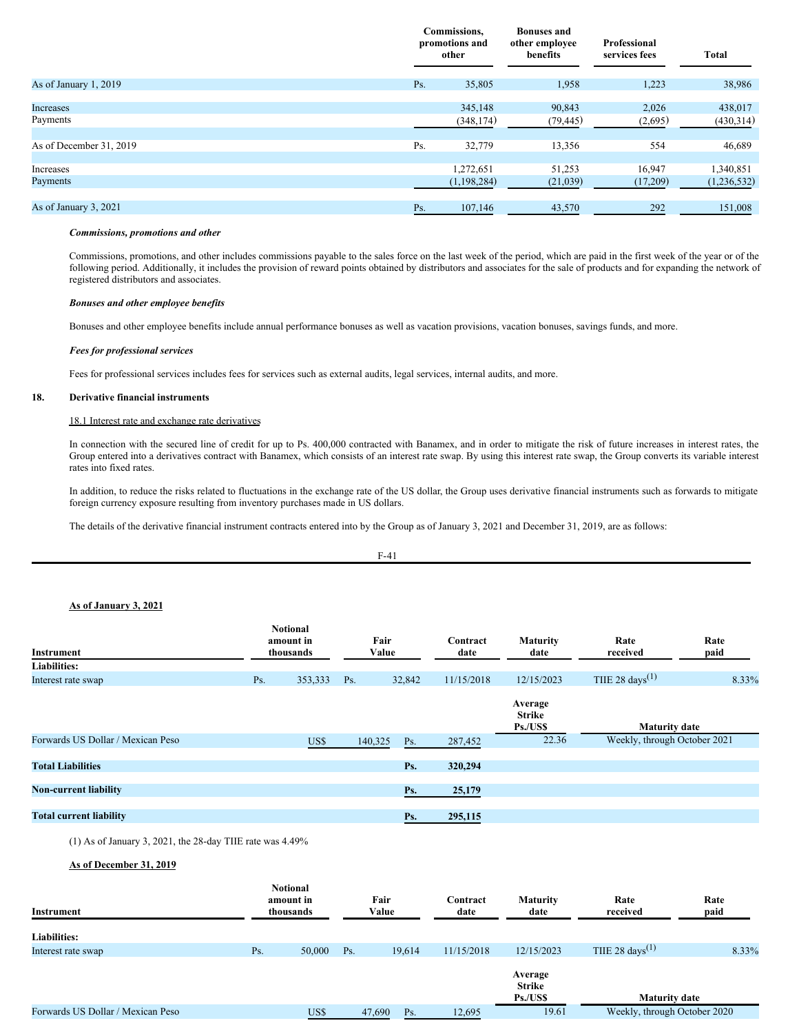|                         |     | Commissions,<br>promotions and<br>other | <b>Bonuses and</b><br>other employee<br>benefits | Professional<br>services fees | <b>Total</b> |
|-------------------------|-----|-----------------------------------------|--------------------------------------------------|-------------------------------|--------------|
| As of January 1, 2019   | Ps. | 35,805                                  | 1,958                                            | 1,223                         | 38,986       |
| Increases               |     | 345,148                                 | 90,843                                           | 2,026                         | 438,017      |
| Payments                |     | (348, 174)                              | (79, 445)                                        | (2,695)                       | (430,314)    |
| As of December 31, 2019 | Ps. | 32,779                                  | 13,356                                           | 554                           | 46,689       |
| Increases               |     | 1,272,651                               | 51,253                                           | 16,947                        | 1,340,851    |
| Payments                |     | (1, 198, 284)                           | (21,039)                                         | (17,209)                      | (1,236,532)  |
| As of January 3, 2021   | Ps. | 107,146                                 | 43,570                                           | 292                           | 151,008      |

#### *Commissions, promotions and other*

Commissions, promotions, and other includes commissions payable to the sales force on the last week of the period, which are paid in the first week of the year or of the following period. Additionally, it includes the provision of reward points obtained by distributors and associates for the sale of products and for expanding the network of registered distributors and associates.

## *Bonuses and other employee benefits*

Bonuses and other employee benefits include annual performance bonuses as well as vacation provisions, vacation bonuses, savings funds, and more.

#### *Fees for professional services*

Fees for professional services includes fees for services such as external audits, legal services, internal audits, and more.

# **18. Derivative financial instruments**

### 18.1 Interest rate and exchange rate derivatives

In connection with the secured line of credit for up to Ps. 400,000 contracted with Banamex, and in order to mitigate the risk of future increases in interest rates, the Group entered into a derivatives contract with Banamex, which consists of an interest rate swap. By using this interest rate swap, the Group converts its variable interest rates into fixed rates.

In addition, to reduce the risks related to fluctuations in the exchange rate of the US dollar, the Group uses derivative financial instruments such as forwards to mitigate foreign currency exposure resulting from inventory purchases made in US dollars.

The details of the derivative financial instrument contracts entered into by the Group as of January 3, 2021 and December 31, 2019, are as follows:

F-41

# **As of January 3, 2021**

| Instrument<br><b>Liabilities:</b> |     | <b>Notional</b><br>amount in<br>thousands | Fair    | Value  | Contract<br>date | <b>Maturity</b><br>date       | Rate<br>received             | Rate<br>paid |
|-----------------------------------|-----|-------------------------------------------|---------|--------|------------------|-------------------------------|------------------------------|--------------|
| Interest rate swap                | Ps. | 353,333                                   | Ps.     | 32,842 | 11/15/2018       | 12/15/2023                    | THE 28 days <sup>(1)</sup>   | 8.33%        |
|                                   |     |                                           |         |        |                  | Average<br>Strike<br>Ps./US\$ | <b>Maturity date</b>         |              |
| Forwards US Dollar / Mexican Peso |     | US\$                                      | 140,325 | Ps.    | 287,452          | 22.36                         | Weekly, through October 2021 |              |
| <b>Total Liabilities</b>          |     |                                           |         | Ps.    | 320,294          |                               |                              |              |
| <b>Non-current liability</b>      |     |                                           |         | Ps.    | 25,179           |                               |                              |              |
| <b>Total current liability</b>    |     |                                           |         | Ps.    | 295,115          |                               |                              |              |

(1) As of January 3, 2021, the 28-day TIIE rate was 4.49%

# **As of December 31, 2019**

| Instrument                        |     | <b>Notional</b><br>amount in<br>thousands |     | Fair<br>Value | Contract<br>date | <b>Maturity</b><br>date              | Rate<br>received             | Rate<br>paid |
|-----------------------------------|-----|-------------------------------------------|-----|---------------|------------------|--------------------------------------|------------------------------|--------------|
| <b>Liabilities:</b>               |     |                                           |     |               |                  |                                      |                              |              |
| Interest rate swap                | Ps. | 50,000                                    | Ps. | 19,614        | 11/15/2018       | 12/15/2023                           | THE 28 days <sup>(1)</sup>   | 8.33%        |
|                                   |     |                                           |     |               |                  | Average<br><b>Strike</b><br>Ps./US\$ | <b>Maturity date</b>         |              |
| Forwards US Dollar / Mexican Peso |     | US\$                                      |     | 47,690<br>Ps. | 12,695           | 19.61                                | Weekly, through October 2020 |              |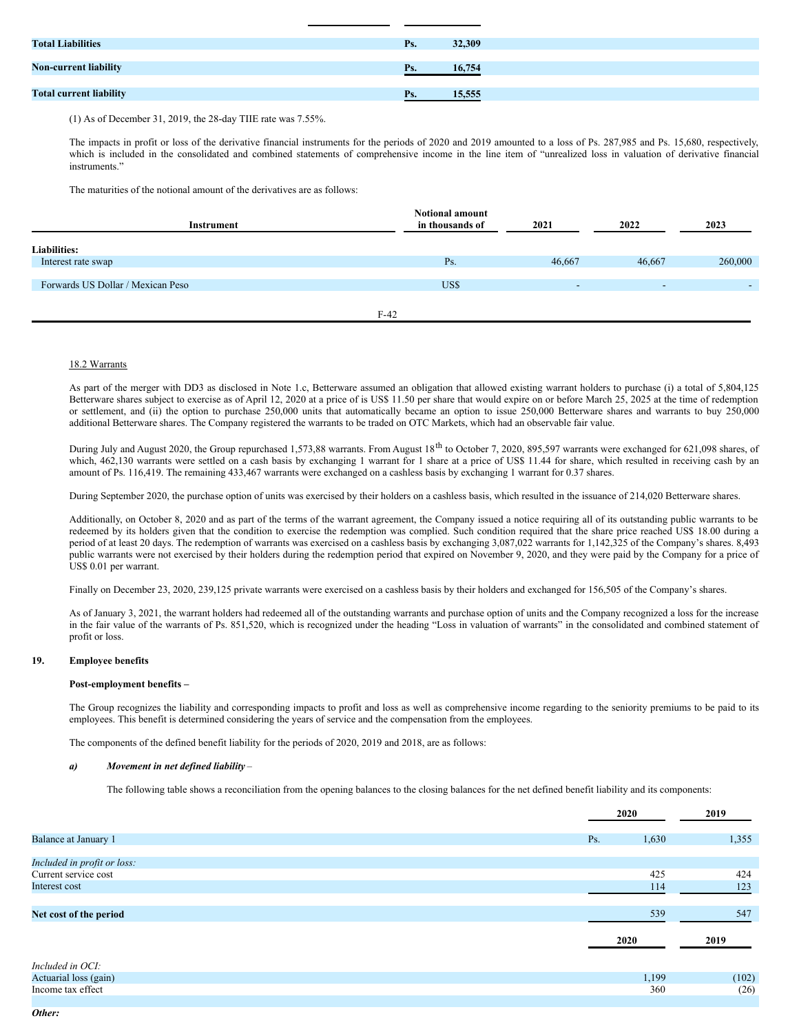| <b>Total Liabilities</b>       | Ps. | 32,309 |
|--------------------------------|-----|--------|
|                                |     |        |
| <b>Non-current liability</b>   | Ps. | 16,754 |
|                                |     |        |
| <b>Total current liability</b> | Ps. | 15,555 |

(1) As of December 31, 2019, the 28-day TIIE rate was 7.55%.

The impacts in profit or loss of the derivative financial instruments for the periods of 2020 and 2019 amounted to a loss of Ps. 287,985 and Ps. 15,680, respectively, which is included in the consolidated and combined statements of comprehensive income in the line item of "unrealized loss in valuation of derivative financial instruments<sup>'</sup>

The maturities of the notional amount of the derivatives are as follows:

| Instrument                        | <b>Notional amount</b><br>in thousands of | 2021                     | 2022                     | 2023    |
|-----------------------------------|-------------------------------------------|--------------------------|--------------------------|---------|
| <b>Liabilities:</b>               |                                           |                          |                          |         |
| Interest rate swap                | Ps.                                       | 46,667                   | 46,667                   | 260,000 |
|                                   |                                           |                          |                          |         |
| Forwards US Dollar / Mexican Peso | US\$                                      | $\overline{\phantom{0}}$ | $\overline{\phantom{0}}$ |         |
|                                   |                                           |                          |                          |         |
|                                   | $F-42$                                    |                          |                          |         |

# 18.2 Warrants

As part of the merger with DD3 as disclosed in Note 1.c, Betterware assumed an obligation that allowed existing warrant holders to purchase (i) a total of 5,804,125 Betterware shares subject to exercise as of April 12, 2020 at a price of is US\$ 11.50 per share that would expire on or before March 25, 2025 at the time of redemption or settlement, and (ii) the option to purchase 250,000 units that automatically became an option to issue 250,000 Betterware shares and warrants to buy 250,000 additional Betterware shares. The Company registered the warrants to be traded on OTC Markets, which had an observable fair value.

During July and August 2020, the Group repurchased 1,573,88 warrants. From August 18<sup>th</sup> to October 7, 2020, 895,597 warrants were exchanged for 621,098 shares, of which, 462,130 warrants were settled on a cash basis by exchanging 1 warrant for 1 share at a price of US\$ 11.44 for share, which resulted in receiving cash by an amount of Ps. 116,419. The remaining 433,467 warrants were exchanged on a cashless basis by exchanging 1 warrant for 0.37 shares.

During September 2020, the purchase option of units was exercised by their holders on a cashless basis, which resulted in the issuance of 214,020 Betterware shares.

Additionally, on October 8, 2020 and as part of the terms of the warrant agreement, the Company issued a notice requiring all of its outstanding public warrants to be redeemed by its holders given that the condition to exercise the redemption was complied. Such condition required that the share price reached US\$ 18.00 during a period of at least 20 days. The redemption of warrants was exercised on a cashless basis by exchanging 3,087,022 warrants for 1,142,325 of the Company's shares. 8,493 public warrants were not exercised by their holders during the redemption period that expired on November 9, 2020, and they were paid by the Company for a price of US\$ 0.01 per warrant.

Finally on December 23, 2020, 239,125 private warrants were exercised on a cashless basis by their holders and exchanged for 156,505 of the Company's shares.

As of January 3, 2021, the warrant holders had redeemed all of the outstanding warrants and purchase option of units and the Company recognized a loss for the increase in the fair value of the warrants of Ps. 851,520, which is recognized under the heading "Loss in valuation of warrants" in the consolidated and combined statement of profit or loss.

# **19. Employee benefits**

#### **Post-employment benefits –**

The Group recognizes the liability and corresponding impacts to profit and loss as well as comprehensive income regarding to the seniority premiums to be paid to its employees. This benefit is determined considering the years of service and the compensation from the employees.

The components of the defined benefit liability for the periods of 2020, 2019 and 2018, are as follows:

## *a) Movement in net defined liability –*

The following table shows a reconciliation from the opening balances to the closing balances for the net defined benefit liability and its components:

|                             |     | 2020  | 2019  |
|-----------------------------|-----|-------|-------|
| <b>Balance at January 1</b> | Ps. | 1,630 | 1,355 |
| Included in profit or loss: |     |       |       |
| Current service cost        |     | 425   | 424   |
| Interest cost               |     | 114   | 123   |
| Net cost of the period      |     | 539   | 547   |
|                             |     | 2020  | 2019  |

| Included in OCI:      |       |       |
|-----------------------|-------|-------|
| Actuarial loss (gain) | 1,199 | (102) |
| Income tax effect     | 360   | (26)  |
|                       |       |       |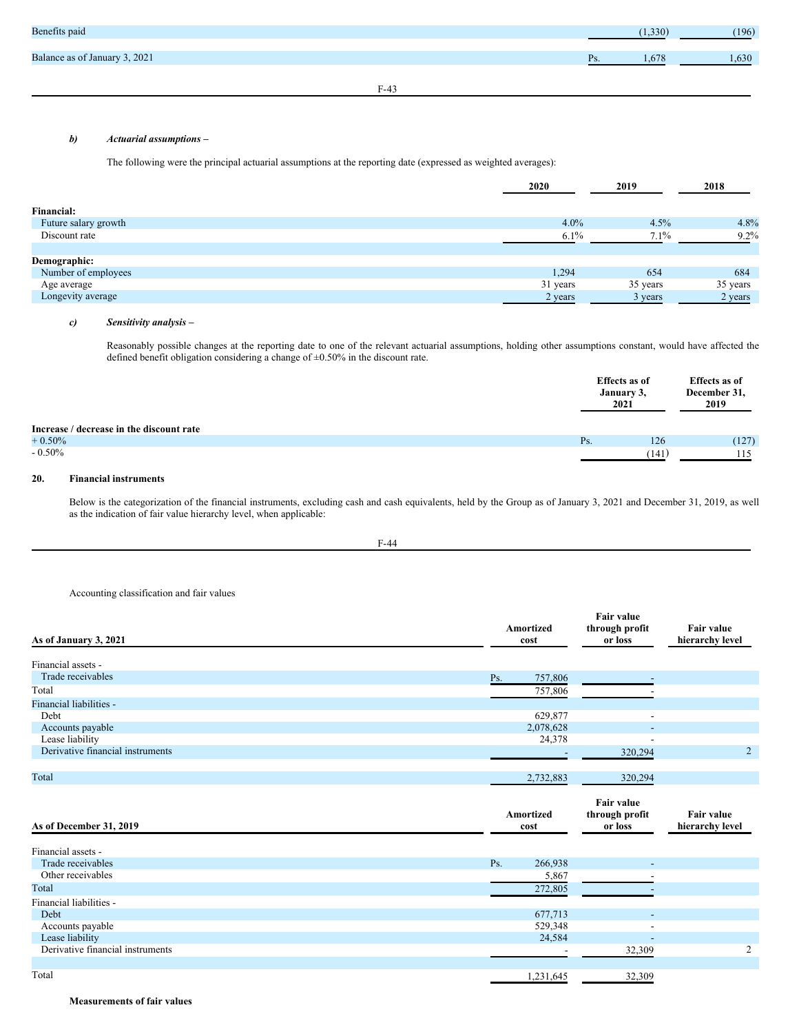| Benefits paid                 | (1, 330) | (196) |
|-------------------------------|----------|-------|
| Balance as of January 3, 2021 | .678     | .630  |
|                               |          |       |

F-43

# *b) Actuarial assumptions –*

The following were the principal actuarial assumptions at the reporting date (expressed as weighted averages):

|                      | 2020     | 2019     | 2018     |
|----------------------|----------|----------|----------|
| <b>Financial:</b>    |          |          |          |
| Future salary growth | $4.0\%$  | 4.5%     | 4.8%     |
| Discount rate        | $6.1\%$  | $7.1\%$  | $9.2\%$  |
|                      |          |          |          |
| Demographic:         |          |          |          |
| Number of employees  | 1,294    | 654      | 684      |
| Age average          | 31 years | 35 years | 35 years |
| Longevity average    | 2 years  | 3 years  | 2 years  |

# *c) Sensitivity analysis –*

Reasonably possible changes at the reporting date to one of the relevant actuarial assumptions, holding other assumptions constant, would have affected the defined benefit obligation considering a change of ±0.50% in the discount rate.

|                                          |     | <b>Effects</b> as of<br>January 3,<br>2021 | <b>Effects</b> as of<br>December 31,<br>2019 |
|------------------------------------------|-----|--------------------------------------------|----------------------------------------------|
| Increase / decrease in the discount rate |     |                                            |                                              |
| $+0.50%$                                 | Ps. | 126                                        | (127)                                        |
| $-0.50\%$                                |     | (141)                                      | 115                                          |

# **20. Financial instruments**

Below is the categorization of the financial instruments, excluding cash and cash equivalents, held by the Group as of January 3, 2021 and December 31, 2019, as well as the indication of fair value hierarchy level, when applicable:

F-44

Accounting classification and fair values

| As of January 3, 2021            |     | Amortized<br>cost | Fair value<br>through profit<br>or loss | Fair value<br>hierarchy level |  |
|----------------------------------|-----|-------------------|-----------------------------------------|-------------------------------|--|
| Financial assets -               |     |                   |                                         |                               |  |
| Trade receivables                | Ps. | 757,806           |                                         |                               |  |
| Total                            |     | 757,806           |                                         |                               |  |
| Financial liabilities -          |     |                   |                                         |                               |  |
| Debt                             |     | 629,877           |                                         |                               |  |
| Accounts payable                 |     | 2,078,628         |                                         |                               |  |
| Lease liability                  |     | 24,378            |                                         |                               |  |
| Derivative financial instruments |     |                   | 320,294                                 | 2                             |  |
| Total                            |     | 2,732,883         | 320,294                                 |                               |  |
| As of December 31, 2019          |     | Amortized<br>cost | Fair value<br>through profit<br>or loss | Fair value<br>hierarchy level |  |
| Financial assets -               |     |                   |                                         |                               |  |
| Trade receivables                | Ps. | 266,938           |                                         |                               |  |
| Other receivables                |     | 5,867             |                                         |                               |  |
| Total                            |     | 272,805           |                                         |                               |  |
| Financial liabilities -          |     |                   |                                         |                               |  |
| Debt                             |     | 677,713           |                                         |                               |  |
| Accounts payable                 |     | 529,348           |                                         |                               |  |
| Lease liability                  |     | 24,584            | $\overline{\phantom{a}}$                |                               |  |
| Derivative financial instruments |     |                   | 32,309                                  | 2                             |  |
|                                  |     |                   |                                         |                               |  |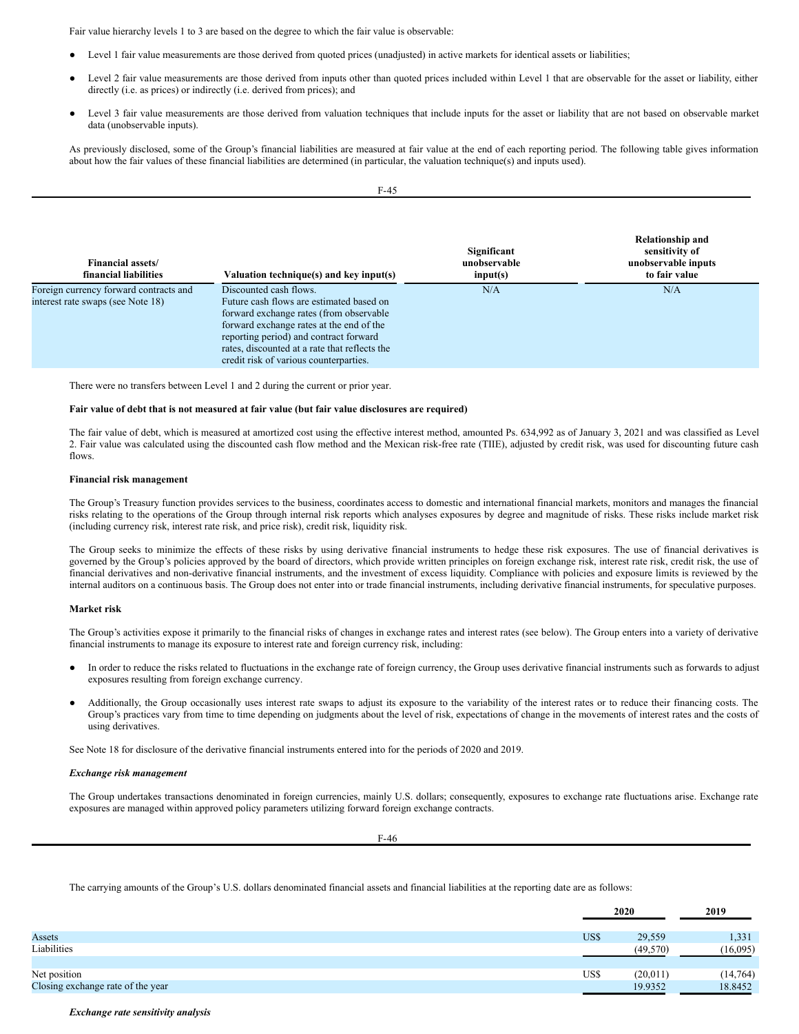Fair value hierarchy levels 1 to 3 are based on the degree to which the fair value is observable:

- Level 1 fair value measurements are those derived from quoted prices (unadjusted) in active markets for identical assets or liabilities;
- Level 2 fair value measurements are those derived from inputs other than quoted prices included within Level 1 that are observable for the asset or liability, either directly (i.e. as prices) or indirectly (i.e. derived from prices); and
- Level 3 fair value measurements are those derived from valuation techniques that include inputs for the asset or liability that are not based on observable market data (unobservable inputs).

As previously disclosed, some of the Group's financial liabilities are measured at fair value at the end of each reporting period. The following table gives information about how the fair values of these financial liabilities are determined (in particular, the valuation technique(s) and inputs used).

| <b>Financial assets/</b><br>financial liabilities                           | Valuation technique(s) and key input(s)                                                                                                                                                                                                                                                        | Significant<br>unobservable<br>input(s) | Relationship and<br>sensitivity of<br>unobservable inputs<br>to fair value |
|-----------------------------------------------------------------------------|------------------------------------------------------------------------------------------------------------------------------------------------------------------------------------------------------------------------------------------------------------------------------------------------|-----------------------------------------|----------------------------------------------------------------------------|
| Foreign currency forward contracts and<br>interest rate swaps (see Note 18) | Discounted cash flows.<br>Future cash flows are estimated based on<br>forward exchange rates (from observable<br>forward exchange rates at the end of the<br>reporting period) and contract forward<br>rates, discounted at a rate that reflects the<br>credit risk of various counterparties. | N/A                                     | N/A                                                                        |

There were no transfers between Level 1 and 2 during the current or prior year.

### **Fair value of debt that is not measured at fair value (but fair value disclosures are required)**

The fair value of debt, which is measured at amortized cost using the effective interest method, amounted Ps. 634,992 as of January 3, 2021 and was classified as Level 2. Fair value was calculated using the discounted cash flow method and the Mexican risk-free rate (TIIE), adjusted by credit risk, was used for discounting future cash flows.

# **Financial risk management**

The Group's Treasury function provides services to the business, coordinates access to domestic and international financial markets, monitors and manages the financial risks relating to the operations of the Group through internal risk reports which analyses exposures by degree and magnitude of risks. These risks include market risk (including currency risk, interest rate risk, and price risk), credit risk, liquidity risk.

The Group seeks to minimize the effects of these risks by using derivative financial instruments to hedge these risk exposures. The use of financial derivatives is governed by the Group's policies approved by the board of directors, which provide written principles on foreign exchange risk, interest rate risk, credit risk, the use of financial derivatives and non-derivative financial instruments, and the investment of excess liquidity. Compliance with policies and exposure limits is reviewed by the internal auditors on a continuous basis. The Group does not enter into or trade financial instruments, including derivative financial instruments, for speculative purposes.

#### **Market risk**

The Group's activities expose it primarily to the financial risks of changes in exchange rates and interest rates (see below). The Group enters into a variety of derivative financial instruments to manage its exposure to interest rate and foreign currency risk, including:

- In order to reduce the risks related to fluctuations in the exchange rate of foreign currency, the Group uses derivative financial instruments such as forwards to adjust exposures resulting from foreign exchange currency.
- Additionally, the Group occasionally uses interest rate swaps to adjust its exposure to the variability of the interest rates or to reduce their financing costs. The Group's practices vary from time to time depending on judgments about the level of risk, expectations of change in the movements of interest rates and the costs of using derivatives.

See Note 18 for disclosure of the derivative financial instruments entered into for the periods of 2020 and 2019.

#### *Exchange risk management*

The Group undertakes transactions denominated in foreign currencies, mainly U.S. dollars; consequently, exposures to exchange rate fluctuations arise. Exchange rate exposures are managed within approved policy parameters utilizing forward foreign exchange contracts.

F-46

The carrying amounts of the Group's U.S. dollars denominated financial assets and financial liabilities at the reporting date are as follows:

|                                   |      | 2020      | 2019     |  |
|-----------------------------------|------|-----------|----------|--|
|                                   |      |           |          |  |
| Assets                            | US\$ | 29,559    | 1,331    |  |
| Liabilities                       |      | (49, 570) | (16,095) |  |
|                                   |      |           |          |  |
| Net position                      | US\$ | (20,011)  | (14,764) |  |
| Closing exchange rate of the year |      | 19.9352   | 18.8452  |  |
|                                   |      |           |          |  |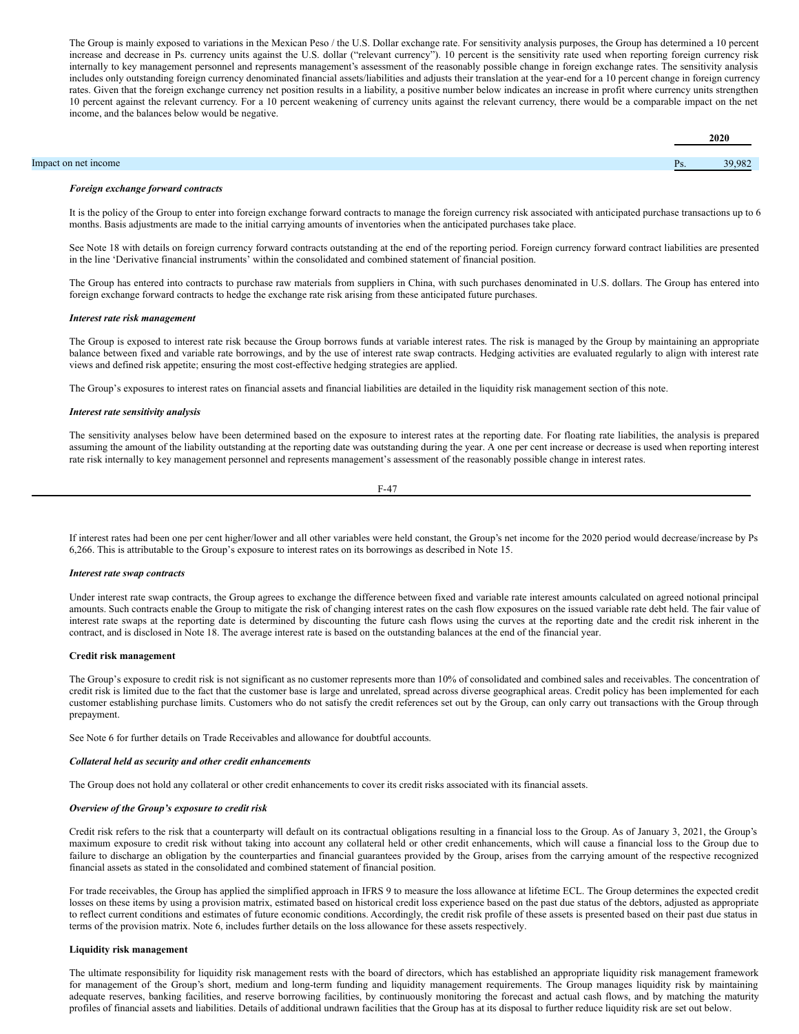The Group is mainly exposed to variations in the Mexican Peso / the U.S. Dollar exchange rate. For sensitivity analysis purposes, the Group has determined a 10 percent increase and decrease in Ps. currency units against the U.S. dollar ("relevant currency"). 10 percent is the sensitivity rate used when reporting foreign currency risk internally to key management personnel and represents management's assessment of the reasonably possible change in foreign exchange rates. The sensitivity analysis includes only outstanding foreign currency denominated financial assets/liabilities and adjusts their translation at the year-end for a 10 percent change in foreign currency rates. Given that the foreign exchange currency net position results in a liability, a positive number below indicates an increase in profit where currency units strengthen 10 percent against the relevant currency. For a 10 percent weakening of currency units against the relevant currency, there would be a comparable impact on the net income, and the balances below would be negative.

|                         |     | 2020             |
|-------------------------|-----|------------------|
| income<br>Impact on net | Ps. | ר סחים<br>39.98Z |

#### *Foreign exchange forward contracts*

It is the policy of the Group to enter into foreign exchange forward contracts to manage the foreign currency risk associated with anticipated purchase transactions up to 6 months. Basis adjustments are made to the initial carrying amounts of inventories when the anticipated purchases take place.

See Note 18 with details on foreign currency forward contracts outstanding at the end of the reporting period. Foreign currency forward contract liabilities are presented in the line 'Derivative financial instruments' within the consolidated and combined statement of financial position.

The Group has entered into contracts to purchase raw materials from suppliers in China, with such purchases denominated in U.S. dollars. The Group has entered into foreign exchange forward contracts to hedge the exchange rate risk arising from these anticipated future purchases.

## *Interest rate risk management*

The Group is exposed to interest rate risk because the Group borrows funds at variable interest rates. The risk is managed by the Group by maintaining an appropriate balance between fixed and variable rate borrowings, and by the use of interest rate swap contracts. Hedging activities are evaluated regularly to align with interest rate views and defined risk appetite; ensuring the most cost-effective hedging strategies are applied.

The Group's exposures to interest rates on financial assets and financial liabilities are detailed in the liquidity risk management section of this note.

#### *Interest rate sensitivity analysis*

The sensitivity analyses below have been determined based on the exposure to interest rates at the reporting date. For floating rate liabilities, the analysis is prepared assuming the amount of the liability outstanding at the reporting date was outstanding during the year. A one per cent increase or decrease is used when reporting interest rate risk internally to key management personnel and represents management's assessment of the reasonably possible change in interest rates.

F-47

If interest rates had been one per cent higher/lower and all other variables were held constant, the Group's net income for the 2020 period would decrease/increase by Ps 6,266. This is attributable to the Group's exposure to interest rates on its borrowings as described in Note 15.

#### *Interest rate swap contracts*

Under interest rate swap contracts, the Group agrees to exchange the difference between fixed and variable rate interest amounts calculated on agreed notional principal amounts. Such contracts enable the Group to mitigate the risk of changing interest rates on the cash flow exposures on the issued variable rate debt held. The fair value of interest rate swaps at the reporting date is determined by discounting the future cash flows using the curves at the reporting date and the credit risk inherent in the contract, and is disclosed in Note 18. The average interest rate is based on the outstanding balances at the end of the financial year.

#### **Credit risk management**

The Group's exposure to credit risk is not significant as no customer represents more than 10% of consolidated and combined sales and receivables. The concentration of credit risk is limited due to the fact that the customer base is large and unrelated, spread across diverse geographical areas. Credit policy has been implemented for each customer establishing purchase limits. Customers who do not satisfy the credit references set out by the Group, can only carry out transactions with the Group through prepayment.

See Note 6 for further details on Trade Receivables and allowance for doubtful accounts.

#### *Collateral held as security and other credit enhancements*

The Group does not hold any collateral or other credit enhancements to cover its credit risks associated with its financial assets.

### *Overview of the Group's exposure to credit risk*

Credit risk refers to the risk that a counterparty will default on its contractual obligations resulting in a financial loss to the Group. As of January 3, 2021, the Group's maximum exposure to credit risk without taking into account any collateral held or other credit enhancements, which will cause a financial loss to the Group due to failure to discharge an obligation by the counterparties and financial guarantees provided by the Group, arises from the carrying amount of the respective recognized financial assets as stated in the consolidated and combined statement of financial position.

For trade receivables, the Group has applied the simplified approach in IFRS 9 to measure the loss allowance at lifetime ECL. The Group determines the expected credit losses on these items by using a provision matrix, estimated based on historical credit loss experience based on the past due status of the debtors, adjusted as appropriate to reflect current conditions and estimates of future economic conditions. Accordingly, the credit risk profile of these assets is presented based on their past due status in terms of the provision matrix. Note 6, includes further details on the loss allowance for these assets respectively.

#### **Liquidity risk management**

The ultimate responsibility for liquidity risk management rests with the board of directors, which has established an appropriate liquidity risk management framework for management of the Group's short, medium and long-term funding and liquidity management requirements. The Group manages liquidity risk by maintaining adequate reserves, banking facilities, and reserve borrowing facilities, by continuously monitoring the forecast and actual cash flows, and by matching the maturity profiles of financial assets and liabilities. Details of additional undrawn facilities that the Group has at its disposal to further reduce liquidity risk are set out below.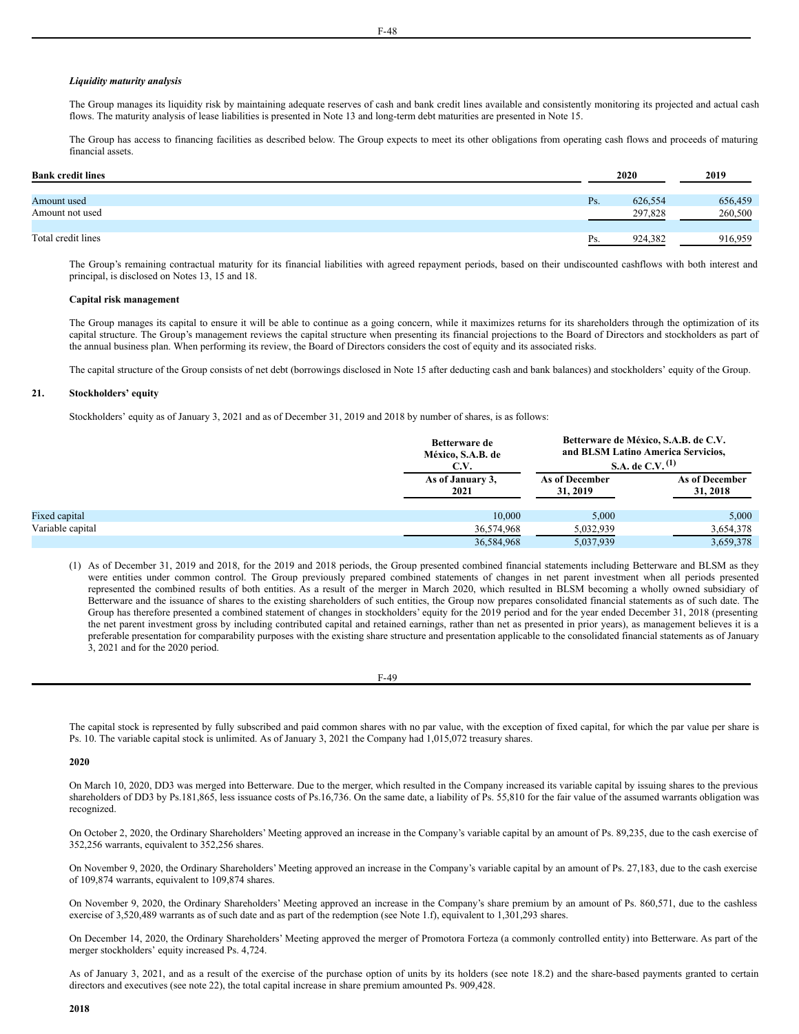### *Liquidity maturity analysis*

The Group manages its liquidity risk by maintaining adequate reserves of cash and bank credit lines available and consistently monitoring its projected and actual cash flows. The maturity analysis of lease liabilities is presented in Note 13 and long-term debt maturities are presented in Note 15.

The Group has access to financing facilities as described below. The Group expects to meet its other obligations from operating cash flows and proceeds of maturing financial assets.

| <b>Bank credit lines</b>       |     | 2020               | 2019               |
|--------------------------------|-----|--------------------|--------------------|
| Amount used<br>Amount not used | Ps. | 626,554<br>297.828 | 656,459<br>260,500 |
| Total credit lines             | Ps. | 924.382            | 916.959            |

The Group's remaining contractual maturity for its financial liabilities with agreed repayment periods, based on their undiscounted cashflows with both interest and principal, is disclosed on Notes 13, 15 and 18.

# **Capital risk management**

The Group manages its capital to ensure it will be able to continue as a going concern, while it maximizes returns for its shareholders through the optimization of its capital structure. The Group's management reviews the capital structure when presenting its financial projections to the Board of Directors and stockholders as part of the annual business plan. When performing its review, the Board of Directors considers the cost of equity and its associated risks.

The capital structure of the Group consists of net debt (borrowings disclosed in Note 15 after deducting cash and bank balances) and stockholders' equity of the Group.

## **21. Stockholders' equity**

Stockholders' equity as of January 3, 2021 and as of December 31, 2019 and 2018 by number of shares, is as follows:

|                  | Betterware de<br>México, S.A.B. de<br>C.V. | Betterware de México, S.A.B. de C.V.<br>and BLSM Latino America Servicios,<br>S.A. de C.V. $^{(1)}$ |                            |  |
|------------------|--------------------------------------------|-----------------------------------------------------------------------------------------------------|----------------------------|--|
|                  | As of January 3,<br>2021                   | As of December<br>31, 2019                                                                          | As of December<br>31, 2018 |  |
| Fixed capital    | 10,000                                     | 5.000                                                                                               | 5,000                      |  |
| Variable capital | 36,574,968                                 | 5,032,939                                                                                           | 3,654,378                  |  |
|                  | 36,584,968                                 | 5,037,939                                                                                           | 3,659,378                  |  |

(1) As of December 31, 2019 and 2018, for the 2019 and 2018 periods, the Group presented combined financial statements including Betterware and BLSM as they were entities under common control. The Group previously prepared combined statements of changes in net parent investment when all periods presented represented the combined results of both entities. As a result of the merger in March 2020, which resulted in BLSM becoming a wholly owned subsidiary of Betterware and the issuance of shares to the existing shareholders of such entities, the Group now prepares consolidated financial statements as of such date. The Group has therefore presented a combined statement of changes in stockholders' equity for the 2019 period and for the year ended December 31, 2018 (presenting the net parent investment gross by including contributed capital and retained earnings, rather than net as presented in prior years), as management believes it is a preferable presentation for comparability purposes with the existing share structure and presentation applicable to the consolidated financial statements as of January 3, 2021 and for the 2020 period.

The capital stock is represented by fully subscribed and paid common shares with no par value, with the exception of fixed capital, for which the par value per share is Ps. 10. The variable capital stock is unlimited. As of January 3, 2021 the Company had 1,015,072 treasury shares.

#### **2020**

On March 10, 2020, DD3 was merged into Betterware. Due to the merger, which resulted in the Company increased its variable capital by issuing shares to the previous shareholders of DD3 by Ps.181,865, less issuance costs of Ps.16,736. On the same date, a liability of Ps. 55,810 for the fair value of the assumed warrants obligation was recognized.

On October 2, 2020, the Ordinary Shareholders' Meeting approved an increase in the Company's variable capital by an amount of Ps. 89,235, due to the cash exercise of 352,256 warrants, equivalent to 352,256 shares.

On November 9, 2020, the Ordinary Shareholders' Meeting approved an increase in the Company's variable capital by an amount of Ps. 27,183, due to the cash exercise of 109,874 warrants, equivalent to 109,874 shares.

On November 9, 2020, the Ordinary Shareholders' Meeting approved an increase in the Company's share premium by an amount of Ps. 860,571, due to the cashless exercise of 3,520,489 warrants as of such date and as part of the redemption (see Note 1.f), equivalent to 1,301,293 shares.

On December 14, 2020, the Ordinary Shareholders' Meeting approved the merger of Promotora Forteza (a commonly controlled entity) into Betterware. As part of the merger stockholders' equity increased Ps. 4,724.

As of January 3, 2021, and as a result of the exercise of the purchase option of units by its holders (see note 18.2) and the share-based payments granted to certain directors and executives (see note 22), the total capital increase in share premium amounted Ps. 909,428.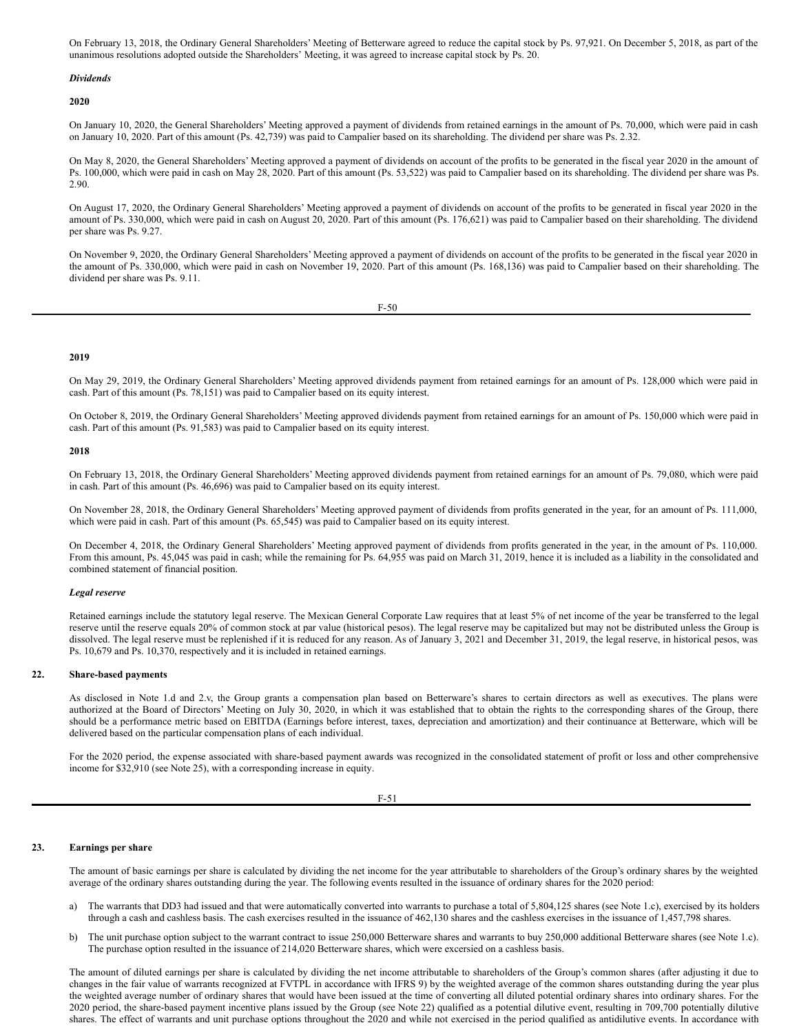On February 13, 2018, the Ordinary General Shareholders' Meeting of Betterware agreed to reduce the capital stock by Ps. 97,921. On December 5, 2018, as part of the unanimous resolutions adopted outside the Shareholders' Meeting, it was agreed to increase capital stock by Ps. 20.

#### *Dividends*

### **2020**

On January 10, 2020, the General Shareholders' Meeting approved a payment of dividends from retained earnings in the amount of Ps. 70,000, which were paid in cash on January 10, 2020. Part of this amount (Ps. 42,739) was paid to Campalier based on its shareholding. The dividend per share was Ps. 2.32.

On May 8, 2020, the General Shareholders' Meeting approved a payment of dividends on account of the profits to be generated in the fiscal year 2020 in the amount of Ps. 100,000, which were paid in cash on May 28, 2020. Part of this amount (Ps. 53,522) was paid to Campalier based on its shareholding. The dividend per share was Ps. 2.90.

On August 17, 2020, the Ordinary General Shareholders' Meeting approved a payment of dividends on account of the profits to be generated in fiscal year 2020 in the amount of Ps. 330,000, which were paid in cash on August 20, 2020. Part of this amount (Ps. 176,621) was paid to Campalier based on their shareholding. The dividend per share was Ps. 9.27.

On November 9, 2020, the Ordinary General Shareholders' Meeting approved a payment of dividends on account of the profits to be generated in the fiscal year 2020 in the amount of Ps. 330,000, which were paid in cash on November 19, 2020. Part of this amount (Ps. 168,136) was paid to Campalier based on their shareholding. The dividend per share was Ps. 9.11.

F-50

### **2019**

On May 29, 2019, the Ordinary General Shareholders' Meeting approved dividends payment from retained earnings for an amount of Ps. 128,000 which were paid in cash. Part of this amount (Ps. 78,151) was paid to Campalier based on its equity interest.

On October 8, 2019, the Ordinary General Shareholders' Meeting approved dividends payment from retained earnings for an amount of Ps. 150,000 which were paid in cash. Part of this amount (Ps. 91,583) was paid to Campalier based on its equity interest.

# **2018**

On February 13, 2018, the Ordinary General Shareholders' Meeting approved dividends payment from retained earnings for an amount of Ps. 79,080, which were paid in cash. Part of this amount (Ps. 46,696) was paid to Campalier based on its equity interest.

On November 28, 2018, the Ordinary General Shareholders' Meeting approved payment of dividends from profits generated in the year, for an amount of Ps. 111,000, which were paid in cash. Part of this amount (Ps. 65,545) was paid to Campalier based on its equity interest.

On December 4, 2018, the Ordinary General Shareholders' Meeting approved payment of dividends from profits generated in the year, in the amount of Ps. 110,000. From this amount, Ps. 45,045 was paid in cash; while the remaining for Ps. 64,955 was paid on March 31, 2019, hence it is included as a liability in the consolidated and combined statement of financial position.

#### *Legal reserve*

Retained earnings include the statutory legal reserve. The Mexican General Corporate Law requires that at least 5% of net income of the year be transferred to the legal reserve until the reserve equals 20% of common stock at par value (historical pesos). The legal reserve may be capitalized but may not be distributed unless the Group is dissolved. The legal reserve must be replenished if it is reduced for any reason. As of January 3, 2021 and December 31, 2019, the legal reserve, in historical pesos, was Ps. 10,679 and Ps. 10,370, respectively and it is included in retained earnings.

## **22. Share-based payments**

As disclosed in Note 1.d and 2.v, the Group grants a compensation plan based on Betterware's shares to certain directors as well as executives. The plans were authorized at the Board of Directors' Meeting on July 30, 2020, in which it was established that to obtain the rights to the corresponding shares of the Group, there should be a performance metric based on EBITDA (Earnings before interest, taxes, depreciation and amortization) and their continuance at Betterware, which will be delivered based on the particular compensation plans of each individual.

For the 2020 period, the expense associated with share-based payment awards was recognized in the consolidated statement of profit or loss and other comprehensive income for \$32,910 (see Note 25), with a corresponding increase in equity.

F-51

### **23. Earnings per share**

The amount of basic earnings per share is calculated by dividing the net income for the year attributable to shareholders of the Group's ordinary shares by the weighted average of the ordinary shares outstanding during the year. The following events resulted in the issuance of ordinary shares for the 2020 period:

- a) The warrants that DD3 had issued and that were automatically converted into warrants to purchase a total of 5,804,125 shares (see Note 1.c), exercised by its holders through a cash and cashless basis. The cash exercises resulted in the issuance of 462,130 shares and the cashless exercises in the issuance of 1,457,798 shares.
- b) The unit purchase option subject to the warrant contract to issue 250,000 Betterware shares and warrants to buy 250,000 additional Betterware shares (see Note 1.c). The purchase option resulted in the issuance of 214,020 Betterware shares, which were excersied on a cashless basis.

The amount of diluted earnings per share is calculated by dividing the net income attributable to shareholders of the Group's common shares (after adjusting it due to changes in the fair value of warrants recognized at FVTPL in accordance with IFRS 9) by the weighted average of the common shares outstanding during the year plus the weighted average number of ordinary shares that would have been issued at the time of converting all diluted potential ordinary shares into ordinary shares. For the 2020 period, the share-based payment incentive plans issued by the Group (see Note 22) qualified as a potential dilutive event, resulting in 709,700 potentially dilutive shares. The effect of warrants and unit purchase options throughout the 2020 and while not exercised in the period qualified as antidilutive events. In accordance with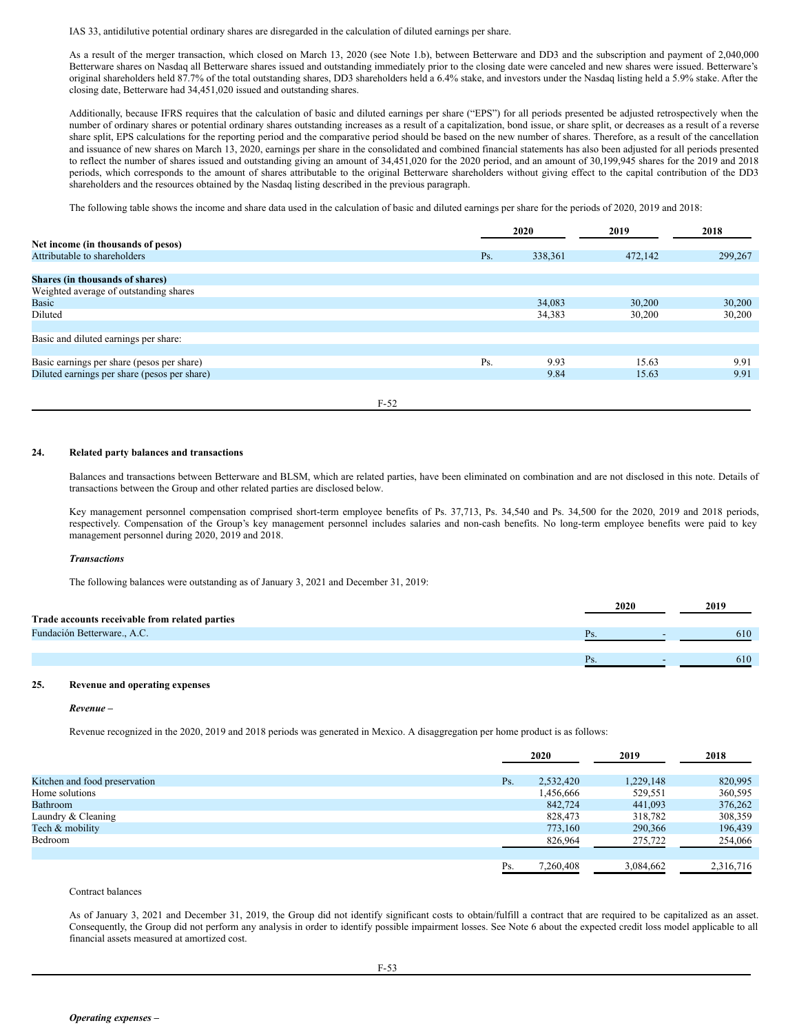IAS 33, antidilutive potential ordinary shares are disregarded in the calculation of diluted earnings per share.

As a result of the merger transaction, which closed on March 13, 2020 (see Note 1.b), between Betterware and DD3 and the subscription and payment of 2,040,000 Betterware shares on Nasdaq all Betterware shares issued and outstanding immediately prior to the closing date were canceled and new shares were issued. Betterware's original shareholders held 87.7% of the total outstanding shares, DD3 shareholders held a 6.4% stake, and investors under the Nasdaq listing held a 5.9% stake. After the closing date, Betterware had 34,451,020 issued and outstanding shares.

Additionally, because IFRS requires that the calculation of basic and diluted earnings per share ("EPS") for all periods presented be adjusted retrospectively when the number of ordinary shares or potential ordinary shares outstanding increases as a result of a capitalization, bond issue, or share split, or decreases as a result of a reverse share split, EPS calculations for the reporting period and the comparative period should be based on the new number of shares. Therefore, as a result of the cancellation and issuance of new shares on March 13, 2020, earnings per share in the consolidated and combined financial statements has also been adjusted for all periods presented to reflect the number of shares issued and outstanding giving an amount of 34,451,020 for the 2020 period, and an amount of 30,199,945 shares for the 2019 and 2018 periods, which corresponds to the amount of shares attributable to the original Betterware shareholders without giving effect to the capital contribution of the DD3 shareholders and the resources obtained by the Nasdaq listing described in the previous paragraph.

The following table shows the income and share data used in the calculation of basic and diluted earnings per share for the periods of 2020, 2019 and 2018:

|                                              |     | 2020    | 2019    | 2018    |
|----------------------------------------------|-----|---------|---------|---------|
| Net income (in thousands of pesos)           |     |         |         |         |
| Attributable to shareholders                 | Ps. | 338,361 | 472,142 | 299,267 |
|                                              |     |         |         |         |
| Shares (in thousands of shares)              |     |         |         |         |
| Weighted average of outstanding shares       |     |         |         |         |
| <b>Basic</b>                                 |     | 34,083  | 30,200  | 30,200  |
| Diluted                                      |     | 34,383  | 30,200  | 30,200  |
|                                              |     |         |         |         |
| Basic and diluted earnings per share:        |     |         |         |         |
|                                              |     |         |         |         |
| Basic earnings per share (pesos per share)   | Ps. | 9.93    | 15.63   | 9.91    |
| Diluted earnings per share (pesos per share) |     | 9.84    | 15.63   | 9.91    |
|                                              |     |         |         |         |
|                                              |     |         |         |         |

### F-52

# **24. Related party balances and transactions**

Balances and transactions between Betterware and BLSM, which are related parties, have been eliminated on combination and are not disclosed in this note. Details of transactions between the Group and other related parties are disclosed below.

Key management personnel compensation comprised short-term employee benefits of Ps. 37,713, Ps. 34,540 and Ps. 34,500 for the 2020, 2019 and 2018 periods, respectively. Compensation of the Group's key management personnel includes salaries and non-cash benefits. No long-term employee benefits were paid to key management personnel during 2020, 2019 and 2018.

# *Transactions*

The following balances were outstanding as of January 3, 2021 and December 31, 2019:

|                                                |    | 2020 | 2019 |
|------------------------------------------------|----|------|------|
| Trade accounts receivable from related parties |    |      |      |
| Fundación Betterware., A.C.                    | Ps |      | 610  |
|                                                | Ps |      | 610  |

### **25. Revenue and operating expenses**

### *Revenue –*

Revenue recognized in the 2020, 2019 and 2018 periods was generated in Mexico. A disaggregation per home product is as follows:

|                               |     | 2020      | 2019      | 2018      |
|-------------------------------|-----|-----------|-----------|-----------|
| Kitchen and food preservation | Ps. | 2,532,420 | 1,229,148 | 820,995   |
| Home solutions                |     | 1,456,666 | 529,551   | 360,595   |
| Bathroom                      |     | 842,724   | 441,093   | 376,262   |
| Laundry & Cleaning            |     | 828,473   | 318,782   | 308,359   |
| Tech & mobility               |     | 773,160   | 290,366   | 196,439   |
| Bedroom                       |     | 826,964   | 275,722   | 254,066   |
|                               |     |           |           |           |
|                               | Ps. | 7.260.408 | 3.084.662 | 2,316,716 |

## Contract balances

As of January 3, 2021 and December 31, 2019, the Group did not identify significant costs to obtain/fulfill a contract that are required to be capitalized as an asset. Consequently, the Group did not perform any analysis in order to identify possible impairment losses. See Note 6 about the expected credit loss model applicable to all financial assets measured at amortized cost.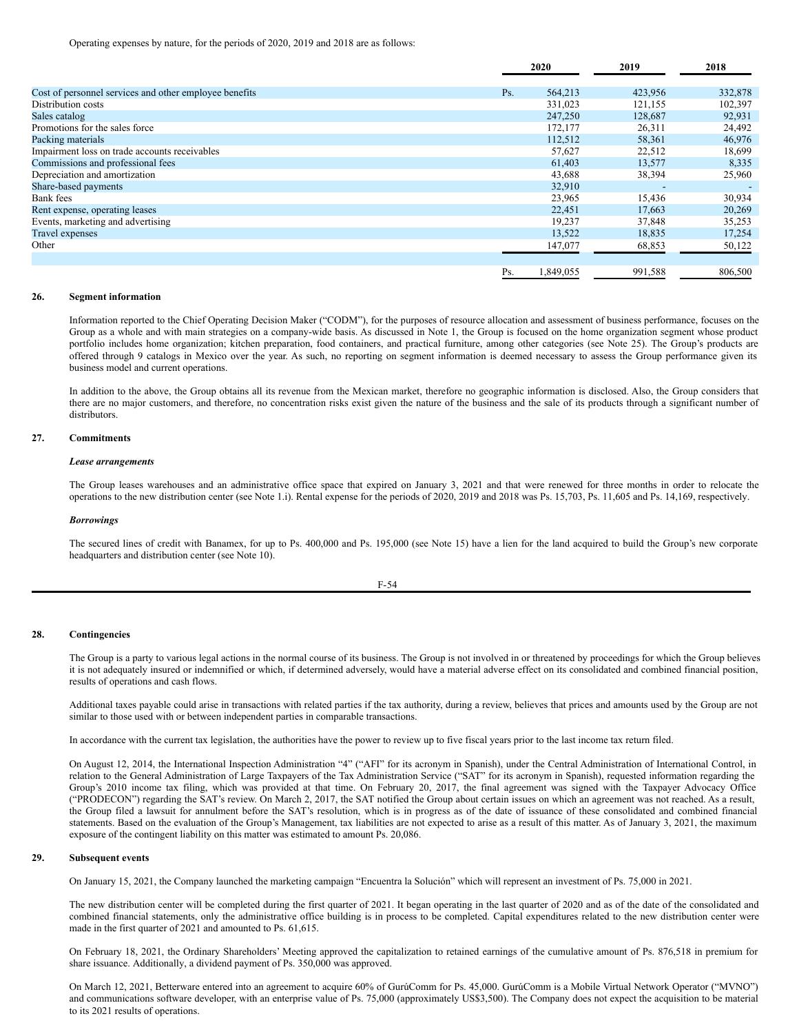Operating expenses by nature, for the periods of 2020, 2019 and 2018 are as follows:

|                                                        |     | 2020      | 2019    | 2018    |
|--------------------------------------------------------|-----|-----------|---------|---------|
| Cost of personnel services and other employee benefits | Ps. | 564,213   | 423,956 | 332,878 |
| Distribution costs                                     |     | 331,023   | 121,155 | 102,397 |
| Sales catalog                                          |     | 247,250   | 128,687 | 92,931  |
| Promotions for the sales force                         |     | 172,177   | 26,311  | 24,492  |
| Packing materials                                      |     | 112,512   | 58,361  | 46,976  |
| Impairment loss on trade accounts receivables          |     | 57,627    | 22,512  | 18,699  |
| Commissions and professional fees                      |     | 61,403    | 13,577  | 8,335   |
| Depreciation and amortization                          |     | 43,688    | 38,394  | 25,960  |
| Share-based payments                                   |     | 32,910    |         |         |
| Bank fees                                              |     | 23,965    | 15,436  | 30,934  |
| Rent expense, operating leases                         |     | 22,451    | 17,663  | 20,269  |
| Events, marketing and advertising                      |     | 19,237    | 37,848  | 35,253  |
| Travel expenses                                        |     | 13,522    | 18.835  | 17,254  |
| Other                                                  |     | 147,077   | 68,853  | 50,122  |
|                                                        | Ps. | 1,849,055 | 991,588 | 806,500 |

### **26. Segment information**

Information reported to the Chief Operating Decision Maker ("CODM"), for the purposes of resource allocation and assessment of business performance, focuses on the Group as a whole and with main strategies on a company-wide basis. As discussed in Note 1, the Group is focused on the home organization segment whose product portfolio includes home organization; kitchen preparation, food containers, and practical furniture, among other categories (see Note 25). The Group's products are offered through 9 catalogs in Mexico over the year. As such, no reporting on segment information is deemed necessary to assess the Group performance given its business model and current operations.

In addition to the above, the Group obtains all its revenue from the Mexican market, therefore no geographic information is disclosed. Also, the Group considers that there are no major customers, and therefore, no concentration risks exist given the nature of the business and the sale of its products through a significant number of distributors.

### **27. Commitments**

#### *Lease arrangements*

The Group leases warehouses and an administrative office space that expired on January 3, 2021 and that were renewed for three months in order to relocate the operations to the new distribution center (see Note 1.i). Rental expense for the periods of 2020, 2019 and 2018 was Ps. 15,703, Ps. 11,605 and Ps. 14,169, respectively.

#### *Borrowings*

The secured lines of credit with Banamex, for up to Ps. 400,000 and Ps. 195,000 (see Note 15) have a lien for the land acquired to build the Group's new corporate headquarters and distribution center (see Note 10).

F-54

### **28. Contingencies**

The Group is a party to various legal actions in the normal course of its business. The Group is not involved in or threatened by proceedings for which the Group believes it is not adequately insured or indemnified or which, if determined adversely, would have a material adverse effect on its consolidated and combined financial position, results of operations and cash flows.

Additional taxes payable could arise in transactions with related parties if the tax authority, during a review, believes that prices and amounts used by the Group are not similar to those used with or between independent parties in comparable transactions.

In accordance with the current tax legislation, the authorities have the power to review up to five fiscal years prior to the last income tax return filed.

On August 12, 2014, the International Inspection Administration "4" ("AFI" for its acronym in Spanish), under the Central Administration of International Control, in relation to the General Administration of Large Taxpayers of the Tax Administration Service ("SAT" for its acronym in Spanish), requested information regarding the Group's 2010 income tax filing, which was provided at that time. On February 20, 2017, the final agreement was signed with the Taxpayer Advocacy Office ("PRODECON") regarding the SAT's review. On March 2, 2017, the SAT notified the Group about certain issues on which an agreement was not reached. As a result, the Group filed a lawsuit for annulment before the SAT's resolution, which is in progress as of the date of issuance of these consolidated and combined financial statements. Based on the evaluation of the Group's Management, tax liabilities are not expected to arise as a result of this matter. As of January 3, 2021, the maximum exposure of the contingent liability on this matter was estimated to amount Ps. 20,086.

### **29. Subsequent events**

On January 15, 2021, the Company launched the marketing campaign "Encuentra la Solución" which will represent an investment of Ps. 75,000 in 2021.

The new distribution center will be completed during the first quarter of 2021. It began operating in the last quarter of 2020 and as of the date of the consolidated and combined financial statements, only the administrative office building is in process to be completed. Capital expenditures related to the new distribution center were made in the first quarter of 2021 and amounted to Ps. 61,615.

On February 18, 2021, the Ordinary Shareholders' Meeting approved the capitalization to retained earnings of the cumulative amount of Ps. 876,518 in premium for share issuance. Additionally, a dividend payment of Ps. 350,000 was approved.

On March 12, 2021, Betterware entered into an agreement to acquire 60% of GurúComm for Ps. 45,000. GurúComm is a Mobile Virtual Network Operator ("MVNO") and communications software developer, with an enterprise value of Ps. 75,000 (approximately US\$3,500). The Company does not expect the acquisition to be material to its 2021 results of operations.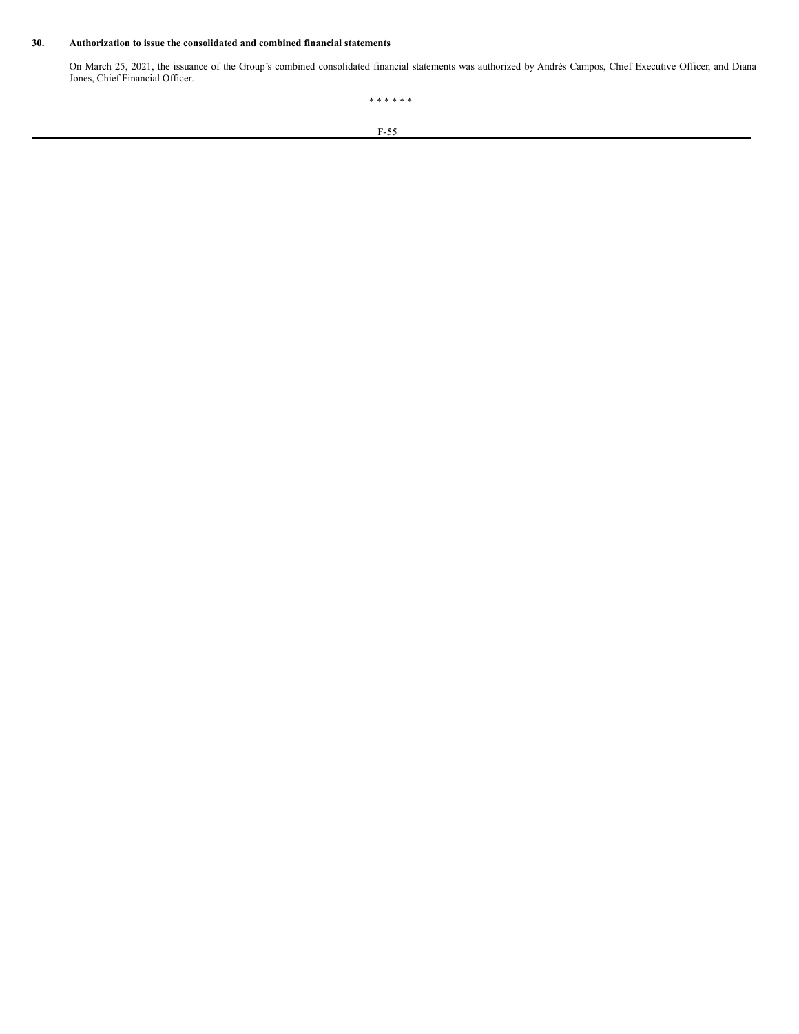# **30. Authorization to issue the consolidated and combined financial statements**

On March 25, 2021, the issuance of the Group's combined consolidated financial statements was authorized by Andrés Campos, Chief Executive Officer, and Diana Jones, Chief Financial Officer.

\* \* \* \* \* \*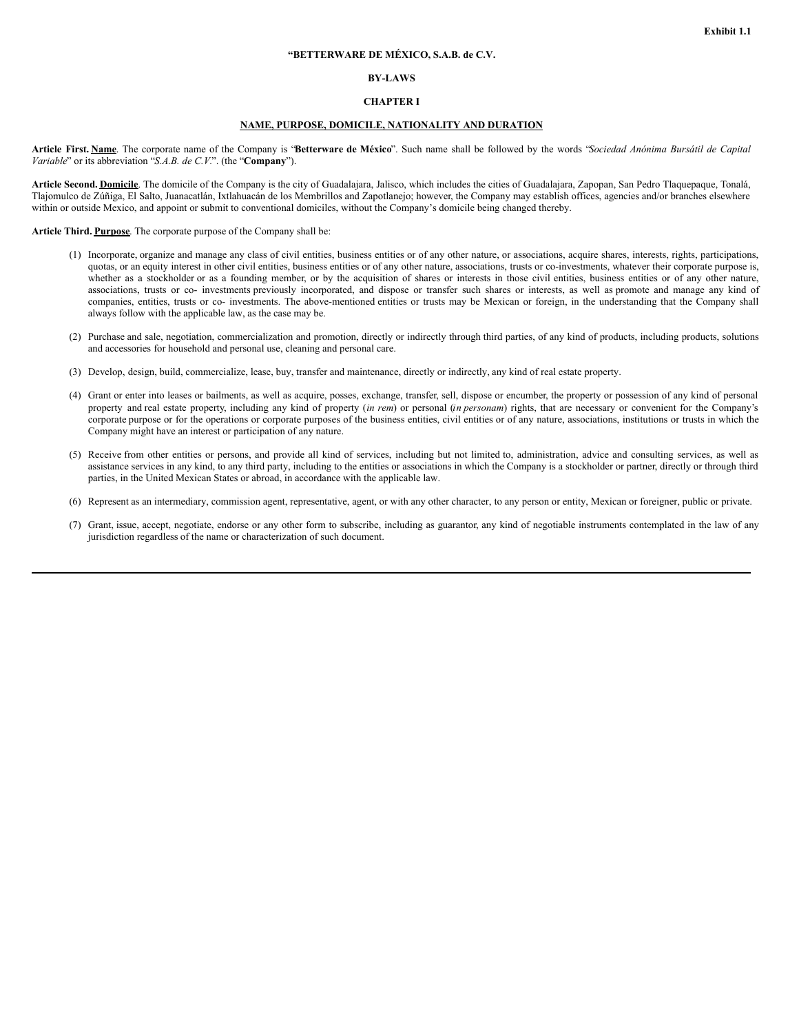### **"BETTERWARE DE MÉXICO, S.A.B. de C.V.**

### **BY-LAWS**

### **CHAPTER I**

### **NAME, PURPOSE, DOMICILE, NATIONALITY AND DURATION**

Article First. Name. The corporate name of the Company is "Betterware de México". Such name shall be followed by the words "Sociedad Anónima Bursátil de Capital *Variable*" or its abbreviation "*S.A.B. de C.V.*". (the "**Company**").

**Article Second. Domicile**. The domicile of the Company is the city of Guadalajara, Jalisco, which includes the cities of Guadalajara, Zapopan, San Pedro Tlaquepaque, Tonalá, Tlajomulco de Zúñiga, El Salto, Juanacatlán, Ixtlahuacán de los Membrillos and Zapotlanejo; however, the Company may establish offices, agencies and/or branches elsewhere within or outside Mexico, and appoint or submit to conventional domiciles, without the Company's domicile being changed thereby.

**Article Third. Purpose**. The corporate purpose of the Company shall be:

- (1) Incorporate, organize and manage any class of civil entities, business entities or of any other nature, or associations, acquire shares, interests, rights, participations, quotas, or an equity interest in other civil entities, business entities or of any other nature, associations, trusts or co-investments, whatever their corporate purpose is, whether as a stockholder or as a founding member, or by the acquisition of shares or interests in those civil entities, business entities or of any other nature, associations, trusts or co- investments previously incorporated, and dispose or transfer such shares or interests, as well as promote and manage any kind of companies, entities, trusts or co- investments. The above-mentioned entities or trusts may be Mexican or foreign, in the understanding that the Company shall always follow with the applicable law, as the case may be.
- (2) Purchase and sale, negotiation, commercialization and promotion, directly or indirectly through third parties, of any kind of products, including products, solutions and accessories for household and personal use, cleaning and personal care.
- (3) Develop, design, build, commercialize, lease, buy, transfer and maintenance, directly or indirectly, any kind of real estate property.
- (4) Grant or enter into leases or bailments, as well as acquire, posses, exchange, transfer, sell, dispose or encumber, the property or possession of any kind of personal property and real estate property, including any kind of property (*in rem*) or personal (*in personam*) rights, that are necessary or convenient for the Company's corporate purpose or for the operations or corporate purposes of the business entities, civil entities or of any nature, associations, institutions or trusts in which the Company might have an interest or participation of any nature.
- (5) Receive from other entities or persons, and provide all kind of services, including but not limited to, administration, advice and consulting services, as well as assistance services in any kind, to any third party, including to the entities or associations in which the Company is a stockholder or partner, directly or through third parties, in the United Mexican States or abroad, in accordance with the applicable law.
- (6) Represent as an intermediary, commission agent, representative, agent, or with any other character, to any person or entity, Mexican or foreigner, public or private.
- (7) Grant, issue, accept, negotiate, endorse or any other form to subscribe, including as guarantor, any kind of negotiable instruments contemplated in the law of any jurisdiction regardless of the name or characterization of such document.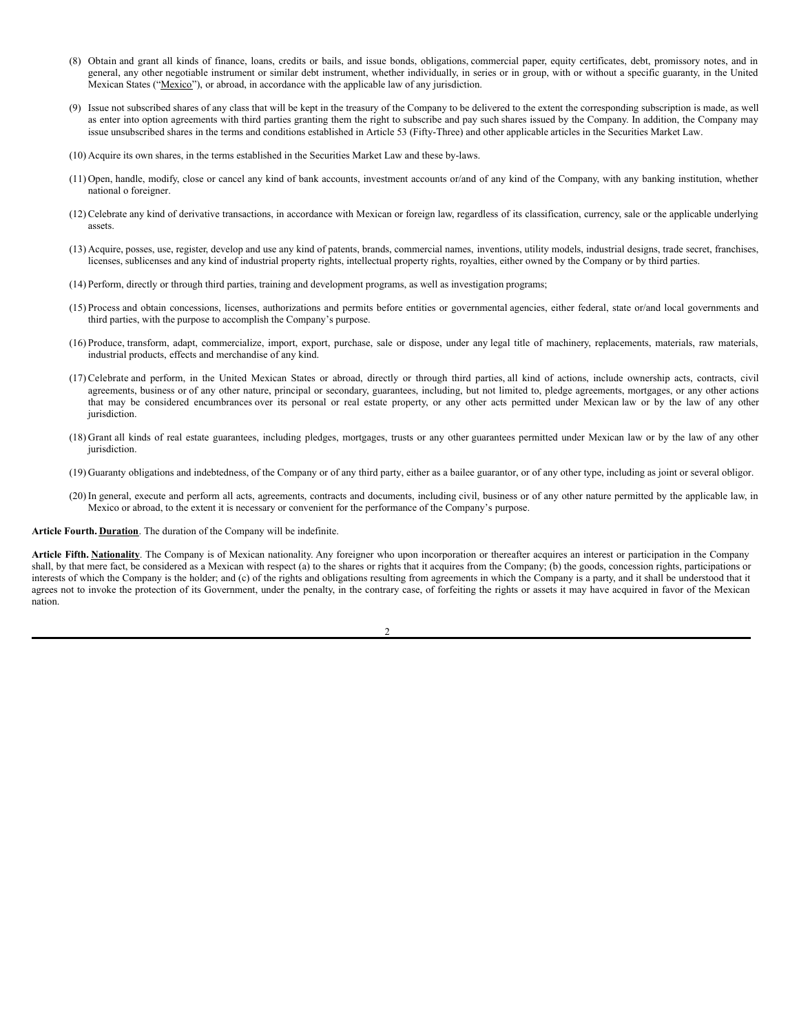- (8) Obtain and grant all kinds of finance, loans, credits or bails, and issue bonds, obligations, commercial paper, equity certificates, debt, promissory notes, and in general, any other negotiable instrument or similar debt instrument, whether individually, in series or in group, with or without a specific guaranty, in the United Mexican States ("Mexico"), or abroad, in accordance with the applicable law of any jurisdiction.
- (9) Issue not subscribed shares of any class that will be kept in the treasury of the Company to be delivered to the extent the corresponding subscription is made, as well as enter into option agreements with third parties granting them the right to subscribe and pay such shares issued by the Company. In addition, the Company may issue unsubscribed shares in the terms and conditions established in Article 53 (Fifty-Three) and other applicable articles in the Securities Market Law.
- (10) Acquire its own shares, in the terms established in the Securities Market Law and these by-laws.
- (11) Open, handle, modify, close or cancel any kind of bank accounts, investment accounts or/and of any kind of the Company, with any banking institution, whether national o foreigner.
- (12) Celebrate any kind of derivative transactions, in accordance with Mexican or foreign law, regardless of its classification, currency, sale or the applicable underlying assets.
- (13) Acquire, posses, use, register, develop and use any kind of patents, brands, commercial names, inventions, utility models, industrial designs, trade secret, franchises, licenses, sublicenses and any kind of industrial property rights, intellectual property rights, royalties, either owned by the Company or by third parties.
- (14) Perform, directly or through third parties, training and development programs, as well as investigation programs;
- (15) Process and obtain concessions, licenses, authorizations and permits before entities or governmental agencies, either federal, state or/and local governments and third parties, with the purpose to accomplish the Company's purpose.
- (16) Produce, transform, adapt, commercialize, import, export, purchase, sale or dispose, under any legal title of machinery, replacements, materials, raw materials, industrial products, effects and merchandise of any kind.
- (17) Celebrate and perform, in the United Mexican States or abroad, directly or through third parties, all kind of actions, include ownership acts, contracts, civil agreements, business or of any other nature, principal or secondary, guarantees, including, but not limited to, pledge agreements, mortgages, or any other actions that may be considered encumbrances over its personal or real estate property, or any other acts permitted under Mexican law or by the law of any other jurisdiction.
- (18) Grant all kinds of real estate guarantees, including pledges, mortgages, trusts or any other guarantees permitted under Mexican law or by the law of any other jurisdiction.
- (19) Guaranty obligations and indebtedness, of the Company or of any third party, either as a bailee guarantor, or of any other type, including as joint or several obligor.
- (20) In general, execute and perform all acts, agreements, contracts and documents, including civil, business or of any other nature permitted by the applicable law, in Mexico or abroad, to the extent it is necessary or convenient for the performance of the Company's purpose.

**Article Fourth. Duration**. The duration of the Company will be indefinite.

**Article Fifth. Nationality**. The Company is of Mexican nationality. Any foreigner who upon incorporation or thereafter acquires an interest or participation in the Company shall, by that mere fact, be considered as a Mexican with respect (a) to the shares or rights that it acquires from the Company; (b) the goods, concession rights, participations or interests of which the Company is the holder; and (c) of the rights and obligations resulting from agreements in which the Company is a party, and it shall be understood that it agrees not to invoke the protection of its Government, under the penalty, in the contrary case, of forfeiting the rights or assets it may have acquired in favor of the Mexican nation.

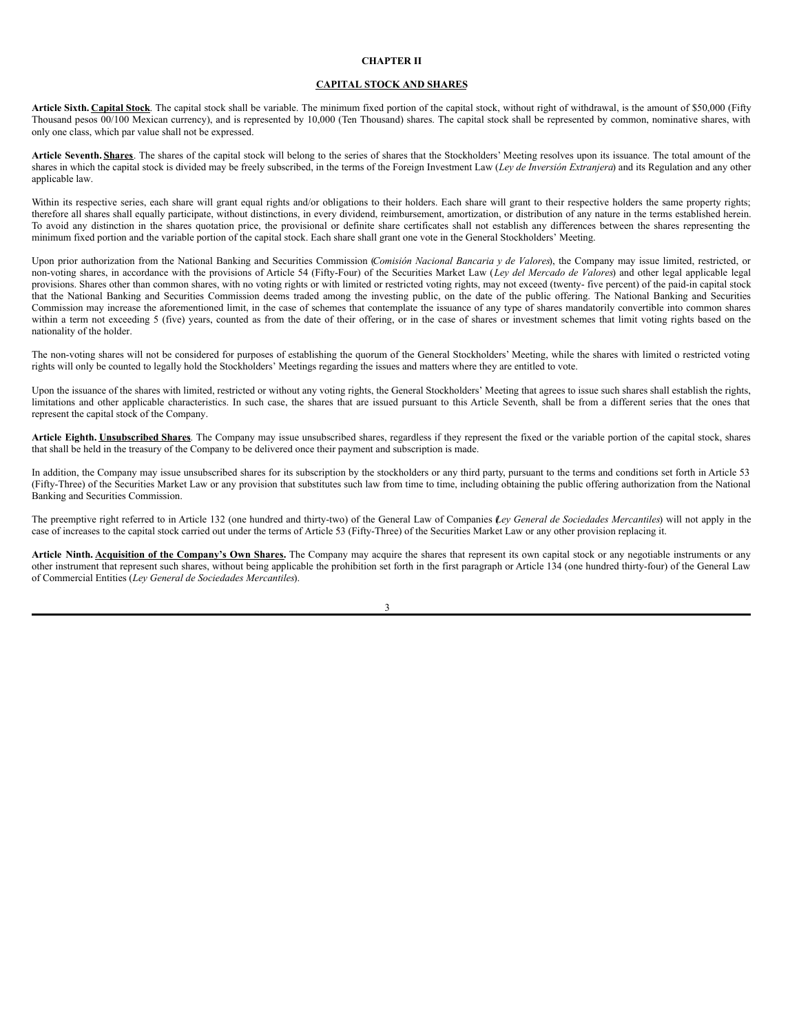#### **CHAPTER II**

# **CAPITAL STOCK AND SHARES**

**Article Sixth. Capital Stock**. The capital stock shall be variable. The minimum fixed portion of the capital stock, without right of withdrawal, is the amount of \$50,000 (Fifty Thousand pesos 00/100 Mexican currency), and is represented by 10,000 (Ten Thousand) shares. The capital stock shall be represented by common, nominative shares, with only one class, which par value shall not be expressed.

**Article Seventh. Shares**. The shares of the capital stock will belong to the series of shares that the Stockholders' Meeting resolves upon its issuance. The total amount of the shares in which the capital stock is divided may be freely subscribed, in the terms of the Foreign Investment Law (*Ley de Inversión Extranjera*) and its Regulation and any other applicable law.

Within its respective series, each share will grant equal rights and/or obligations to their holders. Each share will grant to their respective holders the same property rights; therefore all shares shall equally participate, without distinctions, in every dividend, reimbursement, amortization, or distribution of any nature in the terms established herein. To avoid any distinction in the shares quotation price, the provisional or definite share certificates shall not establish any differences between the shares representing the minimum fixed portion and the variable portion of the capital stock. Each share shall grant one vote in the General Stockholders' Meeting.

Upon prior authorization from the National Banking and Securities Commission (*Comisión Nacional Bancaria y de Valores*), the Company may issue limited, restricted, or non-voting shares, in accordance with the provisions of Article 54 (Fifty-Four) of the Securities Market Law (*Ley del Mercado de Valores*) and other legal applicable legal provisions. Shares other than common shares, with no voting rights or with limited or restricted voting rights, may not exceed (twenty- five percent) of the paid-in capital stock that the National Banking and Securities Commission deems traded among the investing public, on the date of the public offering. The National Banking and Securities Commission may increase the aforementioned limit, in the case of schemes that contemplate the issuance of any type of shares mandatorily convertible into common shares within a term not exceeding 5 (five) years, counted as from the date of their offering, or in the case of shares or investment schemes that limit voting rights based on the nationality of the holder.

The non-voting shares will not be considered for purposes of establishing the quorum of the General Stockholders' Meeting, while the shares with limited o restricted voting rights will only be counted to legally hold the Stockholders' Meetings regarding the issues and matters where they are entitled to vote.

Upon the issuance of the shares with limited, restricted or without any voting rights, the General Stockholders' Meeting that agrees to issue such shares shall establish the rights, limitations and other applicable characteristics. In such case, the shares that are issued pursuant to this Article Seventh, shall be from a different series that the ones that represent the capital stock of the Company.

**Article Eighth. Unsubscribed Shares**. The Company may issue unsubscribed shares, regardless if they represent the fixed or the variable portion of the capital stock, shares that shall be held in the treasury of the Company to be delivered once their payment and subscription is made.

In addition, the Company may issue unsubscribed shares for its subscription by the stockholders or any third party, pursuant to the terms and conditions set forth in Article 53 (Fifty-Three) of the Securities Market Law or any provision that substitutes such law from time to time, including obtaining the public offering authorization from the National Banking and Securities Commission.

The preemptive right referred to in Article 132 (one hundred and thirty-two) of the General Law of Companies (*Ley General de Sociedades Mercantiles*) will not apply in the case of increases to the capital stock carried out under the terms of Article 53 (Fifty-Three) of the Securities Market Law or any other provision replacing it.

**Article Ninth. Acquisition of the Company's Own Shares.** The Company may acquire the shares that represent its own capital stock or any negotiable instruments or any other instrument that represent such shares, without being applicable the prohibition set forth in the first paragraph or Article 134 (one hundred thirty-four) of the General Law of Commercial Entities (*Ley General de Sociedades Mercantiles*).

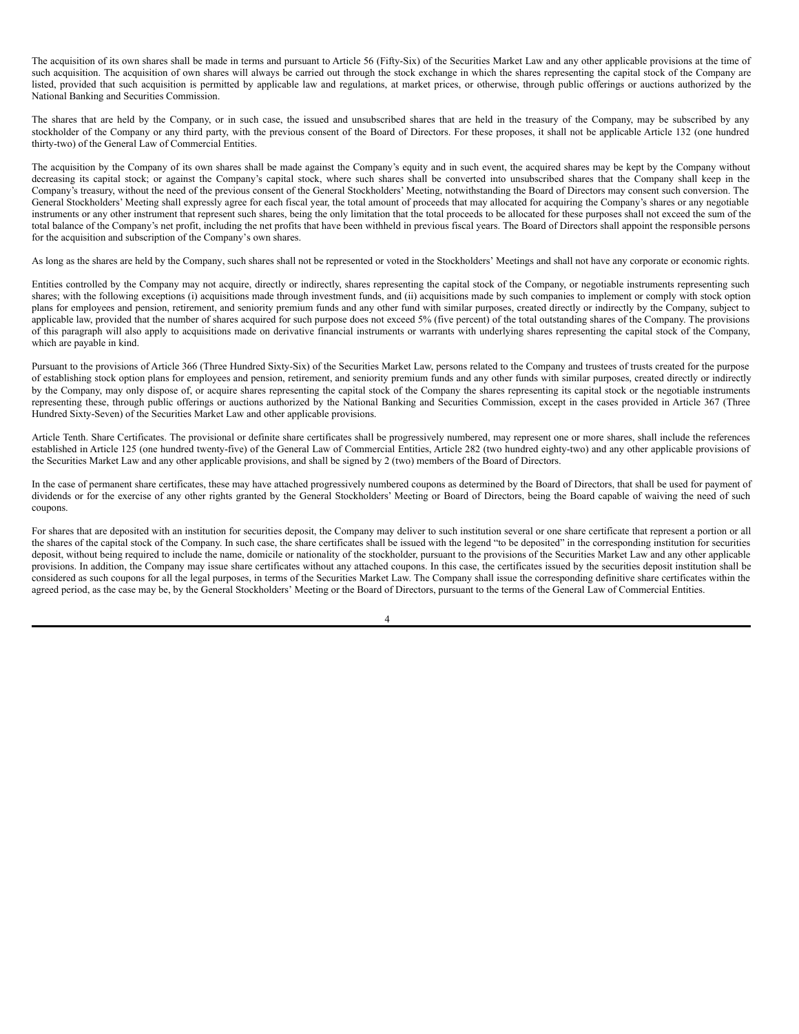The acquisition of its own shares shall be made in terms and pursuant to Article 56 (Fifty-Six) of the Securities Market Law and any other applicable provisions at the time of such acquisition. The acquisition of own shares will always be carried out through the stock exchange in which the shares representing the capital stock of the Company are listed, provided that such acquisition is permitted by applicable law and regulations, at market prices, or otherwise, through public offerings or auctions authorized by the National Banking and Securities Commission.

The shares that are held by the Company, or in such case, the issued and unsubscribed shares that are held in the treasury of the Company, may be subscribed by any stockholder of the Company or any third party, with the previous consent of the Board of Directors. For these proposes, it shall not be applicable Article 132 (one hundred thirty-two) of the General Law of Commercial Entities.

The acquisition by the Company of its own shares shall be made against the Company's equity and in such event, the acquired shares may be kept by the Company without decreasing its capital stock; or against the Company's capital stock, where such shares shall be converted into unsubscribed shares that the Company shall keep in the Company's treasury, without the need of the previous consent of the General Stockholders' Meeting, notwithstanding the Board of Directors may consent such conversion. The General Stockholders' Meeting shall expressly agree for each fiscal year, the total amount of proceeds that may allocated for acquiring the Company's shares or any negotiable instruments or any other instrument that represent such shares, being the only limitation that the total proceeds to be allocated for these purposes shall not exceed the sum of the total balance of the Company's net profit, including the net profits that have been withheld in previous fiscal years. The Board of Directors shall appoint the responsible persons for the acquisition and subscription of the Company's own shares.

As long as the shares are held by the Company, such shares shall not be represented or voted in the Stockholders' Meetings and shall not have any corporate or economic rights.

Entities controlled by the Company may not acquire, directly or indirectly, shares representing the capital stock of the Company, or negotiable instruments representing such shares; with the following exceptions (i) acquisitions made through investment funds, and (ii) acquisitions made by such companies to implement or comply with stock option plans for employees and pension, retirement, and seniority premium funds and any other fund with similar purposes, created directly or indirectly by the Company, subject to applicable law, provided that the number of shares acquired for such purpose does not exceed 5% (five percent) of the total outstanding shares of the Company. The provisions of this paragraph will also apply to acquisitions made on derivative financial instruments or warrants with underlying shares representing the capital stock of the Company, which are payable in kind.

Pursuant to the provisions of Article 366 (Three Hundred Sixty-Six) of the Securities Market Law, persons related to the Company and trustees of trusts created for the purpose of establishing stock option plans for employees and pension, retirement, and seniority premium funds and any other funds with similar purposes, created directly or indirectly by the Company, may only dispose of, or acquire shares representing the capital stock of the Company the shares representing its capital stock or the negotiable instruments representing these, through public offerings or auctions authorized by the National Banking and Securities Commission, except in the cases provided in Article 367 (Three Hundred Sixty-Seven) of the Securities Market Law and other applicable provisions.

Article Tenth. Share Certificates. The provisional or definite share certificates shall be progressively numbered, may represent one or more shares, shall include the references established in Article 125 (one hundred twenty-five) of the General Law of Commercial Entities, Article 282 (two hundred eighty-two) and any other applicable provisions of the Securities Market Law and any other applicable provisions, and shall be signed by 2 (two) members of the Board of Directors.

In the case of permanent share certificates, these may have attached progressively numbered coupons as determined by the Board of Directors, that shall be used for payment of dividends or for the exercise of any other rights granted by the General Stockholders' Meeting or Board of Directors, being the Board capable of waiving the need of such coupons.

For shares that are deposited with an institution for securities deposit, the Company may deliver to such institution several or one share certificate that represent a portion or all the shares of the capital stock of the Company. In such case, the share certificates shall be issued with the legend "to be deposited" in the corresponding institution for securities deposit, without being required to include the name, domicile or nationality of the stockholder, pursuant to the provisions of the Securities Market Law and any other applicable provisions. In addition, the Company may issue share certificates without any attached coupons. In this case, the certificates issued by the securities deposit institution shall be considered as such coupons for all the legal purposes, in terms of the Securities Market Law. The Company shall issue the corresponding definitive share certificates within the agreed period, as the case may be, by the General Stockholders' Meeting or the Board of Directors, pursuant to the terms of the General Law of Commercial Entities.

4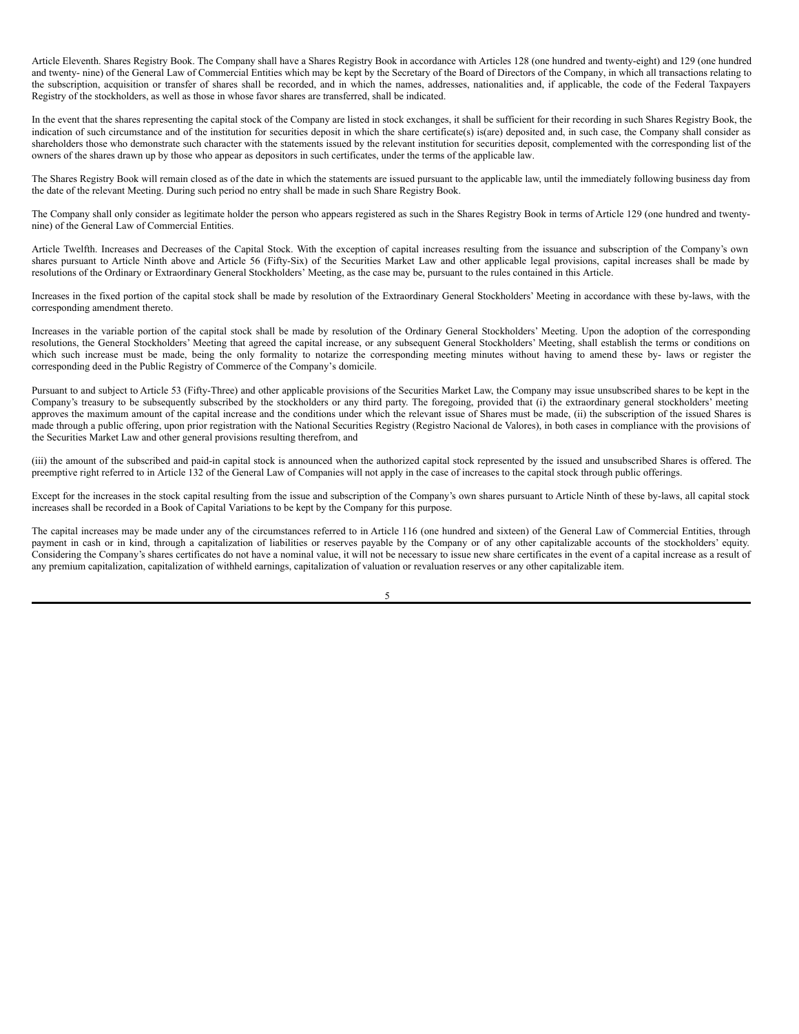Article Eleventh. Shares Registry Book. The Company shall have a Shares Registry Book in accordance with Articles 128 (one hundred and twenty-eight) and 129 (one hundred and twenty- nine) of the General Law of Commercial Entities which may be kept by the Secretary of the Board of Directors of the Company, in which all transactions relating to the subscription, acquisition or transfer of shares shall be recorded, and in which the names, addresses, nationalities and, if applicable, the code of the Federal Taxpayers Registry of the stockholders, as well as those in whose favor shares are transferred, shall be indicated.

In the event that the shares representing the capital stock of the Company are listed in stock exchanges, it shall be sufficient for their recording in such Shares Registry Book, the indication of such circumstance and of the institution for securities deposit in which the share certificate(s) is(are) deposited and, in such case, the Company shall consider as shareholders those who demonstrate such character with the statements issued by the relevant institution for securities deposit, complemented with the corresponding list of the owners of the shares drawn up by those who appear as depositors in such certificates, under the terms of the applicable law.

The Shares Registry Book will remain closed as of the date in which the statements are issued pursuant to the applicable law, until the immediately following business day from the date of the relevant Meeting. During such period no entry shall be made in such Share Registry Book.

The Company shall only consider as legitimate holder the person who appears registered as such in the Shares Registry Book in terms of Article 129 (one hundred and twentynine) of the General Law of Commercial Entities.

Article Twelfth. Increases and Decreases of the Capital Stock. With the exception of capital increases resulting from the issuance and subscription of the Company's own shares pursuant to Article Ninth above and Article 56 (Fifty-Six) of the Securities Market Law and other applicable legal provisions, capital increases shall be made by resolutions of the Ordinary or Extraordinary General Stockholders' Meeting, as the case may be, pursuant to the rules contained in this Article.

Increases in the fixed portion of the capital stock shall be made by resolution of the Extraordinary General Stockholders' Meeting in accordance with these by-laws, with the corresponding amendment thereto.

Increases in the variable portion of the capital stock shall be made by resolution of the Ordinary General Stockholders' Meeting. Upon the adoption of the corresponding resolutions, the General Stockholders' Meeting that agreed the capital increase, or any subsequent General Stockholders' Meeting, shall establish the terms or conditions on which such increase must be made, being the only formality to notarize the corresponding meeting minutes without having to amend these by- laws or register the corresponding deed in the Public Registry of Commerce of the Company's domicile.

Pursuant to and subject to Article 53 (Fifty-Three) and other applicable provisions of the Securities Market Law, the Company may issue unsubscribed shares to be kept in the Company's treasury to be subsequently subscribed by the stockholders or any third party. The foregoing, provided that (i) the extraordinary general stockholders' meeting approves the maximum amount of the capital increase and the conditions under which the relevant issue of Shares must be made, (ii) the subscription of the issued Shares is made through a public offering, upon prior registration with the National Securities Registry (Registro Nacional de Valores), in both cases in compliance with the provisions of the Securities Market Law and other general provisions resulting therefrom, and

(iii) the amount of the subscribed and paid-in capital stock is announced when the authorized capital stock represented by the issued and unsubscribed Shares is offered. The preemptive right referred to in Article 132 of the General Law of Companies will not apply in the case of increases to the capital stock through public offerings.

Except for the increases in the stock capital resulting from the issue and subscription of the Company's own shares pursuant to Article Ninth of these by-laws, all capital stock increases shall be recorded in a Book of Capital Variations to be kept by the Company for this purpose.

The capital increases may be made under any of the circumstances referred to in Article 116 (one hundred and sixteen) of the General Law of Commercial Entities, through payment in cash or in kind, through a capitalization of liabilities or reserves payable by the Company or of any other capitalizable accounts of the stockholders' equity. Considering the Company's shares certificates do not have a nominal value, it will not be necessary to issue new share certificates in the event of a capital increase as a result of any premium capitalization, capitalization of withheld earnings, capitalization of valuation or revaluation reserves or any other capitalizable item.

5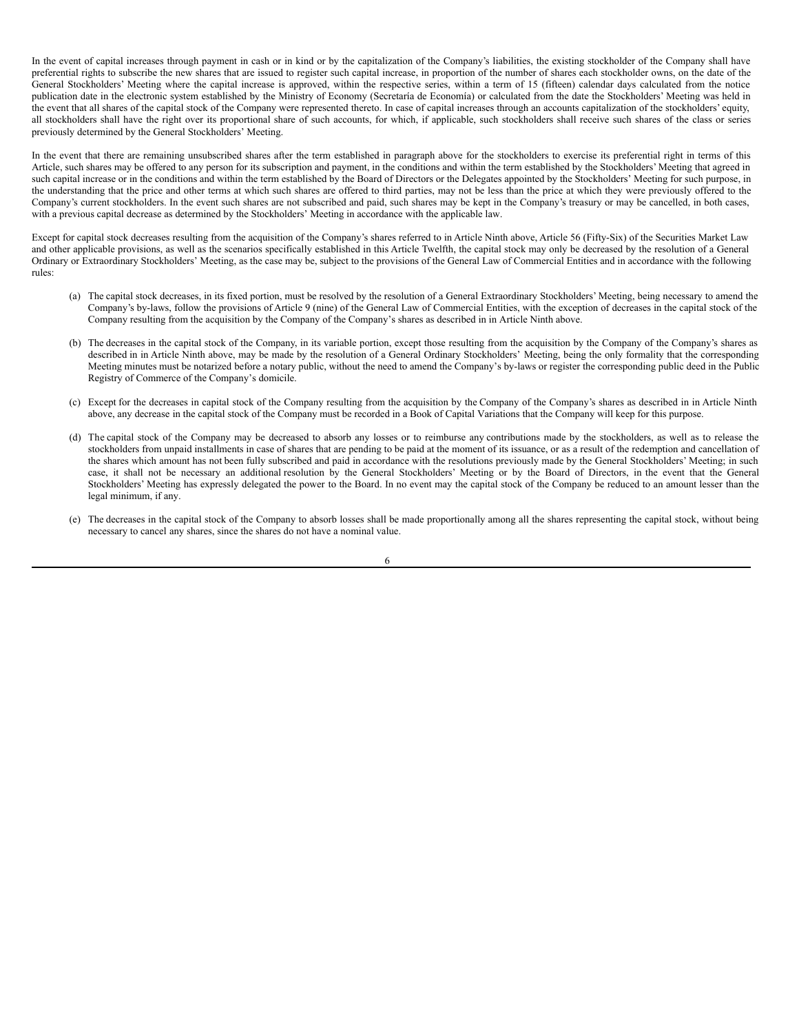In the event of capital increases through payment in cash or in kind or by the capitalization of the Company's liabilities, the existing stockholder of the Company shall have preferential rights to subscribe the new shares that are issued to register such capital increase, in proportion of the number of shares each stockholder owns, on the date of the General Stockholders' Meeting where the capital increase is approved, within the respective series, within a term of 15 (fifteen) calendar days calculated from the notice publication date in the electronic system established by the Ministry of Economy (Secretaría de Economía) or calculated from the date the Stockholders' Meeting was held in the event that all shares of the capital stock of the Company were represented thereto. In case of capital increases through an accounts capitalization of the stockholders' equity, all stockholders shall have the right over its proportional share of such accounts, for which, if applicable, such stockholders shall receive such shares of the class or series previously determined by the General Stockholders' Meeting.

In the event that there are remaining unsubscribed shares after the term established in paragraph above for the stockholders to exercise its preferential right in terms of this Article, such shares may be offered to any person for its subscription and payment, in the conditions and within the term established by the Stockholders' Meeting that agreed in such capital increase or in the conditions and within the term established by the Board of Directors or the Delegates appointed by the Stockholders' Meeting for such purpose, in the understanding that the price and other terms at which such shares are offered to third parties, may not be less than the price at which they were previously offered to the Company's current stockholders. In the event such shares are not subscribed and paid, such shares may be kept in the Company's treasury or may be cancelled, in both cases, with a previous capital decrease as determined by the Stockholders' Meeting in accordance with the applicable law.

Except for capital stock decreases resulting from the acquisition of the Company's shares referred to in Article Ninth above, Article 56 (Fifty-Six) of the Securities Market Law and other applicable provisions, as well as the scenarios specifically established in this Article Twelfth, the capital stock may only be decreased by the resolution of a General Ordinary or Extraordinary Stockholders' Meeting, as the case may be, subject to the provisions of the General Law of Commercial Entities and in accordance with the following rules:

- (a) The capital stock decreases, in its fixed portion, must be resolved by the resolution of a General Extraordinary Stockholders' Meeting, being necessary to amend the Company's by-laws, follow the provisions of Article 9 (nine) of the General Law of Commercial Entities, with the exception of decreases in the capital stock of the Company resulting from the acquisition by the Company of the Company's shares as described in in Article Ninth above.
- (b) The decreases in the capital stock of the Company, in its variable portion, except those resulting from the acquisition by the Company of the Company's shares as described in in Article Ninth above, may be made by the resolution of a General Ordinary Stockholders' Meeting, being the only formality that the corresponding Meeting minutes must be notarized before a notary public, without the need to amend the Company's by-laws or register the corresponding public deed in the Public Registry of Commerce of the Company's domicile.
- (c) Except for the decreases in capital stock of the Company resulting from the acquisition by the Company of the Company's shares as described in in Article Ninth above, any decrease in the capital stock of the Company must be recorded in a Book of Capital Variations that the Company will keep for this purpose.
- (d) The capital stock of the Company may be decreased to absorb any losses or to reimburse any contributions made by the stockholders, as well as to release the stockholders from unpaid installments in case of shares that are pending to be paid at the moment of its issuance, or as a result of the redemption and cancellation of the shares which amount has not been fully subscribed and paid in accordance with the resolutions previously made by the General Stockholders' Meeting; in such case, it shall not be necessary an additional resolution by the General Stockholders' Meeting or by the Board of Directors, in the event that the General Stockholders' Meeting has expressly delegated the power to the Board. In no event may the capital stock of the Company be reduced to an amount lesser than the legal minimum, if any.
- (e) The decreases in the capital stock of the Company to absorb losses shall be made proportionally among all the shares representing the capital stock, without being necessary to cancel any shares, since the shares do not have a nominal value.

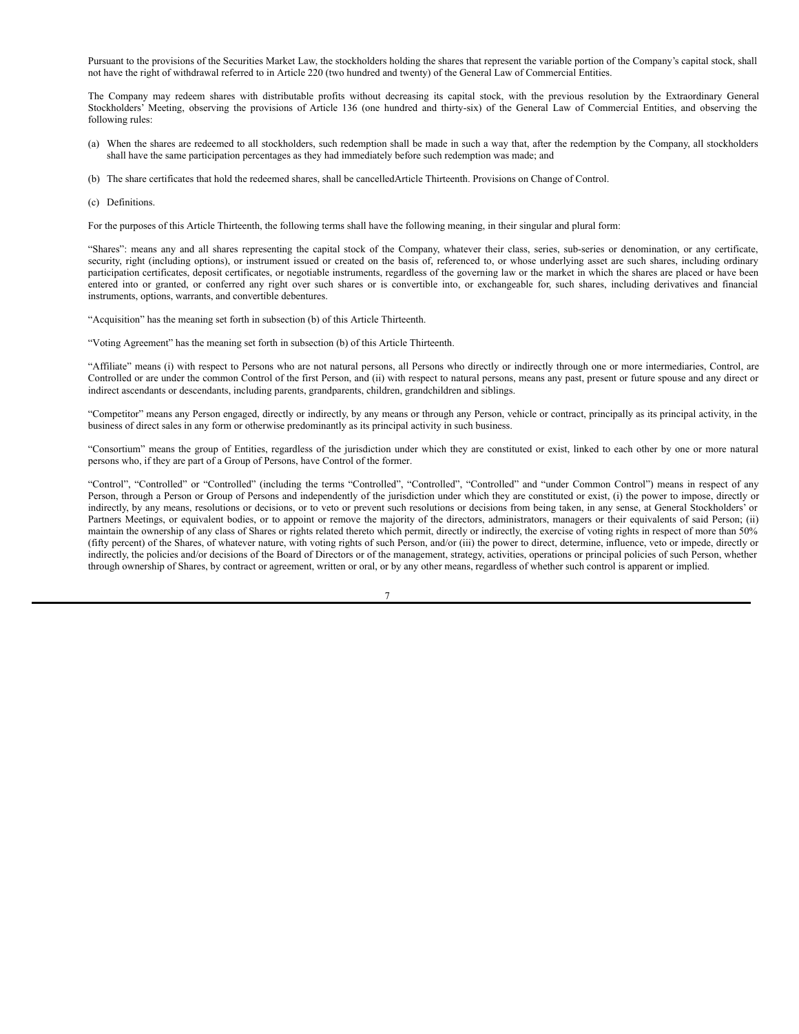Pursuant to the provisions of the Securities Market Law, the stockholders holding the shares that represent the variable portion of the Company's capital stock, shall not have the right of withdrawal referred to in Article 220 (two hundred and twenty) of the General Law of Commercial Entities.

The Company may redeem shares with distributable profits without decreasing its capital stock, with the previous resolution by the Extraordinary General Stockholders' Meeting, observing the provisions of Article 136 (one hundred and thirty-six) of the General Law of Commercial Entities, and observing the following rules:

- (a) When the shares are redeemed to all stockholders, such redemption shall be made in such a way that, after the redemption by the Company, all stockholders shall have the same participation percentages as they had immediately before such redemption was made; and
- (b) The share certificates that hold the redeemed shares, shall be cancelledArticle Thirteenth. Provisions on Change of Control.
- (c) Definitions.

For the purposes of this Article Thirteenth, the following terms shall have the following meaning, in their singular and plural form:

"Shares": means any and all shares representing the capital stock of the Company, whatever their class, series, sub-series or denomination, or any certificate, security, right (including options), or instrument issued or created on the basis of, referenced to, or whose underlying asset are such shares, including ordinary participation certificates, deposit certificates, or negotiable instruments, regardless of the governing law or the market in which the shares are placed or have been entered into or granted, or conferred any right over such shares or is convertible into, or exchangeable for, such shares, including derivatives and financial instruments, options, warrants, and convertible debentures.

"Acquisition" has the meaning set forth in subsection (b) of this Article Thirteenth.

"Voting Agreement" has the meaning set forth in subsection (b) of this Article Thirteenth.

"Affiliate" means (i) with respect to Persons who are not natural persons, all Persons who directly or indirectly through one or more intermediaries, Control, are Controlled or are under the common Control of the first Person, and (ii) with respect to natural persons, means any past, present or future spouse and any direct or indirect ascendants or descendants, including parents, grandparents, children, grandchildren and siblings.

"Competitor" means any Person engaged, directly or indirectly, by any means or through any Person, vehicle or contract, principally as its principal activity, in the business of direct sales in any form or otherwise predominantly as its principal activity in such business.

"Consortium" means the group of Entities, regardless of the jurisdiction under which they are constituted or exist, linked to each other by one or more natural persons who, if they are part of a Group of Persons, have Control of the former.

"Control", "Controlled" or "Controlled" (including the terms "Controlled", "Controlled", "Controlled" and "under Common Control") means in respect of any Person, through a Person or Group of Persons and independently of the jurisdiction under which they are constituted or exist, (i) the power to impose, directly or indirectly, by any means, resolutions or decisions, or to veto or prevent such resolutions or decisions from being taken, in any sense, at General Stockholders' or Partners Meetings, or equivalent bodies, or to appoint or remove the majority of the directors, administrators, managers or their equivalents of said Person; (ii) maintain the ownership of any class of Shares or rights related thereto which permit, directly or indirectly, the exercise of voting rights in respect of more than 50% (fifty percent) of the Shares, of whatever nature, with voting rights of such Person, and/or (iii) the power to direct, determine, influence, veto or impede, directly or indirectly, the policies and/or decisions of the Board of Directors or of the management, strategy, activities, operations or principal policies of such Person, whether through ownership of Shares, by contract or agreement, written or oral, or by any other means, regardless of whether such control is apparent or implied.

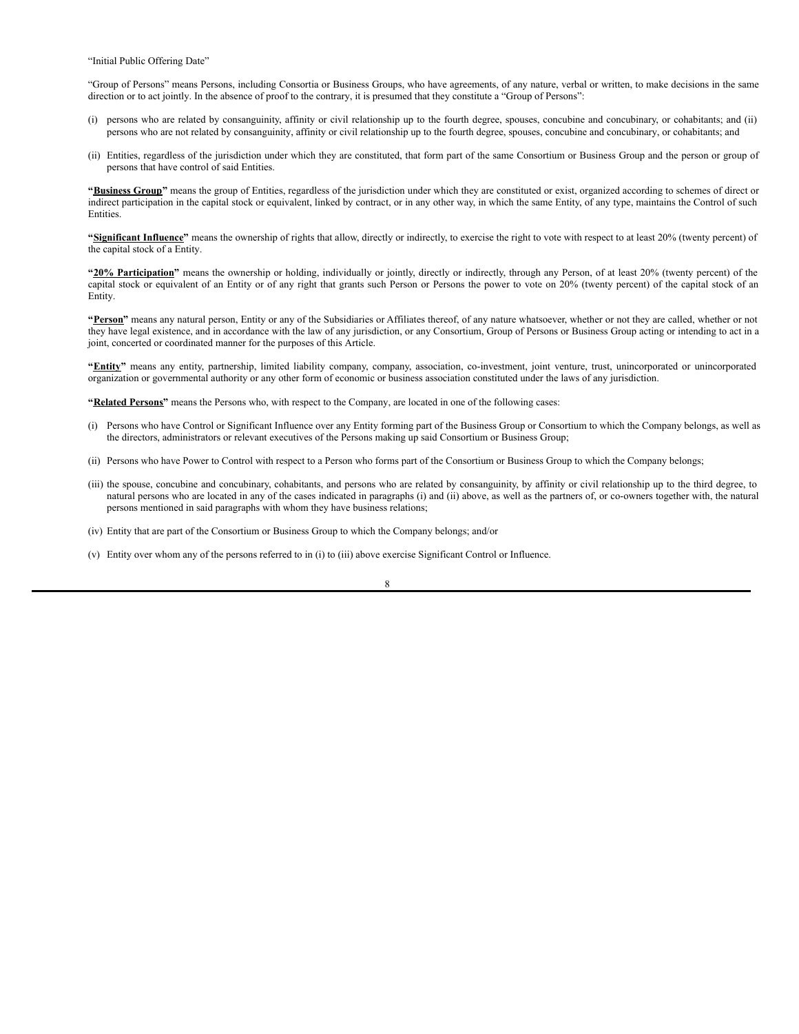"Initial Public Offering Date"

"Group of Persons" means Persons, including Consortia or Business Groups, who have agreements, of any nature, verbal or written, to make decisions in the same direction or to act jointly. In the absence of proof to the contrary, it is presumed that they constitute a "Group of Persons":

- (i) persons who are related by consanguinity, affinity or civil relationship up to the fourth degree, spouses, concubine and concubinary, or cohabitants; and (ii) persons who are not related by consanguinity, affinity or civil relationship up to the fourth degree, spouses, concubine and concubinary, or cohabitants; and
- (ii) Entities, regardless of the jurisdiction under which they are constituted, that form part of the same Consortium or Business Group and the person or group of persons that have control of said Entities.

**"Business Group"** means the group of Entities, regardless of the jurisdiction under which they are constituted or exist, organized according to schemes of direct or indirect participation in the capital stock or equivalent, linked by contract, or in any other way, in which the same Entity, of any type, maintains the Control of such **Entities** 

"Significant Influence" means the ownership of rights that allow, directly or indirectly, to exercise the right to vote with respect to at least 20% (twenty percent) of the capital stock of a Entity.

"20% Participation" means the ownership or holding, individually or jointly, directly or indirectly, through any Person, of at least 20% (twenty percent) of the capital stock or equivalent of an Entity or of any right that grants such Person or Persons the power to vote on 20% (twenty percent) of the capital stock of an Entity.

**"Person"** means any natural person, Entity or any of the Subsidiaries or Affiliates thereof, of any nature whatsoever, whether or not they are called, whether or not they have legal existence, and in accordance with the law of any jurisdiction, or any Consortium, Group of Persons or Business Group acting or intending to act in a joint, concerted or coordinated manner for the purposes of this Article.

**"Entity"** means any entity, partnership, limited liability company, company, association, co-investment, joint venture, trust, unincorporated or unincorporated organization or governmental authority or any other form of economic or business association constituted under the laws of any jurisdiction.

**"Related Persons"** means the Persons who, with respect to the Company, are located in one of the following cases:

- (i) Persons who have Control or Significant Influence over any Entity forming part of the Business Group or Consortium to which the Company belongs, as well as the directors, administrators or relevant executives of the Persons making up said Consortium or Business Group;
- (ii) Persons who have Power to Control with respect to a Person who forms part of the Consortium or Business Group to which the Company belongs;
- (iii) the spouse, concubine and concubinary, cohabitants, and persons who are related by consanguinity, by affinity or civil relationship up to the third degree, to natural persons who are located in any of the cases indicated in paragraphs (i) and (ii) above, as well as the partners of, or co-owners together with, the natural persons mentioned in said paragraphs with whom they have business relations;
- (iv) Entity that are part of the Consortium or Business Group to which the Company belongs; and/or
- (v) Entity over whom any of the persons referred to in (i) to (iii) above exercise Significant Control or Influence.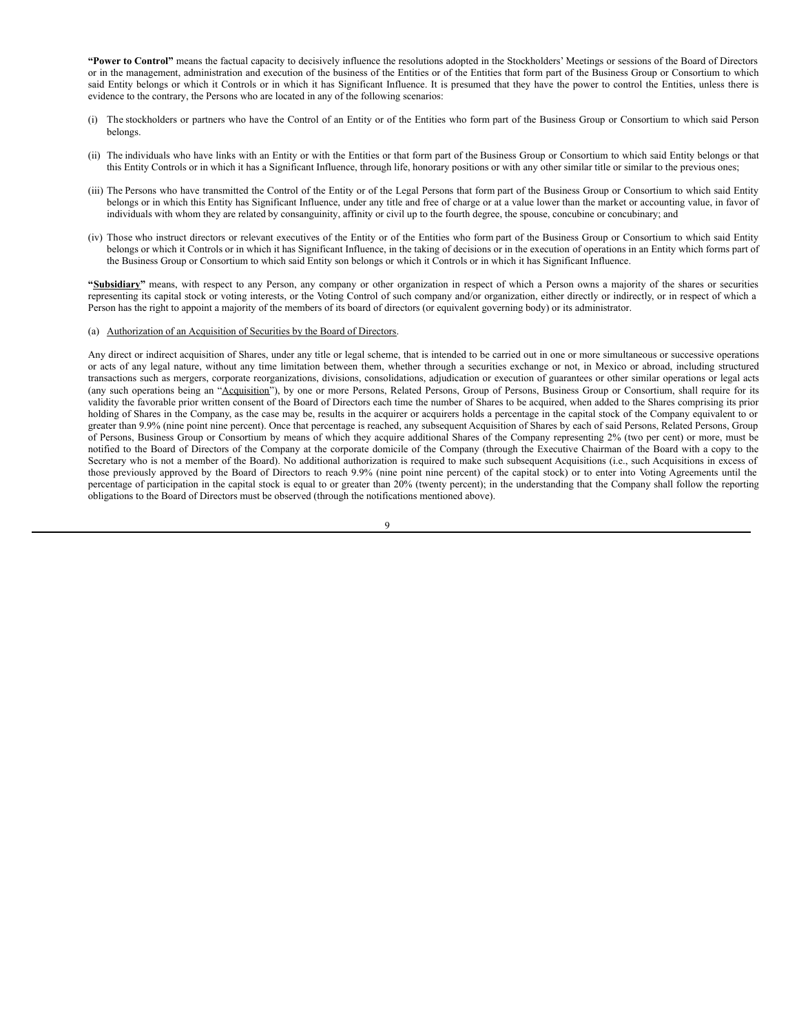**"Power to Control"** means the factual capacity to decisively influence the resolutions adopted in the Stockholders' Meetings or sessions of the Board of Directors or in the management, administration and execution of the business of the Entities or of the Entities that form part of the Business Group or Consortium to which said Entity belongs or which it Controls or in which it has Significant Influence. It is presumed that they have the power to control the Entities, unless there is evidence to the contrary, the Persons who are located in any of the following scenarios:

- (i) The stockholders or partners who have the Control of an Entity or of the Entities who form part of the Business Group or Consortium to which said Person belongs.
- (ii) The individuals who have links with an Entity or with the Entities or that form part of the Business Group or Consortium to which said Entity belongs or that this Entity Controls or in which it has a Significant Influence, through life, honorary positions or with any other similar title or similar to the previous ones;
- (iii) The Persons who have transmitted the Control of the Entity or of the Legal Persons that form part of the Business Group or Consortium to which said Entity belongs or in which this Entity has Significant Influence, under any title and free of charge or at a value lower than the market or accounting value, in favor of individuals with whom they are related by consanguinity, affinity or civil up to the fourth degree, the spouse, concubine or concubinary; and
- (iv) Those who instruct directors or relevant executives of the Entity or of the Entities who form part of the Business Group or Consortium to which said Entity belongs or which it Controls or in which it has Significant Influence, in the taking of decisions or in the execution of operations in an Entity which forms part of the Business Group or Consortium to which said Entity son belongs or which it Controls or in which it has Significant Influence.

**"Subsidiary"** means, with respect to any Person, any company or other organization in respect of which a Person owns a majority of the shares or securities representing its capital stock or voting interests, or the Voting Control of such company and/or organization, either directly or indirectly, or in respect of which a Person has the right to appoint a majority of the members of its board of directors (or equivalent governing body) or its administrator.

### (a) Authorization of an Acquisition of Securities by the Board of Directors.

Any direct or indirect acquisition of Shares, under any title or legal scheme, that is intended to be carried out in one or more simultaneous or successive operations or acts of any legal nature, without any time limitation between them, whether through a securities exchange or not, in Mexico or abroad, including structured transactions such as mergers, corporate reorganizations, divisions, consolidations, adjudication or execution of guarantees or other similar operations or legal acts (any such operations being an "Acquisition"), by one or more Persons, Related Persons, Group of Persons, Business Group or Consortium, shall require for its validity the favorable prior written consent of the Board of Directors each time the number of Shares to be acquired, when added to the Shares comprising its prior holding of Shares in the Company, as the case may be, results in the acquirer or acquirers holds a percentage in the capital stock of the Company equivalent to or greater than 9.9% (nine point nine percent). Once that percentage is reached, any subsequent Acquisition of Shares by each of said Persons, Related Persons, Group of Persons, Business Group or Consortium by means of which they acquire additional Shares of the Company representing 2% (two per cent) or more, must be notified to the Board of Directors of the Company at the corporate domicile of the Company (through the Executive Chairman of the Board with a copy to the Secretary who is not a member of the Board). No additional authorization is required to make such subsequent Acquisitions (i.e., such Acquisitions in excess of those previously approved by the Board of Directors to reach 9.9% (nine point nine percent) of the capital stock) or to enter into Voting Agreements until the percentage of participation in the capital stock is equal to or greater than 20% (twenty percent); in the understanding that the Company shall follow the reporting obligations to the Board of Directors must be observed (through the notifications mentioned above).

 $\overline{Q}$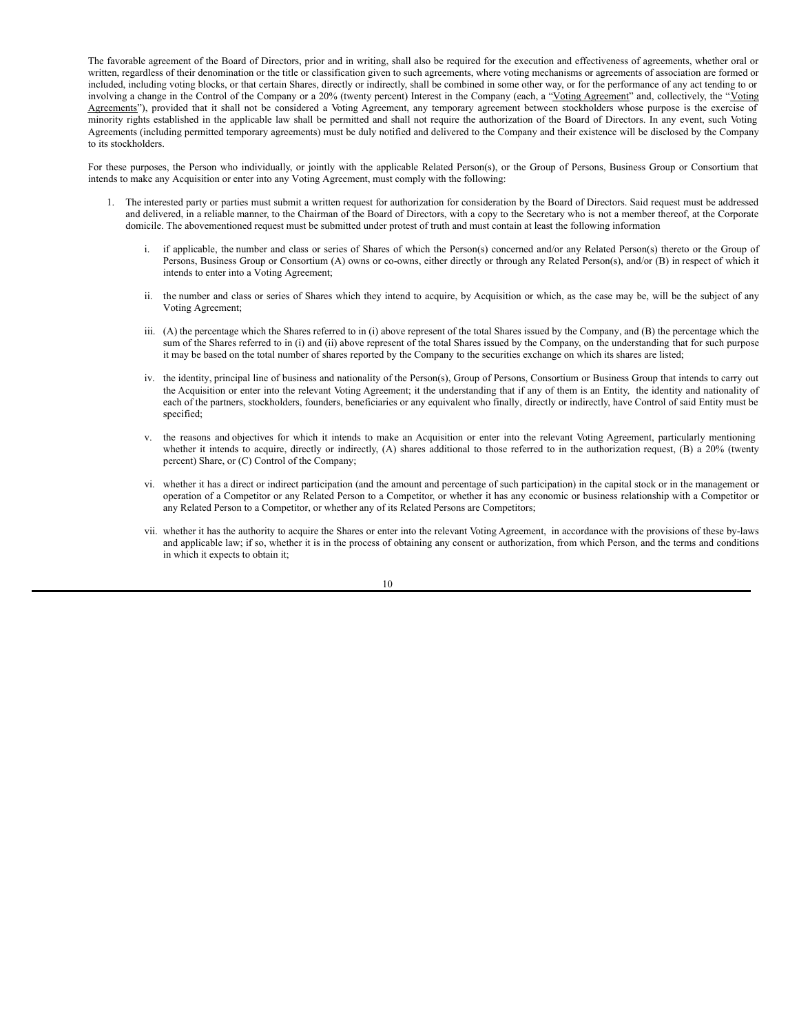The favorable agreement of the Board of Directors, prior and in writing, shall also be required for the execution and effectiveness of agreements, whether oral or written, regardless of their denomination or the title or classification given to such agreements, where voting mechanisms or agreements of association are formed or included, including voting blocks, or that certain Shares, directly or indirectly, shall be combined in some other way, or for the performance of any act tending to or involving a change in the Control of the Company or a 20% (twenty percent) Interest in the Company (each, a "Voting Agreement" and, collectively, the "Voting Agreements"), provided that it shall not be considered a Voting Agreement, any temporary agreement between stockholders whose purpose is the exercise of minority rights established in the applicable law shall be permitted and shall not require the authorization of the Board of Directors. In any event, such Voting Agreements (including permitted temporary agreements) must be duly notified and delivered to the Company and their existence will be disclosed by the Company to its stockholders.

For these purposes, the Person who individually, or jointly with the applicable Related Person(s), or the Group of Persons, Business Group or Consortium that intends to make any Acquisition or enter into any Voting Agreement, must comply with the following:

- 1. The interested party or parties must submit a written request for authorization for consideration by the Board of Directors. Said request must be addressed and delivered, in a reliable manner, to the Chairman of the Board of Directors, with a copy to the Secretary who is not a member thereof, at the Corporate domicile. The abovementioned request must be submitted under protest of truth and must contain at least the following information
	- i. if applicable, the number and class or series of Shares of which the Person(s) concerned and/or any Related Person(s) thereto or the Group of Persons, Business Group or Consortium (A) owns or co-owns, either directly or through any Related Person(s), and/or (B) in respect of which it intends to enter into a Voting Agreement;
	- ii. the number and class or series of Shares which they intend to acquire, by Acquisition or which, as the case may be, will be the subject of any Voting Agreement;
	- iii. (A) the percentage which the Shares referred to in (i) above represent of the total Shares issued by the Company, and (B) the percentage which the sum of the Shares referred to in (i) and (ii) above represent of the total Shares issued by the Company, on the understanding that for such purpose it may be based on the total number of shares reported by the Company to the securities exchange on which its shares are listed;
	- iv. the identity, principal line of business and nationality of the Person(s), Group of Persons, Consortium or Business Group that intends to carry out the Acquisition or enter into the relevant Voting Agreement; it the understanding that if any of them is an Entity, the identity and nationality of each of the partners, stockholders, founders, beneficiaries or any equivalent who finally, directly or indirectly, have Control of said Entity must be specified;
	- the reasons and objectives for which it intends to make an Acquisition or enter into the relevant Voting Agreement, particularly mentioning whether it intends to acquire, directly or indirectly, (A) shares additional to those referred to in the authorization request, (B) a 20% (twenty percent) Share, or (C) Control of the Company;
	- vi. whether it has a direct or indirect participation (and the amount and percentage of such participation) in the capital stock or in the management or operation of a Competitor or any Related Person to a Competitor, or whether it has any economic or business relationship with a Competitor or any Related Person to a Competitor, or whether any of its Related Persons are Competitors;
	- vii. whether it has the authority to acquire the Shares or enter into the relevant Voting Agreement, in accordance with the provisions of these by-laws and applicable law; if so, whether it is in the process of obtaining any consent or authorization, from which Person, and the terms and conditions in which it expects to obtain it;

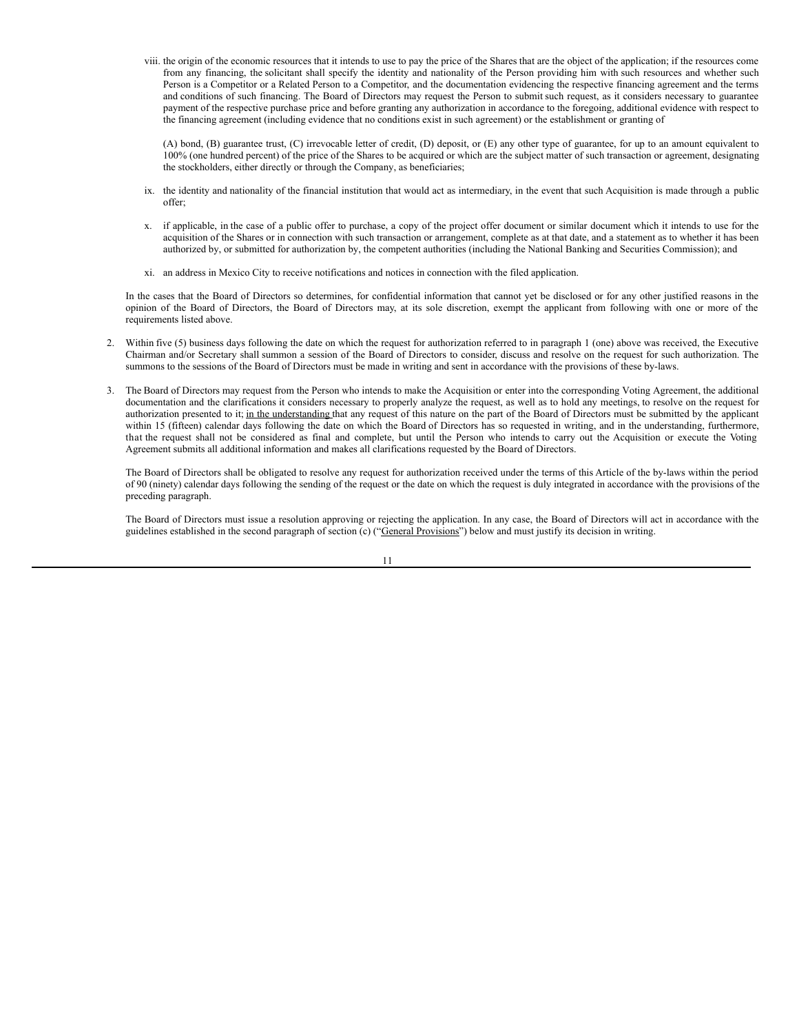viii. the origin of the economic resources that it intends to use to pay the price of the Shares that are the object of the application; if the resources come from any financing, the solicitant shall specify the identity and nationality of the Person providing him with such resources and whether such Person is a Competitor or a Related Person to a Competitor, and the documentation evidencing the respective financing agreement and the terms and conditions of such financing. The Board of Directors may request the Person to submit such request, as it considers necessary to guarantee payment of the respective purchase price and before granting any authorization in accordance to the foregoing, additional evidence with respect to the financing agreement (including evidence that no conditions exist in such agreement) or the establishment or granting of

(A) bond, (B) guarantee trust, (C) irrevocable letter of credit, (D) deposit, or (E) any other type of guarantee, for up to an amount equivalent to 100% (one hundred percent) of the price of the Shares to be acquired or which are the subject matter of such transaction or agreement, designating the stockholders, either directly or through the Company, as beneficiaries;

- ix. the identity and nationality of the financial institution that would act as intermediary, in the event that such Acquisition is made through a public offer;
- x. if applicable, in the case of a public offer to purchase, a copy of the project offer document or similar document which it intends to use for the acquisition of the Shares or in connection with such transaction or arrangement, complete as at that date, and a statement as to whether it has been authorized by, or submitted for authorization by, the competent authorities (including the National Banking and Securities Commission); and
- xi. an address in Mexico City to receive notifications and notices in connection with the filed application.

In the cases that the Board of Directors so determines, for confidential information that cannot yet be disclosed or for any other justified reasons in the opinion of the Board of Directors, the Board of Directors may, at its sole discretion, exempt the applicant from following with one or more of the requirements listed above.

- 2. Within five (5) business days following the date on which the request for authorization referred to in paragraph 1 (one) above was received, the Executive Chairman and/or Secretary shall summon a session of the Board of Directors to consider, discuss and resolve on the request for such authorization. The summons to the sessions of the Board of Directors must be made in writing and sent in accordance with the provisions of these by-laws.
- 3. The Board of Directors may request from the Person who intends to make the Acquisition or enter into the corresponding Voting Agreement, the additional documentation and the clarifications it considers necessary to properly analyze the request, as well as to hold any meetings, to resolve on the request for authorization presented to it; in the understanding that any request of this nature on the part of the Board of Directors must be submitted by the applicant within 15 (fifteen) calendar days following the date on which the Board of Directors has so requested in writing, and in the understanding, furthermore, that the request shall not be considered as final and complete, but until the Person who intends to carry out the Acquisition or execute the Voting Agreement submits all additional information and makes all clarifications requested by the Board of Directors.

The Board of Directors shall be obligated to resolve any request for authorization received under the terms of this Article of the by-laws within the period of 90 (ninety) calendar days following the sending of the request or the date on which the request is duly integrated in accordance with the provisions of the preceding paragraph.

The Board of Directors must issue a resolution approving or rejecting the application. In any case, the Board of Directors will act in accordance with the guidelines established in the second paragraph of section (c) ("General Provisions") below and must justify its decision in writing.

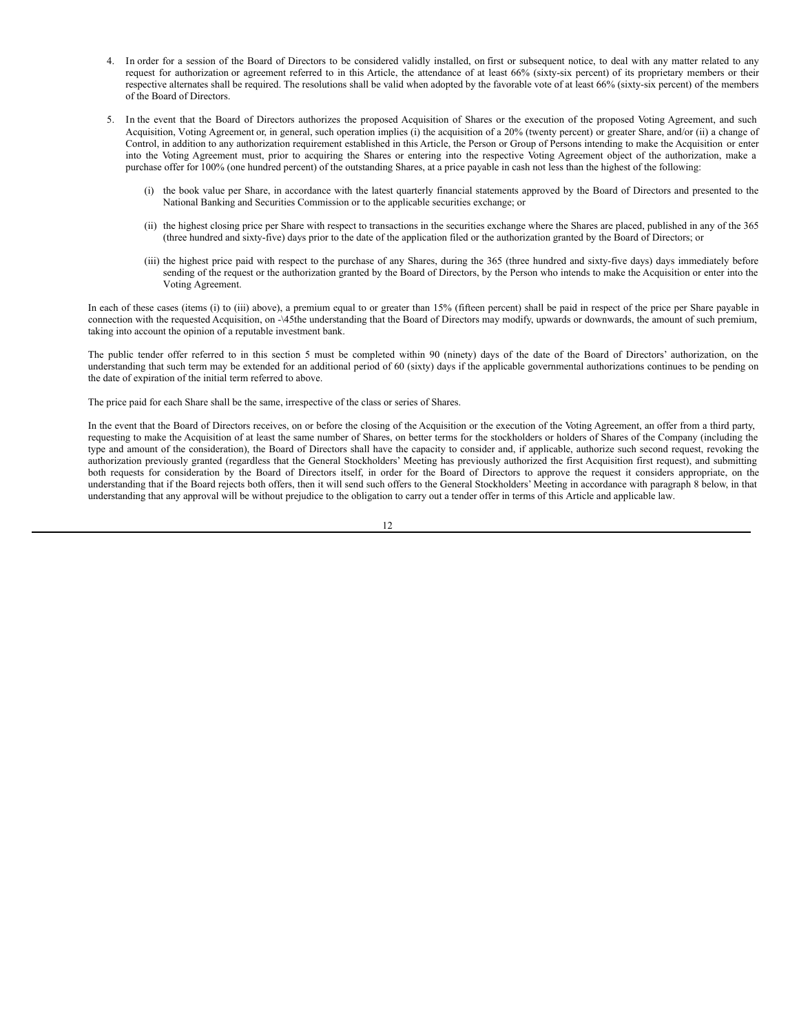- 4. In order for a session of the Board of Directors to be considered validly installed, on first or subsequent notice, to deal with any matter related to any request for authorization or agreement referred to in this Article, the attendance of at least 66% (sixty-six percent) of its proprietary members or their respective alternates shall be required. The resolutions shall be valid when adopted by the favorable vote of at least 66% (sixty-six percent) of the members of the Board of Directors.
- 5. In the event that the Board of Directors authorizes the proposed Acquisition of Shares or the execution of the proposed Voting Agreement, and such Acquisition, Voting Agreement or, in general, such operation implies (i) the acquisition of a 20% (twenty percent) or greater Share, and/or (ii) a change of Control, in addition to any authorization requirement established in this Article, the Person or Group of Persons intending to make the Acquisition or enter into the Voting Agreement must, prior to acquiring the Shares or entering into the respective Voting Agreement object of the authorization, make a purchase offer for 100% (one hundred percent) of the outstanding Shares, at a price payable in cash not less than the highest of the following:
	- (i) the book value per Share, in accordance with the latest quarterly financial statements approved by the Board of Directors and presented to the National Banking and Securities Commission or to the applicable securities exchange; or
	- (ii) the highest closing price per Share with respect to transactions in the securities exchange where the Shares are placed, published in any of the 365 (three hundred and sixty-five) days prior to the date of the application filed or the authorization granted by the Board of Directors; or
	- (iii) the highest price paid with respect to the purchase of any Shares, during the 365 (three hundred and sixty-five days) days immediately before sending of the request or the authorization granted by the Board of Directors, by the Person who intends to make the Acquisition or enter into the Voting Agreement.

In each of these cases (items (i) to (iii) above), a premium equal to or greater than 15% (fifteen percent) shall be paid in respect of the price per Share payable in connection with the requested Acquisition, on -\45the understanding that the Board of Directors may modify, upwards or downwards, the amount of such premium, taking into account the opinion of a reputable investment bank.

The public tender offer referred to in this section 5 must be completed within 90 (ninety) days of the date of the Board of Directors' authorization, on the understanding that such term may be extended for an additional period of 60 (sixty) days if the applicable governmental authorizations continues to be pending on the date of expiration of the initial term referred to above.

The price paid for each Share shall be the same, irrespective of the class or series of Shares.

In the event that the Board of Directors receives, on or before the closing of the Acquisition or the execution of the Voting Agreement, an offer from a third party, requesting to make the Acquisition of at least the same number of Shares, on better terms for the stockholders or holders of Shares of the Company (including the type and amount of the consideration), the Board of Directors shall have the capacity to consider and, if applicable, authorize such second request, revoking the authorization previously granted (regardless that the General Stockholders' Meeting has previously authorized the first Acquisition first request), and submitting both requests for consideration by the Board of Directors itself, in order for the Board of Directors to approve the request it considers appropriate, on the understanding that if the Board rejects both offers, then it will send such offers to the General Stockholders' Meeting in accordance with paragraph 8 below, in that understanding that any approval will be without prejudice to the obligation to carry out a tender offer in terms of this Article and applicable law.

12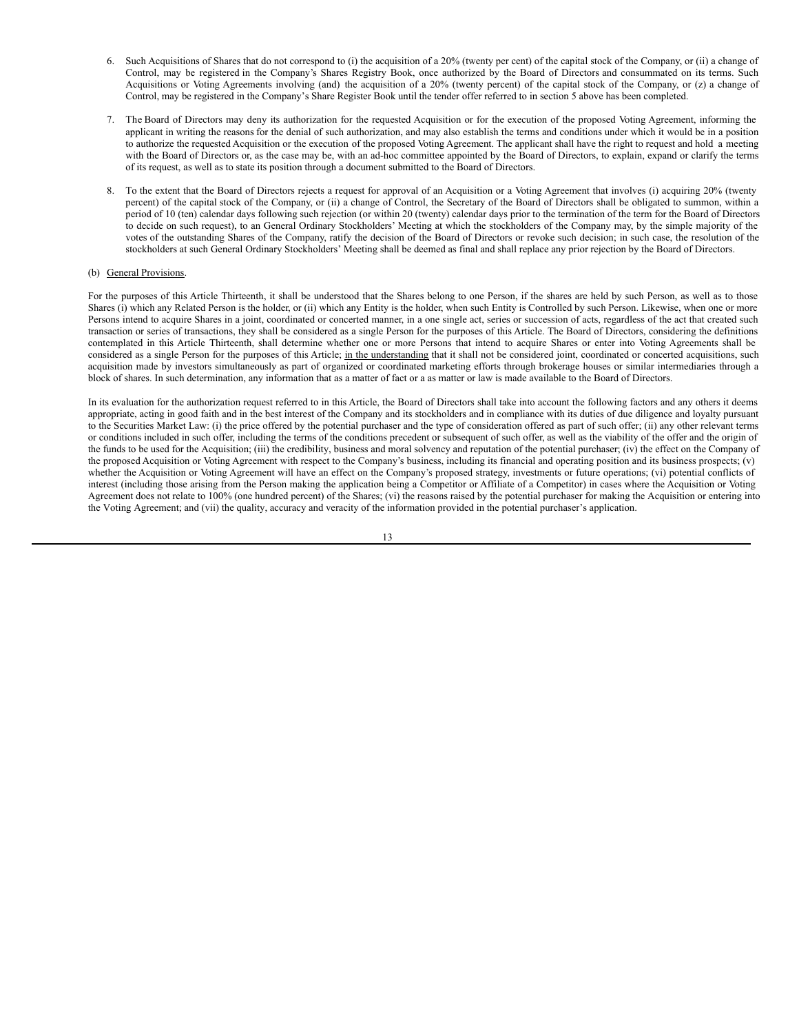- 6. Such Acquisitions of Shares that do not correspond to (i) the acquisition of a 20% (twenty per cent) of the capital stock of the Company, or (ii) a change of Control, may be registered in the Company's Shares Registry Book, once authorized by the Board of Directors and consummated on its terms. Such Acquisitions or Voting Agreements involving (and) the acquisition of a 20% (twenty percent) of the capital stock of the Company, or (z) a change of Control, may be registered in the Company's Share Register Book until the tender offer referred to in section 5 above has been completed.
- 7. The Board of Directors may deny its authorization for the requested Acquisition or for the execution of the proposed Voting Agreement, informing the applicant in writing the reasons for the denial of such authorization, and may also establish the terms and conditions under which it would be in a position to authorize the requested Acquisition or the execution of the proposed Voting Agreement. The applicant shall have the right to request and hold a meeting with the Board of Directors or, as the case may be, with an ad-hoc committee appointed by the Board of Directors, to explain, expand or clarify the terms of its request, as well as to state its position through a document submitted to the Board of Directors.
- 8. To the extent that the Board of Directors rejects a request for approval of an Acquisition or a Voting Agreement that involves (i) acquiring 20% (twenty percent) of the capital stock of the Company, or (ii) a change of Control, the Secretary of the Board of Directors shall be obligated to summon, within a period of 10 (ten) calendar days following such rejection (or within 20 (twenty) calendar days prior to the termination of the term for the Board of Directors to decide on such request), to an General Ordinary Stockholders' Meeting at which the stockholders of the Company may, by the simple majority of the votes of the outstanding Shares of the Company, ratify the decision of the Board of Directors or revoke such decision; in such case, the resolution of the stockholders at such General Ordinary Stockholders' Meeting shall be deemed as final and shall replace any prior rejection by the Board of Directors.

# (b) General Provisions.

For the purposes of this Article Thirteenth, it shall be understood that the Shares belong to one Person, if the shares are held by such Person, as well as to those Shares (i) which any Related Person is the holder, or (ii) which any Entity is the holder, when such Entity is Controlled by such Person. Likewise, when one or more Persons intend to acquire Shares in a joint, coordinated or concerted manner, in a one single act, series or succession of acts, regardless of the act that created such transaction or series of transactions, they shall be considered as a single Person for the purposes of this Article. The Board of Directors, considering the definitions contemplated in this Article Thirteenth, shall determine whether one or more Persons that intend to acquire Shares or enter into Voting Agreements shall be considered as a single Person for the purposes of this Article; in the understanding that it shall not be considered joint, coordinated or concerted acquisitions, such acquisition made by investors simultaneously as part of organized or coordinated marketing efforts through brokerage houses or similar intermediaries through a block of shares. In such determination, any information that as a matter of fact or a as matter or law is made available to the Board of Directors.

In its evaluation for the authorization request referred to in this Article, the Board of Directors shall take into account the following factors and any others it deems appropriate, acting in good faith and in the best interest of the Company and its stockholders and in compliance with its duties of due diligence and loyalty pursuant to the Securities Market Law: (i) the price offered by the potential purchaser and the type of consideration offered as part of such offer; (ii) any other relevant terms or conditions included in such offer, including the terms of the conditions precedent or subsequent of such offer, as well as the viability of the offer and the origin of the funds to be used for the Acquisition; (iii) the credibility, business and moral solvency and reputation of the potential purchaser; (iv) the effect on the Company of the proposed Acquisition or Voting Agreement with respect to the Company's business, including its financial and operating position and its business prospects; (v) whether the Acquisition or Voting Agreement will have an effect on the Company's proposed strategy, investments or future operations; (vi) potential conflicts of interest (including those arising from the Person making the application being a Competitor or Affiliate of a Competitor) in cases where the Acquisition or Voting Agreement does not relate to 100% (one hundred percent) of the Shares; (vi) the reasons raised by the potential purchaser for making the Acquisition or entering into the Voting Agreement; and (vii) the quality, accuracy and veracity of the information provided in the potential purchaser's application.

13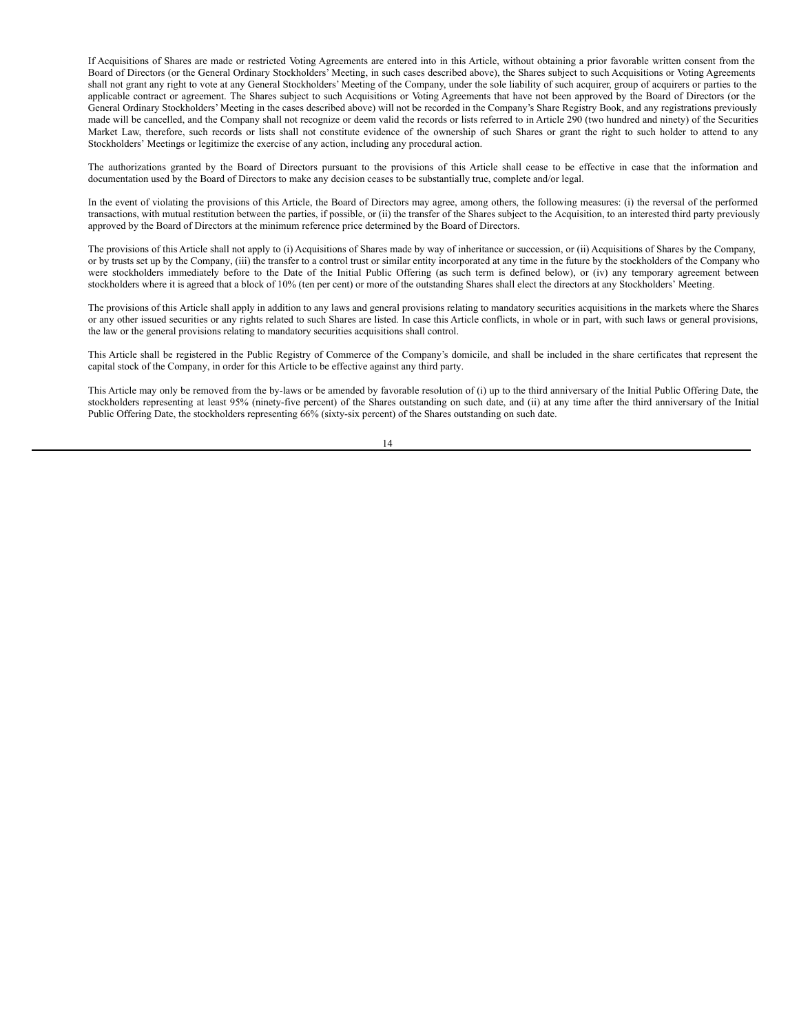If Acquisitions of Shares are made or restricted Voting Agreements are entered into in this Article, without obtaining a prior favorable written consent from the Board of Directors (or the General Ordinary Stockholders' Meeting, in such cases described above), the Shares subject to such Acquisitions or Voting Agreements shall not grant any right to vote at any General Stockholders' Meeting of the Company, under the sole liability of such acquirer, group of acquirers or parties to the applicable contract or agreement. The Shares subject to such Acquisitions or Voting Agreements that have not been approved by the Board of Directors (or the General Ordinary Stockholders' Meeting in the cases described above) will not be recorded in the Company's Share Registry Book, and any registrations previously made will be cancelled, and the Company shall not recognize or deem valid the records or lists referred to in Article 290 (two hundred and ninety) of the Securities Market Law, therefore, such records or lists shall not constitute evidence of the ownership of such Shares or grant the right to such holder to attend to any Stockholders' Meetings or legitimize the exercise of any action, including any procedural action.

The authorizations granted by the Board of Directors pursuant to the provisions of this Article shall cease to be effective in case that the information and documentation used by the Board of Directors to make any decision ceases to be substantially true, complete and/or legal.

In the event of violating the provisions of this Article, the Board of Directors may agree, among others, the following measures: (i) the reversal of the performed transactions, with mutual restitution between the parties, if possible, or (ii) the transfer of the Shares subject to the Acquisition, to an interested third party previously approved by the Board of Directors at the minimum reference price determined by the Board of Directors.

The provisions of this Article shall not apply to (i) Acquisitions of Shares made by way of inheritance or succession, or (ii) Acquisitions of Shares by the Company, or by trusts set up by the Company, (iii) the transfer to a control trust or similar entity incorporated at any time in the future by the stockholders of the Company who were stockholders immediately before to the Date of the Initial Public Offering (as such term is defined below), or (iv) any temporary agreement between stockholders where it is agreed that a block of 10% (ten per cent) or more of the outstanding Shares shall elect the directors at any Stockholders' Meeting.

The provisions of this Article shall apply in addition to any laws and general provisions relating to mandatory securities acquisitions in the markets where the Shares or any other issued securities or any rights related to such Shares are listed. In case this Article conflicts, in whole or in part, with such laws or general provisions, the law or the general provisions relating to mandatory securities acquisitions shall control.

This Article shall be registered in the Public Registry of Commerce of the Company's domicile, and shall be included in the share certificates that represent the capital stock of the Company, in order for this Article to be effective against any third party.

This Article may only be removed from the by-laws or be amended by favorable resolution of (i) up to the third anniversary of the Initial Public Offering Date, the stockholders representing at least 95% (ninety-five percent) of the Shares outstanding on such date, and (ii) at any time after the third anniversary of the Initial Public Offering Date, the stockholders representing 66% (sixty-six percent) of the Shares outstanding on such date.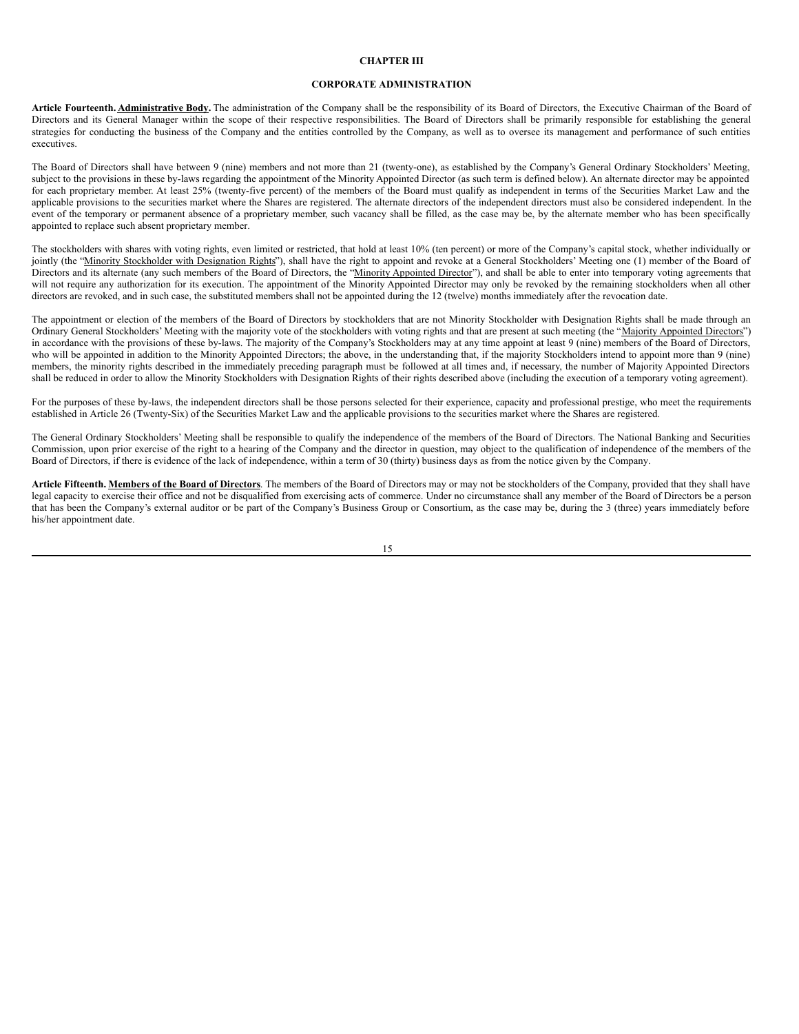## **CHAPTER III**

# **CORPORATE ADMINISTRATION**

**Article Fourteenth. Administrative Body.** The administration of the Company shall be the responsibility of its Board of Directors, the Executive Chairman of the Board of Directors and its General Manager within the scope of their respective responsibilities. The Board of Directors shall be primarily responsible for establishing the general strategies for conducting the business of the Company and the entities controlled by the Company, as well as to oversee its management and performance of such entities executives.

The Board of Directors shall have between 9 (nine) members and not more than 21 (twenty-one), as established by the Company's General Ordinary Stockholders' Meeting, subject to the provisions in these by-laws regarding the appointment of the Minority Appointed Director (as such term is defined below). An alternate director may be appointed for each proprietary member. At least 25% (twenty-five percent) of the members of the Board must qualify as independent in terms of the Securities Market Law and the applicable provisions to the securities market where the Shares are registered. The alternate directors of the independent directors must also be considered independent. In the event of the temporary or permanent absence of a proprietary member, such vacancy shall be filled, as the case may be, by the alternate member who has been specifically appointed to replace such absent proprietary member.

The stockholders with shares with voting rights, even limited or restricted, that hold at least 10% (ten percent) or more of the Company's capital stock, whether individually or jointly (the "Minority Stockholder with Designation Rights"), shall have the right to appoint and revoke at a General Stockholders' Meeting one (1) member of the Board of Directors and its alternate (any such members of the Board of Directors, the "Minority Appointed Director"), and shall be able to enter into temporary voting agreements that will not require any authorization for its execution. The appointment of the Minority Appointed Director may only be revoked by the remaining stockholders when all other directors are revoked, and in such case, the substituted members shall not be appointed during the 12 (twelve) months immediately after the revocation date.

The appointment or election of the members of the Board of Directors by stockholders that are not Minority Stockholder with Designation Rights shall be made through an Ordinary General Stockholders' Meeting with the majority vote of the stockholders with voting rights and that are present at such meeting (the "Majority Appointed Directors") in accordance with the provisions of these by-laws. The majority of the Company's Stockholders may at any time appoint at least 9 (nine) members of the Board of Directors, who will be appointed in addition to the Minority Appointed Directors; the above, in the understanding that, if the majority Stockholders intend to appoint more than 9 (nine) members, the minority rights described in the immediately preceding paragraph must be followed at all times and, if necessary, the number of Majority Appointed Directors shall be reduced in order to allow the Minority Stockholders with Designation Rights of their rights described above (including the execution of a temporary voting agreement).

For the purposes of these by-laws, the independent directors shall be those persons selected for their experience, capacity and professional prestige, who meet the requirements established in Article 26 (Twenty-Six) of the Securities Market Law and the applicable provisions to the securities market where the Shares are registered.

The General Ordinary Stockholders' Meeting shall be responsible to qualify the independence of the members of the Board of Directors. The National Banking and Securities Commission, upon prior exercise of the right to a hearing of the Company and the director in question, may object to the qualification of independence of the members of the Board of Directors, if there is evidence of the lack of independence, within a term of 30 (thirty) business days as from the notice given by the Company.

**Article Fifteenth. Members of the Board of Directors**. The members of the Board of Directors may or may not be stockholders of the Company, provided that they shall have legal capacity to exercise their office and not be disqualified from exercising acts of commerce. Under no circumstance shall any member of the Board of Directors be a person that has been the Company's external auditor or be part of the Company's Business Group or Consortium, as the case may be, during the 3 (three) years immediately before his/her appointment date.

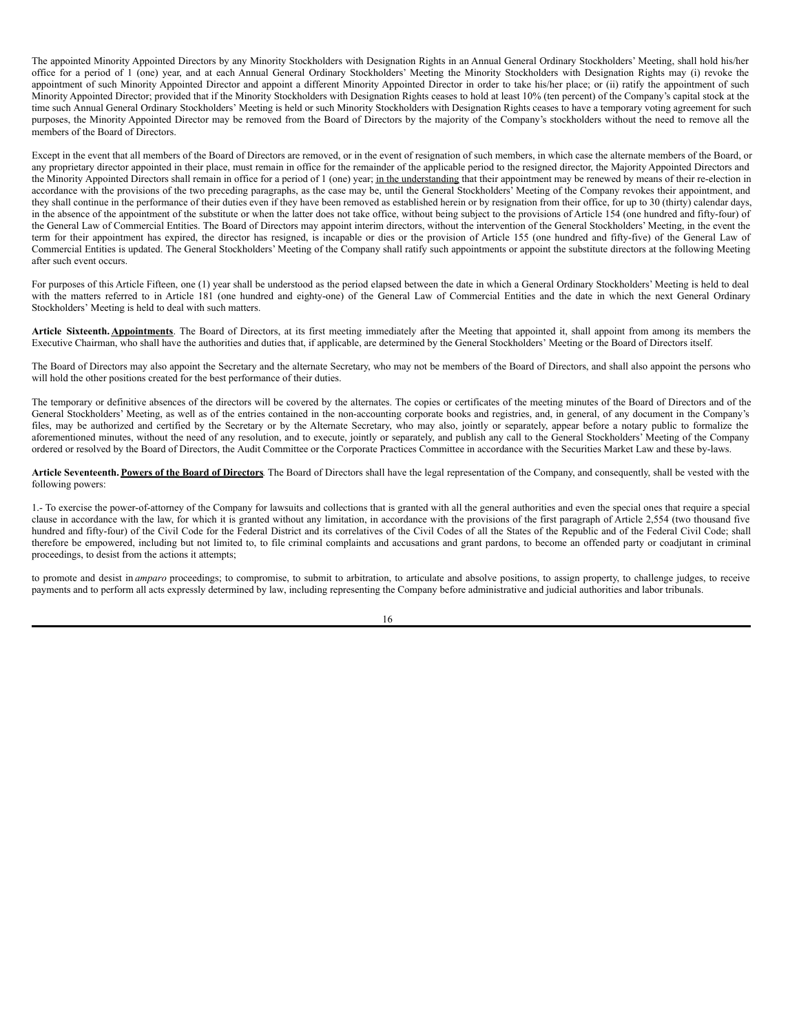The appointed Minority Appointed Directors by any Minority Stockholders with Designation Rights in an Annual General Ordinary Stockholders' Meeting, shall hold his/her office for a period of 1 (one) year, and at each Annual General Ordinary Stockholders' Meeting the Minority Stockholders with Designation Rights may (i) revoke the appointment of such Minority Appointed Director and appoint a different Minority Appointed Director in order to take his/her place; or (ii) ratify the appointment of such Minority Appointed Director; provided that if the Minority Stockholders with Designation Rights ceases to hold at least 10% (ten percent) of the Company's capital stock at the time such Annual General Ordinary Stockholders' Meeting is held or such Minority Stockholders with Designation Rights ceases to have a temporary voting agreement for such purposes, the Minority Appointed Director may be removed from the Board of Directors by the majority of the Company's stockholders without the need to remove all the members of the Board of Directors.

Except in the event that all members of the Board of Directors are removed, or in the event of resignation of such members, in which case the alternate members of the Board, or any proprietary director appointed in their place, must remain in office for the remainder of the applicable period to the resigned director, the Majority Appointed Directors and the Minority Appointed Directors shall remain in office for a period of 1 (one) year; in the understanding that their appointment may be renewed by means of their re-election in accordance with the provisions of the two preceding paragraphs, as the case may be, until the General Stockholders' Meeting of the Company revokes their appointment, and they shall continue in the performance of their duties even if they have been removed as established herein or by resignation from their office, for up to 30 (thirty) calendar days, in the absence of the appointment of the substitute or when the latter does not take office, without being subject to the provisions of Article 154 (one hundred and fifty-four) of the General Law of Commercial Entities. The Board of Directors may appoint interim directors, without the intervention of the General Stockholders' Meeting, in the event the term for their appointment has expired, the director has resigned, is incapable or dies or the provision of Article 155 (one hundred and fifty-five) of the General Law of Commercial Entities is updated. The General Stockholders' Meeting of the Company shall ratify such appointments or appoint the substitute directors at the following Meeting after such event occurs.

For purposes of this Article Fifteen, one (1) year shall be understood as the period elapsed between the date in which a General Ordinary Stockholders' Meeting is held to deal with the matters referred to in Article 181 (one hundred and eighty-one) of the General Law of Commercial Entities and the date in which the next General Ordinary Stockholders' Meeting is held to deal with such matters.

**Article Sixteenth. Appointments**. The Board of Directors, at its first meeting immediately after the Meeting that appointed it, shall appoint from among its members the Executive Chairman, who shall have the authorities and duties that, if applicable, are determined by the General Stockholders' Meeting or the Board of Directors itself.

The Board of Directors may also appoint the Secretary and the alternate Secretary, who may not be members of the Board of Directors, and shall also appoint the persons who will hold the other positions created for the best performance of their duties.

The temporary or definitive absences of the directors will be covered by the alternates. The copies or certificates of the meeting minutes of the Board of Directors and of the General Stockholders' Meeting, as well as of the entries contained in the non-accounting corporate books and registries, and, in general, of any document in the Company's files, may be authorized and certified by the Secretary or by the Alternate Secretary, who may also, jointly or separately, appear before a notary public to formalize the aforementioned minutes, without the need of any resolution, and to execute, jointly or separately, and publish any call to the General Stockholders' Meeting of the Company ordered or resolved by the Board of Directors, the Audit Committee or the Corporate Practices Committee in accordance with the Securities Market Law and these by-laws.

Article Seventeenth. Powers of the Board of Directors. The Board of Directors shall have the legal representation of the Company, and consequently, shall be vested with the following powers:

1.- To exercise the power-of-attorney of the Company for lawsuits and collections that is granted with all the general authorities and even the special ones that require a special clause in accordance with the law, for which it is granted without any limitation, in accordance with the provisions of the first paragraph of Article 2,554 (two thousand five hundred and fifty-four) of the Civil Code for the Federal District and its correlatives of the Civil Codes of all the States of the Republic and of the Federal Civil Code; shall therefore be empowered, including but not limited to, to file criminal complaints and accusations and grant pardons, to become an offended party or coadjutant in criminal proceedings, to desist from the actions it attempts;

to promote and desist in *amparo* proceedings; to compromise, to submit to arbitration, to articulate and absolve positions, to assign property, to challenge judges, to receive payments and to perform all acts expressly determined by law, including representing the Company before administrative and judicial authorities and labor tribunals.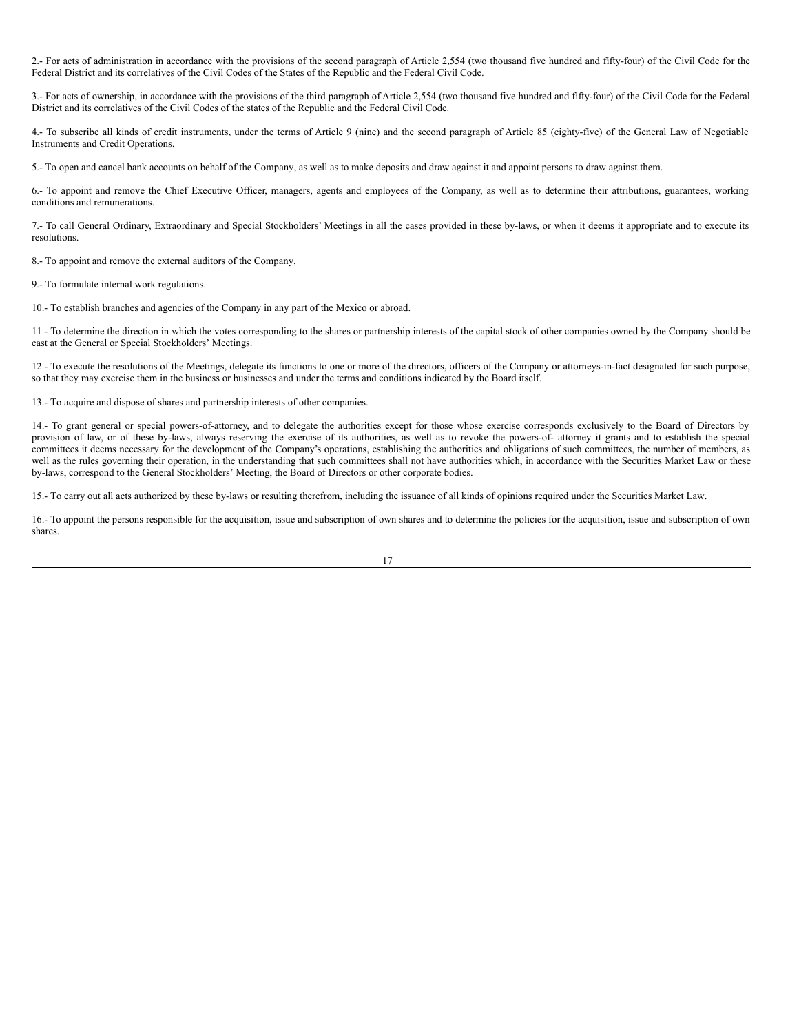2.- For acts of administration in accordance with the provisions of the second paragraph of Article 2,554 (two thousand five hundred and fifty-four) of the Civil Code for the Federal District and its correlatives of the Civil Codes of the States of the Republic and the Federal Civil Code.

3.- For acts of ownership, in accordance with the provisions of the third paragraph of Article 2,554 (two thousand five hundred and fifty-four) of the Civil Code for the Federal District and its correlatives of the Civil Codes of the states of the Republic and the Federal Civil Code.

4.- To subscribe all kinds of credit instruments, under the terms of Article 9 (nine) and the second paragraph of Article 85 (eighty-five) of the General Law of Negotiable Instruments and Credit Operations.

5.- To open and cancel bank accounts on behalf of the Company, as well as to make deposits and draw against it and appoint persons to draw against them.

6.- To appoint and remove the Chief Executive Officer, managers, agents and employees of the Company, as well as to determine their attributions, guarantees, working conditions and remunerations.

7.- To call General Ordinary, Extraordinary and Special Stockholders' Meetings in all the cases provided in these by-laws, or when it deems it appropriate and to execute its resolutions.

8.- To appoint and remove the external auditors of the Company.

9.- To formulate internal work regulations.

10.- To establish branches and agencies of the Company in any part of the Mexico or abroad.

11.- To determine the direction in which the votes corresponding to the shares or partnership interests of the capital stock of other companies owned by the Company should be cast at the General or Special Stockholders' Meetings.

12.- To execute the resolutions of the Meetings, delegate its functions to one or more of the directors, officers of the Company or attorneys-in-fact designated for such purpose, so that they may exercise them in the business or businesses and under the terms and conditions indicated by the Board itself.

13.- To acquire and dispose of shares and partnership interests of other companies.

14.- To grant general or special powers-of-attorney, and to delegate the authorities except for those whose exercise corresponds exclusively to the Board of Directors by provision of law, or of these by-laws, always reserving the exercise of its authorities, as well as to revoke the powers-of- attorney it grants and to establish the special committees it deems necessary for the development of the Company's operations, establishing the authorities and obligations of such committees, the number of members, as well as the rules governing their operation, in the understanding that such committees shall not have authorities which, in accordance with the Securities Market Law or these by-laws, correspond to the General Stockholders' Meeting, the Board of Directors or other corporate bodies.

15.- To carry out all acts authorized by these by-laws or resulting therefrom, including the issuance of all kinds of opinions required under the Securities Market Law.

16.- To appoint the persons responsible for the acquisition, issue and subscription of own shares and to determine the policies for the acquisition, issue and subscription of own shares.

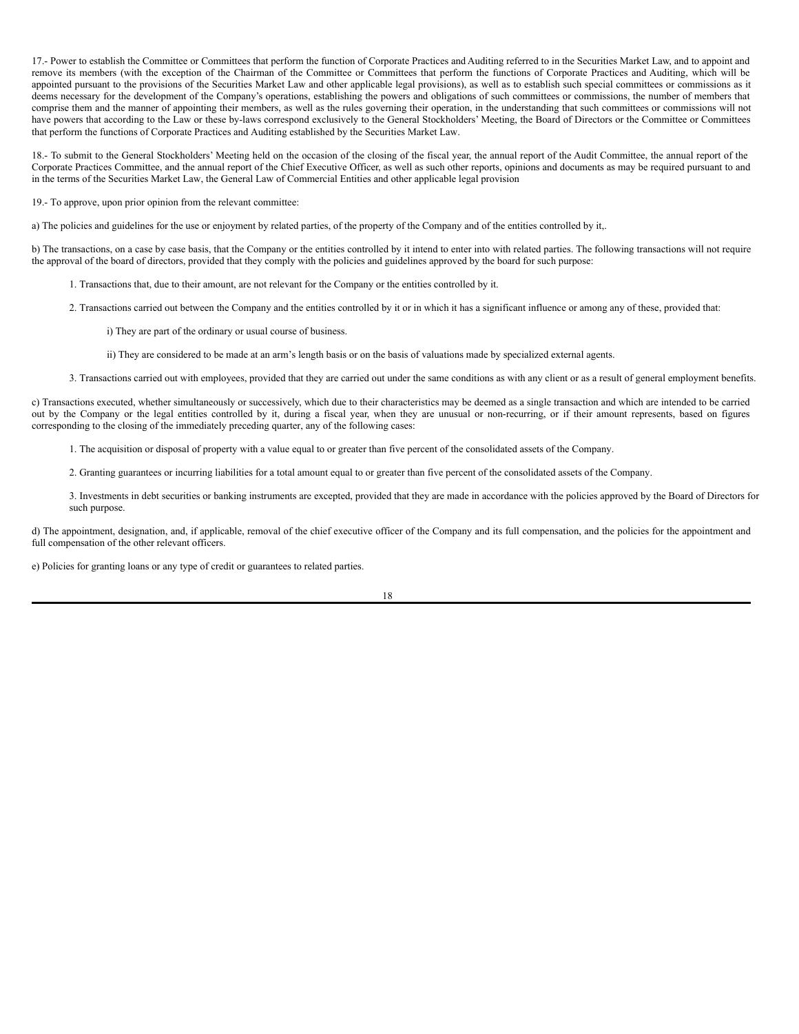17.- Power to establish the Committee or Committees that perform the function of Corporate Practices and Auditing referred to in the Securities Market Law, and to appoint and remove its members (with the exception of the Chairman of the Committee or Committees that perform the functions of Corporate Practices and Auditing, which will be appointed pursuant to the provisions of the Securities Market Law and other applicable legal provisions), as well as to establish such special committees or commissions as it deems necessary for the development of the Company's operations, establishing the powers and obligations of such committees or commissions, the number of members that comprise them and the manner of appointing their members, as well as the rules governing their operation, in the understanding that such committees or commissions will not have powers that according to the Law or these by-laws correspond exclusively to the General Stockholders' Meeting, the Board of Directors or the Committee or Committees that perform the functions of Corporate Practices and Auditing established by the Securities Market Law.

18.- To submit to the General Stockholders' Meeting held on the occasion of the closing of the fiscal year, the annual report of the Audit Committee, the annual report of the Corporate Practices Committee, and the annual report of the Chief Executive Officer, as well as such other reports, opinions and documents as may be required pursuant to and in the terms of the Securities Market Law, the General Law of Commercial Entities and other applicable legal provision

19.- To approve, upon prior opinion from the relevant committee:

a) The policies and guidelines for the use or enjoyment by related parties, of the property of the Company and of the entities controlled by it,.

b) The transactions, on a case by case basis, that the Company or the entities controlled by it intend to enter into with related parties. The following transactions will not require the approval of the board of directors, provided that they comply with the policies and guidelines approved by the board for such purpose:

- 1. Transactions that, due to their amount, are not relevant for the Company or the entities controlled by it.
- 2. Transactions carried out between the Company and the entities controlled by it or in which it has a significant influence or among any of these, provided that:
	- i) They are part of the ordinary or usual course of business.
	- ii) They are considered to be made at an arm's length basis or on the basis of valuations made by specialized external agents.
- 3. Transactions carried out with employees, provided that they are carried out under the same conditions as with any client or as a result of general employment benefits.

c) Transactions executed, whether simultaneously or successively, which due to their characteristics may be deemed as a single transaction and which are intended to be carried out by the Company or the legal entities controlled by it, during a fiscal year, when they are unusual or non-recurring, or if their amount represents, based on figures corresponding to the closing of the immediately preceding quarter, any of the following cases:

- 1. The acquisition or disposal of property with a value equal to or greater than five percent of the consolidated assets of the Company.
- 2. Granting guarantees or incurring liabilities for a total amount equal to or greater than five percent of the consolidated assets of the Company.

3. Investments in debt securities or banking instruments are excepted, provided that they are made in accordance with the policies approved by the Board of Directors for such purpose.

d) The appointment, designation, and, if applicable, removal of the chief executive officer of the Company and its full compensation, and the policies for the appointment and full compensation of the other relevant officers.

e) Policies for granting loans or any type of credit or guarantees to related parties.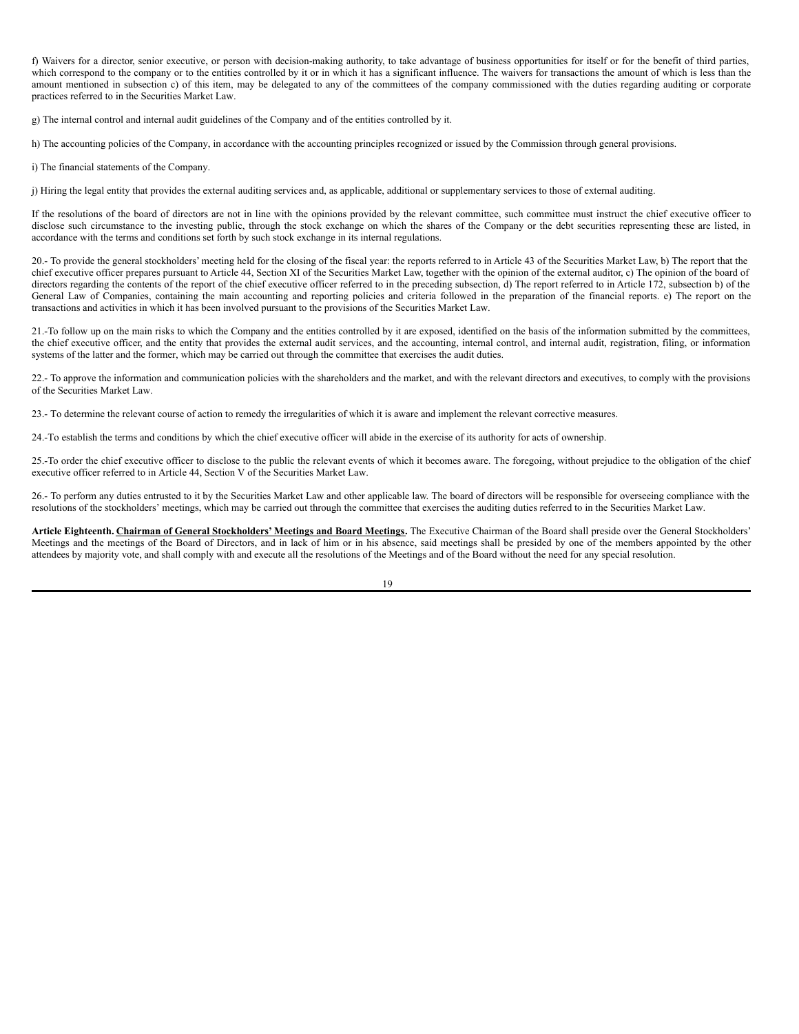f) Waivers for a director, senior executive, or person with decision-making authority, to take advantage of business opportunities for itself or for the benefit of third parties, which correspond to the company or to the entities controlled by it or in which it has a significant influence. The waivers for transactions the amount of which is less than the amount mentioned in subsection c) of this item, may be delegated to any of the committees of the company commissioned with the duties regarding auditing or corporate practices referred to in the Securities Market Law.

g) The internal control and internal audit guidelines of the Company and of the entities controlled by it.

h) The accounting policies of the Company, in accordance with the accounting principles recognized or issued by the Commission through general provisions.

i) The financial statements of the Company.

j) Hiring the legal entity that provides the external auditing services and, as applicable, additional or supplementary services to those of external auditing.

If the resolutions of the board of directors are not in line with the opinions provided by the relevant committee, such committee must instruct the chief executive officer to disclose such circumstance to the investing public, through the stock exchange on which the shares of the Company or the debt securities representing these are listed, in accordance with the terms and conditions set forth by such stock exchange in its internal regulations.

20.- To provide the general stockholders' meeting held for the closing of the fiscal year: the reports referred to in Article 43 of the Securities Market Law, b) The report that the chief executive officer prepares pursuant to Article 44, Section XI of the Securities Market Law, together with the opinion of the external auditor, c) The opinion of the board of directors regarding the contents of the report of the chief executive officer referred to in the preceding subsection, d) The report referred to in Article 172, subsection b) of the General Law of Companies, containing the main accounting and reporting policies and criteria followed in the preparation of the financial reports. e) The report on the transactions and activities in which it has been involved pursuant to the provisions of the Securities Market Law.

21.-To follow up on the main risks to which the Company and the entities controlled by it are exposed, identified on the basis of the information submitted by the committees, the chief executive officer, and the entity that provides the external audit services, and the accounting, internal control, and internal audit, registration, filing, or information systems of the latter and the former, which may be carried out through the committee that exercises the audit duties.

22.- To approve the information and communication policies with the shareholders and the market, and with the relevant directors and executives, to comply with the provisions of the Securities Market Law.

23.- To determine the relevant course of action to remedy the irregularities of which it is aware and implement the relevant corrective measures.

24.-To establish the terms and conditions by which the chief executive officer will abide in the exercise of its authority for acts of ownership.

25.-To order the chief executive officer to disclose to the public the relevant events of which it becomes aware. The foregoing, without prejudice to the obligation of the chief executive officer referred to in Article 44, Section V of the Securities Market Law.

26.- To perform any duties entrusted to it by the Securities Market Law and other applicable law. The board of directors will be responsible for overseeing compliance with the resolutions of the stockholders' meetings, which may be carried out through the committee that exercises the auditing duties referred to in the Securities Market Law.

Article Eighteenth. Chairman of General Stockholders' Meetings and Board Meetings. The Executive Chairman of the Board shall preside over the General Stockholders' Meetings and the meetings of the Board of Directors, and in lack of him or in his absence, said meetings shall be presided by one of the members appointed by the other attendees by majority vote, and shall comply with and execute all the resolutions of the Meetings and of the Board without the need for any special resolution.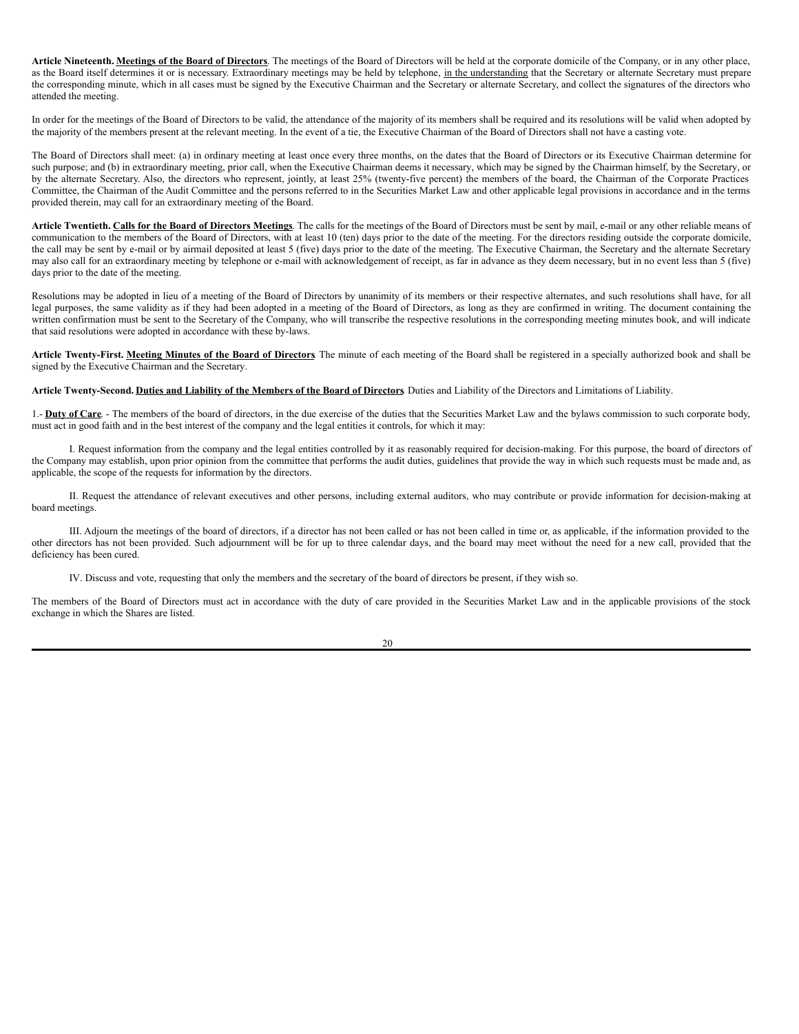Article Nineteenth. Meetings of the Board of Directors. The meetings of the Board of Directors will be held at the corporate domicile of the Company, or in any other place, as the Board itself determines it or is necessary. Extraordinary meetings may be held by telephone, in the understanding that the Secretary or alternate Secretary must prepare the corresponding minute, which in all cases must be signed by the Executive Chairman and the Secretary or alternate Secretary, and collect the signatures of the directors who attended the meeting.

In order for the meetings of the Board of Directors to be valid, the attendance of the majority of its members shall be required and its resolutions will be valid when adopted by the majority of the members present at the relevant meeting. In the event of a tie, the Executive Chairman of the Board of Directors shall not have a casting vote.

The Board of Directors shall meet: (a) in ordinary meeting at least once every three months, on the dates that the Board of Directors or its Executive Chairman determine for such purpose; and (b) in extraordinary meeting, prior call, when the Executive Chairman deems it necessary, which may be signed by the Chairman himself, by the Secretary, or by the alternate Secretary. Also, the directors who represent, jointly, at least 25% (twenty-five percent) the members of the board, the Chairman of the Corporate Practices Committee, the Chairman of the Audit Committee and the persons referred to in the Securities Market Law and other applicable legal provisions in accordance and in the terms provided therein, may call for an extraordinary meeting of the Board.

Article Twentieth. Calls for the Board of Directors Meetings. The calls for the meetings of the Board of Directors must be sent by mail, e-mail or any other reliable means of communication to the members of the Board of Directors, with at least 10 (ten) days prior to the date of the meeting. For the directors residing outside the corporate domicile, the call may be sent by e-mail or by airmail deposited at least 5 (five) days prior to the date of the meeting. The Executive Chairman, the Secretary and the alternate Secretary may also call for an extraordinary meeting by telephone or e-mail with acknowledgement of receipt, as far in advance as they deem necessary, but in no event less than 5 (five) days prior to the date of the meeting.

Resolutions may be adopted in lieu of a meeting of the Board of Directors by unanimity of its members or their respective alternates, and such resolutions shall have, for all legal purposes, the same validity as if they had been adopted in a meeting of the Board of Directors, as long as they are confirmed in writing. The document containing the written confirmation must be sent to the Secretary of the Company, who will transcribe the respective resolutions in the corresponding meeting minutes book, and will indicate that said resolutions were adopted in accordance with these by-laws.

Article Twenty-First. Meeting Minutes of the Board of Directors The minute of each meeting of the Board shall be registered in a specially authorized book and shall be signed by the Executive Chairman and the Secretary.

Article Twenty-Second. Duties and Liability of the Members of the Board of Directors Duties and Liability of the Directors and Limitations of Liability.

1.- **Duty** of Care. - The members of the board of directors, in the due exercise of the duties that the Securities Market Law and the bylaws commission to such corporate body, must act in good faith and in the best interest of the company and the legal entities it controls, for which it may:

I. Request information from the company and the legal entities controlled by it as reasonably required for decision-making. For this purpose, the board of directors of the Company may establish, upon prior opinion from the committee that performs the audit duties, guidelines that provide the way in which such requests must be made and, as applicable, the scope of the requests for information by the directors.

II. Request the attendance of relevant executives and other persons, including external auditors, who may contribute or provide information for decision-making at board meetings.

III. Adjourn the meetings of the board of directors, if a director has not been called or has not been called in time or, as applicable, if the information provided to the other directors has not been provided. Such adjournment will be for up to three calendar days, and the board may meet without the need for a new call, provided that the deficiency has been cured.

IV. Discuss and vote, requesting that only the members and the secretary of the board of directors be present, if they wish so.

The members of the Board of Directors must act in accordance with the duty of care provided in the Securities Market Law and in the applicable provisions of the stock exchange in which the Shares are listed.

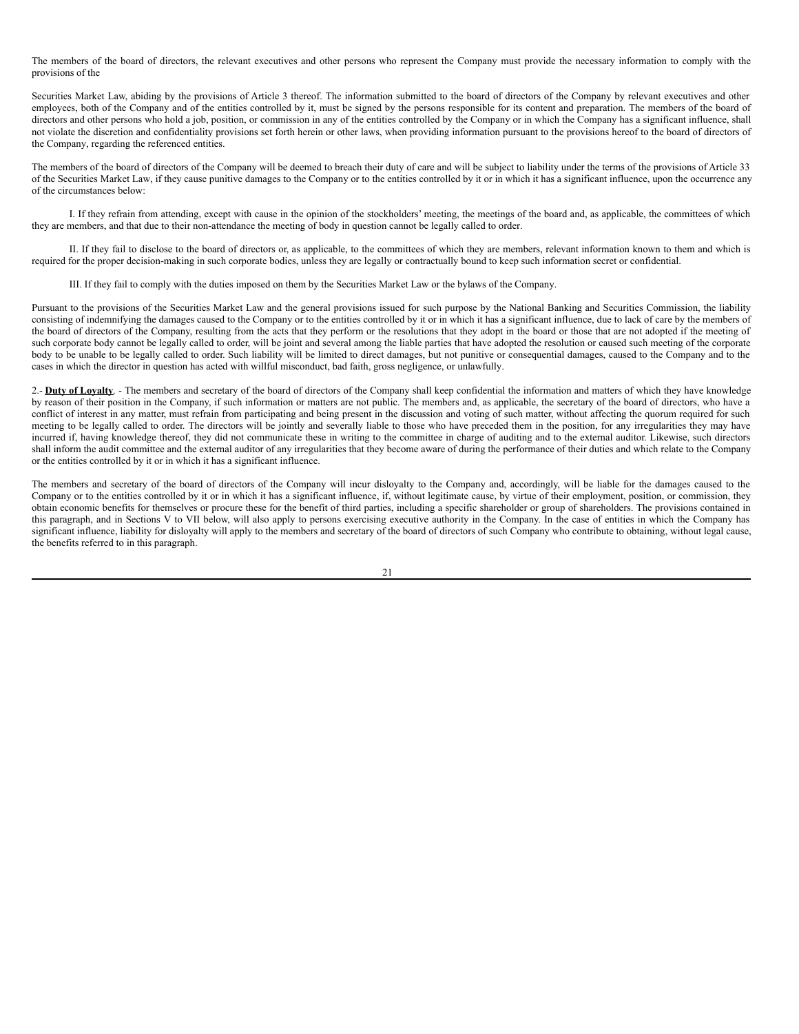The members of the board of directors, the relevant executives and other persons who represent the Company must provide the necessary information to comply with the provisions of the

Securities Market Law, abiding by the provisions of Article 3 thereof. The information submitted to the board of directors of the Company by relevant executives and other employees, both of the Company and of the entities controlled by it, must be signed by the persons responsible for its content and preparation. The members of the board of directors and other persons who hold a job, position, or commission in any of the entities controlled by the Company or in which the Company has a significant influence, shall not violate the discretion and confidentiality provisions set forth herein or other laws, when providing information pursuant to the provisions hereof to the board of directors of the Company, regarding the referenced entities.

The members of the board of directors of the Company will be deemed to breach their duty of care and will be subject to liability under the terms of the provisions of Article 33 of the Securities Market Law, if they cause punitive damages to the Company or to the entities controlled by it or in which it has a significant influence, upon the occurrence any of the circumstances below:

I. If they refrain from attending, except with cause in the opinion of the stockholders' meeting, the meetings of the board and, as applicable, the committees of which they are members, and that due to their non-attendance the meeting of body in question cannot be legally called to order.

II. If they fail to disclose to the board of directors or, as applicable, to the committees of which they are members, relevant information known to them and which is required for the proper decision-making in such corporate bodies, unless they are legally or contractually bound to keep such information secret or confidential.

III. If they fail to comply with the duties imposed on them by the Securities Market Law or the bylaws of the Company.

Pursuant to the provisions of the Securities Market Law and the general provisions issued for such purpose by the National Banking and Securities Commission, the liability consisting of indemnifying the damages caused to the Company or to the entities controlled by it or in which it has a significant influence, due to lack of care by the members of the board of directors of the Company, resulting from the acts that they perform or the resolutions that they adopt in the board or those that are not adopted if the meeting of such corporate body cannot be legally called to order, will be joint and several among the liable parties that have adopted the resolution or caused such meeting of the corporate body to be unable to be legally called to order. Such liability will be limited to direct damages, but not punitive or consequential damages, caused to the Company and to the cases in which the director in question has acted with willful misconduct, bad faith, gross negligence, or unlawfully.

2.- **Duty of Loyalty**. - The members and secretary of the board of directors of the Company shall keep confidential the information and matters of which they have knowledge by reason of their position in the Company, if such information or matters are not public. The members and, as applicable, the secretary of the board of directors, who have a conflict of interest in any matter, must refrain from participating and being present in the discussion and voting of such matter, without affecting the quorum required for such meeting to be legally called to order. The directors will be jointly and severally liable to those who have preceded them in the position, for any irregularities they may have incurred if, having knowledge thereof, they did not communicate these in writing to the committee in charge of auditing and to the external auditor. Likewise, such directors shall inform the audit committee and the external auditor of any irregularities that they become aware of during the performance of their duties and which relate to the Company or the entities controlled by it or in which it has a significant influence.

The members and secretary of the board of directors of the Company will incur disloyalty to the Company and, accordingly, will be liable for the damages caused to the Company or to the entities controlled by it or in which it has a significant influence, if, without legitimate cause, by virtue of their employment, position, or commission, they obtain economic benefits for themselves or procure these for the benefit of third parties, including a specific shareholder or group of shareholders. The provisions contained in this paragraph, and in Sections V to VII below, will also apply to persons exercising executive authority in the Company. In the case of entities in which the Company has significant influence, liability for disloyalty will apply to the members and secretary of the board of directors of such Company who contribute to obtaining, without legal cause, the benefits referred to in this paragraph.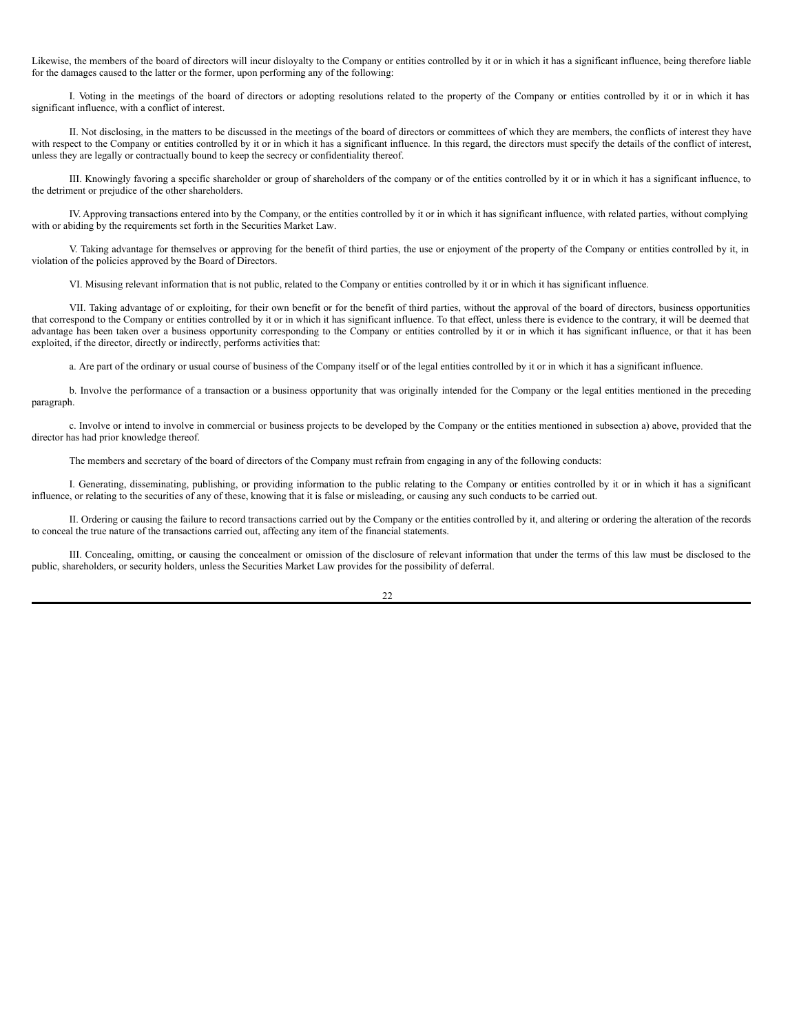Likewise, the members of the board of directors will incur disloyalty to the Company or entities controlled by it or in which it has a significant influence, being therefore liable for the damages caused to the latter or the former, upon performing any of the following:

I. Voting in the meetings of the board of directors or adopting resolutions related to the property of the Company or entities controlled by it or in which it has significant influence, with a conflict of interest.

II. Not disclosing, in the matters to be discussed in the meetings of the board of directors or committees of which they are members, the conflicts of interest they have with respect to the Company or entities controlled by it or in which it has a significant influence. In this regard, the directors must specify the details of the conflict of interest, unless they are legally or contractually bound to keep the secrecy or confidentiality thereof.

III. Knowingly favoring a specific shareholder or group of shareholders of the company or of the entities controlled by it or in which it has a significant influence, to the detriment or prejudice of the other shareholders.

IV. Approving transactions entered into by the Company, or the entities controlled by it or in which it has significant influence, with related parties, without complying with or abiding by the requirements set forth in the Securities Market Law.

V. Taking advantage for themselves or approving for the benefit of third parties, the use or enjoyment of the property of the Company or entities controlled by it, in violation of the policies approved by the Board of Directors.

VI. Misusing relevant information that is not public, related to the Company or entities controlled by it or in which it has significant influence.

VII. Taking advantage of or exploiting, for their own benefit or for the benefit of third parties, without the approval of the board of directors, business opportunities that correspond to the Company or entities controlled by it or in which it has significant influence. To that effect, unless there is evidence to the contrary, it will be deemed that advantage has been taken over a business opportunity corresponding to the Company or entities controlled by it or in which it has significant influence, or that it has been exploited, if the director, directly or indirectly, performs activities that:

a. Are part of the ordinary or usual course of business of the Company itself or of the legal entities controlled by it or in which it has a significant influence.

b. Involve the performance of a transaction or a business opportunity that was originally intended for the Company or the legal entities mentioned in the preceding paragraph.

c. Involve or intend to involve in commercial or business projects to be developed by the Company or the entities mentioned in subsection a) above, provided that the director has had prior knowledge thereof.

The members and secretary of the board of directors of the Company must refrain from engaging in any of the following conducts:

I. Generating, disseminating, publishing, or providing information to the public relating to the Company or entities controlled by it or in which it has a significant influence, or relating to the securities of any of these, knowing that it is false or misleading, or causing any such conducts to be carried out.

II. Ordering or causing the failure to record transactions carried out by the Company or the entities controlled by it, and altering or ordering the alteration of the records to conceal the true nature of the transactions carried out, affecting any item of the financial statements.

III. Concealing, omitting, or causing the concealment or omission of the disclosure of relevant information that under the terms of this law must be disclosed to the public, shareholders, or security holders, unless the Securities Market Law provides for the possibility of deferral.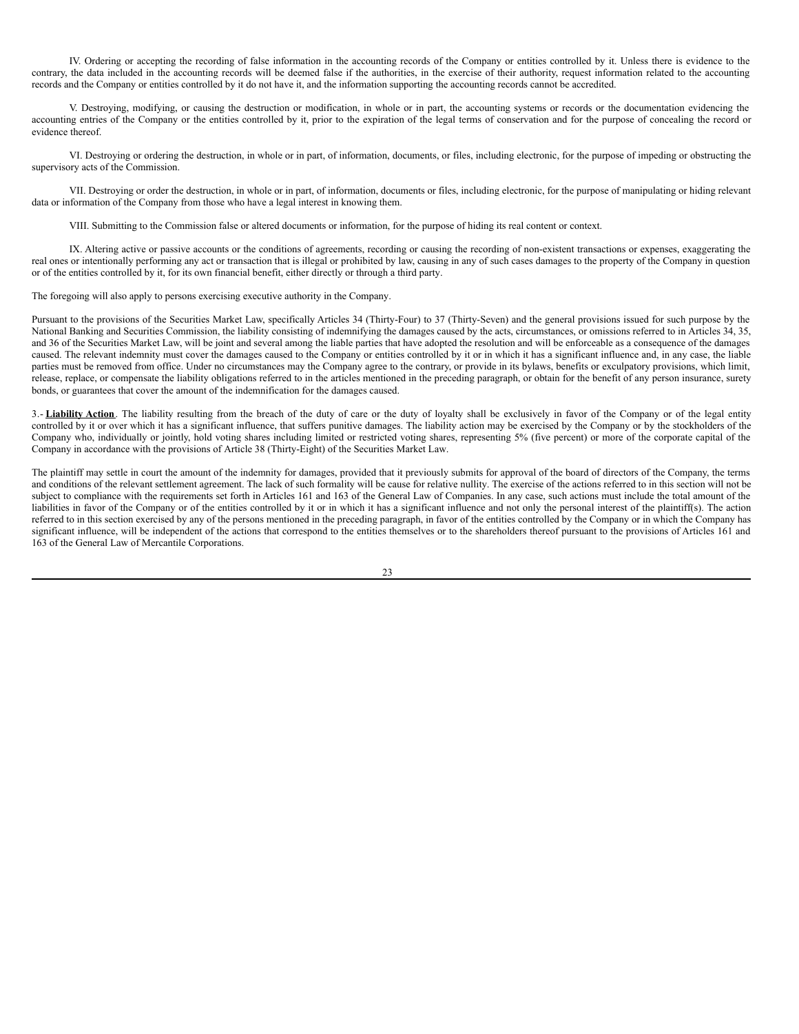IV. Ordering or accepting the recording of false information in the accounting records of the Company or entities controlled by it. Unless there is evidence to the contrary, the data included in the accounting records will be deemed false if the authorities, in the exercise of their authority, request information related to the accounting records and the Company or entities controlled by it do not have it, and the information supporting the accounting records cannot be accredited.

V. Destroying, modifying, or causing the destruction or modification, in whole or in part, the accounting systems or records or the documentation evidencing the accounting entries of the Company or the entities controlled by it, prior to the expiration of the legal terms of conservation and for the purpose of concealing the record or evidence thereof.

VI. Destroying or ordering the destruction, in whole or in part, of information, documents, or files, including electronic, for the purpose of impeding or obstructing the supervisory acts of the Commission.

VII. Destroying or order the destruction, in whole or in part, of information, documents or files, including electronic, for the purpose of manipulating or hiding relevant data or information of the Company from those who have a legal interest in knowing them.

VIII. Submitting to the Commission false or altered documents or information, for the purpose of hiding its real content or context.

IX. Altering active or passive accounts or the conditions of agreements, recording or causing the recording of non-existent transactions or expenses, exaggerating the real ones or intentionally performing any act or transaction that is illegal or prohibited by law, causing in any of such cases damages to the property of the Company in question or of the entities controlled by it, for its own financial benefit, either directly or through a third party.

The foregoing will also apply to persons exercising executive authority in the Company.

Pursuant to the provisions of the Securities Market Law, specifically Articles 34 (Thirty-Four) to 37 (Thirty-Seven) and the general provisions issued for such purpose by the National Banking and Securities Commission, the liability consisting of indemnifying the damages caused by the acts, circumstances, or omissions referred to in Articles 34, 35, and 36 of the Securities Market Law, will be joint and several among the liable parties that have adopted the resolution and will be enforceable as a consequence of the damages caused. The relevant indemnity must cover the damages caused to the Company or entities controlled by it or in which it has a significant influence and, in any case, the liable parties must be removed from office. Under no circumstances may the Company agree to the contrary, or provide in its bylaws, benefits or exculpatory provisions, which limit, release, replace, or compensate the liability obligations referred to in the articles mentioned in the preceding paragraph, or obtain for the benefit of any person insurance, surety bonds, or guarantees that cover the amount of the indemnification for the damages caused.

3.- **Liability Action**. The liability resulting from the breach of the duty of care or the duty of loyalty shall be exclusively in favor of the Company or of the legal entity controlled by it or over which it has a significant influence, that suffers punitive damages. The liability action may be exercised by the Company or by the stockholders of the Company who, individually or jointly, hold voting shares including limited or restricted voting shares, representing 5% (five percent) or more of the corporate capital of the Company in accordance with the provisions of Article 38 (Thirty-Eight) of the Securities Market Law.

The plaintiff may settle in court the amount of the indemnity for damages, provided that it previously submits for approval of the board of directors of the Company, the terms and conditions of the relevant settlement agreement. The lack of such formality will be cause for relative nullity. The exercise of the actions referred to in this section will not be subject to compliance with the requirements set forth in Articles 161 and 163 of the General Law of Companies. In any case, such actions must include the total amount of the liabilities in favor of the Company or of the entities controlled by it or in which it has a significant influence and not only the personal interest of the plaintiff(s). The action referred to in this section exercised by any of the persons mentioned in the preceding paragraph, in favor of the entities controlled by the Company or in which the Company has significant influence, will be independent of the actions that correspond to the entities themselves or to the shareholders thereof pursuant to the provisions of Articles 161 and 163 of the General Law of Mercantile Corporations.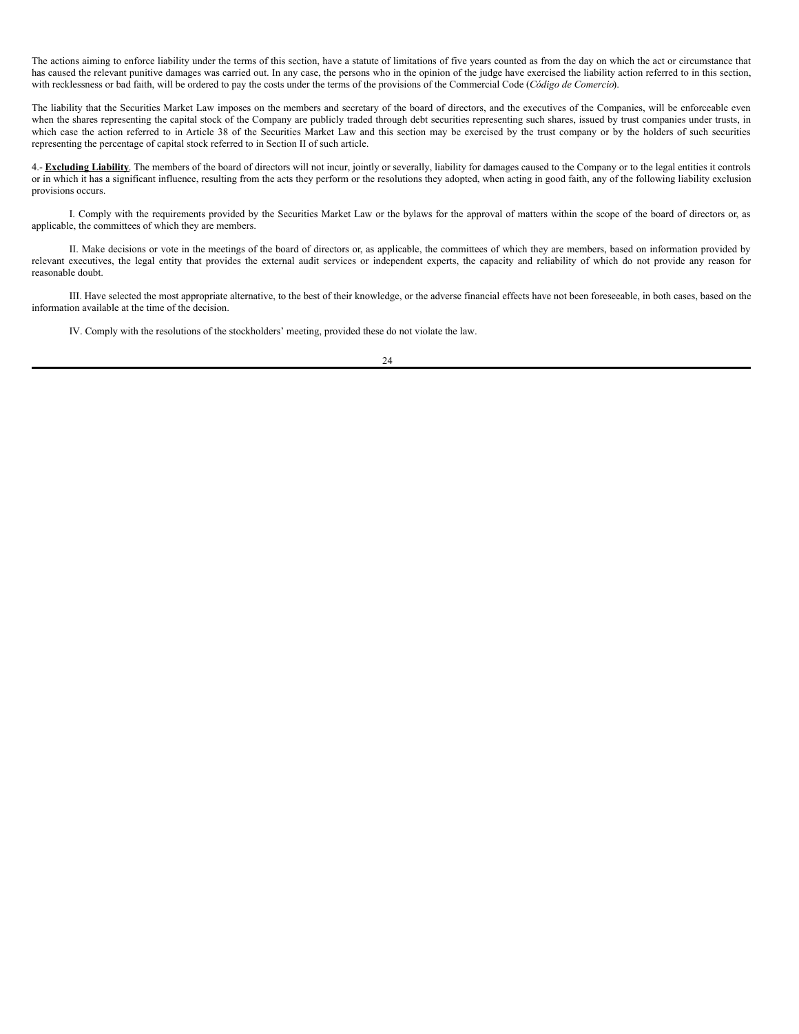The actions aiming to enforce liability under the terms of this section, have a statute of limitations of five years counted as from the day on which the act or circumstance that has caused the relevant punitive damages was carried out. In any case, the persons who in the opinion of the judge have exercised the liability action referred to in this section, with recklessness or bad faith, will be ordered to pay the costs under the terms of the provisions of the Commercial Code (*Código de Comercio*).

The liability that the Securities Market Law imposes on the members and secretary of the board of directors, and the executives of the Companies, will be enforceable even when the shares representing the capital stock of the Company are publicly traded through debt securities representing such shares, issued by trust companies under trusts, in which case the action referred to in Article 38 of the Securities Market Law and this section may be exercised by the trust company or by the holders of such securities representing the percentage of capital stock referred to in Section II of such article.

4.- **Excluding Liability**. The members of the board of directors will not incur, jointly or severally, liability for damages caused to the Company or to the legal entities it controls or in which it has a significant influence, resulting from the acts they perform or the resolutions they adopted, when acting in good faith, any of the following liability exclusion provisions occurs.

I. Comply with the requirements provided by the Securities Market Law or the bylaws for the approval of matters within the scope of the board of directors or, as applicable, the committees of which they are members.

II. Make decisions or vote in the meetings of the board of directors or, as applicable, the committees of which they are members, based on information provided by relevant executives, the legal entity that provides the external audit services or independent experts, the capacity and reliability of which do not provide any reason for reasonable doubt.

III. Have selected the most appropriate alternative, to the best of their knowledge, or the adverse financial effects have not been foreseeable, in both cases, based on the information available at the time of the decision.

IV. Comply with the resolutions of the stockholders' meeting, provided these do not violate the law.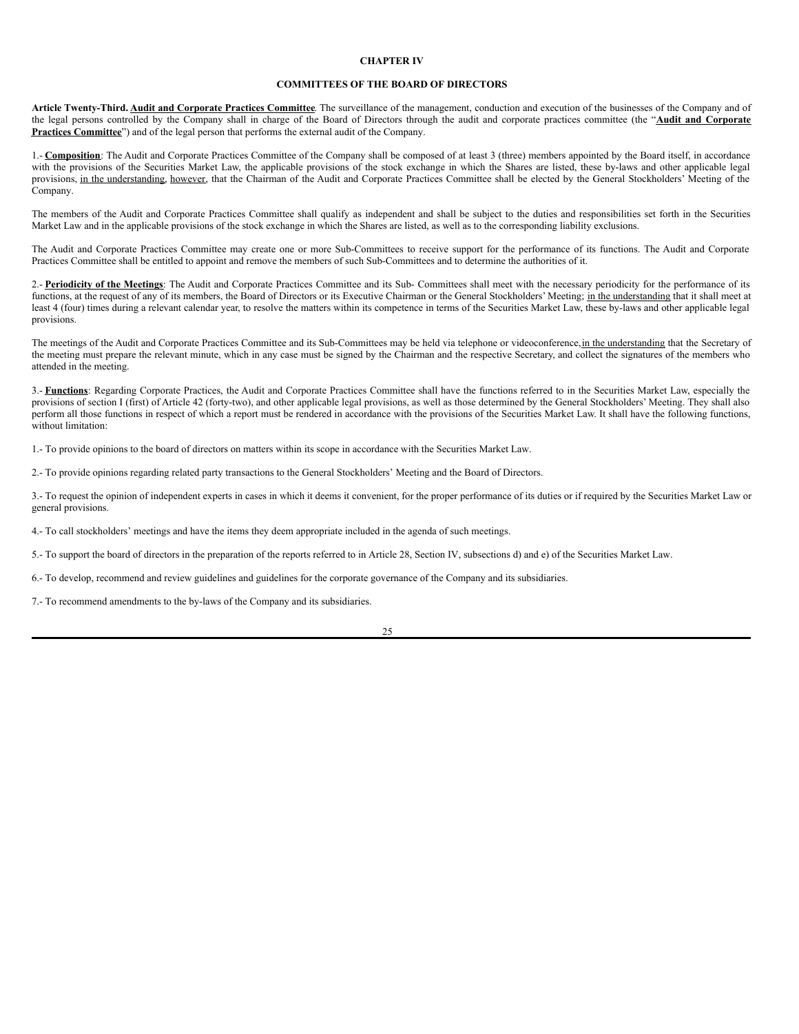### **CHAPTER IV**

# **COMMITTEES OF THE BOARD OF DIRECTORS**

**Article Twenty-Third. Audit and Corporate Practices Committee**. The surveillance of the management, conduction and execution of the businesses of the Company and of the legal persons controlled by the Company shall in charge of the Board of Directors through the audit and corporate practices committee (the "**Audit and Corporate Practices Committee**") and of the legal person that performs the external audit of the Company.

1.- **Composition**: The Audit and Corporate Practices Committee of the Company shall be composed of at least 3 (three) members appointed by the Board itself, in accordance with the provisions of the Securities Market Law, the applicable provisions of the stock exchange in which the Shares are listed, these by-laws and other applicable legal provisions, in the understanding, however, that the Chairman of the Audit and Corporate Practices Committee shall be elected by the General Stockholders' Meeting of the Company.

The members of the Audit and Corporate Practices Committee shall qualify as independent and shall be subject to the duties and responsibilities set forth in the Securities Market Law and in the applicable provisions of the stock exchange in which the Shares are listed, as well as to the corresponding liability exclusions.

The Audit and Corporate Practices Committee may create one or more Sub-Committees to receive support for the performance of its functions. The Audit and Corporate Practices Committee shall be entitled to appoint and remove the members of such Sub-Committees and to determine the authorities of it.

2.- Periodicity of the Meetings: The Audit and Corporate Practices Committee and its Sub- Committees shall meet with the necessary periodicity for the performance of its functions, at the request of any of its members, the Board of Directors or its Executive Chairman or the General Stockholders' Meeting; in the understanding that it shall meet at least 4 (four) times during a relevant calendar year, to resolve the matters within its competence in terms of the Securities Market Law, these by-laws and other applicable legal provisions.

The meetings of the Audit and Corporate Practices Committee and its Sub-Committees may be held via telephone or videoconference, in the understanding that the Secretary of the meeting must prepare the relevant minute, which in any case must be signed by the Chairman and the respective Secretary, and collect the signatures of the members who attended in the meeting.

3.- Functions: Regarding Corporate Practices, the Audit and Corporate Practices Committee shall have the functions referred to in the Securities Market Law, especially the provisions of section I (first) of Article 42 (forty-two), and other applicable legal provisions, as well as those determined by the General Stockholders' Meeting. They shall also perform all those functions in respect of which a report must be rendered in accordance with the provisions of the Securities Market Law. It shall have the following functions, without limitation:

1.- To provide opinions to the board of directors on matters within its scope in accordance with the Securities Market Law.

2.- To provide opinions regarding related party transactions to the General Stockholders' Meeting and the Board of Directors.

3.- To request the opinion of independent experts in cases in which it deems it convenient, for the proper performance of its duties or if required by the Securities Market Law or general provisions.

4.- To call stockholders' meetings and have the items they deem appropriate included in the agenda of such meetings.

5.- To support the board of directors in the preparation of the reports referred to in Article 28, Section IV, subsections d) and e) of the Securities Market Law.

6.- To develop, recommend and review guidelines and guidelines for the corporate governance of the Company and its subsidiaries.

7.- To recommend amendments to the by-laws of the Company and its subsidiaries.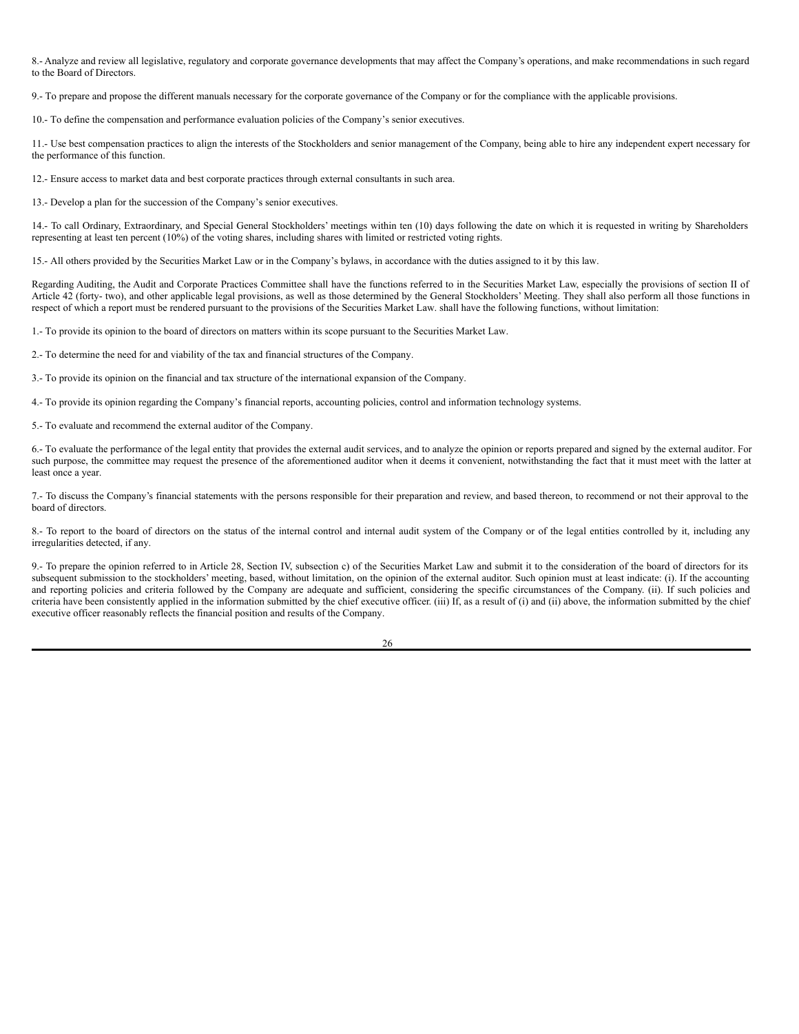8.- Analyze and review all legislative, regulatory and corporate governance developments that may affect the Company's operations, and make recommendations in such regard to the Board of Directors.

9.- To prepare and propose the different manuals necessary for the corporate governance of the Company or for the compliance with the applicable provisions.

10.- To define the compensation and performance evaluation policies of the Company's senior executives.

11.- Use best compensation practices to align the interests of the Stockholders and senior management of the Company, being able to hire any independent expert necessary for the performance of this function.

12.- Ensure access to market data and best corporate practices through external consultants in such area.

13.- Develop a plan for the succession of the Company's senior executives.

14.- To call Ordinary, Extraordinary, and Special General Stockholders' meetings within ten (10) days following the date on which it is requested in writing by Shareholders representing at least ten percent (10%) of the voting shares, including shares with limited or restricted voting rights.

15.- All others provided by the Securities Market Law or in the Company's bylaws, in accordance with the duties assigned to it by this law.

Regarding Auditing, the Audit and Corporate Practices Committee shall have the functions referred to in the Securities Market Law, especially the provisions of section II of Article 42 (forty- two), and other applicable legal provisions, as well as those determined by the General Stockholders' Meeting. They shall also perform all those functions in respect of which a report must be rendered pursuant to the provisions of the Securities Market Law. shall have the following functions, without limitation:

1.- To provide its opinion to the board of directors on matters within its scope pursuant to the Securities Market Law.

2.- To determine the need for and viability of the tax and financial structures of the Company.

3.- To provide its opinion on the financial and tax structure of the international expansion of the Company.

4.- To provide its opinion regarding the Company's financial reports, accounting policies, control and information technology systems.

5.- To evaluate and recommend the external auditor of the Company.

6.- To evaluate the performance of the legal entity that provides the external audit services, and to analyze the opinion or reports prepared and signed by the external auditor. For such purpose, the committee may request the presence of the aforementioned auditor when it deems it convenient, notwithstanding the fact that it must meet with the latter at least once a year.

7.- To discuss the Company's financial statements with the persons responsible for their preparation and review, and based thereon, to recommend or not their approval to the board of directors.

8.- To report to the board of directors on the status of the internal control and internal audit system of the Company or of the legal entities controlled by it, including any irregularities detected, if any.

9.- To prepare the opinion referred to in Article 28, Section IV, subsection c) of the Securities Market Law and submit it to the consideration of the board of directors for its subsequent submission to the stockholders' meeting, based, without limitation, on the opinion of the external auditor. Such opinion must at least indicate: (i). If the accounting and reporting policies and criteria followed by the Company are adequate and sufficient, considering the specific circumstances of the Company. (ii). If such policies and criteria have been consistently applied in the information submitted by the chief executive officer. (iii) If, as a result of (i) and (ii) above, the information submitted by the chief executive officer reasonably reflects the financial position and results of the Company.

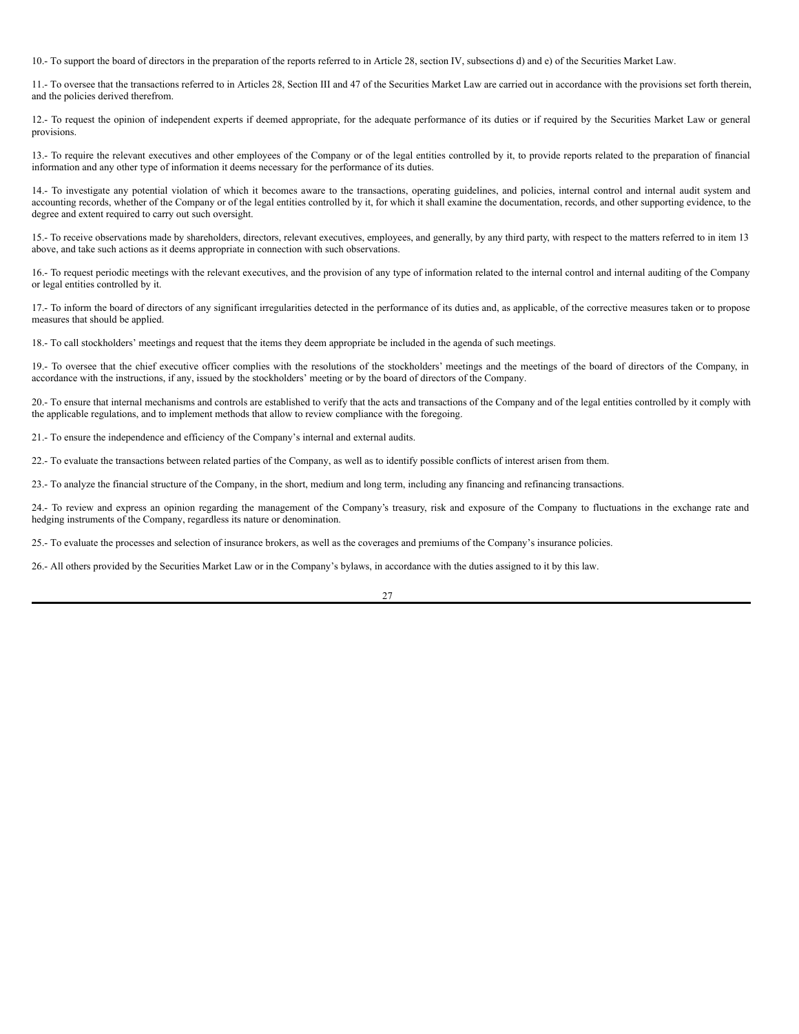10.- To support the board of directors in the preparation of the reports referred to in Article 28, section IV, subsections d) and e) of the Securities Market Law.

11.- To oversee that the transactions referred to in Articles 28, Section III and 47 of the Securities Market Law are carried out in accordance with the provisions set forth therein, and the policies derived therefrom.

12.- To request the opinion of independent experts if deemed appropriate, for the adequate performance of its duties or if required by the Securities Market Law or general provisions.

13.- To require the relevant executives and other employees of the Company or of the legal entities controlled by it, to provide reports related to the preparation of financial information and any other type of information it deems necessary for the performance of its duties.

14.- To investigate any potential violation of which it becomes aware to the transactions, operating guidelines, and policies, internal control and internal audit system and accounting records, whether of the Company or of the legal entities controlled by it, for which it shall examine the documentation, records, and other supporting evidence, to the degree and extent required to carry out such oversight.

15.- To receive observations made by shareholders, directors, relevant executives, employees, and generally, by any third party, with respect to the matters referred to in item 13 above, and take such actions as it deems appropriate in connection with such observations.

16.- To request periodic meetings with the relevant executives, and the provision of any type of information related to the internal control and internal auditing of the Company or legal entities controlled by it.

17.- To inform the board of directors of any significant irregularities detected in the performance of its duties and, as applicable, of the corrective measures taken or to propose measures that should be applied.

18.- To call stockholders' meetings and request that the items they deem appropriate be included in the agenda of such meetings.

19.- To oversee that the chief executive officer complies with the resolutions of the stockholders' meetings and the meetings of the board of directors of the Company, in accordance with the instructions, if any, issued by the stockholders' meeting or by the board of directors of the Company.

20.- To ensure that internal mechanisms and controls are established to verify that the acts and transactions of the Company and of the legal entities controlled by it comply with the applicable regulations, and to implement methods that allow to review compliance with the foregoing.

21.- To ensure the independence and efficiency of the Company's internal and external audits.

22.- To evaluate the transactions between related parties of the Company, as well as to identify possible conflicts of interest arisen from them.

23.- To analyze the financial structure of the Company, in the short, medium and long term, including any financing and refinancing transactions.

24.- To review and express an opinion regarding the management of the Company's treasury, risk and exposure of the Company to fluctuations in the exchange rate and hedging instruments of the Company, regardless its nature or denomination.

25.- To evaluate the processes and selection of insurance brokers, as well as the coverages and premiums of the Company's insurance policies.

26.- All others provided by the Securities Market Law or in the Company's bylaws, in accordance with the duties assigned to it by this law.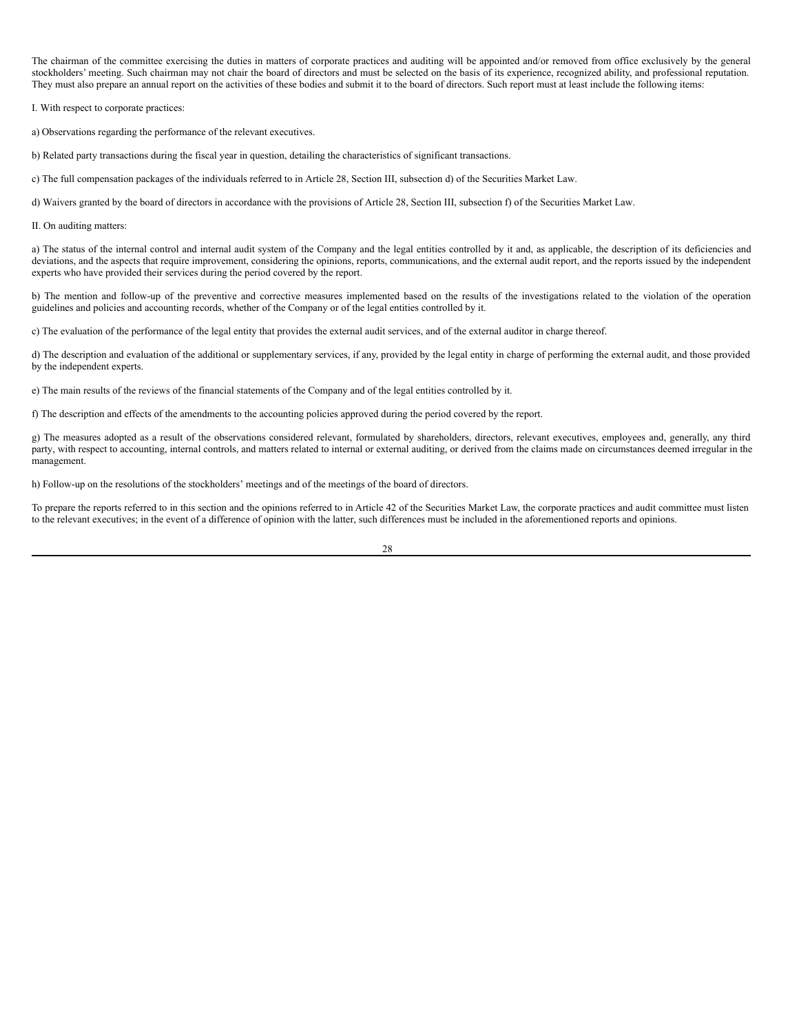The chairman of the committee exercising the duties in matters of corporate practices and auditing will be appointed and/or removed from office exclusively by the general stockholders' meeting. Such chairman may not chair the board of directors and must be selected on the basis of its experience, recognized ability, and professional reputation. They must also prepare an annual report on the activities of these bodies and submit it to the board of directors. Such report must at least include the following items:

I. With respect to corporate practices:

a) Observations regarding the performance of the relevant executives.

b) Related party transactions during the fiscal year in question, detailing the characteristics of significant transactions.

c) The full compensation packages of the individuals referred to in Article 28, Section III, subsection d) of the Securities Market Law.

d) Waivers granted by the board of directors in accordance with the provisions of Article 28, Section III, subsection f) of the Securities Market Law.

II. On auditing matters:

a) The status of the internal control and internal audit system of the Company and the legal entities controlled by it and, as applicable, the description of its deficiencies and deviations, and the aspects that require improvement, considering the opinions, reports, communications, and the external audit report, and the reports issued by the independent experts who have provided their services during the period covered by the report.

b) The mention and follow-up of the preventive and corrective measures implemented based on the results of the investigations related to the violation of the operation guidelines and policies and accounting records, whether of the Company or of the legal entities controlled by it.

c) The evaluation of the performance of the legal entity that provides the external audit services, and of the external auditor in charge thereof.

d) The description and evaluation of the additional or supplementary services, if any, provided by the legal entity in charge of performing the external audit, and those provided by the independent experts.

e) The main results of the reviews of the financial statements of the Company and of the legal entities controlled by it.

f) The description and effects of the amendments to the accounting policies approved during the period covered by the report.

g) The measures adopted as a result of the observations considered relevant, formulated by shareholders, directors, relevant executives, employees and, generally, any third party, with respect to accounting, internal controls, and matters related to internal or external auditing, or derived from the claims made on circumstances deemed irregular in the management.

h) Follow-up on the resolutions of the stockholders' meetings and of the meetings of the board of directors.

To prepare the reports referred to in this section and the opinions referred to in Article 42 of the Securities Market Law, the corporate practices and audit committee must listen to the relevant executives; in the event of a difference of opinion with the latter, such differences must be included in the aforementioned reports and opinions.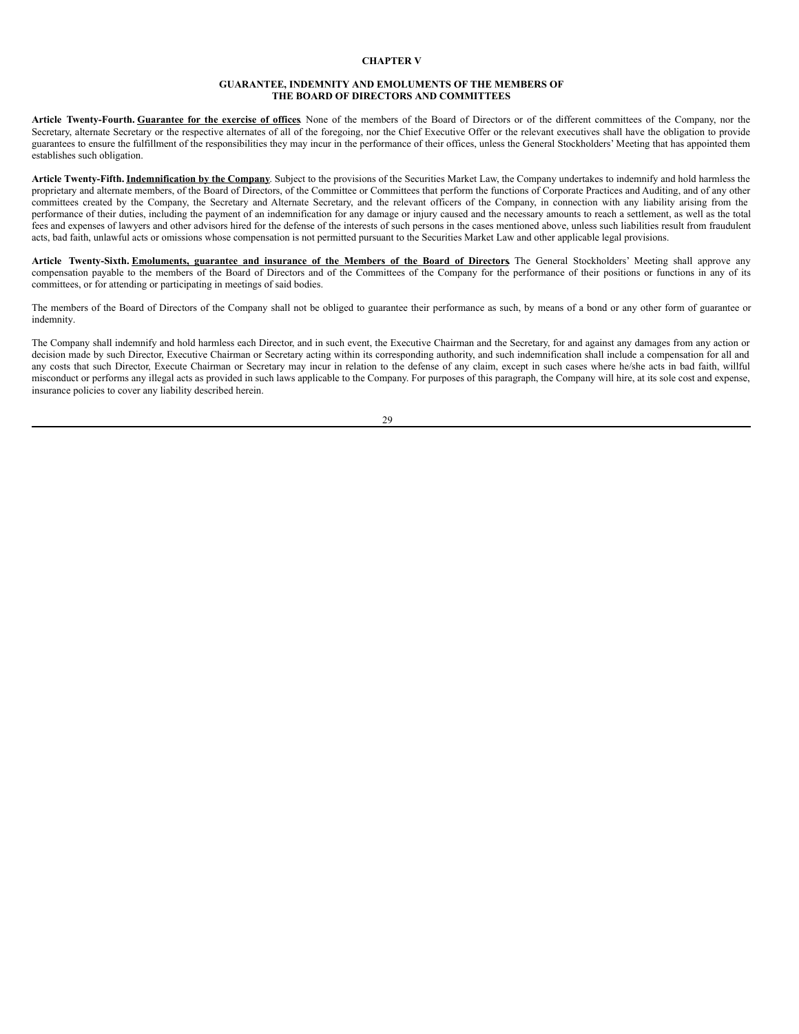### **CHAPTER V**

# **GUARANTEE, INDEMNITY AND EMOLUMENTS OF THE MEMBERS OF THE BOARD OF DIRECTORS AND COMMITTEES**

**Article Twenty-Fourth. Guarantee for the exercise of offices**. None of the members of the Board of Directors or of the different committees of the Company, nor the Secretary, alternate Secretary or the respective alternates of all of the foregoing, nor the Chief Executive Offer or the relevant executives shall have the obligation to provide guarantees to ensure the fulfillment of the responsibilities they may incur in the performance of their offices, unless the General Stockholders' Meeting that has appointed them establishes such obligation.

**Article Twenty-Fifth. Indemnification by the Company**. Subject to the provisions of the Securities Market Law, the Company undertakes to indemnify and hold harmless the proprietary and alternate members, of the Board of Directors, of the Committee or Committees that perform the functions of Corporate Practices and Auditing, and of any other committees created by the Company, the Secretary and Alternate Secretary, and the relevant officers of the Company, in connection with any liability arising from the performance of their duties, including the payment of an indemnification for any damage or injury caused and the necessary amounts to reach a settlement, as well as the total fees and expenses of lawyers and other advisors hired for the defense of the interests of such persons in the cases mentioned above, unless such liabilities result from fraudulent acts, bad faith, unlawful acts or omissions whose compensation is not permitted pursuant to the Securities Market Law and other applicable legal provisions.

Article Twenty-Sixth. Emoluments, guarantee and insurance of the Members of the Board of Directors The General Stockholders' Meeting shall approve any compensation payable to the members of the Board of Directors and of the Committees of the Company for the performance of their positions or functions in any of its committees, or for attending or participating in meetings of said bodies.

The members of the Board of Directors of the Company shall not be obliged to guarantee their performance as such, by means of a bond or any other form of guarantee or indemnity.

The Company shall indemnify and hold harmless each Director, and in such event, the Executive Chairman and the Secretary, for and against any damages from any action or decision made by such Director, Executive Chairman or Secretary acting within its corresponding authority, and such indemnification shall include a compensation for all and any costs that such Director, Execute Chairman or Secretary may incur in relation to the defense of any claim, except in such cases where he/she acts in bad faith, willful misconduct or performs any illegal acts as provided in such laws applicable to the Company. For purposes of this paragraph, the Company will hire, at its sole cost and expense, insurance policies to cover any liability described herein.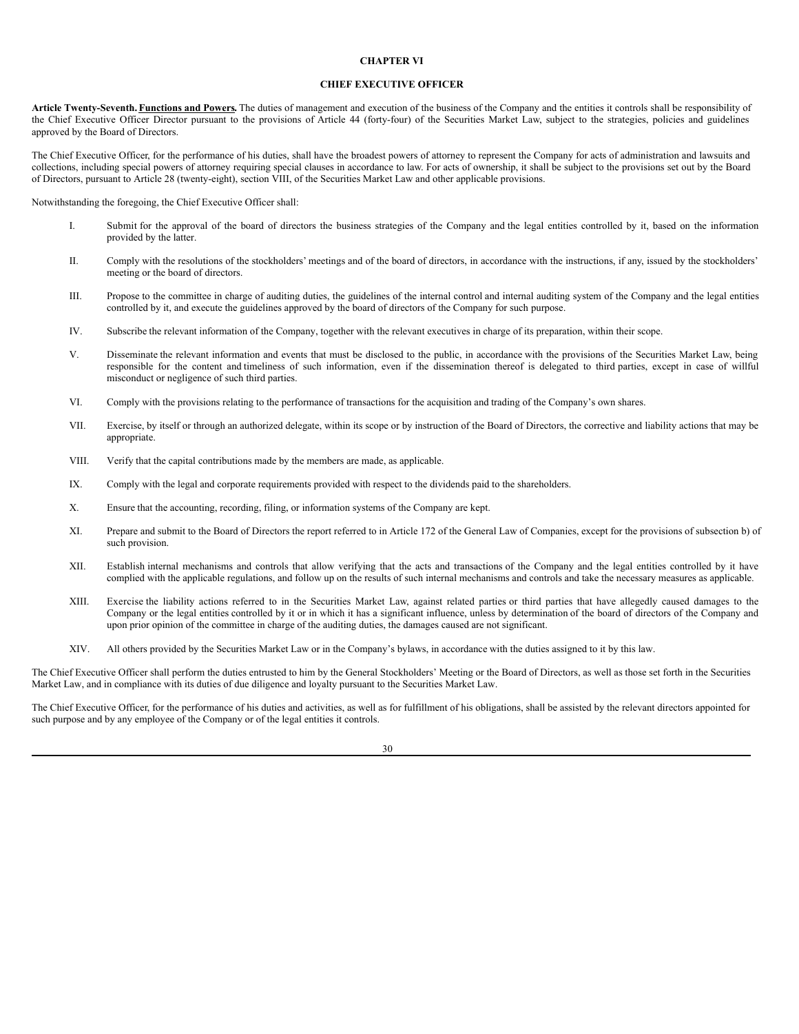### **CHAPTER VI**

# **CHIEF EXECUTIVE OFFICER**

**Article Twenty-Seventh. Functions and Powers.** The duties of management and execution of the business of the Company and the entities it controls shall be responsibility of the Chief Executive Officer Director pursuant to the provisions of Article 44 (forty-four) of the Securities Market Law, subject to the strategies, policies and guidelines approved by the Board of Directors.

The Chief Executive Officer, for the performance of his duties, shall have the broadest powers of attorney to represent the Company for acts of administration and lawsuits and collections, including special powers of attorney requiring special clauses in accordance to law. For acts of ownership, it shall be subject to the provisions set out by the Board of Directors, pursuant to Article 28 (twenty-eight), section VIII, of the Securities Market Law and other applicable provisions.

Notwithstanding the foregoing, the Chief Executive Officer shall:

- I. Submit for the approval of the board of directors the business strategies of the Company and the legal entities controlled by it, based on the information provided by the latter.
- II. Comply with the resolutions of the stockholders' meetings and of the board of directors, in accordance with the instructions, if any, issued by the stockholders' meeting or the board of directors.
- III. Propose to the committee in charge of auditing duties, the guidelines of the internal control and internal auditing system of the Company and the legal entities controlled by it, and execute the guidelines approved by the board of directors of the Company for such purpose.
- IV. Subscribe the relevant information of the Company, together with the relevant executives in charge of its preparation, within their scope.
- V. Disseminate the relevant information and events that must be disclosed to the public, in accordance with the provisions of the Securities Market Law, being responsible for the content and timeliness of such information, even if the dissemination thereof is delegated to third parties, except in case of willful misconduct or negligence of such third parties.
- VI. Comply with the provisions relating to the performance of transactions for the acquisition and trading of the Company's own shares.
- VII. Exercise, by itself or through an authorized delegate, within its scope or by instruction of the Board of Directors, the corrective and liability actions that may be appropriate.
- VIII. Verify that the capital contributions made by the members are made, as applicable.
- IX. Comply with the legal and corporate requirements provided with respect to the dividends paid to the shareholders.
- X. Ensure that the accounting, recording, filing, or information systems of the Company are kept.
- XI. Prepare and submit to the Board of Directors the report referred to in Article 172 of the General Law of Companies, except for the provisions of subsection b) of such provision.
- XII. Establish internal mechanisms and controls that allow verifying that the acts and transactions of the Company and the legal entities controlled by it have complied with the applicable regulations, and follow up on the results of such internal mechanisms and controls and take the necessary measures as applicable.
- XIII. Exercise the liability actions referred to in the Securities Market Law, against related parties or third parties that have allegedly caused damages to the Company or the legal entities controlled by it or in which it has a significant influence, unless by determination of the board of directors of the Company and upon prior opinion of the committee in charge of the auditing duties, the damages caused are not significant.
- XIV. All others provided by the Securities Market Law or in the Company's bylaws, in accordance with the duties assigned to it by this law.

The Chief Executive Officer shall perform the duties entrusted to him by the General Stockholders' Meeting or the Board of Directors, as well as those set forth in the Securities Market Law, and in compliance with its duties of due diligence and loyalty pursuant to the Securities Market Law.

The Chief Executive Officer, for the performance of his duties and activities, as well as for fulfillment of his obligations, shall be assisted by the relevant directors appointed for such purpose and by any employee of the Company or of the legal entities it controls.

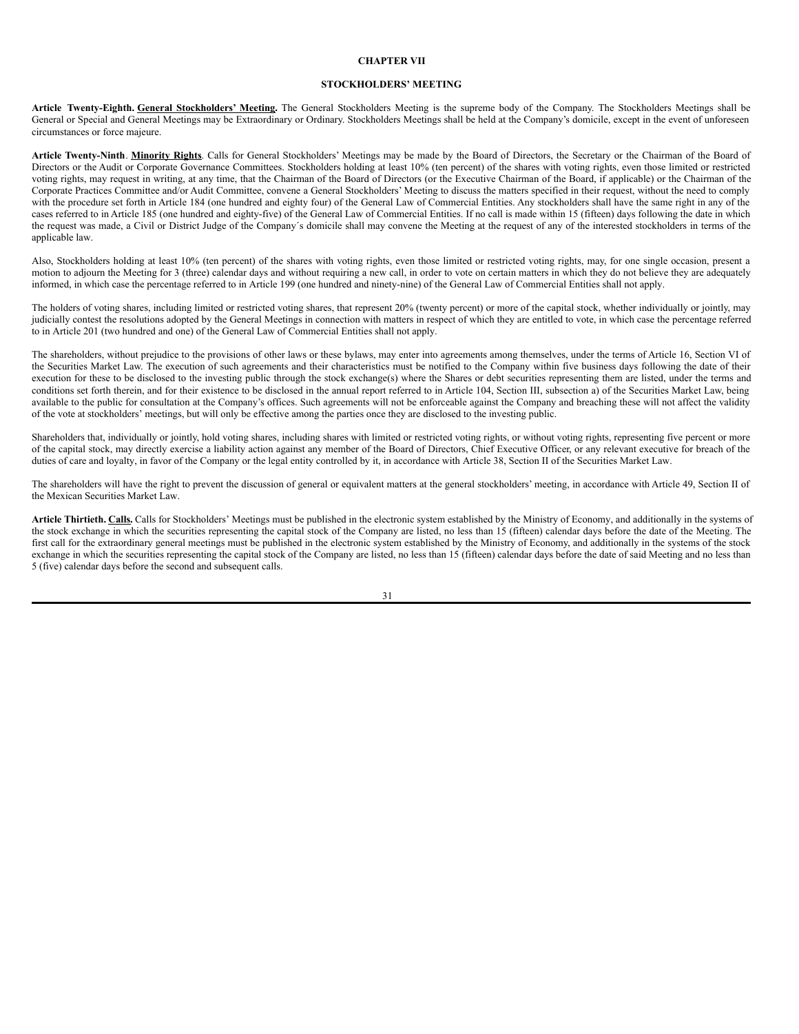### **CHAPTER VII**

# **STOCKHOLDERS' MEETING**

**Article Twenty-Eighth. General Stockholders' Meeting.** The General Stockholders Meeting is the supreme body of the Company. The Stockholders Meetings shall be General or Special and General Meetings may be Extraordinary or Ordinary. Stockholders Meetings shall be held at the Company's domicile, except in the event of unforeseen circumstances or force majeure.

**Article Twenty-Ninth**. **Minority Rights**. Calls for General Stockholders' Meetings may be made by the Board of Directors, the Secretary or the Chairman of the Board of Directors or the Audit or Corporate Governance Committees. Stockholders holding at least 10% (ten percent) of the shares with voting rights, even those limited or restricted voting rights, may request in writing, at any time, that the Chairman of the Board of Directors (or the Executive Chairman of the Board, if applicable) or the Chairman of the Corporate Practices Committee and/or Audit Committee, convene a General Stockholders' Meeting to discuss the matters specified in their request, without the need to comply with the procedure set forth in Article 184 (one hundred and eighty four) of the General Law of Commercial Entities. Any stockholders shall have the same right in any of the cases referred to in Article 185 (one hundred and eighty-five) of the General Law of Commercial Entities. If no call is made within 15 (fifteen) days following the date in which the request was made, a Civil or District Judge of the Company´s domicile shall may convene the Meeting at the request of any of the interested stockholders in terms of the applicable law.

Also, Stockholders holding at least 10% (ten percent) of the shares with voting rights, even those limited or restricted voting rights, may, for one single occasion, present a motion to adjourn the Meeting for 3 (three) calendar days and without requiring a new call, in order to vote on certain matters in which they do not believe they are adequately informed, in which case the percentage referred to in Article 199 (one hundred and ninety-nine) of the General Law of Commercial Entities shall not apply.

The holders of voting shares, including limited or restricted voting shares, that represent 20% (twenty percent) or more of the capital stock, whether individually or jointly, may judicially contest the resolutions adopted by the General Meetings in connection with matters in respect of which they are entitled to vote, in which case the percentage referred to in Article 201 (two hundred and one) of the General Law of Commercial Entities shall not apply.

The shareholders, without prejudice to the provisions of other laws or these bylaws, may enter into agreements among themselves, under the terms of Article 16, Section VI of the Securities Market Law. The execution of such agreements and their characteristics must be notified to the Company within five business days following the date of their execution for these to be disclosed to the investing public through the stock exchange(s) where the Shares or debt securities representing them are listed, under the terms and conditions set forth therein, and for their existence to be disclosed in the annual report referred to in Article 104, Section III, subsection a) of the Securities Market Law, being available to the public for consultation at the Company's offices. Such agreements will not be enforceable against the Company and breaching these will not affect the validity of the vote at stockholders' meetings, but will only be effective among the parties once they are disclosed to the investing public.

Shareholders that, individually or jointly, hold voting shares, including shares with limited or restricted voting rights, or without voting rights, representing five percent or more of the capital stock, may directly exercise a liability action against any member of the Board of Directors, Chief Executive Officer, or any relevant executive for breach of the duties of care and loyalty, in favor of the Company or the legal entity controlled by it, in accordance with Article 38, Section II of the Securities Market Law.

The shareholders will have the right to prevent the discussion of general or equivalent matters at the general stockholders' meeting, in accordance with Article 49, Section II of the Mexican Securities Market Law.

Article Thirtieth. Calls. Calls for Stockholders' Meetings must be published in the electronic system established by the Ministry of Economy, and additionally in the systems of the stock exchange in which the securities representing the capital stock of the Company are listed, no less than 15 (fifteen) calendar days before the date of the Meeting. The first call for the extraordinary general meetings must be published in the electronic system established by the Ministry of Economy, and additionally in the systems of the stock exchange in which the securities representing the capital stock of the Company are listed, no less than 15 (fifteen) calendar days before the date of said Meeting and no less than 5 (five) calendar days before the second and subsequent calls.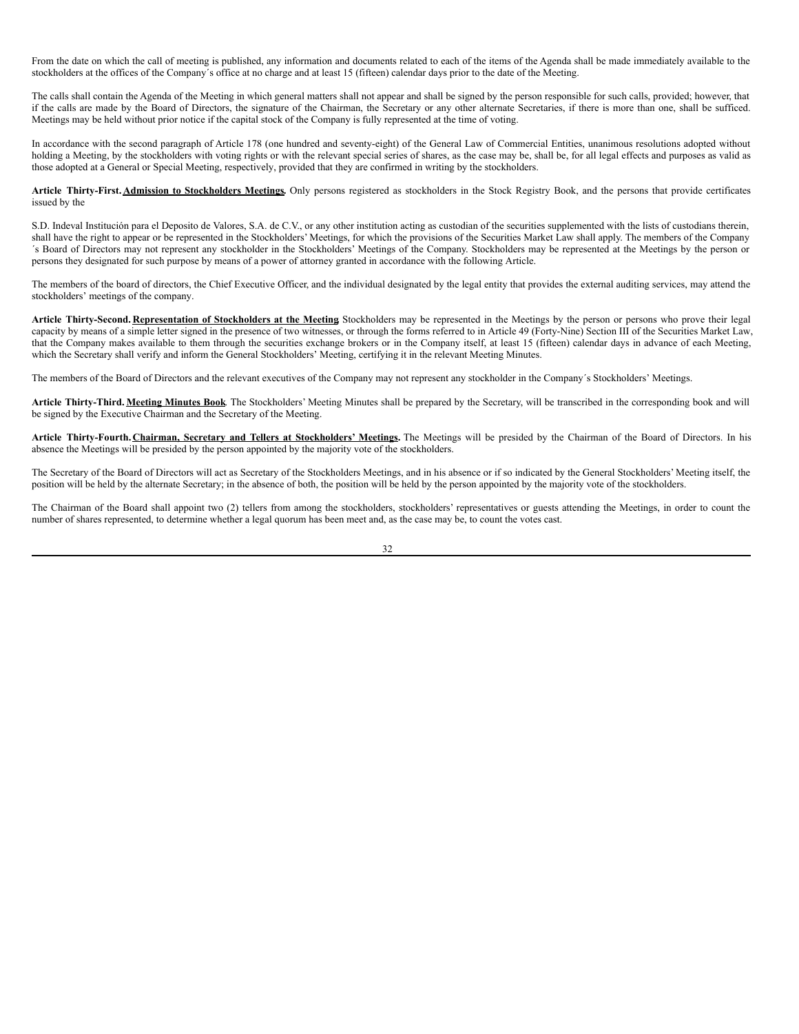From the date on which the call of meeting is published, any information and documents related to each of the items of the Agenda shall be made immediately available to the stockholders at the offices of the Company´s office at no charge and at least 15 (fifteen) calendar days prior to the date of the Meeting.

The calls shall contain the Agenda of the Meeting in which general matters shall not appear and shall be signed by the person responsible for such calls, provided; however, that if the calls are made by the Board of Directors, the signature of the Chairman, the Secretary or any other alternate Secretaries, if there is more than one, shall be sufficed. Meetings may be held without prior notice if the capital stock of the Company is fully represented at the time of voting.

In accordance with the second paragraph of Article 178 (one hundred and seventy-eight) of the General Law of Commercial Entities, unanimous resolutions adopted without holding a Meeting, by the stockholders with voting rights or with the relevant special series of shares, as the case may be, shall be, for all legal effects and purposes as valid as those adopted at a General or Special Meeting, respectively, provided that they are confirmed in writing by the stockholders.

**Article Thirty-First. Admission to Stockholders Meetings.** Only persons registered as stockholders in the Stock Registry Book, and the persons that provide certificates issued by the

S.D. Indeval Institución para el Deposito de Valores, S.A. de C.V., or any other institution acting as custodian of the securities supplemented with the lists of custodians therein, shall have the right to appear or be represented in the Stockholders' Meetings, for which the provisions of the Securities Market Law shall apply. The members of the Company ´s Board of Directors may not represent any stockholder in the Stockholders' Meetings of the Company. Stockholders may be represented at the Meetings by the person or persons they designated for such purpose by means of a power of attorney granted in accordance with the following Article.

The members of the board of directors, the Chief Executive Officer, and the individual designated by the legal entity that provides the external auditing services, may attend the stockholders' meetings of the company.

**Article Thirty-Second. Representation of Stockholders at the Meeting.** Stockholders may be represented in the Meetings by the person or persons who prove their legal capacity by means of a simple letter signed in the presence of two witnesses, or through the forms referred to in Article 49 (Forty-Nine) Section III of the Securities Market Law, that the Company makes available to them through the securities exchange brokers or in the Company itself, at least 15 (fifteen) calendar days in advance of each Meeting, which the Secretary shall verify and inform the General Stockholders' Meeting, certifying it in the relevant Meeting Minutes.

The members of the Board of Directors and the relevant executives of the Company may not represent any stockholder in the Company´s Stockholders' Meetings.

**Article Thirty-Third. Meeting Minutes Book**. The Stockholders' Meeting Minutes shall be prepared by the Secretary, will be transcribed in the corresponding book and will be signed by the Executive Chairman and the Secretary of the Meeting.

**Article Thirty-Fourth. Chairman, Secretary and Tellers at Stockholders' Meetings.** The Meetings will be presided by the Chairman of the Board of Directors. In his absence the Meetings will be presided by the person appointed by the majority vote of the stockholders.

The Secretary of the Board of Directors will act as Secretary of the Stockholders Meetings, and in his absence or if so indicated by the General Stockholders' Meeting itself, the position will be held by the alternate Secretary; in the absence of both, the position will be held by the person appointed by the majority vote of the stockholders.

The Chairman of the Board shall appoint two (2) tellers from among the stockholders, stockholders' representatives or guests attending the Meetings, in order to count the number of shares represented, to determine whether a legal quorum has been meet and, as the case may be, to count the votes cast.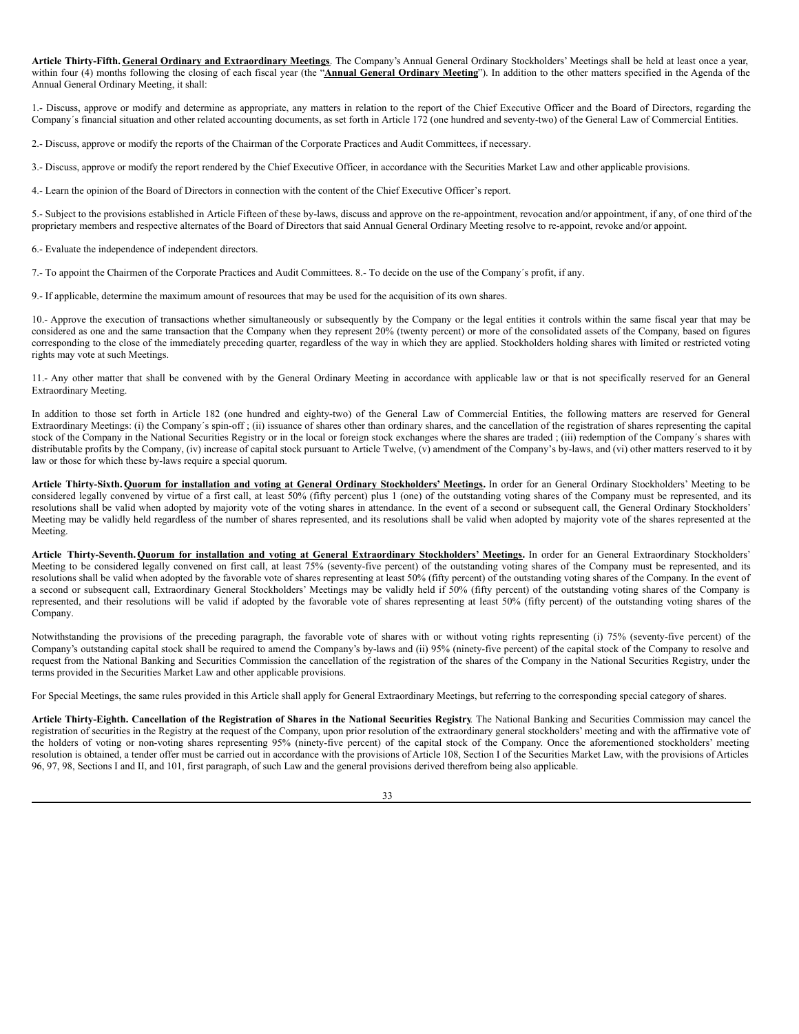**Article Thirty-Fifth. General Ordinary and Extraordinary Meetings**. The Company's Annual General Ordinary Stockholders' Meetings shall be held at least once a year, within four (4) months following the closing of each fiscal year (the "**Annual General Ordinary Meeting**"). In addition to the other matters specified in the Agenda of the Annual General Ordinary Meeting, it shall:

1.- Discuss, approve or modify and determine as appropriate, any matters in relation to the report of the Chief Executive Officer and the Board of Directors, regarding the Company´s financial situation and other related accounting documents, as set forth in Article 172 (one hundred and seventy-two) of the General Law of Commercial Entities.

2.- Discuss, approve or modify the reports of the Chairman of the Corporate Practices and Audit Committees, if necessary.

3.- Discuss, approve or modify the report rendered by the Chief Executive Officer, in accordance with the Securities Market Law and other applicable provisions.

4.- Learn the opinion of the Board of Directors in connection with the content of the Chief Executive Officer's report.

5.- Subject to the provisions established in Article Fifteen of these by-laws, discuss and approve on the re-appointment, revocation and/or appointment, if any, of one third of the proprietary members and respective alternates of the Board of Directors that said Annual General Ordinary Meeting resolve to re-appoint, revoke and/or appoint.

6.- Evaluate the independence of independent directors.

7.- To appoint the Chairmen of the Corporate Practices and Audit Committees. 8.- To decide on the use of the Company´s profit, if any.

9.- If applicable, determine the maximum amount of resources that may be used for the acquisition of its own shares.

10.- Approve the execution of transactions whether simultaneously or subsequently by the Company or the legal entities it controls within the same fiscal year that may be considered as one and the same transaction that the Company when they represent 20% (twenty percent) or more of the consolidated assets of the Company, based on figures corresponding to the close of the immediately preceding quarter, regardless of the way in which they are applied. Stockholders holding shares with limited or restricted voting rights may vote at such Meetings.

11.- Any other matter that shall be convened with by the General Ordinary Meeting in accordance with applicable law or that is not specifically reserved for an General Extraordinary Meeting.

In addition to those set forth in Article 182 (one hundred and eighty-two) of the General Law of Commercial Entities, the following matters are reserved for General Extraordinary Meetings: (i) the Company's spin-off; (ii) issuance of shares other than ordinary shares, and the cancellation of the registration of shares representing the capital stock of the Company in the National Securities Registry or in the local or foreign stock exchanges where the shares are traded ; (iii) redemption of the Company´s shares with distributable profits by the Company, (iv) increase of capital stock pursuant to Article Twelve, (v) amendment of the Company's by-laws, and (vi) other matters reserved to it by law or those for which these by-laws require a special quorum.

Article Thirty-Sixth. Quorum for installation and voting at General Ordinary Stockholders' Meetings. In order for an General Ordinary Stockholders' Meeting to be considered legally convened by virtue of a first call, at least 50% (fifty percent) plus 1 (one) of the outstanding voting shares of the Company must be represented, and its resolutions shall be valid when adopted by majority vote of the voting shares in attendance. In the event of a second or subsequent call, the General Ordinary Stockholders' Meeting may be validly held regardless of the number of shares represented, and its resolutions shall be valid when adopted by majority vote of the shares represented at the Meeting.

Article Thirty-Seventh. Quorum for installation and voting at General Extraordinary Stockholders' Meetings. In order for an General Extraordinary Stockholders' Meeting to be considered legally convened on first call, at least 75% (seventy-five percent) of the outstanding voting shares of the Company must be represented, and its resolutions shall be valid when adopted by the favorable vote of shares representing at least 50% (fifty percent) of the outstanding voting shares of the Company. In the event of a second or subsequent call, Extraordinary General Stockholders' Meetings may be validly held if 50% (fifty percent) of the outstanding voting shares of the Company is represented, and their resolutions will be valid if adopted by the favorable vote of shares representing at least 50% (fifty percent) of the outstanding voting shares of the Company.

Notwithstanding the provisions of the preceding paragraph, the favorable vote of shares with or without voting rights representing (i) 75% (seventy-five percent) of the Company's outstanding capital stock shall be required to amend the Company's by-laws and (ii) 95% (ninety-five percent) of the capital stock of the Company to resolve and request from the National Banking and Securities Commission the cancellation of the registration of the shares of the Company in the National Securities Registry, under the terms provided in the Securities Market Law and other applicable provisions.

For Special Meetings, the same rules provided in this Article shall apply for General Extraordinary Meetings, but referring to the corresponding special category of shares.

Article Thirty-Eighth. Cancellation of the Registration of Shares in the National Securities Registry. The National Banking and Securities Commission may cancel the registration of securities in the Registry at the request of the Company, upon prior resolution of the extraordinary general stockholders' meeting and with the affirmative vote of the holders of voting or non-voting shares representing 95% (ninety-five percent) of the capital stock of the Company. Once the aforementioned stockholders' meeting resolution is obtained, a tender offer must be carried out in accordance with the provisions of Article 108, Section I of the Securities Market Law, with the provisions of Articles 96, 97, 98, Sections I and II, and 101, first paragraph, of such Law and the general provisions derived therefrom being also applicable.

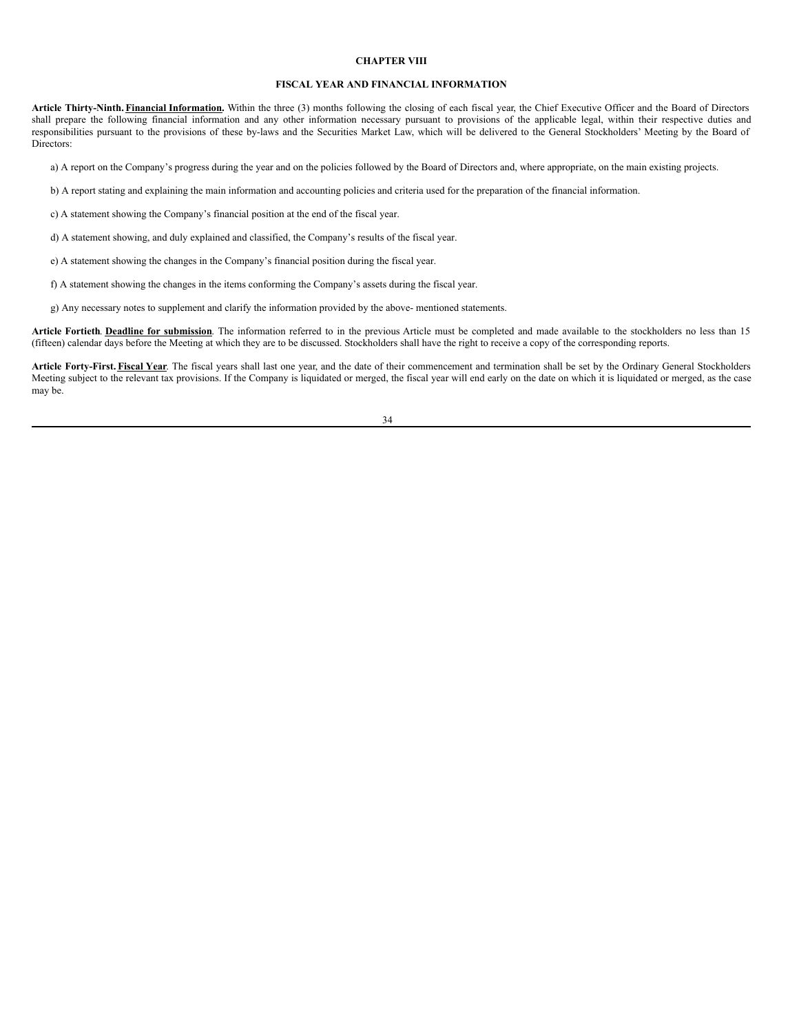### **CHAPTER VIII**

# **FISCAL YEAR AND FINANCIAL INFORMATION**

**Article Thirty-Ninth. Financial Information.** Within the three (3) months following the closing of each fiscal year, the Chief Executive Officer and the Board of Directors shall prepare the following financial information and any other information necessary pursuant to provisions of the applicable legal, within their respective duties and responsibilities pursuant to the provisions of these by-laws and the Securities Market Law, which will be delivered to the General Stockholders' Meeting by the Board of Directors:

a) A report on the Company's progress during the year and on the policies followed by the Board of Directors and, where appropriate, on the main existing projects.

- b) A report stating and explaining the main information and accounting policies and criteria used for the preparation of the financial information.
- c) A statement showing the Company's financial position at the end of the fiscal year.
- d) A statement showing, and duly explained and classified, the Company's results of the fiscal year.
- e) A statement showing the changes in the Company's financial position during the fiscal year.
- f) A statement showing the changes in the items conforming the Company's assets during the fiscal year.
- g) Any necessary notes to supplement and clarify the information provided by the above- mentioned statements.

**Article Fortieth**. **Deadline for submission**. The information referred to in the previous Article must be completed and made available to the stockholders no less than 15 (fifteen) calendar days before the Meeting at which they are to be discussed. Stockholders shall have the right to receive a copy of the corresponding reports.

**Article Forty-First. Fiscal Year**. The fiscal years shall last one year, and the date of their commencement and termination shall be set by the Ordinary General Stockholders Meeting subject to the relevant tax provisions. If the Company is liquidated or merged, the fiscal year will end early on the date on which it is liquidated or merged, as the case may be.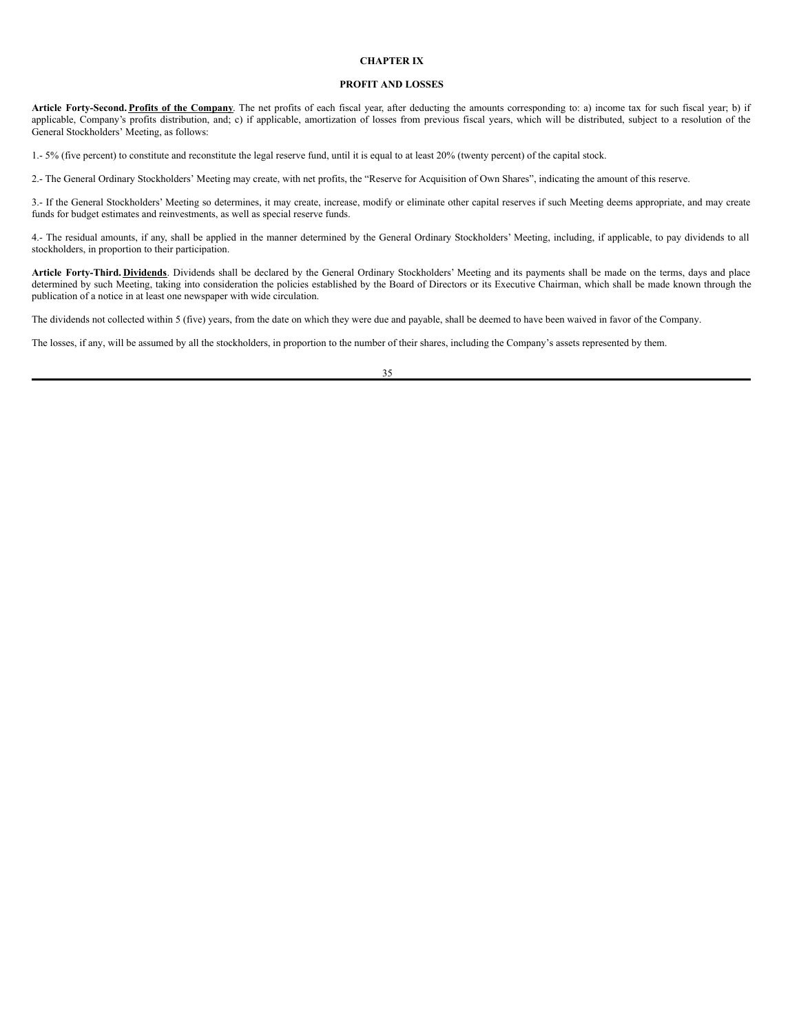### **CHAPTER IX**

## **PROFIT AND LOSSES**

**Article Forty-Second. Profits of the Company**. The net profits of each fiscal year, after deducting the amounts corresponding to: a) income tax for such fiscal year; b) if applicable, Company's profits distribution, and; c) if applicable, amortization of losses from previous fiscal years, which will be distributed, subject to a resolution of the General Stockholders' Meeting, as follows:

1.- 5% (five percent) to constitute and reconstitute the legal reserve fund, until it is equal to at least 20% (twenty percent) of the capital stock.

2.- The General Ordinary Stockholders' Meeting may create, with net profits, the "Reserve for Acquisition of Own Shares", indicating the amount of this reserve.

3.- If the General Stockholders' Meeting so determines, it may create, increase, modify or eliminate other capital reserves if such Meeting deems appropriate, and may create funds for budget estimates and reinvestments, as well as special reserve funds.

4.- The residual amounts, if any, shall be applied in the manner determined by the General Ordinary Stockholders' Meeting, including, if applicable, to pay dividends to all stockholders, in proportion to their participation.

**Article Forty-Third. Dividends**. Dividends shall be declared by the General Ordinary Stockholders' Meeting and its payments shall be made on the terms, days and place determined by such Meeting, taking into consideration the policies established by the Board of Directors or its Executive Chairman, which shall be made known through the publication of a notice in at least one newspaper with wide circulation.

The dividends not collected within 5 (five) years, from the date on which they were due and payable, shall be deemed to have been waived in favor of the Company.

The losses, if any, will be assumed by all the stockholders, in proportion to the number of their shares, including the Company's assets represented by them.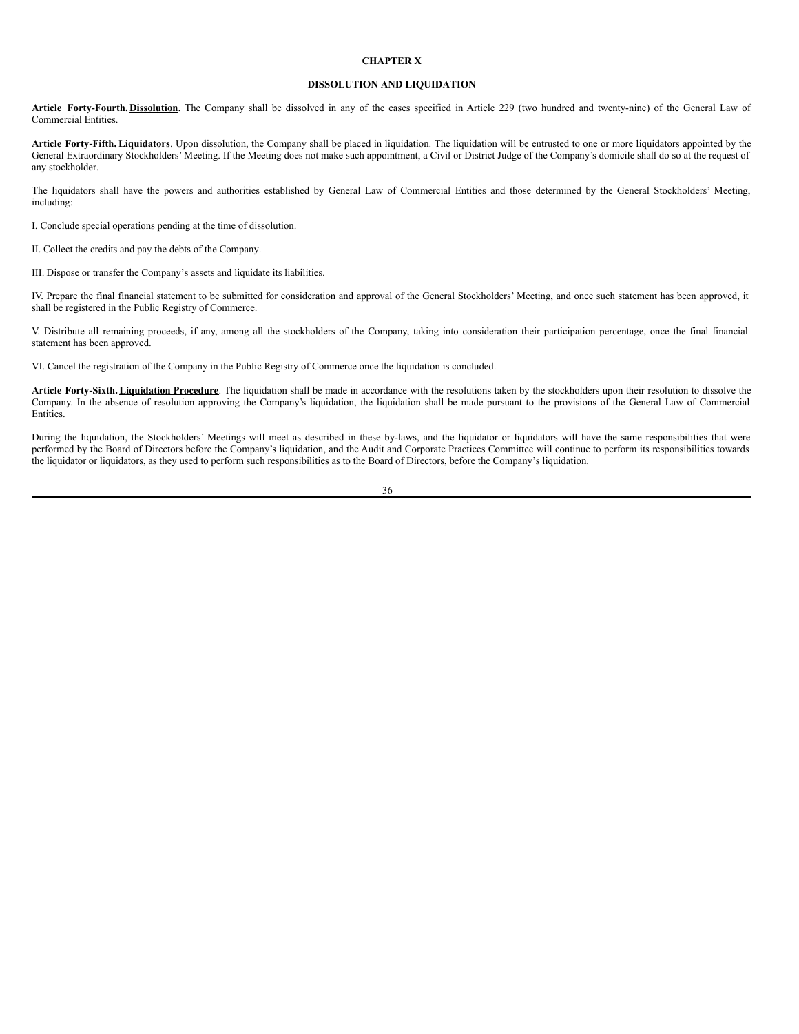### **CHAPTER X**

# **DISSOLUTION AND LIQUIDATION**

**Article Forty-Fourth. Dissolution**. The Company shall be dissolved in any of the cases specified in Article 229 (two hundred and twenty-nine) of the General Law of Commercial Entities.

**Article Forty-Fifth. Liquidators**. Upon dissolution, the Company shall be placed in liquidation. The liquidation will be entrusted to one or more liquidators appointed by the General Extraordinary Stockholders' Meeting. If the Meeting does not make such appointment, a Civil or District Judge of the Company's domicile shall do so at the request of any stockholder.

The liquidators shall have the powers and authorities established by General Law of Commercial Entities and those determined by the General Stockholders' Meeting, including:

I. Conclude special operations pending at the time of dissolution.

II. Collect the credits and pay the debts of the Company.

III. Dispose or transfer the Company's assets and liquidate its liabilities.

IV. Prepare the final financial statement to be submitted for consideration and approval of the General Stockholders' Meeting, and once such statement has been approved, it shall be registered in the Public Registry of Commerce.

V. Distribute all remaining proceeds, if any, among all the stockholders of the Company, taking into consideration their participation percentage, once the final financial statement has been approved.

VI. Cancel the registration of the Company in the Public Registry of Commerce once the liquidation is concluded.

**Article Forty-Sixth.Liquidation Procedure**. The liquidation shall be made in accordance with the resolutions taken by the stockholders upon their resolution to dissolve the Company. In the absence of resolution approving the Company's liquidation, the liquidation shall be made pursuant to the provisions of the General Law of Commercial Entities.

During the liquidation, the Stockholders' Meetings will meet as described in these by-laws, and the liquidator or liquidators will have the same responsibilities that were performed by the Board of Directors before the Company's liquidation, and the Audit and Corporate Practices Committee will continue to perform its responsibilities towards the liquidator or liquidators, as they used to perform such responsibilities as to the Board of Directors, before the Company's liquidation.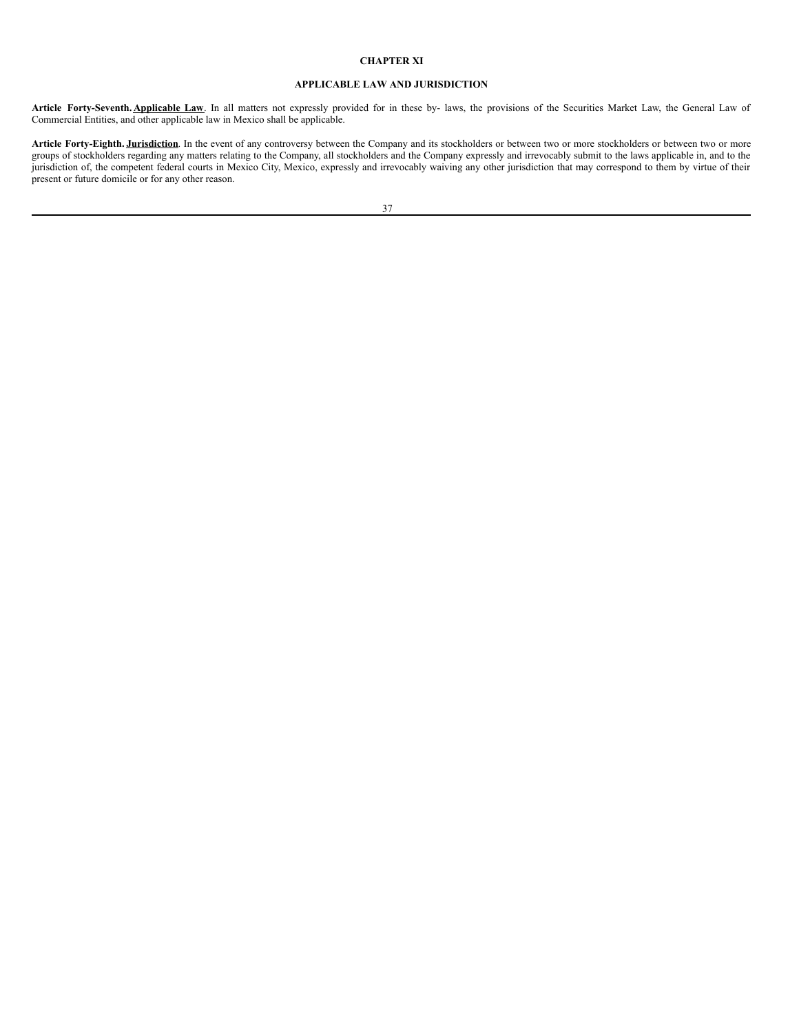# **CHAPTER XI**

# **APPLICABLE LAW AND JURISDICTION**

**Article Forty-Seventh. Applicable Law**. In all matters not expressly provided for in these by- laws, the provisions of the Securities Market Law, the General Law of Commercial Entities, and other applicable law in Mexico shall be applicable.

**Article Forty-Eighth. Jurisdiction**. In the event of any controversy between the Company and its stockholders or between two or more stockholders or between two or more groups of stockholders regarding any matters relating to the Company, all stockholders and the Company expressly and irrevocably submit to the laws applicable in, and to the jurisdiction of, the competent federal courts in Mexico City, Mexico, expressly and irrevocably waiving any other jurisdiction that may correspond to them by virtue of their present or future domicile or for any other reason.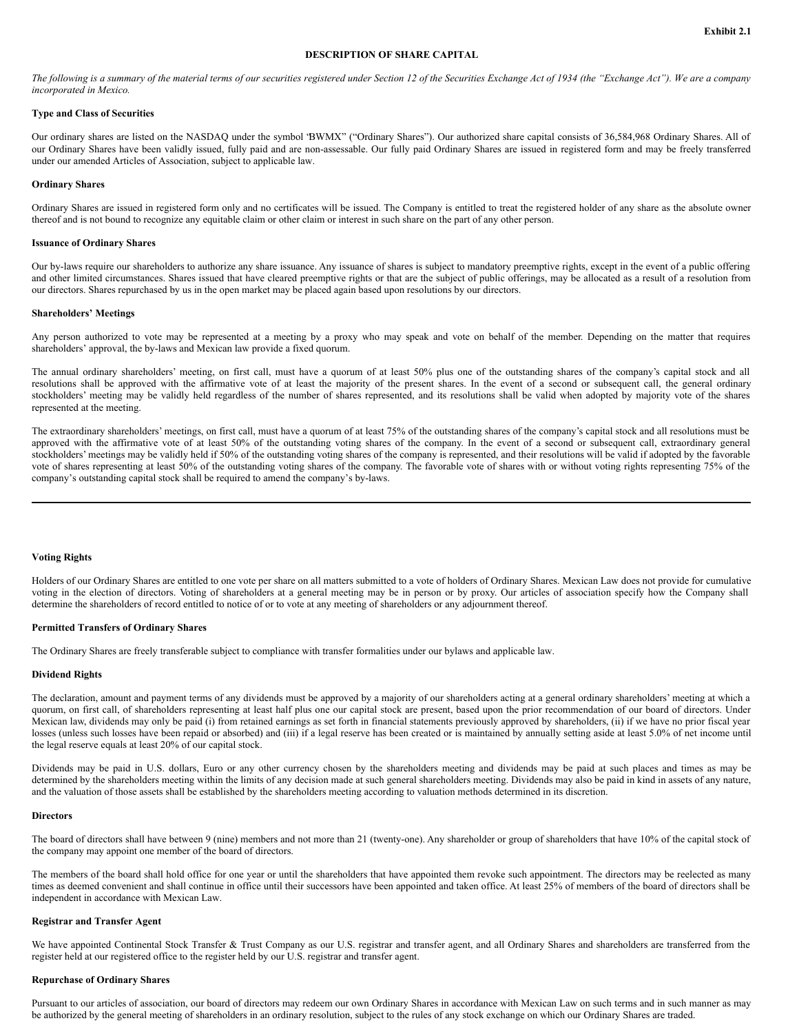# **DESCRIPTION OF SHARE CAPITAL**

The following is a summary of the material terms of our securities registered under Section 12 of the Securities Exchange Act of 1934 (the "Exchange Act"). We are a company *incorporated in Mexico.*

## **Type and Class of Securities**

Our ordinary shares are listed on the NASDAQ under the symbol "BWMX" ("Ordinary Shares"). Our authorized share capital consists of 36,584,968 Ordinary Shares. All of our Ordinary Shares have been validly issued, fully paid and are non-assessable. Our fully paid Ordinary Shares are issued in registered form and may be freely transferred under our amended Articles of Association, subject to applicable law.

#### **Ordinary Shares**

Ordinary Shares are issued in registered form only and no certificates will be issued. The Company is entitled to treat the registered holder of any share as the absolute owner thereof and is not bound to recognize any equitable claim or other claim or interest in such share on the part of any other person.

#### **Issuance of Ordinary Shares**

Our by-laws require our shareholders to authorize any share issuance. Any issuance of shares is subject to mandatory preemptive rights, except in the event of a public offering and other limited circumstances. Shares issued that have cleared preemptive rights or that are the subject of public offerings, may be allocated as a result of a resolution from our directors. Shares repurchased by us in the open market may be placed again based upon resolutions by our directors.

# **Shareholders' Meetings**

Any person authorized to vote may be represented at a meeting by a proxy who may speak and vote on behalf of the member. Depending on the matter that requires shareholders' approval, the by-laws and Mexican law provide a fixed quorum.

The annual ordinary shareholders' meeting, on first call, must have a quorum of at least 50% plus one of the outstanding shares of the company's capital stock and all resolutions shall be approved with the affirmative vote of at least the majority of the present shares. In the event of a second or subsequent call, the general ordinary stockholders' meeting may be validly held regardless of the number of shares represented, and its resolutions shall be valid when adopted by majority vote of the shares represented at the meeting.

The extraordinary shareholders' meetings, on first call, must have a quorum of at least 75% of the outstanding shares of the company's capital stock and all resolutions must be approved with the affirmative vote of at least 50% of the outstanding voting shares of the company. In the event of a second or subsequent call, extraordinary general stockholders' meetings may be validly held if 50% of the outstanding voting shares of the company is represented, and their resolutions will be valid if adopted by the favorable vote of shares representing at least 50% of the outstanding voting shares of the company. The favorable vote of shares with or without voting rights representing 75% of the company's outstanding capital stock shall be required to amend the company's by-laws.

#### **Voting Rights**

Holders of our Ordinary Shares are entitled to one vote per share on all matters submitted to a vote of holders of Ordinary Shares. Mexican Law does not provide for cumulative voting in the election of directors. Voting of shareholders at a general meeting may be in person or by proxy. Our articles of association specify how the Company shall determine the shareholders of record entitled to notice of or to vote at any meeting of shareholders or any adjournment thereof.

### **Permitted Transfers of Ordinary Shares**

The Ordinary Shares are freely transferable subject to compliance with transfer formalities under our bylaws and applicable law.

#### **Dividend Rights**

The declaration, amount and payment terms of any dividends must be approved by a majority of our shareholders acting at a general ordinary shareholders' meeting at which a quorum, on first call, of shareholders representing at least half plus one our capital stock are present, based upon the prior recommendation of our board of directors. Under Mexican law, dividends may only be paid (i) from retained earnings as set forth in financial statements previously approved by shareholders, (ii) if we have no prior fiscal year losses (unless such losses have been repaid or absorbed) and (iii) if a legal reserve has been created or is maintained by annually setting aside at least 5.0% of net income until the legal reserve equals at least 20% of our capital stock.

Dividends may be paid in U.S. dollars, Euro or any other currency chosen by the shareholders meeting and dividends may be paid at such places and times as may be determined by the shareholders meeting within the limits of any decision made at such general shareholders meeting. Dividends may also be paid in kind in assets of any nature, and the valuation of those assets shall be established by the shareholders meeting according to valuation methods determined in its discretion.

#### **Directors**

The board of directors shall have between 9 (nine) members and not more than 21 (twenty-one). Any shareholder or group of shareholders that have 10% of the capital stock of the company may appoint one member of the board of directors.

The members of the board shall hold office for one year or until the shareholders that have appointed them revoke such appointment. The directors may be reelected as many times as deemed convenient and shall continue in office until their successors have been appointed and taken office. At least 25% of members of the board of directors shall be independent in accordance with Mexican Law.

#### **Registrar and Transfer Agent**

We have appointed Continental Stock Transfer & Trust Company as our U.S. registrar and transfer agent, and all Ordinary Shares and shareholders are transferred from the register held at our registered office to the register held by our U.S. registrar and transfer agent.

#### **Repurchase of Ordinary Shares**

Pursuant to our articles of association, our board of directors may redeem our own Ordinary Shares in accordance with Mexican Law on such terms and in such manner as may be authorized by the general meeting of shareholders in an ordinary resolution, subject to the rules of any stock exchange on which our Ordinary Shares are traded.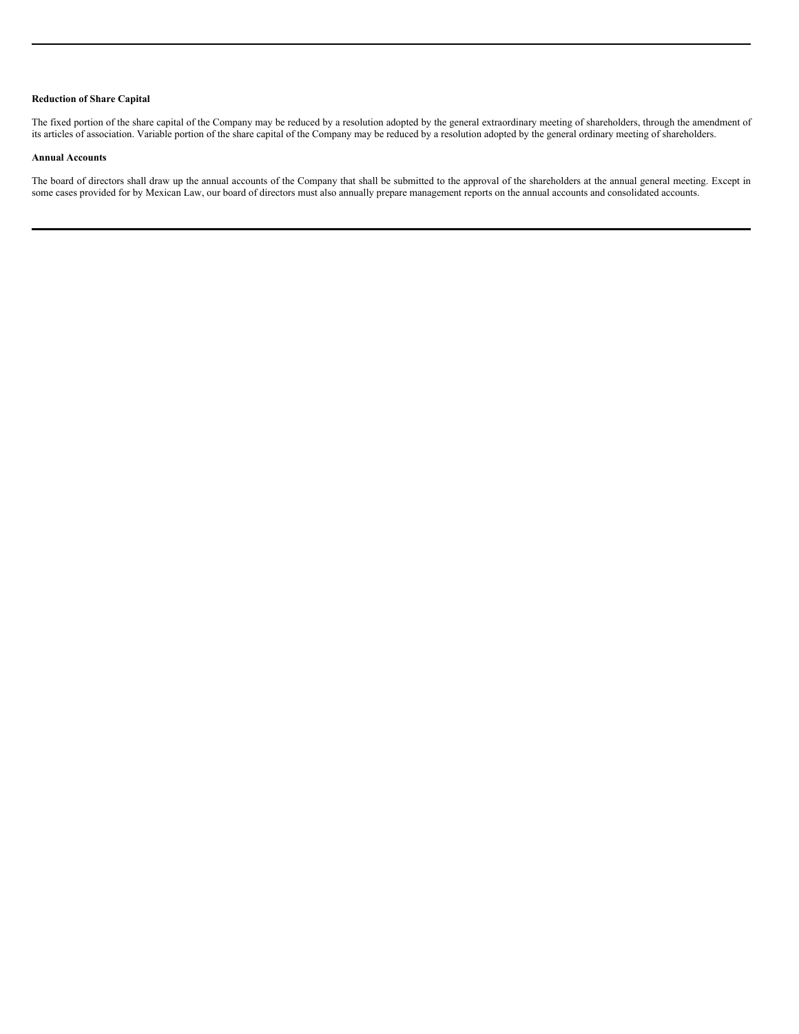# **Reduction of Share Capital**

The fixed portion of the share capital of the Company may be reduced by a resolution adopted by the general extraordinary meeting of shareholders, through the amendment of its articles of association. Variable portion of the share capital of the Company may be reduced by a resolution adopted by the general ordinary meeting of shareholders.

## **Annual Accounts**

The board of directors shall draw up the annual accounts of the Company that shall be submitted to the approval of the shareholders at the annual general meeting. Except in some cases provided for by Mexican Law, our board of directors must also annually prepare management reports on the annual accounts and consolidated accounts.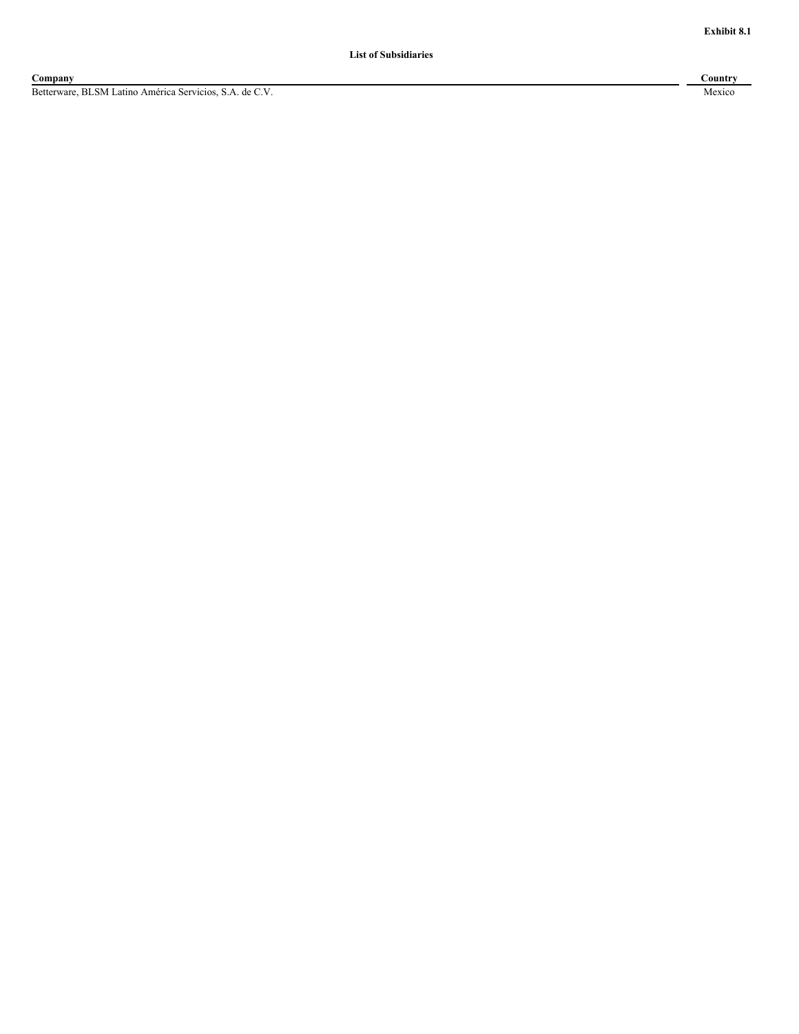# **Company**

Betterware, BLSM Latino América Servicios, S.A. de C.V. Metalcones and the contract of the contract of the contract of the contract of the contract of the contract of the contract of the contract of the contract of the contract of the contract of the contract of the contra

**Country** exico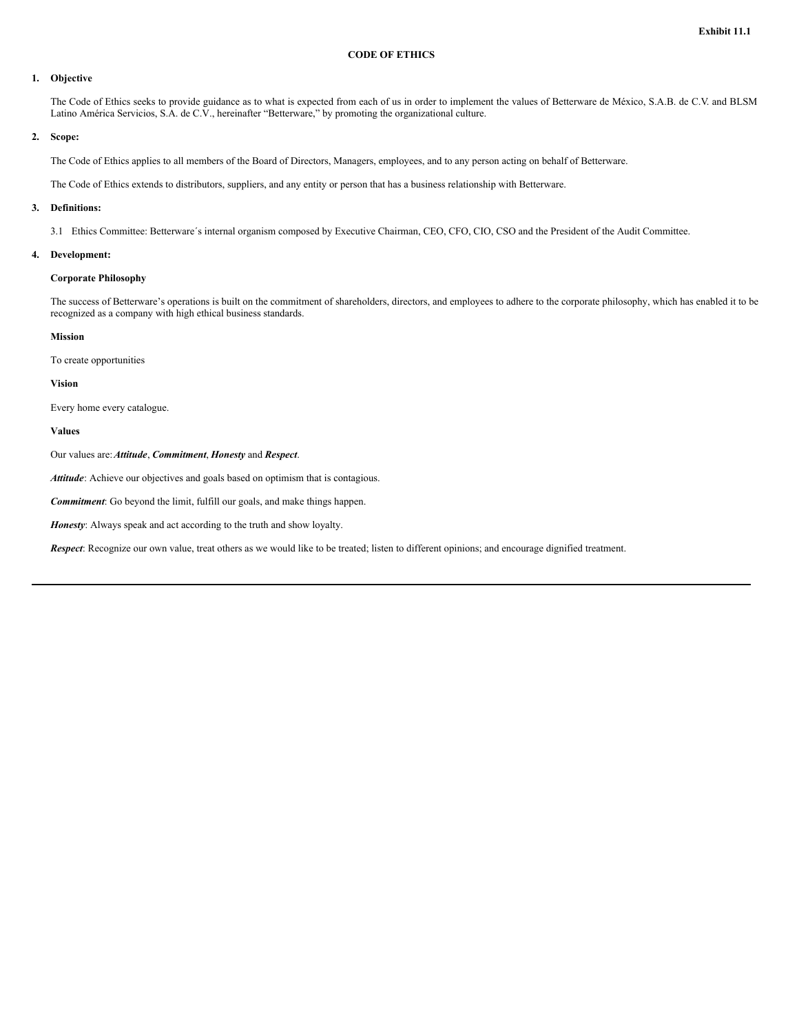# **1. Objective**

The Code of Ethics seeks to provide guidance as to what is expected from each of us in order to implement the values of Betterware de México, S.A.B. de C.V. and BLSM Latino América Servicios, S.A. de C.V., hereinafter "Betterware," by promoting the organizational culture.

# **2. Scope:**

The Code of Ethics applies to all members of the Board of Directors, Managers, employees, and to any person acting on behalf of Betterware.

The Code of Ethics extends to distributors, suppliers, and any entity or person that has a business relationship with Betterware.

# **3. Definitions:**

3.1 Ethics Committee: Betterware´s internal organism composed by Executive Chairman, CEO, CFO, CIO, CSO and the President of the Audit Committee.

# **4. Development:**

# **Corporate Philosophy**

The success of Betterware's operations is built on the commitment of shareholders, directors, and employees to adhere to the corporate philosophy, which has enabled it to be recognized as a company with high ethical business standards.

# **Mission**

To create opportunities

#### **Vision**

Every home every catalogue.

**Values**

Our values are:*Attitude*, *Commitment*, *Honesty* and *Respect*.

*Attitude*: Achieve our objectives and goals based on optimism that is contagious.

*Commitment*: Go beyond the limit, fulfill our goals, and make things happen.

*Honesty*: Always speak and act according to the truth and show loyalty.

*Respect*: Recognize our own value, treat others as we would like to be treated; listen to different opinions; and encourage dignified treatment.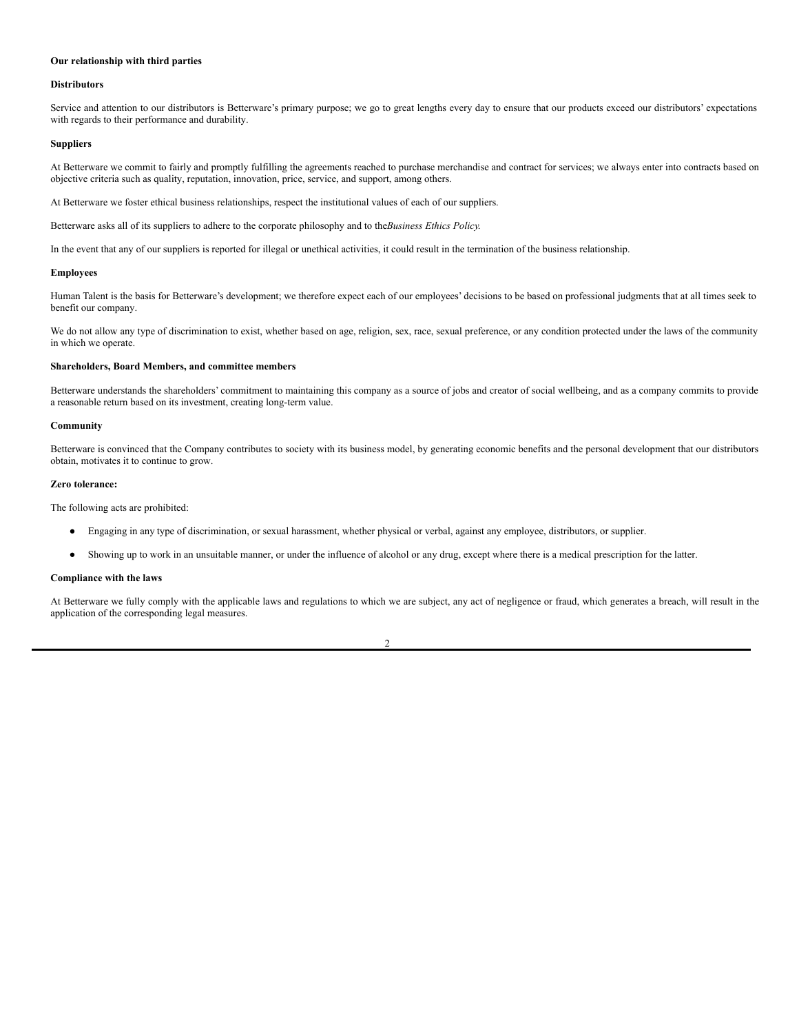## **Our relationship with third parties**

### **Distributors**

Service and attention to our distributors is Betterware's primary purpose; we go to great lengths every day to ensure that our products exceed our distributors' expectations with regards to their performance and durability.

### **Suppliers**

At Betterware we commit to fairly and promptly fulfilling the agreements reached to purchase merchandise and contract for services; we always enter into contracts based on objective criteria such as quality, reputation, innovation, price, service, and support, among others.

At Betterware we foster ethical business relationships, respect the institutional values of each of our suppliers.

Betterware asks all of its suppliers to adhere to the corporate philosophy and to the*Business Ethics Policy*.

In the event that any of our suppliers is reported for illegal or unethical activities, it could result in the termination of the business relationship.

## **Employees**

Human Talent is the basis for Betterware's development; we therefore expect each of our employees' decisions to be based on professional judgments that at all times seek to benefit our company.

We do not allow any type of discrimination to exist, whether based on age, religion, sex, race, sexual preference, or any condition protected under the laws of the community in which we operate.

# **Shareholders, Board Members, and committee members**

Betterware understands the shareholders' commitment to maintaining this company as a source of jobs and creator of social wellbeing, and as a company commits to provide a reasonable return based on its investment, creating long-term value.

# **Community**

Betterware is convinced that the Company contributes to society with its business model, by generating economic benefits and the personal development that our distributors obtain, motivates it to continue to grow.

## **Zero tolerance:**

The following acts are prohibited:

- Engaging in any type of discrimination, or sexual harassment, whether physical or verbal, against any employee, distributors, or supplier.
- Showing up to work in an unsuitable manner, or under the influence of alcohol or any drug, except where there is a medical prescription for the latter.

## **Compliance with the laws**

At Betterware we fully comply with the applicable laws and regulations to which we are subject, any act of negligence or fraud, which generates a breach, will result in the application of the corresponding legal measures.

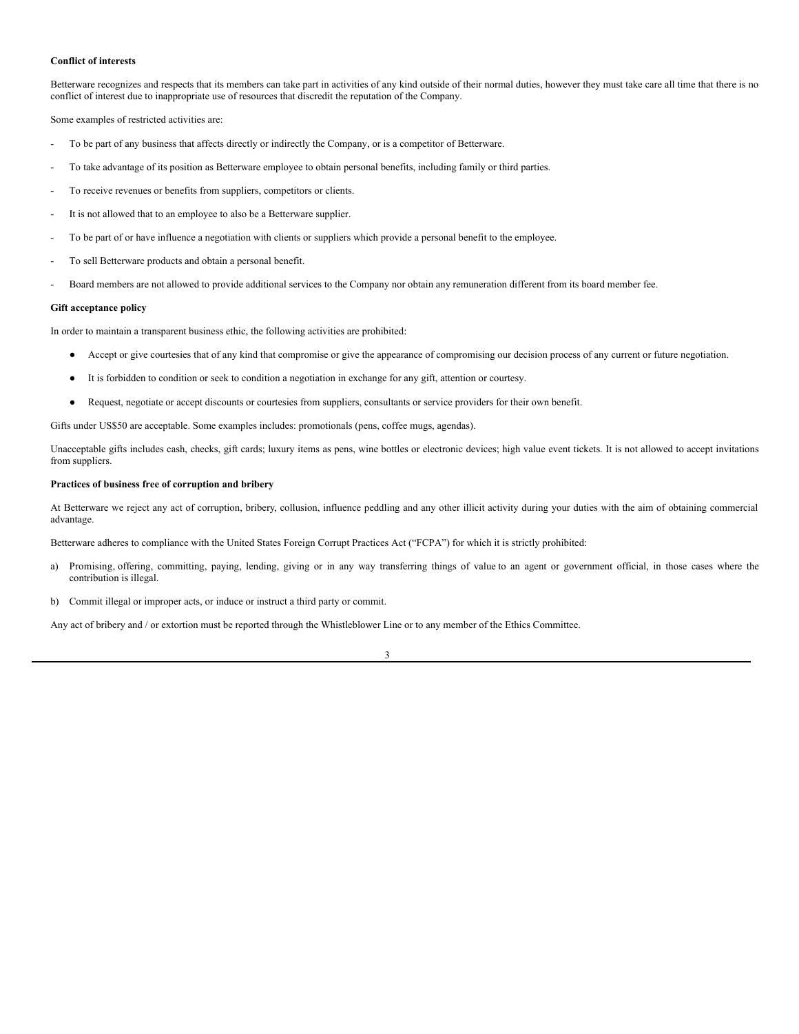#### **Conflict of interests**

Betterware recognizes and respects that its members can take part in activities of any kind outside of their normal duties, however they must take care all time that there is no conflict of interest due to inappropriate use of resources that discredit the reputation of the Company.

Some examples of restricted activities are:

- To be part of any business that affects directly or indirectly the Company, or is a competitor of Betterware.
- To take advantage of its position as Betterware employee to obtain personal benefits, including family or third parties.
- To receive revenues or benefits from suppliers, competitors or clients.
- It is not allowed that to an employee to also be a Betterware supplier.
- To be part of or have influence a negotiation with clients or suppliers which provide a personal benefit to the employee.
- To sell Betterware products and obtain a personal benefit.
- Board members are not allowed to provide additional services to the Company nor obtain any remuneration different from its board member fee.

### **Gift acceptance policy**

In order to maintain a transparent business ethic, the following activities are prohibited:

- Accept or give courtesies that of any kind that compromise or give the appearance of compromising our decision process of any current or future negotiation.
- It is forbidden to condition or seek to condition a negotiation in exchange for any gift, attention or courtesy.
- Request, negotiate or accept discounts or courtesies from suppliers, consultants or service providers for their own benefit.

Gifts under US\$50 are acceptable. Some examples includes: promotionals (pens, coffee mugs, agendas).

Unacceptable gifts includes cash, checks, gift cards; luxury items as pens, wine bottles or electronic devices; high value event tickets. It is not allowed to accept invitations from suppliers.

### **Practices of business free of corruption and bribery**

At Betterware we reject any act of corruption, bribery, collusion, influence peddling and any other illicit activity during your duties with the aim of obtaining commercial advantage.

Betterware adheres to compliance with the United States Foreign Corrupt Practices Act ("FCPA") for which it is strictly prohibited:

- a) Promising, offering, committing, paying, lending, giving or in any way transferring things of value to an agent or government official, in those cases where the contribution is illegal.
- b) Commit illegal or improper acts, or induce or instruct a third party or commit.

Any act of bribery and / or extortion must be reported through the Whistleblower Line or to any member of the Ethics Committee.

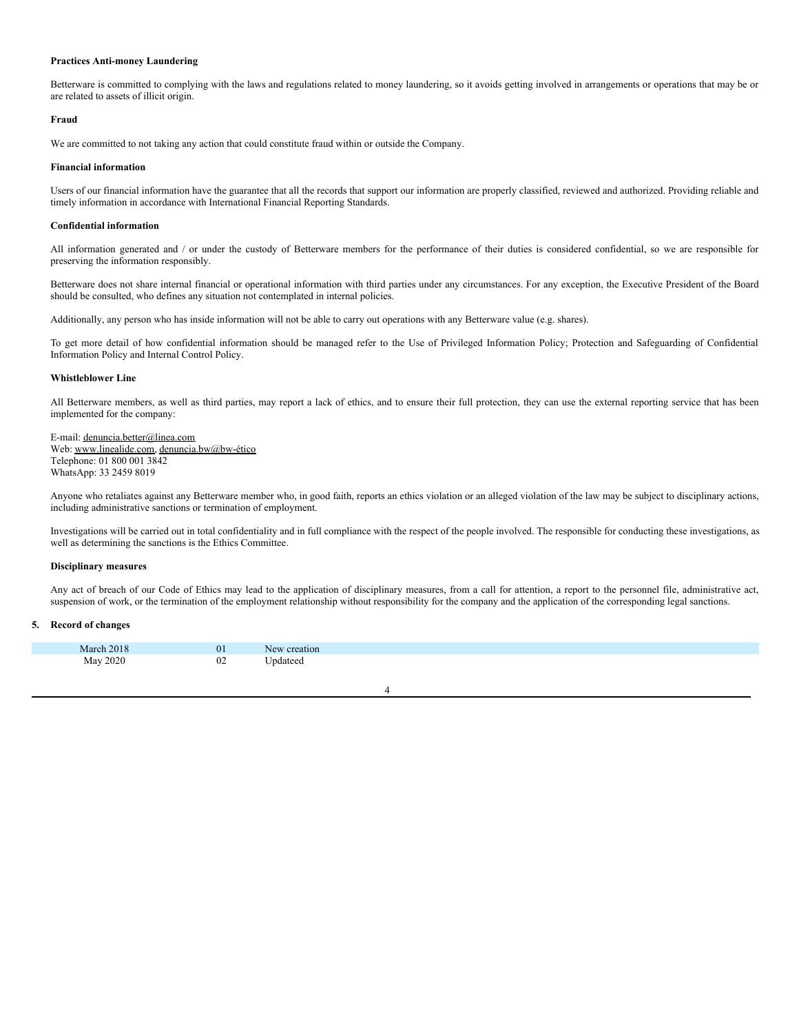# **Practices Anti-money Laundering**

Betterware is committed to complying with the laws and regulations related to money laundering, so it avoids getting involved in arrangements or operations that may be or are related to assets of illicit origin.

## **Fraud**

We are committed to not taking any action that could constitute fraud within or outside the Company.

## **Financial information**

Users of our financial information have the guarantee that all the records that support our information are properly classified, reviewed and authorized. Providing reliable and timely information in accordance with International Financial Reporting Standards.

## **Confidential information**

All information generated and / or under the custody of Betterware members for the performance of their duties is considered confidential, so we are responsible for preserving the information responsibly.

Betterware does not share internal financial or operational information with third parties under any circumstances. For any exception, the Executive President of the Board should be consulted, who defines any situation not contemplated in internal policies.

Additionally, any person who has inside information will not be able to carry out operations with any Betterware value (e.g. shares).

To get more detail of how confidential information should be managed refer to the Use of Privileged Information Policy; Protection and Safeguarding of Confidential Information Policy and Internal Control Policy.

# **Whistleblower Line**

All Betterware members, as well as third parties, may report a lack of ethics, and to ensure their full protection, they can use the external reporting service that has been implemented for the company:

E-mail: denuncia.better@linea.com Web: www.linealide.com, denuncia.bw@bw-ético Telephone: 01 800 001 3842 WhatsApp: 33 2459 8019

Anyone who retaliates against any Betterware member who, in good faith, reports an ethics violation or an alleged violation of the law may be subject to disciplinary actions, including administrative sanctions or termination of employment.

Investigations will be carried out in total confidentiality and in full compliance with the respect of the people involved. The responsible for conducting these investigations, as well as determining the sanctions is the Ethics Committee.

# **Disciplinary measures**

Any act of breach of our Code of Ethics may lead to the application of disciplinary measures, from a call for attention, a report to the personnel file, administrative act, suspension of work, or the termination of the employment relationship without responsibility for the company and the application of the corresponding legal sanctions.

### **5. Record of changes**

| March 2018  | 01 | New creation<br>___________ |
|-------------|----|-----------------------------|
| 2020<br>May | 02 | Jpdateed                    |

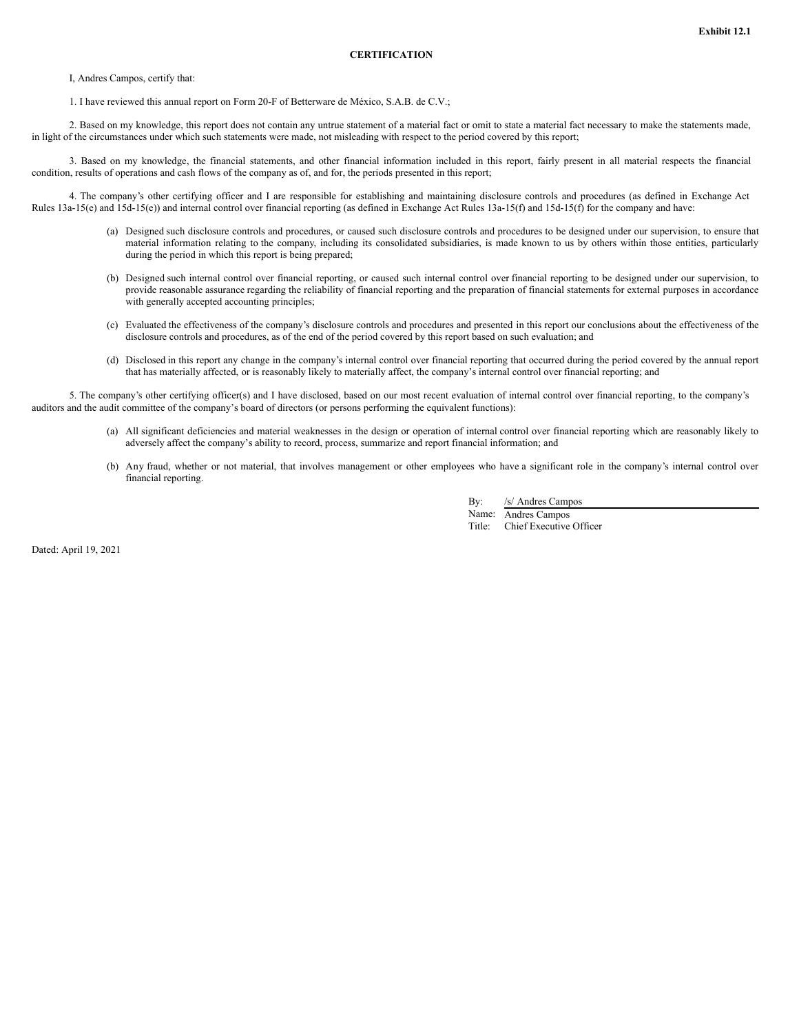## **CERTIFICATION**

I, Andres Campos, certify that:

1. I have reviewed this annual report on Form 20-F of Betterware de México, S.A.B. de C.V.;

2. Based on my knowledge, this report does not contain any untrue statement of a material fact or omit to state a material fact necessary to make the statements made, in light of the circumstances under which such statements were made, not misleading with respect to the period covered by this report;

3. Based on my knowledge, the financial statements, and other financial information included in this report, fairly present in all material respects the financial condition, results of operations and cash flows of the company as of, and for, the periods presented in this report;

4. The company's other certifying officer and I are responsible for establishing and maintaining disclosure controls and procedures (as defined in Exchange Act Rules 13a-15(e) and 15d-15(e)) and internal control over financial reporting (as defined in Exchange Act Rules 13a-15(f) and 15d-15(f) for the company and have:

- (a) Designed such disclosure controls and procedures, or caused such disclosure controls and procedures to be designed under our supervision, to ensure that material information relating to the company, including its consolidated subsidiaries, is made known to us by others within those entities, particularly during the period in which this report is being prepared;
- (b) Designed such internal control over financial reporting, or caused such internal control over financial reporting to be designed under our supervision, to provide reasonable assurance regarding the reliability of financial reporting and the preparation of financial statements for external purposes in accordance with generally accepted accounting principles;
- (c) Evaluated the effectiveness of the company's disclosure controls and procedures and presented in this report our conclusions about the effectiveness of the disclosure controls and procedures, as of the end of the period covered by this report based on such evaluation; and
- (d) Disclosed in this report any change in the company's internal control over financial reporting that occurred during the period covered by the annual report that has materially affected, or is reasonably likely to materially affect, the company's internal control over financial reporting; and

5. The company's other certifying officer(s) and I have disclosed, based on our most recent evaluation of internal control over financial reporting, to the company's auditors and the audit committee of the company's board of directors (or persons performing the equivalent functions):

- (a) All significant deficiencies and material weaknesses in the design or operation of internal control over financial reporting which are reasonably likely to adversely affect the company's ability to record, process, summarize and report financial information; and
- (b) Any fraud, whether or not material, that involves management or other employees who have a significant role in the company's internal control over financial reporting.

By: /s/ Andres Campos

Name: Andres Campos Title: Chief Executive Officer

Dated: April 19, 2021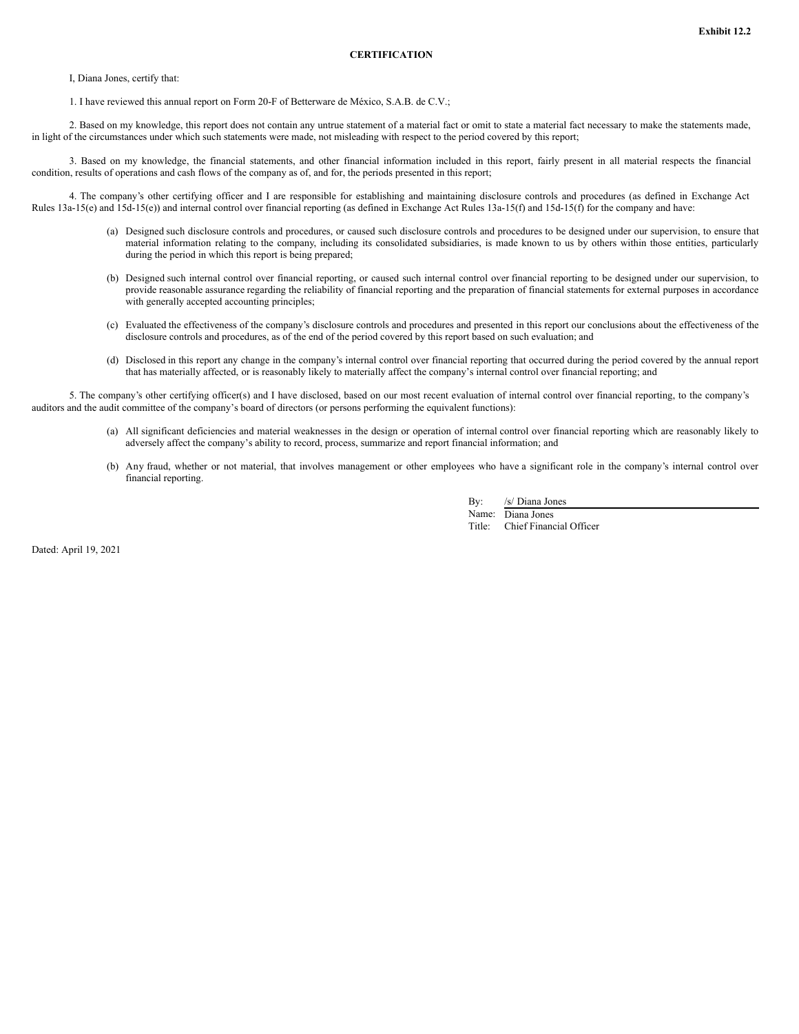## **CERTIFICATION**

I, Diana Jones, certify that:

1. I have reviewed this annual report on Form 20-F of Betterware de México, S.A.B. de C.V.;

2. Based on my knowledge, this report does not contain any untrue statement of a material fact or omit to state a material fact necessary to make the statements made, in light of the circumstances under which such statements were made, not misleading with respect to the period covered by this report;

3. Based on my knowledge, the financial statements, and other financial information included in this report, fairly present in all material respects the financial condition, results of operations and cash flows of the company as of, and for, the periods presented in this report;

4. The company's other certifying officer and I are responsible for establishing and maintaining disclosure controls and procedures (as defined in Exchange Act Rules 13a-15(e) and 15d-15(e)) and internal control over financial reporting (as defined in Exchange Act Rules 13a-15(f) and 15d-15(f) for the company and have:

- (a) Designed such disclosure controls and procedures, or caused such disclosure controls and procedures to be designed under our supervision, to ensure that material information relating to the company, including its consolidated subsidiaries, is made known to us by others within those entities, particularly during the period in which this report is being prepared;
- (b) Designed such internal control over financial reporting, or caused such internal control over financial reporting to be designed under our supervision, to provide reasonable assurance regarding the reliability of financial reporting and the preparation of financial statements for external purposes in accordance with generally accepted accounting principles;
- (c) Evaluated the effectiveness of the company's disclosure controls and procedures and presented in this report our conclusions about the effectiveness of the disclosure controls and procedures, as of the end of the period covered by this report based on such evaluation; and
- (d) Disclosed in this report any change in the company's internal control over financial reporting that occurred during the period covered by the annual report that has materially affected, or is reasonably likely to materially affect the company's internal control over financial reporting; and

5. The company's other certifying officer(s) and I have disclosed, based on our most recent evaluation of internal control over financial reporting, to the company's auditors and the audit committee of the company's board of directors (or persons performing the equivalent functions):

- (a) All significant deficiencies and material weaknesses in the design or operation of internal control over financial reporting which are reasonably likely to adversely affect the company's ability to record, process, summarize and report financial information; and
- (b) Any fraud, whether or not material, that involves management or other employees who have a significant role in the company's internal control over financial reporting.

By: /s/ Diana Jones

Name: Diana Jones Title: Chief Financial Officer

Dated: April 19, 2021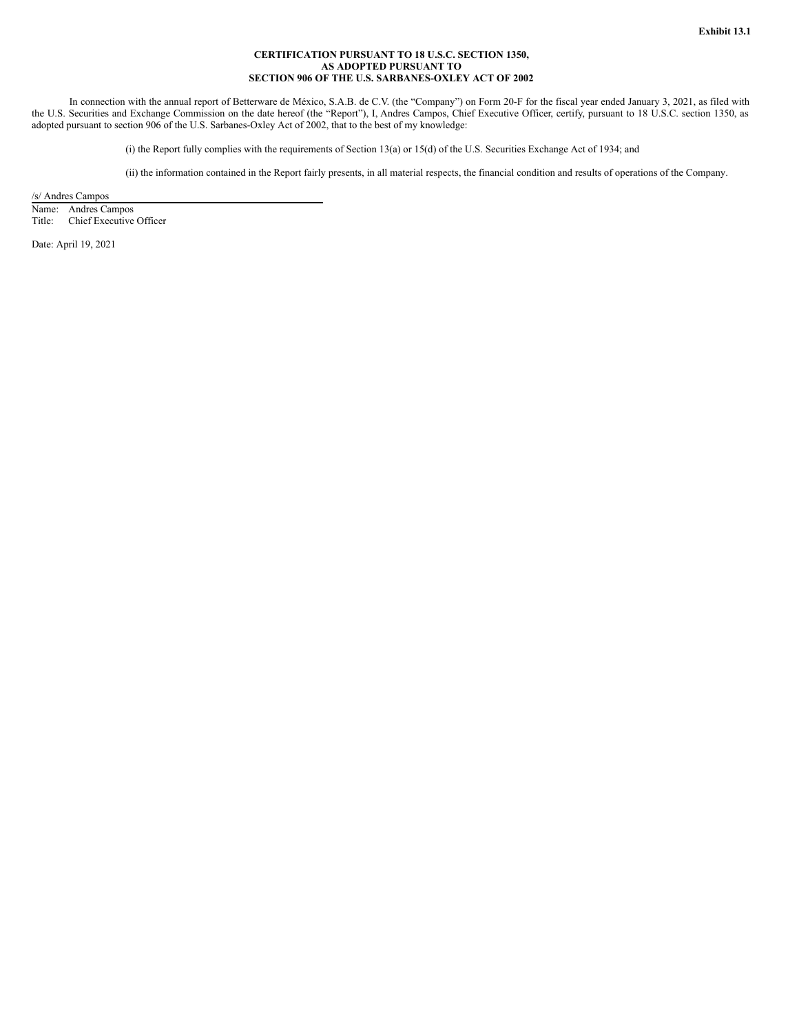# **CERTIFICATION PURSUANT TO 18 U.S.C. SECTION 1350, AS ADOPTED PURSUANT TO SECTION 906 OF THE U.S. SARBANES-OXLEY ACT OF 2002**

In connection with the annual report of Betterware de México, S.A.B. de C.V. (the "Company") on Form 20-F for the fiscal year ended January 3, 2021, as filed with the U.S. Securities and Exchange Commission on the date hereof (the "Report"), I, Andres Campos, Chief Executive Officer, certify, pursuant to 18 U.S.C. section 1350, as adopted pursuant to section 906 of the U.S. Sarbanes-Oxley Act of 2002, that to the best of my knowledge:

(i) the Report fully complies with the requirements of Section 13(a) or 15(d) of the U.S. Securities Exchange Act of 1934; and

(ii) the information contained in the Report fairly presents, in all material respects, the financial condition and results of operations of the Company.

/s/ Andres Campos

Name: Andres Campos<br>Title: Chief Executive Chief Executive Officer

Date: April 19, 2021